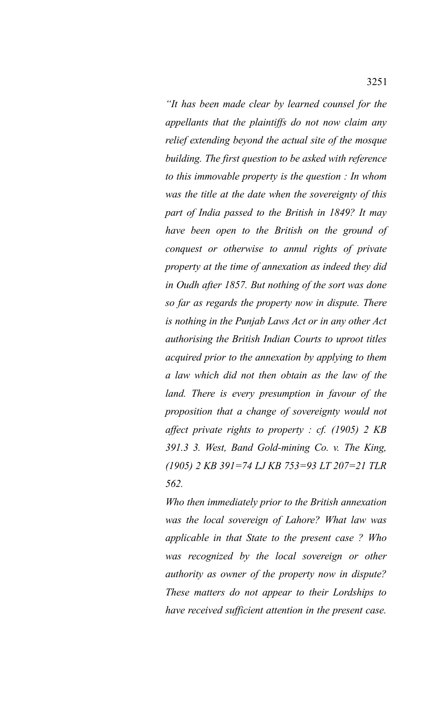*"It has been made clear by learned counsel for the appellants that the plaintiffs do not now claim any relief extending beyond the actual site of the mosque building. The first question to be asked with reference to this immovable property is the question : In whom was the title at the date when the sovereignty of this part of India passed to the British in 1849? It may have been open to the British on the ground of conquest or otherwise to annul rights of private property at the time of annexation as indeed they did in Oudh after 1857. But nothing of the sort was done so far as regards the property now in dispute. There is nothing in the Punjab Laws Act or in any other Act authorising the British Indian Courts to uproot titles acquired prior to the annexation by applying to them a law which did not then obtain as the law of the land. There is every presumption in favour of the proposition that a change of sovereignty would not affect private rights to property : cf. (1905) 2 KB 391.3 3. West, Band Gold-mining Co. v. The King, (1905) 2 KB 391=74 LJ KB 753=93 LT 207=21 TLR 562.*

*Who then immediately prior to the British annexation was the local sovereign of Lahore? What law was applicable in that State to the present case ? Who was recognized by the local sovereign or other authority as owner of the property now in dispute? These matters do not appear to their Lordships to have received sufficient attention in the present case.*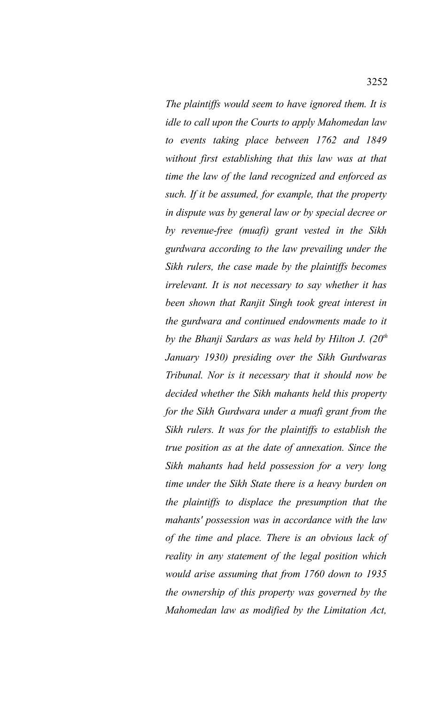*The plaintiffs would seem to have ignored them. It is idle to call upon the Courts to apply Mahomedan law to events taking place between 1762 and 1849 without first establishing that this law was at that time the law of the land recognized and enforced as such. If it be assumed, for example, that the property in dispute was by general law or by special decree or by revenue-free (muafi) grant vested in the Sikh gurdwara according to the law prevailing under the Sikh rulers, the case made by the plaintiffs becomes irrelevant. It is not necessary to say whether it has been shown that Ranjit Singh took great interest in the gurdwara and continued endowments made to it by the Bhanji Sardars as was held by Hilton J. (20th January 1930) presiding over the Sikh Gurdwaras Tribunal. Nor is it necessary that it should now be decided whether the Sikh mahants held this property for the Sikh Gurdwara under a muafi grant from the Sikh rulers. It was for the plaintiffs to establish the true position as at the date of annexation. Since the Sikh mahants had held possession for a very long time under the Sikh State there is a heavy burden on the plaintiffs to displace the presumption that the mahants' possession was in accordance with the law of the time and place. There is an obvious lack of reality in any statement of the legal position which would arise assuming that from 1760 down to 1935 the ownership of this property was governed by the Mahomedan law as modified by the Limitation Act,*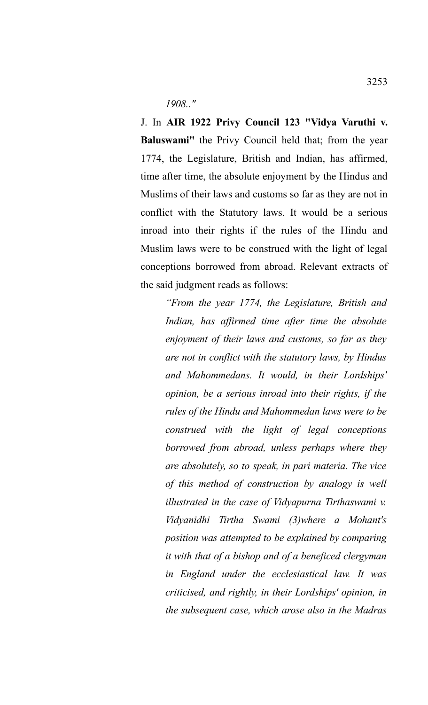*1908.."*

J. In **AIR 1922 Privy Council 123 "Vidya Varuthi v. Baluswami"** the Privy Council held that; from the year 1774, the Legislature, British and Indian, has affirmed, time after time, the absolute enjoyment by the Hindus and Muslims of their laws and customs so far as they are not in conflict with the Statutory laws. It would be a serious inroad into their rights if the rules of the Hindu and Muslim laws were to be construed with the light of legal conceptions borrowed from abroad. Relevant extracts of the said judgment reads as follows:

*"From the year 1774, the Legislature, British and Indian, has affirmed time after time the absolute enjoyment of their laws and customs, so far as they are not in conflict with the statutory laws, by Hindus and Mahommedans. It would, in their Lordships' opinion, be a serious inroad into their rights, if the rules of the Hindu and Mahommedan laws were to be construed with the light of legal conceptions borrowed from abroad, unless perhaps where they are absolutely, so to speak, in pari materia. The vice of this method of construction by analogy is well illustrated in the case of Vidyapurna Tirthaswami v. Vidyanidhi Tirtha Swami (3)where a Mohant's position was attempted to be explained by comparing it with that of a bishop and of a beneficed clergyman in England under the ecclesiastical law. It was criticised, and rightly, in their Lordships' opinion, in the subsequent case, which arose also in the Madras*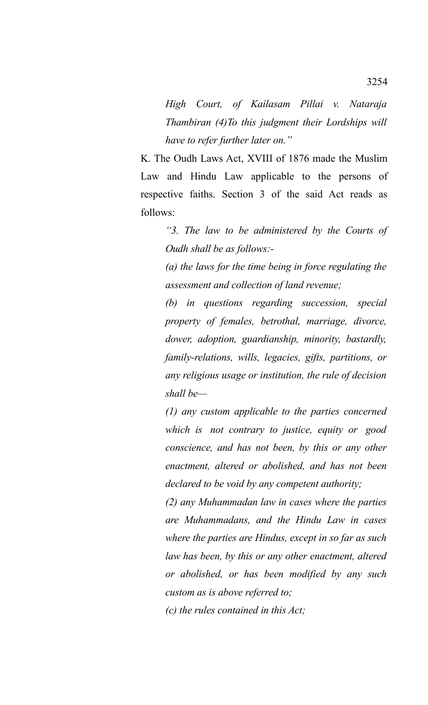*High Court, of Kailasam Pillai v. Nataraja Thambiran (4)To this judgment their Lordships will have to refer further later on."*

K. The Oudh Laws Act, XVIII of 1876 made the Muslim Law and Hindu Law applicable to the persons of respective faiths. Section 3 of the said Act reads as follows:

> *"3. The law to be administered by the Courts of Oudh shall be as follows:-*

*(a) the laws for the time being in force regulating the assessment and collection of land revenue;*

*(b) in questions regarding succession, special property of females, betrothal, marriage, divorce, dower, adoption, guardianship, minority, bastardly, family-relations, wills, legacies, gifts, partitions, or any religious usage or institution, the rule of decision shall be—*

*(1) any custom applicable to the parties concerned which is not contrary to justice, equity or good conscience, and has not been, by this or any other enactment, altered or abolished, and has not been declared to be void by any competent authority;*

*(2) any Muhammadan law in cases where the parties are Muhammadans, and the Hindu Law in cases where the parties are Hindus, except in so far as such law has been, by this or any other enactment, altered or abolished, or has been modified by any such custom as is above referred to;*

*(c) the rules contained in this Act;*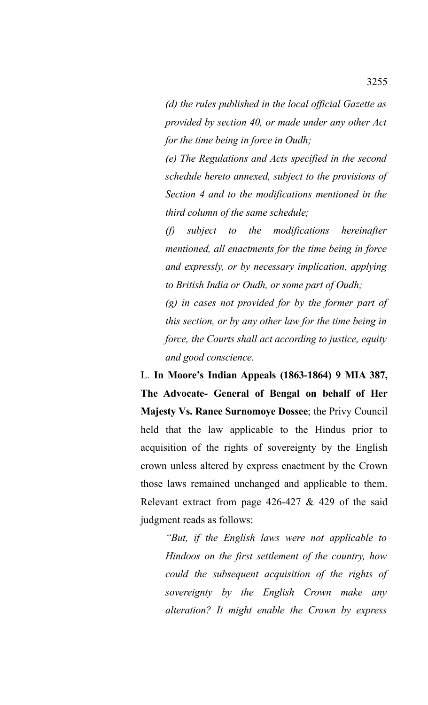*(d) the rules published in the local official Gazette as provided by section 40, or made under any other Act for the time being in force in Oudh;*

*(e) The Regulations and Acts specified in the second schedule hereto annexed, subject to the provisions of Section 4 and to the modifications mentioned in the third column of the same schedule;*

*(f) subject to the modifications hereinafter mentioned, all enactments for the time being in force and expressly, or by necessary implication, applying to British India or Oudh, or some part of Oudh;*

*(g) in cases not provided for by the former part of this section, or by any other law for the time being in force, the Courts shall act according to justice, equity and good conscience.*

L. **In Moore's Indian Appeals (1863-1864) 9 MIA 387, The Advocate- General of Bengal on behalf of Her Majesty Vs. Ranee Surnomoye Dossee**; the Privy Council held that the law applicable to the Hindus prior to acquisition of the rights of sovereignty by the English crown unless altered by express enactment by the Crown those laws remained unchanged and applicable to them. Relevant extract from page 426-427 & 429 of the said judgment reads as follows:

> *"But, if the English laws were not applicable to Hindoos on the first settlement of the country, how could the subsequent acquisition of the rights of sovereignty by the English Crown make any alteration? It might enable the Crown by express*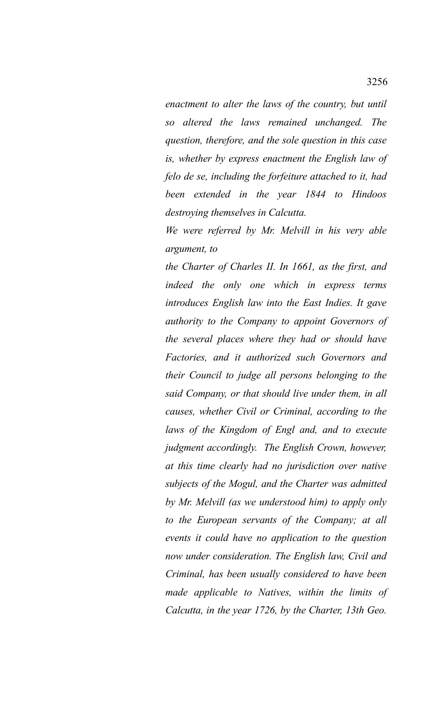*enactment to alter the laws of the country, but until so altered the laws remained unchanged. The question, therefore, and the sole question in this case is, whether by express enactment the English law of felo de se, including the forfeiture attached to it, had been extended in the year 1844 to Hindoos destroying themselves in Calcutta.*

*We were referred by Mr. Melvill in his very able argument, to*

*the Charter of Charles II. In 1661, as the first, and indeed the only one which in express terms introduces English law into the East Indies. It gave authority to the Company to appoint Governors of the several places where they had or should have Factories, and it authorized such Governors and their Council to judge all persons belonging to the said Company, or that should live under them, in all causes, whether Civil or Criminal, according to the laws of the Kingdom of Engl and, and to execute judgment accordingly. The English Crown, however, at this time clearly had no jurisdiction over native subjects of the Mogul, and the Charter was admitted by Mr. Melvill (as we understood him) to apply only to the European servants of the Company; at all events it could have no application to the question now under consideration. The English law, Civil and Criminal, has been usually considered to have been made applicable to Natives, within the limits of Calcutta, in the year 1726, by the Charter, 13th Geo.*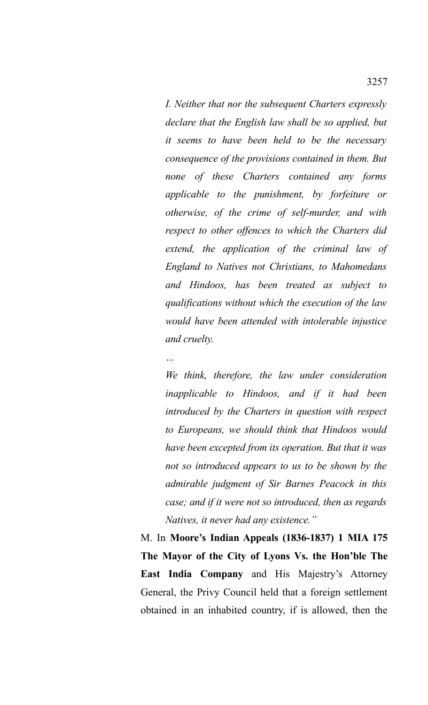*I. Neither that nor the subsequent Charters expressly declare that the English law shall be so applied, but it seems to have been held to be the necessary consequence of the provisions contained in them. But none of these Charters contained any forms applicable to the punishment, by forfeiture or otherwise, of the crime of self-murder, and with respect to other offences to which the Charters did extend, the application of the criminal law of England to Natives not Christians, to Mahomedans and Hindoos, has been treated as subject to qualifications without which the execution of the law would have been attended with intolerable injustice and cruelty.*

*We think, therefore, the law under consideration inapplicable to Hindoos, and if it had been introduced by the Charters in question with respect to Europeans, we should think that Hindoos would have been excepted from its operation. But that it was not so introduced appears to us to be shown by the admirable judgment of Sir Barnes Peacock in this case; and if it were not so introduced, then as regards Natives, it never had any existence."*

M. In **Moore's Indian Appeals (1836-1837) 1 MIA 175 The Mayor of the City of Lyons Vs. the Hon'ble The East India Company** and His Majestry's Attorney General, the Privy Council held that a foreign settlement obtained in an inhabited country, if is allowed, then the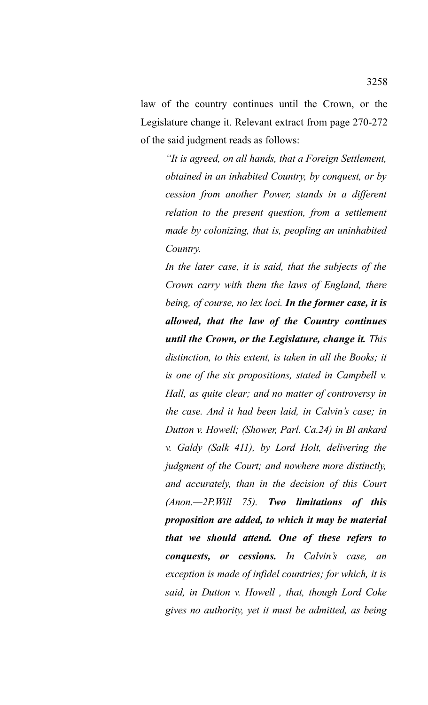law of the country continues until the Crown, or the Legislature change it. Relevant extract from page 270-272 of the said judgment reads as follows:

> *"It is agreed, on all hands, that a Foreign Settlement, obtained in an inhabited Country, by conquest, or by cession from another Power, stands in a different relation to the present question, from a settlement made by colonizing, that is, peopling an uninhabited Country.*

> *In the later case, it is said, that the subjects of the Crown carry with them the laws of England, there being, of course, no lex loci. In the former case, it is allowed, that the law of the Country continues until the Crown, or the Legislature, change it. This distinction, to this extent, is taken in all the Books; it is one of the six propositions, stated in Campbell v. Hall, as quite clear; and no matter of controversy in the case. And it had been laid, in Calvin's case; in Dutton v. Howell; (Shower, Parl. Ca.24) in Bl ankard v. Galdy (Salk 411), by Lord Holt, delivering the judgment of the Court; and nowhere more distinctly, and accurately, than in the decision of this Court (Anon.—2P.Will 75). Two limitations of this proposition are added, to which it may be material that we should attend. One of these refers to conquests, or cessions. In Calvin's case, an exception is made of infidel countries; for which, it is said, in Dutton v. Howell , that, though Lord Coke gives no authority, yet it must be admitted, as being*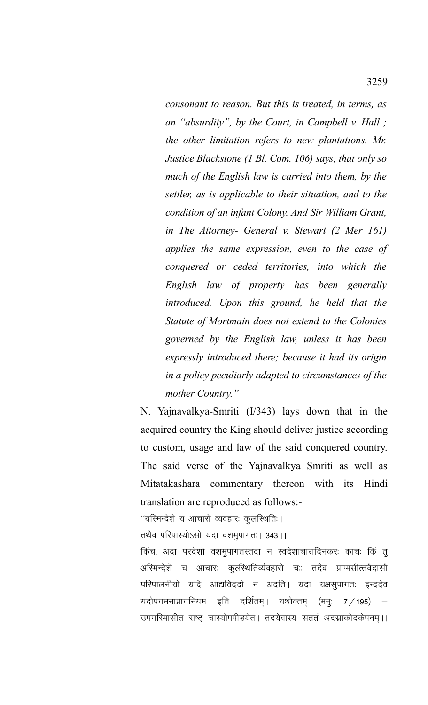*consonant to reason. But this is treated, in terms, as an "absurdity", by the Court, in Campbell v. Hall ; the other limitation refers to new plantations. Mr. Justice Blackstone (1 Bl. Com. 106) says, that only so much of the English law is carried into them, by the settler, as is applicable to their situation, and to the condition of an infant Colony. And Sir William Grant, in The Attorney- General v. Stewart (2 Mer 161) applies the same expression, even to the case of conquered or ceded territories, into which the English law of property has been generally introduced. Upon this ground, he held that the Statute of Mortmain does not extend to the Colonies governed by the English law, unless it has been expressly introduced there; because it had its origin in a policy peculiarly adapted to circumstances of the mother Country."*

N. Yajnavalkya-Smriti (I/343) lays down that in the acquired country the King should deliver justice according to custom, usage and law of the said conquered country. The said verse of the Yajnavalkya Smriti as well as Mitatakashara commentary thereon with its Hindi translation are reproduced as follows:-

''यरिमन्देशे य आचारो व्यवहारः कुलरिथतिः ।

तथैव परिपास्योऽसो यदा वशमुपागतः । । 343।।

किंच, अदा परदेशो वशमुपागतस्तदा न स्वदेशाचारादिनकरः काचः किं त् अस्मिन्देशे च आचारः कुलस्थितिर्व्यवहारो चः तदैव प्राप्मसीत्तवैदासौ परिपालनीयो यदि आद्यविददो न अदति। यदा यक्षसुपागतः इन्द्रदेव यदोपगमनाप्रागनियम इति दर्शितम्। यथोक्तम् (मन्ः 7/195) उपगरिमासीत राष्ट्ं चास्योपपीडयेत। तदयेवास्य सततं अदस्राकोदकेपनम्।।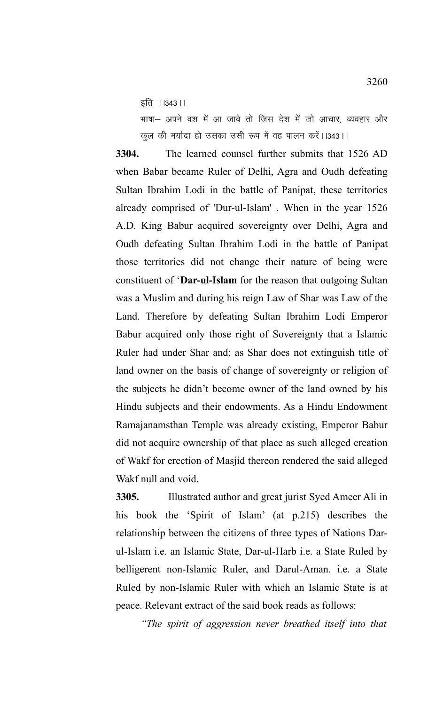इति ।  $|343|$ ।

भाषा- अपने वश में आ जावे तो जिस देश में जो आचार, व्यवहार और कुल की मर्यादा हो उसका उसी रूप में वह पालन करें।।343।।

**3304.** The learned counsel further submits that 1526 AD when Babar became Ruler of Delhi, Agra and Oudh defeating Sultan Ibrahim Lodi in the battle of Panipat, these territories already comprised of 'Dur-ul-Islam' . When in the year 1526 A.D. King Babur acquired sovereignty over Delhi, Agra and Oudh defeating Sultan Ibrahim Lodi in the battle of Panipat those territories did not change their nature of being were constituent of '**Dar-ul-Islam** for the reason that outgoing Sultan was a Muslim and during his reign Law of Shar was Law of the Land. Therefore by defeating Sultan Ibrahim Lodi Emperor Babur acquired only those right of Sovereignty that a Islamic Ruler had under Shar and; as Shar does not extinguish title of land owner on the basis of change of sovereignty or religion of the subjects he didn't become owner of the land owned by his Hindu subjects and their endowments. As a Hindu Endowment Ramajanamsthan Temple was already existing, Emperor Babur did not acquire ownership of that place as such alleged creation of Wakf for erection of Masjid thereon rendered the said alleged Wakf null and void.

**3305.** Illustrated author and great jurist Syed Ameer Ali in his book the 'Spirit of Islam' (at p.215) describes the relationship between the citizens of three types of Nations Darul-Islam i.e. an Islamic State, Dar-ul-Harb i.e. a State Ruled by belligerent non-Islamic Ruler, and Darul-Aman. i.e. a State Ruled by non-Islamic Ruler with which an Islamic State is at peace. Relevant extract of the said book reads as follows:

*"The spirit of aggression never breathed itself into that*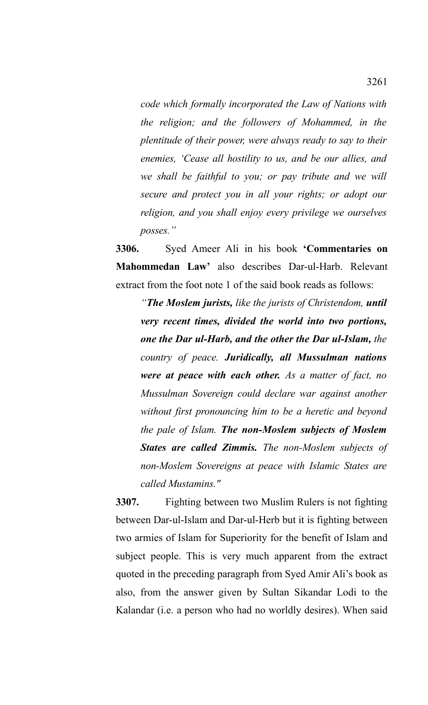*code which formally incorporated the Law of Nations with the religion; and the followers of Mohammed, in the plentitude of their power, were always ready to say to their enemies, 'Cease all hostility to us, and be our allies, and we shall be faithful to you; or pay tribute and we will secure and protect you in all your rights; or adopt our religion, and you shall enjoy every privilege we ourselves posses."*

**3306.** Syed Ameer Ali in his book **'Commentaries on Mahommedan Law'** also describes Dar-ul-Harb. Relevant extract from the foot note 1 of the said book reads as follows:

*"The Moslem jurists, like the jurists of Christendom, until very recent times, divided the world into two portions, one the Dar ul-Harb, and the other the Dar ul-Islam, the country of peace. Juridically, all Mussulman nations were at peace with each other. As a matter of fact, no Mussulman Sovereign could declare war against another without first pronouncing him to be a heretic and beyond the pale of Islam. The non-Moslem subjects of Moslem States are called Zimmis. The non-Moslem subjects of non-Moslem Sovereigns at peace with Islamic States are called Mustamins."*

**3307.** Fighting between two Muslim Rulers is not fighting between Dar-ul-Islam and Dar-ul-Herb but it is fighting between two armies of Islam for Superiority for the benefit of Islam and subject people. This is very much apparent from the extract quoted in the preceding paragraph from Syed Amir Ali's book as also, from the answer given by Sultan Sikandar Lodi to the Kalandar (i.e. a person who had no worldly desires). When said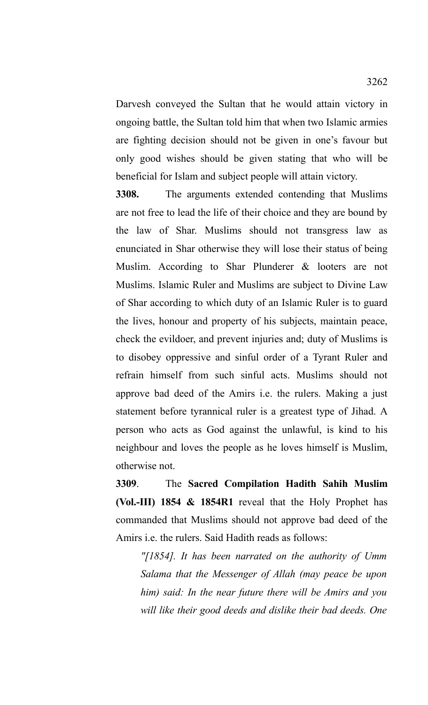Darvesh conveyed the Sultan that he would attain victory in ongoing battle, the Sultan told him that when two Islamic armies are fighting decision should not be given in one's favour but only good wishes should be given stating that who will be beneficial for Islam and subject people will attain victory.

**3308.** The arguments extended contending that Muslims are not free to lead the life of their choice and they are bound by the law of Shar. Muslims should not transgress law as enunciated in Shar otherwise they will lose their status of being Muslim. According to Shar Plunderer & looters are not Muslims. Islamic Ruler and Muslims are subject to Divine Law of Shar according to which duty of an Islamic Ruler is to guard the lives, honour and property of his subjects, maintain peace, check the evildoer, and prevent injuries and; duty of Muslims is to disobey oppressive and sinful order of a Tyrant Ruler and refrain himself from such sinful acts. Muslims should not approve bad deed of the Amirs i.e. the rulers. Making a just statement before tyrannical ruler is a greatest type of Jihad. A person who acts as God against the unlawful, is kind to his neighbour and loves the people as he loves himself is Muslim, otherwise not.

**3309**. The **Sacred Compilation Hadith Sahih Muslim (Vol.-III) 1854 & 1854R1** reveal that the Holy Prophet has commanded that Muslims should not approve bad deed of the Amirs i.e. the rulers. Said Hadith reads as follows:

*"[1854]. It has been narrated on the authority of Umm Salama that the Messenger of Allah (may peace be upon him) said: In the near future there will be Amirs and you will like their good deeds and dislike their bad deeds. One*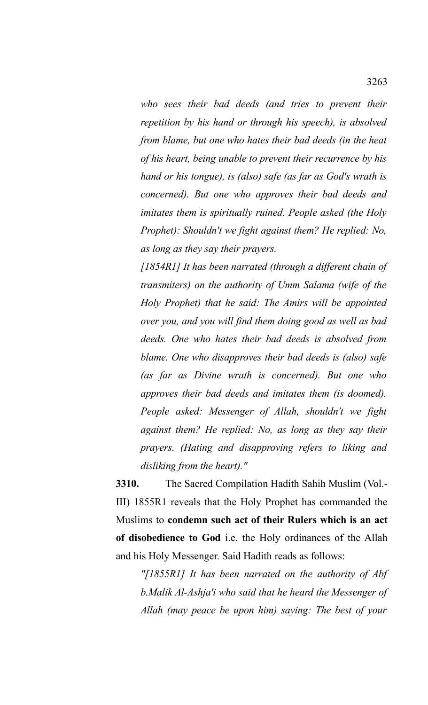*who sees their bad deeds (and tries to prevent their repetition by his hand or through his speech), is absolved from blame, but one who hates their bad deeds (in the heat of his heart, being unable to prevent their recurrence by his hand or his tongue), is (also) safe (as far as God's wrath is concerned). But one who approves their bad deeds and imitates them is spiritually ruined. People asked (the Holy Prophet): Shouldn't we fight against them? He replied: No, as long as they say their prayers.*

*[1854R1] It has been narrated (through a different chain of transmiters) on the authority of Umm Salama (wife of the Holy Prophet) that he said: The Amirs will be appointed over you, and you will find them doing good as well as bad deeds. One who hates their bad deeds is absolved from blame. One who disapproves their bad deeds is (also) safe (as far as Divine wrath is concerned). But one who approves their bad deeds and imitates them (is doomed). People asked: Messenger of Allah, shouldn't we fight against them? He replied: No, as long as they say their prayers. (Hating and disapproving refers to liking and disliking from the heart)."*

**3310.** The Sacred Compilation Hadith Sahih Muslim (Vol.- III) 1855R1 reveals that the Holy Prophet has commanded the Muslims to **condemn such act of their Rulers which is an act of disobedience to God** i.e. the Holy ordinances of the Allah and his Holy Messenger. Said Hadith reads as follows:

*"[1855R1] It has been narrated on the authority of Abf b.Malik Al-Ashja'i who said that he heard the Messenger of Allah (may peace be upon him) saying: The best of your*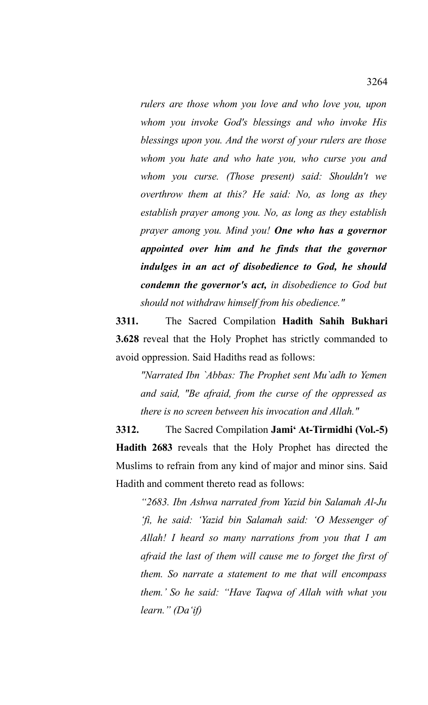*rulers are those whom you love and who love you, upon whom you invoke God's blessings and who invoke His blessings upon you. And the worst of your rulers are those whom you hate and who hate you, who curse you and whom you curse. (Those present) said: Shouldn't we overthrow them at this? He said: No, as long as they establish prayer among you. No, as long as they establish prayer among you. Mind you! One who has a governor appointed over him and he finds that the governor indulges in an act of disobedience to God, he should condemn the governor's act, in disobedience to God but should not withdraw himself from his obedience."*

**3311.** The Sacred Compilation **Hadith Sahih Bukhari 3.628** reveal that the Holy Prophet has strictly commanded to avoid oppression. Said Hadiths read as follows:

*"Narrated Ibn `Abbas: The Prophet sent Mu`adh to Yemen and said, "Be afraid, from the curse of the oppressed as there is no screen between his invocation and Allah."*

**3312.** The Sacred Compilation **Jami' At-Tirmidhi (Vol.-5) Hadith 2683** reveals that the Holy Prophet has directed the Muslims to refrain from any kind of major and minor sins. Said Hadith and comment thereto read as follows:

*"2683. Ibn Ashwa narrated from Yazid bin Salamah Al-Ju 'fi, he said: 'Yazid bin Salamah said: 'O Messenger of Allah! I heard so many narrations from you that I am afraid the last of them will cause me to forget the first of them. So narrate a statement to me that will encompass them.' So he said: "Have Taqwa of Allah with what you learn." (Da'if)*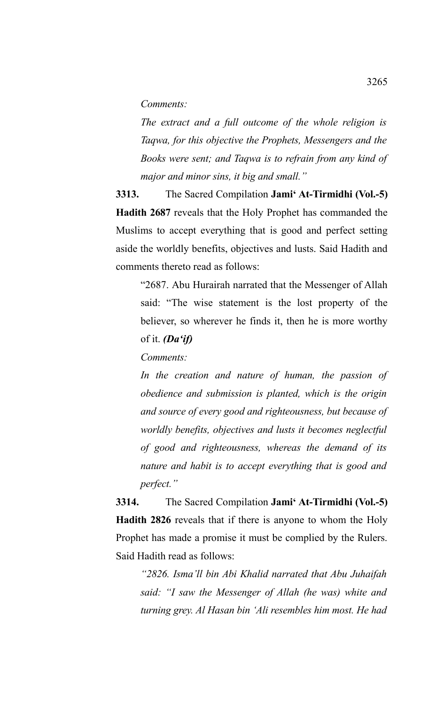*Comments:*

*The extract and a full outcome of the whole religion is Taqwa, for this objective the Prophets, Messengers and the Books were sent; and Taqwa is to refrain from any kind of major and minor sins, it big and small."*

**3313.** The Sacred Compilation **Jami' At-Tirmidhi (Vol.-5) Hadith 2687** reveals that the Holy Prophet has commanded the Muslims to accept everything that is good and perfect setting aside the worldly benefits, objectives and lusts. Said Hadith and comments thereto read as follows:

"2687. Abu Hurairah narrated that the Messenger of Allah said: "The wise statement is the lost property of the believer, so wherever he finds it, then he is more worthy of it. *(Da'if)*

*Comments:*

*In the creation and nature of human, the passion of obedience and submission is planted, which is the origin and source of every good and righteousness, but because of worldly benefits, objectives and lusts it becomes neglectful of good and righteousness, whereas the demand of its nature and habit is to accept everything that is good and perfect."*

**3314.** The Sacred Compilation **Jami' At-Tirmidhi (Vol.-5) Hadith 2826** reveals that if there is anyone to whom the Holy Prophet has made a promise it must be complied by the Rulers. Said Hadith read as follows:

*"2826. Isma'll bin Abi Khalid narrated that Abu Juhaifah said: "I saw the Messenger of Allah (he was) white and turning grey. Al Hasan bin 'Ali resembles him most. He had*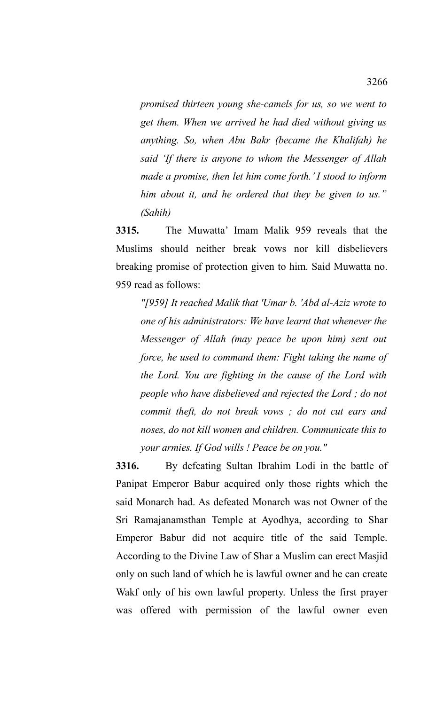*promised thirteen young she-camels for us, so we went to get them. When we arrived he had died without giving us anything. So, when Abu Bakr (became the Khalifah) he said 'If there is anyone to whom the Messenger of Allah made a promise, then let him come forth.' I stood to inform him about it, and he ordered that they be given to us." (Sahih)*

**3315.** The Muwatta' Imam Malik 959 reveals that the Muslims should neither break vows nor kill disbelievers breaking promise of protection given to him. Said Muwatta no. 959 read as follows:

*"[959] It reached Malik that 'Umar b. 'Abd al-Aziz wrote to one of his administrators: We have learnt that whenever the Messenger of Allah (may peace be upon him) sent out force, he used to command them: Fight taking the name of the Lord. You are fighting in the cause of the Lord with people who have disbelieved and rejected the Lord ; do not commit theft, do not break vows ; do not cut ears and noses, do not kill women and children. Communicate this to your armies. If God wills ! Peace be on you."*

**3316.** By defeating Sultan Ibrahim Lodi in the battle of Panipat Emperor Babur acquired only those rights which the said Monarch had. As defeated Monarch was not Owner of the Sri Ramajanamsthan Temple at Ayodhya, according to Shar Emperor Babur did not acquire title of the said Temple. According to the Divine Law of Shar a Muslim can erect Masjid only on such land of which he is lawful owner and he can create Wakf only of his own lawful property. Unless the first prayer was offered with permission of the lawful owner even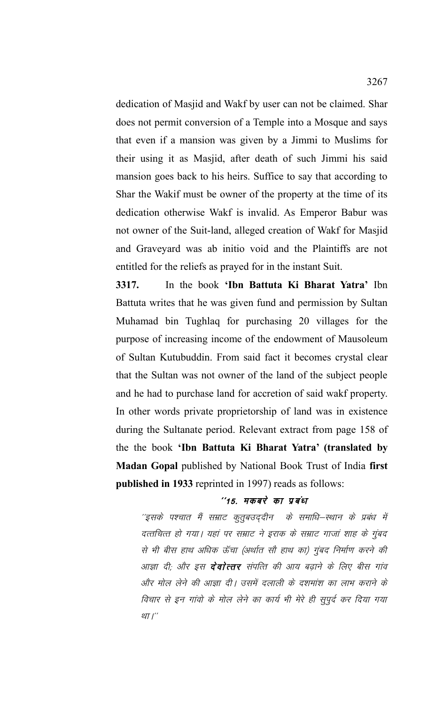dedication of Masjid and Wakf by user can not be claimed. Shar does not permit conversion of a Temple into a Mosque and says that even if a mansion was given by a Jimmi to Muslims for their using it as Masjid, after death of such Jimmi his said mansion goes back to his heirs. Suffice to say that according to Shar the Wakif must be owner of the property at the time of its dedication otherwise Wakf is invalid. As Emperor Babur was not owner of the Suit-land, alleged creation of Wakf for Masjid and Graveyard was ab initio void and the Plaintiffs are not entitled for the reliefs as prayed for in the instant Suit.

**3317.** In the book **'Ibn Battuta Ki Bharat Yatra'** Ibn Battuta writes that he was given fund and permission by Sultan Muhamad bin Tughlaq for purchasing 20 villages for the purpose of increasing income of the endowment of Mausoleum of Sultan Kutubuddin. From said fact it becomes crystal clear that the Sultan was not owner of the land of the subject people and he had to purchase land for accretion of said wakf property. In other words private proprietorship of land was in existence during the Sultanate period. Relevant extract from page 158 of the the book **'Ibn Battuta Ki Bharat Yatra' (translated by Madan Gopal** published by National Book Trust of India **first published in 1933** reprinted in 1997) reads as follows:

## $^{\prime\prime}$ 15. मकबरे का प्रबंध

''इसके पश्चात मैं सम्राट कुतुबउद्दीन के समाधि–स्थान के प्रबंध में दत्तचित्त हो गया। यहां पर सम्राट ने इराक के सम्राट गाजां शाह के गुंबद से भी बीस हाथ अधिक ऊँचा (अर्थात सौ हाथ का) गुंबद निर्माण करने की आज्ञा दी; और इस **देवोत्तर** संपत्ति की आय बढ़ाने के लिए बीस गांव और मोल लेने की आज्ञा दी। उसमें दलाली के दशमांश का लाभ कराने के विचार से इन गांवो के मोल लेने का कार्य भी मेरे ही सुपूर्द कर दिया गया था $I^{\prime\prime}$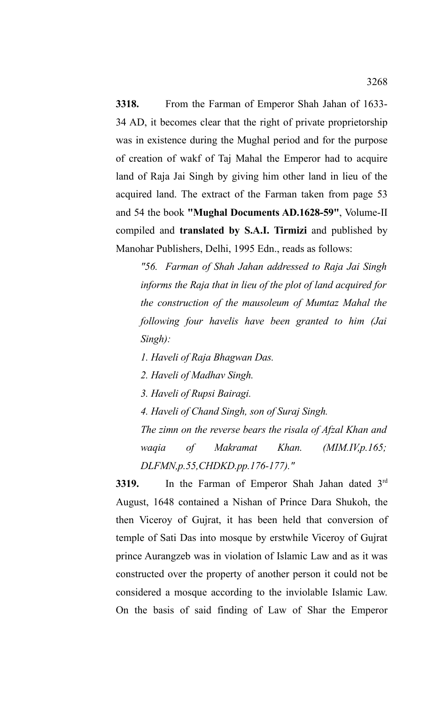**3318.** From the Farman of Emperor Shah Jahan of 1633- 34 AD, it becomes clear that the right of private proprietorship was in existence during the Mughal period and for the purpose of creation of wakf of Taj Mahal the Emperor had to acquire land of Raja Jai Singh by giving him other land in lieu of the acquired land. The extract of the Farman taken from page 53 and 54 the book **"Mughal Documents AD.1628-59"**, Volume-II compiled and **translated by S.A.I. Tirmizi** and published by Manohar Publishers, Delhi, 1995 Edn., reads as follows:

*"56. Farman of Shah Jahan addressed to Raja Jai Singh informs the Raja that in lieu of the plot of land acquired for the construction of the mausoleum of Mumtaz Mahal the following four havelis have been granted to him (Jai Singh):*

*1. Haveli of Raja Bhagwan Das.*

*2. Haveli of Madhav Singh.*

*3. Haveli of Rupsi Bairagi.*

*4. Haveli of Chand Singh, son of Suraj Singh.*

*The zimn on the reverse bears the risala of Afzal Khan and waqia of Makramat Khan. (MIM.IV,p.165; DLFMN,p.55,CHDKD.pp.176-177)."*

**3319.** In the Farman of Emperor Shah Jahan dated 3<sup>rd</sup> August, 1648 contained a Nishan of Prince Dara Shukoh, the then Viceroy of Gujrat, it has been held that conversion of temple of Sati Das into mosque by erstwhile Viceroy of Gujrat prince Aurangzeb was in violation of Islamic Law and as it was constructed over the property of another person it could not be considered a mosque according to the inviolable Islamic Law. On the basis of said finding of Law of Shar the Emperor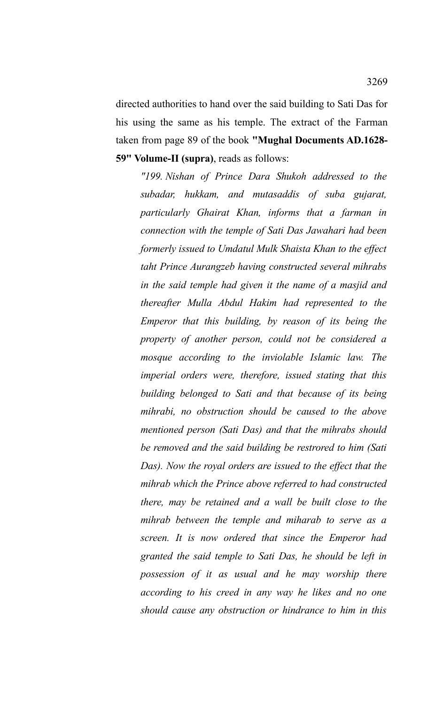directed authorities to hand over the said building to Sati Das for his using the same as his temple. The extract of the Farman taken from page 89 of the book **"Mughal Documents AD.1628- 59" Volume-II (supra)**, reads as follows:

*"199. Nishan of Prince Dara Shukoh addressed to the subadar, hukkam, and mutasaddis of suba gujarat, particularly Ghairat Khan, informs that a farman in connection with the temple of Sati Das Jawahari had been formerly issued to Umdatul Mulk Shaista Khan to the effect taht Prince Aurangzeb having constructed several mihrabs in the said temple had given it the name of a masjid and thereafter Mulla Abdul Hakim had represented to the Emperor that this building, by reason of its being the property of another person, could not be considered a mosque according to the inviolable Islamic law. The imperial orders were, therefore, issued stating that this building belonged to Sati and that because of its being mihrabi, no obstruction should be caused to the above mentioned person (Sati Das) and that the mihrabs should be removed and the said building be restrored to him (Sati Das). Now the royal orders are issued to the effect that the mihrab which the Prince above referred to had constructed there, may be retained and a wall be built close to the mihrab between the temple and miharab to serve as a screen. It is now ordered that since the Emperor had granted the said temple to Sati Das, he should be left in possession of it as usual and he may worship there according to his creed in any way he likes and no one should cause any obstruction or hindrance to him in this*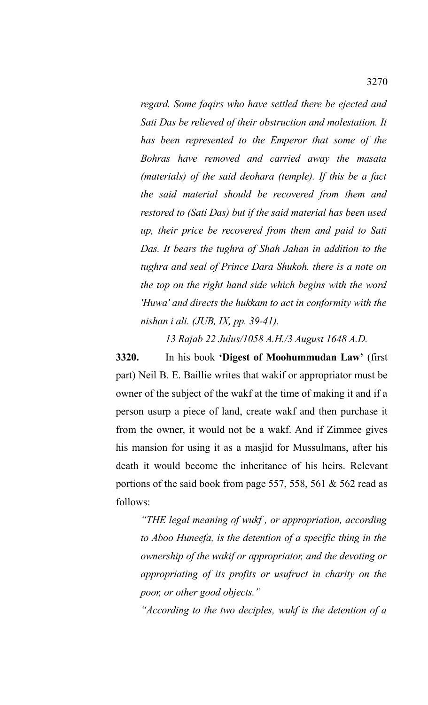*regard. Some faqirs who have settled there be ejected and Sati Das be relieved of their obstruction and molestation. It has been represented to the Emperor that some of the Bohras have removed and carried away the masata (materials) of the said deohara (temple). If this be a fact the said material should be recovered from them and restored to (Sati Das) but if the said material has been used up, their price be recovered from them and paid to Sati Das. It bears the tughra of Shah Jahan in addition to the tughra and seal of Prince Dara Shukoh. there is a note on the top on the right hand side which begins with the word 'Huwa' and directs the hukkam to act in conformity with the nishan i ali. (JUB, IX, pp. 39-41).*

*13 Rajab 22 Julus/1058 A.H./3 August 1648 A.D.*

**3320.** In his book **'Digest of Moohummudan Law'** (first part) Neil B. E. Baillie writes that wakif or appropriator must be owner of the subject of the wakf at the time of making it and if a person usurp a piece of land, create wakf and then purchase it from the owner, it would not be a wakf. And if Zimmee gives his mansion for using it as a masjid for Mussulmans, after his death it would become the inheritance of his heirs. Relevant portions of the said book from page 557, 558, 561 & 562 read as follows:

*"THE legal meaning of wukf , or appropriation, according to Aboo Huneefa, is the detention of a specific thing in the ownership of the wakif or appropriator, and the devoting or appropriating of its profits or usufruct in charity on the poor, or other good objects."*

*"According to the two deciples, wukf is the detention of a*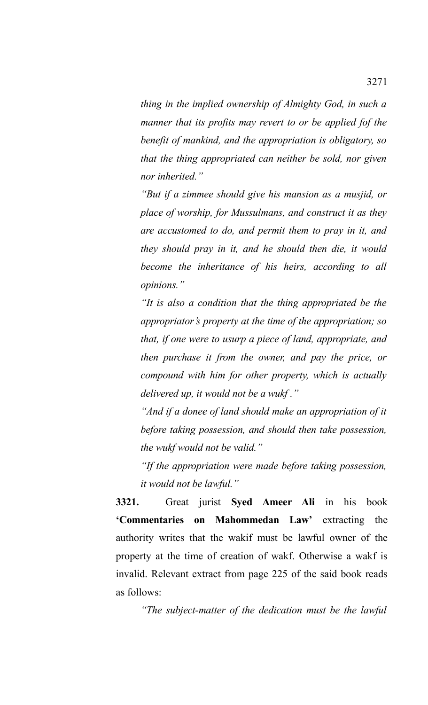*thing in the implied ownership of Almighty God, in such a manner that its profits may revert to or be applied fof the benefit of mankind, and the appropriation is obligatory, so that the thing appropriated can neither be sold, nor given nor inherited."*

*"But if a zimmee should give his mansion as a musjid, or place of worship, for Mussulmans, and construct it as they are accustomed to do, and permit them to pray in it, and they should pray in it, and he should then die, it would become the inheritance of his heirs, according to all opinions."*

*"It is also a condition that the thing appropriated be the appropriator's property at the time of the appropriation; so that, if one were to usurp a piece of land, appropriate, and then purchase it from the owner, and pay the price, or compound with him for other property, which is actually delivered up, it would not be a wukf ."*

*"And if a donee of land should make an appropriation of it before taking possession, and should then take possession, the wukf would not be valid."*

*"If the appropriation were made before taking possession, it would not be lawful."*

**3321.** Great jurist **Syed Ameer Ali** in his book **'Commentaries on Mahommedan Law'** extracting the authority writes that the wakif must be lawful owner of the property at the time of creation of wakf. Otherwise a wakf is invalid. Relevant extract from page 225 of the said book reads as follows:

*"The subject-matter of the dedication must be the lawful*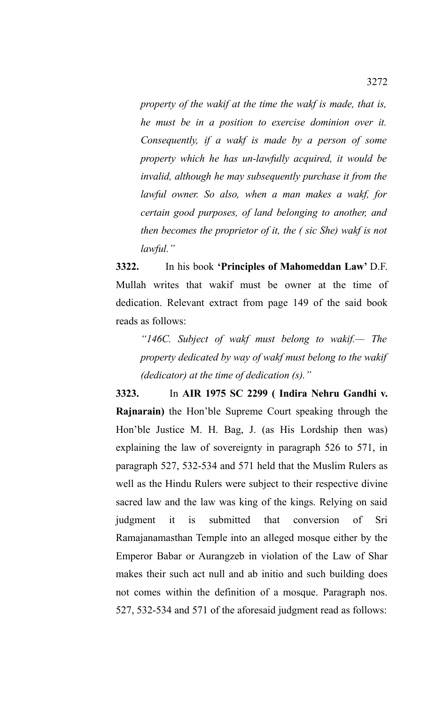*property of the wakif at the time the wakf is made, that is, he must be in a position to exercise dominion over it. Consequently, if a wakf is made by a person of some property which he has un-lawfully acquired, it would be invalid, although he may subsequently purchase it from the lawful owner. So also, when a man makes a wakf, for certain good purposes, of land belonging to another, and then becomes the proprietor of it, the ( sic She) wakf is not lawful."*

**3322.** In his book **'Principles of Mahomeddan Law'** D.F. Mullah writes that wakif must be owner at the time of dedication. Relevant extract from page 149 of the said book reads as follows:

*"146C. Subject of wakf must belong to wakif.— The property dedicated by way of wakf must belong to the wakif (dedicator) at the time of dedication (s)."*

**3323.** In **AIR 1975 SC 2299 ( Indira Nehru Gandhi v. Rajnarain)** the Hon'ble Supreme Court speaking through the Hon'ble Justice M. H. Bag, J. (as His Lordship then was) explaining the law of sovereignty in paragraph 526 to 571, in paragraph 527, 532-534 and 571 held that the Muslim Rulers as well as the Hindu Rulers were subject to their respective divine sacred law and the law was king of the kings. Relying on said judgment it is submitted that conversion of Sri Ramajanamasthan Temple into an alleged mosque either by the Emperor Babar or Aurangzeb in violation of the Law of Shar makes their such act null and ab initio and such building does not comes within the definition of a mosque. Paragraph nos. 527, 532-534 and 571 of the aforesaid judgment read as follows: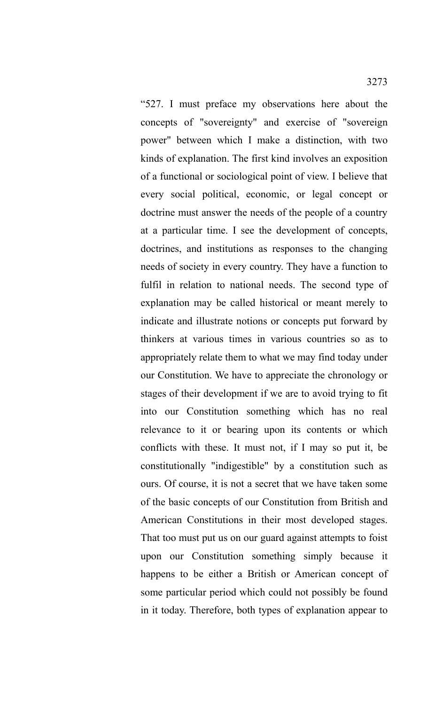"527. I must preface my observations here about the concepts of "sovereignty" and exercise of "sovereign power" between which I make a distinction, with two kinds of explanation. The first kind involves an exposition of a functional or sociological point of view. I believe that every social political, economic, or legal concept or doctrine must answer the needs of the people of a country at a particular time. I see the development of concepts, doctrines, and institutions as responses to the changing needs of society in every country. They have a function to fulfil in relation to national needs. The second type of explanation may be called historical or meant merely to indicate and illustrate notions or concepts put forward by thinkers at various times in various countries so as to appropriately relate them to what we may find today under our Constitution. We have to appreciate the chronology or stages of their development if we are to avoid trying to fit into our Constitution something which has no real relevance to it or bearing upon its contents or which conflicts with these. It must not, if I may so put it, be constitutionally "indigestible" by a constitution such as ours. Of course, it is not a secret that we have taken some of the basic concepts of our Constitution from British and American Constitutions in their most developed stages. That too must put us on our guard against attempts to foist upon our Constitution something simply because it happens to be either a British or American concept of some particular period which could not possibly be found in it today. Therefore, both types of explanation appear to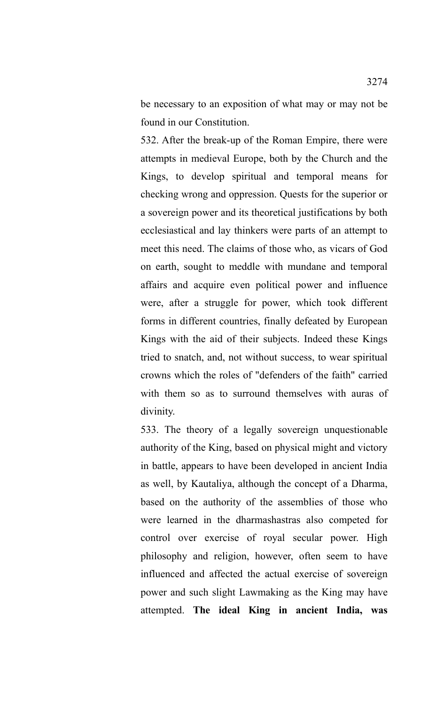be necessary to an exposition of what may or may not be found in our Constitution.

532. After the break-up of the Roman Empire, there were attempts in medieval Europe, both by the Church and the Kings, to develop spiritual and temporal means for checking wrong and oppression. Quests for the superior or a sovereign power and its theoretical justifications by both ecclesiastical and lay thinkers were parts of an attempt to meet this need. The claims of those who, as vicars of God on earth, sought to meddle with mundane and temporal affairs and acquire even political power and influence were, after a struggle for power, which took different forms in different countries, finally defeated by European Kings with the aid of their subjects. Indeed these Kings tried to snatch, and, not without success, to wear spiritual crowns which the roles of "defenders of the faith" carried with them so as to surround themselves with auras of divinity.

533. The theory of a legally sovereign unquestionable authority of the King, based on physical might and victory in battle, appears to have been developed in ancient India as well, by Kautaliya, although the concept of a Dharma, based on the authority of the assemblies of those who were learned in the dharmashastras also competed for control over exercise of royal secular power. High philosophy and religion, however, often seem to have influenced and affected the actual exercise of sovereign power and such slight Lawmaking as the King may have attempted. **The ideal King in ancient India, was**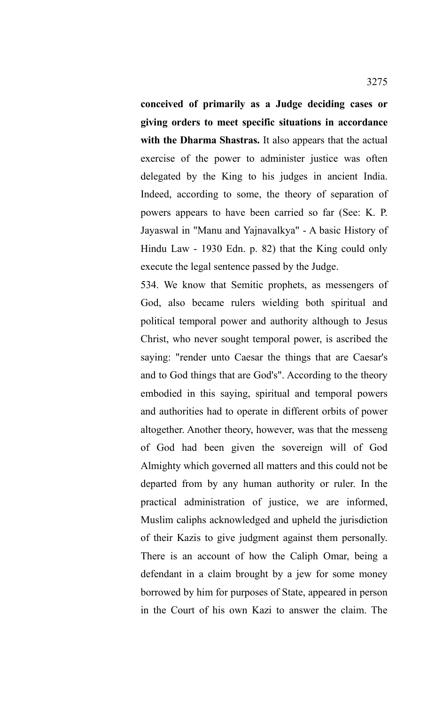**conceived of primarily as a Judge deciding cases or giving orders to meet specific situations in accordance with the Dharma Shastras.** It also appears that the actual exercise of the power to administer justice was often delegated by the King to his judges in ancient India. Indeed, according to some, the theory of separation of powers appears to have been carried so far (See: K. P. Jayaswal in "Manu and Yajnavalkya" - A basic History of Hindu Law - 1930 Edn. p. 82) that the King could only execute the legal sentence passed by the Judge.

534. We know that Semitic prophets, as messengers of God, also became rulers wielding both spiritual and political temporal power and authority although to Jesus Christ, who never sought temporal power, is ascribed the saying: "render unto Caesar the things that are Caesar's and to God things that are God's". According to the theory embodied in this saying, spiritual and temporal powers and authorities had to operate in different orbits of power altogether. Another theory, however, was that the messeng of God had been given the sovereign will of God Almighty which governed all matters and this could not be departed from by any human authority or ruler. In the practical administration of justice, we are informed, Muslim caliphs acknowledged and upheld the jurisdiction of their Kazis to give judgment against them personally. There is an account of how the Caliph Omar, being a defendant in a claim brought by a jew for some money borrowed by him for purposes of State, appeared in person in the Court of his own Kazi to answer the claim. The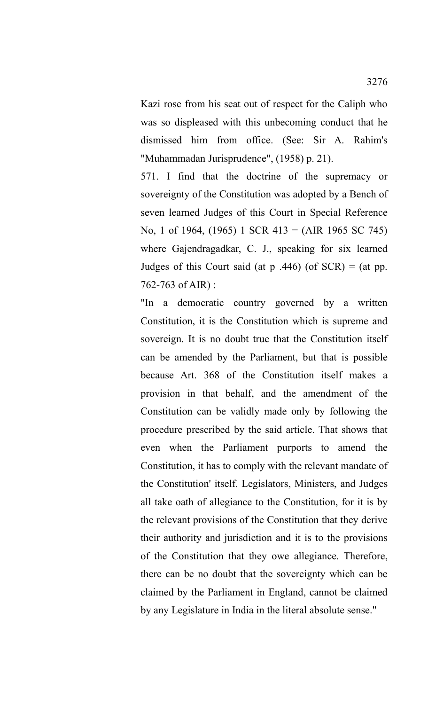Kazi rose from his seat out of respect for the Caliph who was so displeased with this unbecoming conduct that he dismissed him from office. (See: Sir A. Rahim's "Muhammadan Jurisprudence", (1958) p. 21).

571. I find that the doctrine of the supremacy or sovereignty of the Constitution was adopted by a Bench of seven learned Judges of this Court in Special Reference No, 1 of 1964, (1965) 1 SCR 413 = (AIR 1965 SC 745) where Gajendragadkar, C. J., speaking for six learned Judges of this Court said (at  $p \cdot 446$ ) (of SCR) = (at pp. 762-763 of AIR) :

"In a democratic country governed by a written Constitution, it is the Constitution which is supreme and sovereign. It is no doubt true that the Constitution itself can be amended by the Parliament, but that is possible because Art. 368 of the Constitution itself makes a provision in that behalf, and the amendment of the Constitution can be validly made only by following the procedure prescribed by the said article. That shows that even when the Parliament purports to amend the Constitution, it has to comply with the relevant mandate of the Constitution' itself. Legislators, Ministers, and Judges all take oath of allegiance to the Constitution, for it is by the relevant provisions of the Constitution that they derive their authority and jurisdiction and it is to the provisions of the Constitution that they owe allegiance. Therefore, there can be no doubt that the sovereignty which can be claimed by the Parliament in England, cannot be claimed by any Legislature in India in the literal absolute sense."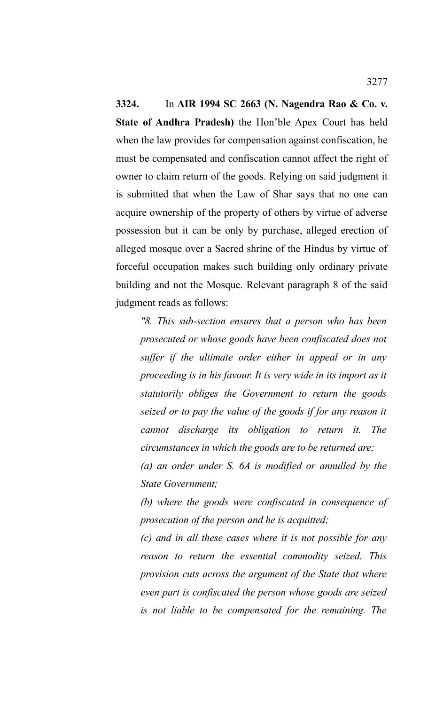**3324.** In **AIR 1994 SC 2663 (N. Nagendra Rao & Co. v. State of Andhra Pradesh)** the Hon'ble Apex Court has held when the law provides for compensation against confiscation, he must be compensated and confiscation cannot affect the right of owner to claim return of the goods. Relying on said judgment it is submitted that when the Law of Shar says that no one can acquire ownership of the property of others by virtue of adverse possession but it can be only by purchase, alleged erection of alleged mosque over a Sacred shrine of the Hindus by virtue of forceful occupation makes such building only ordinary private building and not the Mosque. Relevant paragraph 8 of the said judgment reads as follows:

*"8. This sub-section ensures that a person who has been prosecuted or whose goods have been confiscated does not suffer if the ultimate order either in appeal or in any proceeding is in his favour. It is very wide in its import as it statutorily obliges the Government to return the goods seized or to pay the value of the goods if for any reason it cannot discharge its obligation to return it. The circumstances in which the goods are to be returned are;*

*(a) an order under S. 6A is modified or annulled by the State Government;*

*(b) where the goods were confiscated in consequence of prosecution of the person and he is acquitted;*

*(c) and in all these cases where it is not possible for any reason to return the essential commodity seized. This provision cuts across the argument of the State that where even part is confiscated the person whose goods are seized is not liable to be compensated for the remaining. The*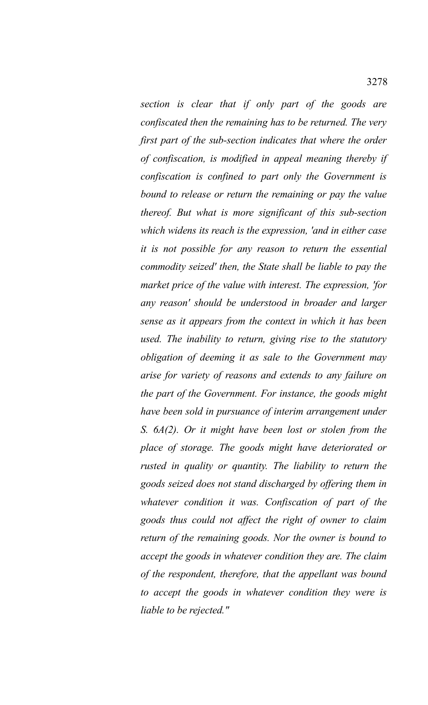*section is clear that if only part of the goods are confiscated then the remaining has to be returned. The very first part of the sub-section indicates that where the order of confiscation, is modified in appeal meaning thereby if confiscation is confined to part only the Government is bound to release or return the remaining or pay the value thereof. But what is more significant of this sub-section which widens its reach is the expression, 'and in either case it is not possible for any reason to return the essential commodity seized' then, the State shall be liable to pay the market price of the value with interest. The expression, 'for any reason' should be understood in broader and larger sense as it appears from the context in which it has been used. The inability to return, giving rise to the statutory obligation of deeming it as sale to the Government may arise for variety of reasons and extends to any failure on the part of the Government. For instance, the goods might have been sold in pursuance of interim arrangement under S. 6A(2). Or it might have been lost or stolen from the place of storage. The goods might have deteriorated or rusted in quality or quantity. The liability to return the goods seized does not stand discharged by offering them in whatever condition it was. Confiscation of part of the goods thus could not affect the right of owner to claim return of the remaining goods. Nor the owner is bound to accept the goods in whatever condition they are. The claim of the respondent, therefore, that the appellant was bound to accept the goods in whatever condition they were is liable to be rejected."*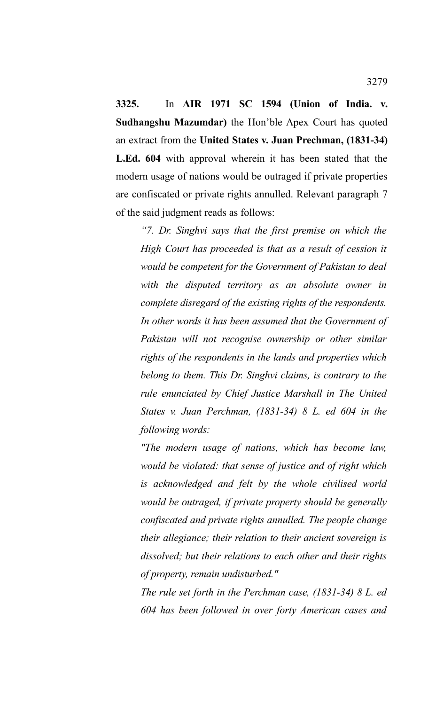**3325.** In **AIR 1971 SC 1594 (Union of India. v. Sudhangshu Mazumdar)** the Hon'ble Apex Court has quoted an extract from the **United States v. Juan Prechman, (1831-34) L.Ed. 604** with approval wherein it has been stated that the modern usage of nations would be outraged if private properties are confiscated or private rights annulled. Relevant paragraph 7 of the said judgment reads as follows:

*"7. Dr. Singhvi says that the first premise on which the High Court has proceeded is that as a result of cession it would be competent for the Government of Pakistan to deal with the disputed territory as an absolute owner in complete disregard of the existing rights of the respondents. In other words it has been assumed that the Government of Pakistan will not recognise ownership or other similar rights of the respondents in the lands and properties which belong to them. This Dr. Singhvi claims, is contrary to the rule enunciated by Chief Justice Marshall in The United States v. Juan Perchman, (1831-34) 8 L. ed 604 in the following words:*

*"The modern usage of nations, which has become law, would be violated: that sense of justice and of right which is acknowledged and felt by the whole civilised world would be outraged, if private property should be generally confiscated and private rights annulled. The people change their allegiance; their relation to their ancient sovereign is dissolved; but their relations to each other and their rights of property, remain undisturbed."*

*The rule set forth in the Perchman case, (1831-34) 8 L. ed 604 has been followed in over forty American cases and*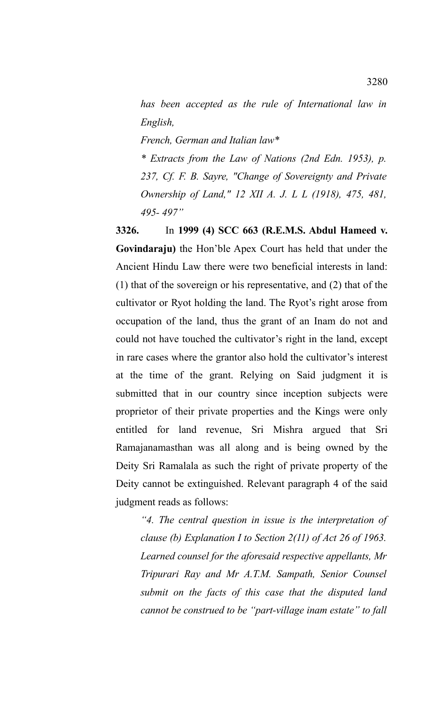*has been accepted as the rule of International law in English,*

*French, German and Italian law\**

*\* Extracts from the Law of Nations (2nd Edn. 1953), p. 237, Cf. F. B. Sayre, "Change of Sovereignty and Private Ownership of Land," 12 XII A. J. L L (1918), 475, 481, 495- 497"*

**3326.** In **1999 (4) SCC 663 (R.E.M.S. Abdul Hameed v. Govindaraju)** the Hon'ble Apex Court has held that under the Ancient Hindu Law there were two beneficial interests in land: (1) that of the sovereign or his representative, and (2) that of the cultivator or Ryot holding the land. The Ryot's right arose from occupation of the land, thus the grant of an Inam do not and could not have touched the cultivator's right in the land, except in rare cases where the grantor also hold the cultivator's interest at the time of the grant. Relying on Said judgment it is submitted that in our country since inception subjects were proprietor of their private properties and the Kings were only entitled for land revenue, Sri Mishra argued that Sri Ramajanamasthan was all along and is being owned by the Deity Sri Ramalala as such the right of private property of the Deity cannot be extinguished. Relevant paragraph 4 of the said judgment reads as follows:

*"4. The central question in issue is the interpretation of clause (b) Explanation I to Section 2(11) of Act 26 of 1963. Learned counsel for the aforesaid respective appellants, Mr Tripurari Ray and Mr A.T.M. Sampath, Senior Counsel submit on the facts of this case that the disputed land cannot be construed to be "part-village inam estate" to fall*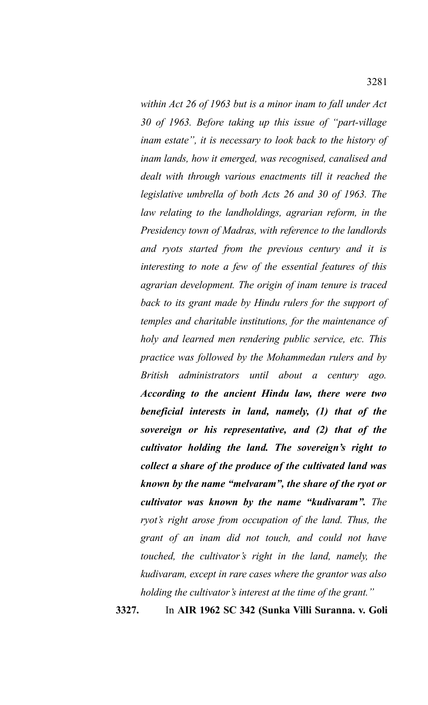*within Act 26 of 1963 but is a minor inam to fall under Act 30 of 1963. Before taking up this issue of "part-village inam estate", it is necessary to look back to the history of inam lands, how it emerged, was recognised, canalised and dealt with through various enactments till it reached the legislative umbrella of both Acts 26 and 30 of 1963. The law relating to the landholdings, agrarian reform, in the Presidency town of Madras, with reference to the landlords and ryots started from the previous century and it is interesting to note a few of the essential features of this agrarian development. The origin of inam tenure is traced back to its grant made by Hindu rulers for the support of temples and charitable institutions, for the maintenance of holy and learned men rendering public service, etc. This practice was followed by the Mohammedan rulers and by British administrators until about a century ago. According to the ancient Hindu law, there were two beneficial interests in land, namely, (1) that of the sovereign or his representative, and (2) that of the cultivator holding the land. The sovereign's right to collect a share of the produce of the cultivated land was known by the name "melvaram", the share of the ryot or cultivator was known by the name "kudivaram". The ryot's right arose from occupation of the land. Thus, the grant of an inam did not touch, and could not have touched, the cultivator's right in the land, namely, the kudivaram, except in rare cases where the grantor was also holding the cultivator's interest at the time of the grant."*

**3327.** In **AIR 1962 SC 342 (Sunka Villi Suranna. v. Goli**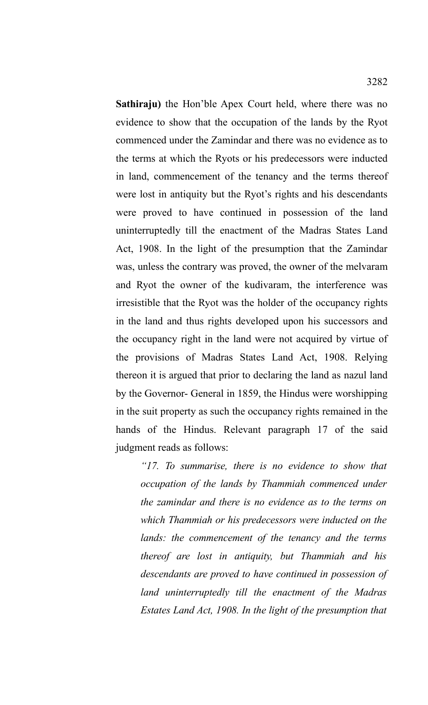**Sathiraju)** the Hon'ble Apex Court held, where there was no evidence to show that the occupation of the lands by the Ryot commenced under the Zamindar and there was no evidence as to the terms at which the Ryots or his predecessors were inducted in land, commencement of the tenancy and the terms thereof were lost in antiquity but the Ryot's rights and his descendants were proved to have continued in possession of the land uninterruptedly till the enactment of the Madras States Land Act, 1908. In the light of the presumption that the Zamindar was, unless the contrary was proved, the owner of the melvaram and Ryot the owner of the kudivaram, the interference was irresistible that the Ryot was the holder of the occupancy rights in the land and thus rights developed upon his successors and the occupancy right in the land were not acquired by virtue of the provisions of Madras States Land Act, 1908. Relying thereon it is argued that prior to declaring the land as nazul land by the Governor- General in 1859, the Hindus were worshipping in the suit property as such the occupancy rights remained in the hands of the Hindus. Relevant paragraph 17 of the said judgment reads as follows:

*"17. To summarise, there is no evidence to show that occupation of the lands by Thammiah commenced under the zamindar and there is no evidence as to the terms on which Thammiah or his predecessors were inducted on the lands: the commencement of the tenancy and the terms thereof are lost in antiquity, but Thammiah and his descendants are proved to have continued in possession of land uninterruptedly till the enactment of the Madras Estates Land Act, 1908. In the light of the presumption that*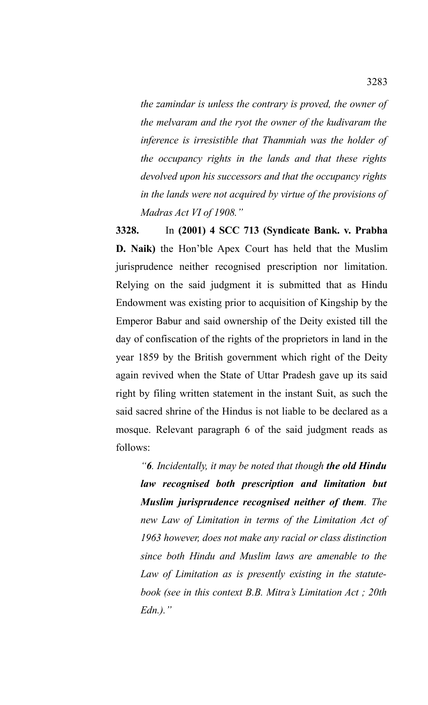*the zamindar is unless the contrary is proved, the owner of the melvaram and the ryot the owner of the kudivaram the inference is irresistible that Thammiah was the holder of the occupancy rights in the lands and that these rights devolved upon his successors and that the occupancy rights in the lands were not acquired by virtue of the provisions of Madras Act VI of 1908."*

**3328.** In **(2001) 4 SCC 713 (Syndicate Bank. v. Prabha D. Naik)** the Hon'ble Apex Court has held that the Muslim jurisprudence neither recognised prescription nor limitation. Relying on the said judgment it is submitted that as Hindu Endowment was existing prior to acquisition of Kingship by the Emperor Babur and said ownership of the Deity existed till the day of confiscation of the rights of the proprietors in land in the year 1859 by the British government which right of the Deity again revived when the State of Uttar Pradesh gave up its said right by filing written statement in the instant Suit, as such the said sacred shrine of the Hindus is not liable to be declared as a mosque. Relevant paragraph 6 of the said judgment reads as follows:

*"6. Incidentally, it may be noted that though the old Hindu law recognised both prescription and limitation but Muslim jurisprudence recognised neither of them. The new Law of Limitation in terms of the Limitation Act of 1963 however, does not make any racial or class distinction since both Hindu and Muslim laws are amenable to the Law of Limitation as is presently existing in the statutebook (see in this context B.B. Mitra's Limitation Act ; 20th Edn.)."*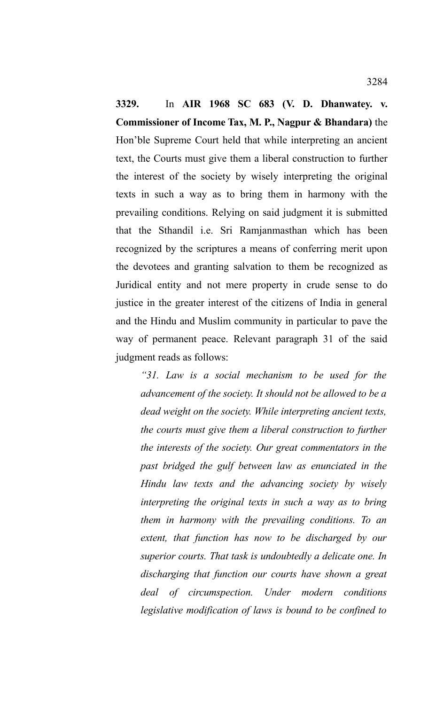**3329.** In **AIR 1968 SC 683 (V. D. Dhanwatey. v. Commissioner of Income Tax, M. P., Nagpur & Bhandara)** the Hon'ble Supreme Court held that while interpreting an ancient text, the Courts must give them a liberal construction to further the interest of the society by wisely interpreting the original texts in such a way as to bring them in harmony with the prevailing conditions. Relying on said judgment it is submitted that the Sthandil i.e. Sri Ramjanmasthan which has been recognized by the scriptures a means of conferring merit upon the devotees and granting salvation to them be recognized as Juridical entity and not mere property in crude sense to do justice in the greater interest of the citizens of India in general and the Hindu and Muslim community in particular to pave the way of permanent peace. Relevant paragraph 31 of the said judgment reads as follows:

*"31. Law is a social mechanism to be used for the advancement of the society. It should not be allowed to be a dead weight on the society. While interpreting ancient texts, the courts must give them a liberal construction to further the interests of the society. Our great commentators in the past bridged the gulf between law as enunciated in the Hindu law texts and the advancing society by wisely interpreting the original texts in such a way as to bring them in harmony with the prevailing conditions. To an extent, that function has now to be discharged by our superior courts. That task is undoubtedly a delicate one. In discharging that function our courts have shown a great deal of circumspection. Under modern conditions legislative modification of laws is bound to be confined to*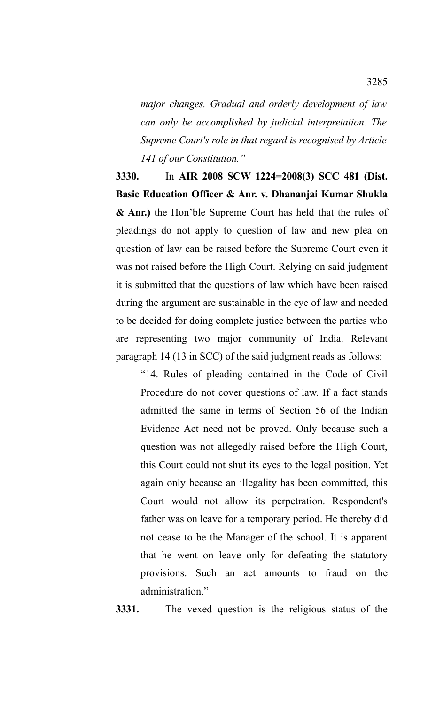*major changes. Gradual and orderly development of law can only be accomplished by judicial interpretation. The Supreme Court's role in that regard is recognised by Article 141 of our Constitution."*

**3330.** In **AIR 2008 SCW 1224=2008(3) SCC 481 (Dist. Basic Education Officer & Anr. v. Dhananjai Kumar Shukla & Anr.)** the Hon'ble Supreme Court has held that the rules of pleadings do not apply to question of law and new plea on question of law can be raised before the Supreme Court even it was not raised before the High Court. Relying on said judgment it is submitted that the questions of law which have been raised during the argument are sustainable in the eye of law and needed to be decided for doing complete justice between the parties who are representing two major community of India. Relevant paragraph 14 (13 in SCC) of the said judgment reads as follows:

"14. Rules of pleading contained in the Code of Civil Procedure do not cover questions of law. If a fact stands admitted the same in terms of Section 56 of the Indian Evidence Act need not be proved. Only because such a question was not allegedly raised before the High Court, this Court could not shut its eyes to the legal position. Yet again only because an illegality has been committed, this Court would not allow its perpetration. Respondent's father was on leave for a temporary period. He thereby did not cease to be the Manager of the school. It is apparent that he went on leave only for defeating the statutory provisions. Such an act amounts to fraud on the administration."

**3331.** The vexed question is the religious status of the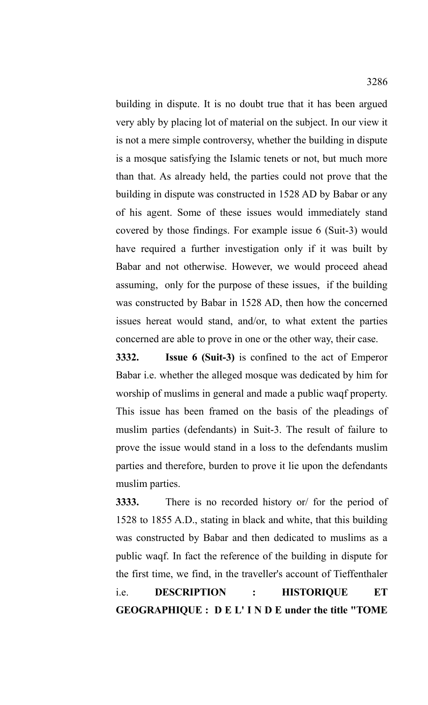building in dispute. It is no doubt true that it has been argued very ably by placing lot of material on the subject. In our view it is not a mere simple controversy, whether the building in dispute is a mosque satisfying the Islamic tenets or not, but much more than that. As already held, the parties could not prove that the building in dispute was constructed in 1528 AD by Babar or any of his agent. Some of these issues would immediately stand covered by those findings. For example issue 6 (Suit-3) would have required a further investigation only if it was built by Babar and not otherwise. However, we would proceed ahead assuming, only for the purpose of these issues, if the building was constructed by Babar in 1528 AD, then how the concerned issues hereat would stand, and/or, to what extent the parties concerned are able to prove in one or the other way, their case.

**3332. Issue 6 (Suit-3)** is confined to the act of Emperor Babar i.e. whether the alleged mosque was dedicated by him for worship of muslims in general and made a public waqf property. This issue has been framed on the basis of the pleadings of muslim parties (defendants) in Suit-3. The result of failure to prove the issue would stand in a loss to the defendants muslim parties and therefore, burden to prove it lie upon the defendants muslim parties.

**3333.** There is no recorded history or/ for the period of 1528 to 1855 A.D., stating in black and white, that this building was constructed by Babar and then dedicated to muslims as a public waqf. In fact the reference of the building in dispute for the first time, we find, in the traveller's account of Tieffenthaler i.e. **DESCRIPTION : HISTORIQUE ET GEOGRAPHIQUE : D E L' I N D E under the title "TOME**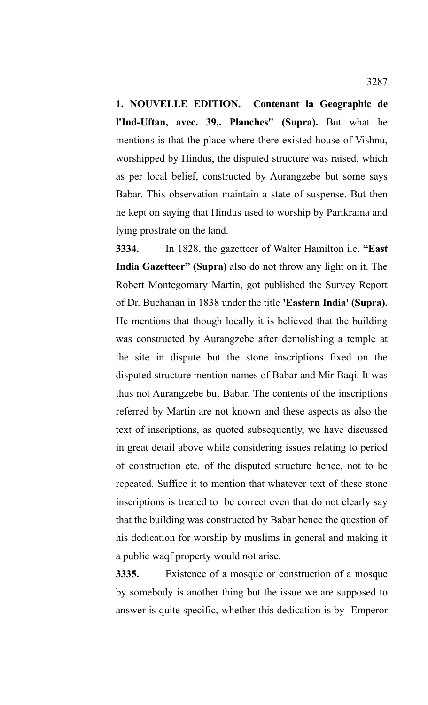**1. NOUVELLE EDITION. Contenant la Geographic de l'Ind-Uftan, avec. 39,. Planches" (Supra).** But what he mentions is that the place where there existed house of Vishnu, worshipped by Hindus, the disputed structure was raised, which as per local belief, constructed by Aurangzebe but some says Babar. This observation maintain a state of suspense. But then he kept on saying that Hindus used to worship by Parikrama and lying prostrate on the land.

**3334.** In 1828, the gazetteer of Walter Hamilton i.e. **"East India Gazetteer" (Supra)** also do not throw any light on it. The Robert Montegomary Martin, got published the Survey Report of Dr. Buchanan in 1838 under the title **'Eastern India' (Supra).** He mentions that though locally it is believed that the building was constructed by Aurangzebe after demolishing a temple at the site in dispute but the stone inscriptions fixed on the disputed structure mention names of Babar and Mir Baqi. It was thus not Aurangzebe but Babar. The contents of the inscriptions referred by Martin are not known and these aspects as also the text of inscriptions, as quoted subsequently, we have discussed in great detail above while considering issues relating to period of construction etc. of the disputed structure hence, not to be repeated. Suffice it to mention that whatever text of these stone inscriptions is treated to be correct even that do not clearly say that the building was constructed by Babar hence the question of his dedication for worship by muslims in general and making it a public waqf property would not arise.

**3335.** Existence of a mosque or construction of a mosque by somebody is another thing but the issue we are supposed to answer is quite specific, whether this dedication is by Emperor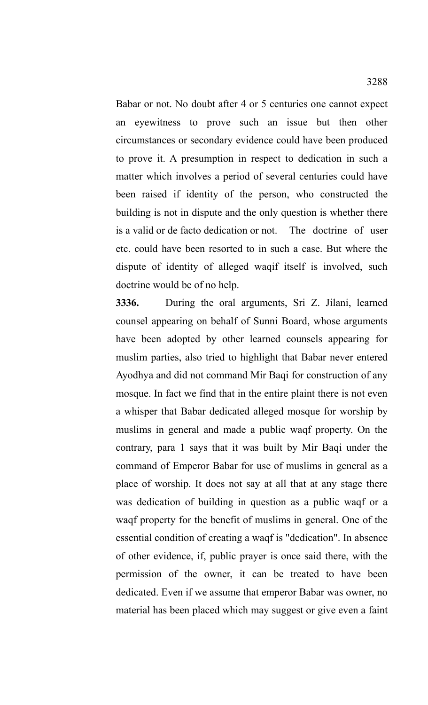Babar or not. No doubt after 4 or 5 centuries one cannot expect an eyewitness to prove such an issue but then other circumstances or secondary evidence could have been produced to prove it. A presumption in respect to dedication in such a matter which involves a period of several centuries could have been raised if identity of the person, who constructed the building is not in dispute and the only question is whether there is a valid or de facto dedication or not. The doctrine of user etc. could have been resorted to in such a case. But where the dispute of identity of alleged waqif itself is involved, such doctrine would be of no help.

**3336.** During the oral arguments, Sri Z. Jilani, learned counsel appearing on behalf of Sunni Board, whose arguments have been adopted by other learned counsels appearing for muslim parties, also tried to highlight that Babar never entered Ayodhya and did not command Mir Baqi for construction of any mosque. In fact we find that in the entire plaint there is not even a whisper that Babar dedicated alleged mosque for worship by muslims in general and made a public waqf property. On the contrary, para 1 says that it was built by Mir Baqi under the command of Emperor Babar for use of muslims in general as a place of worship. It does not say at all that at any stage there was dedication of building in question as a public waqf or a waqf property for the benefit of muslims in general. One of the essential condition of creating a waqf is "dedication". In absence of other evidence, if, public prayer is once said there, with the permission of the owner, it can be treated to have been dedicated. Even if we assume that emperor Babar was owner, no material has been placed which may suggest or give even a faint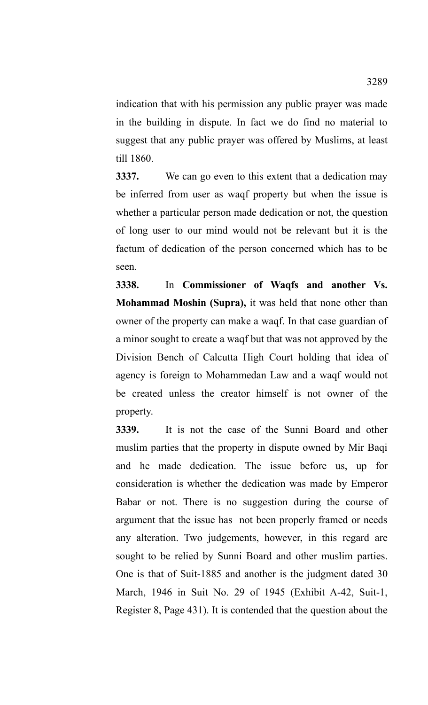indication that with his permission any public prayer was made in the building in dispute. In fact we do find no material to suggest that any public prayer was offered by Muslims, at least till 1860.

**3337.** We can go even to this extent that a dedication may be inferred from user as waqf property but when the issue is whether a particular person made dedication or not, the question of long user to our mind would not be relevant but it is the factum of dedication of the person concerned which has to be seen.

**3338.** In **Commissioner of Waqfs and another Vs. Mohammad Moshin (Supra),** it was held that none other than owner of the property can make a waqf. In that case guardian of a minor sought to create a waqf but that was not approved by the Division Bench of Calcutta High Court holding that idea of agency is foreign to Mohammedan Law and a waqf would not be created unless the creator himself is not owner of the property.

**3339.** It is not the case of the Sunni Board and other muslim parties that the property in dispute owned by Mir Baqi and he made dedication. The issue before us, up for consideration is whether the dedication was made by Emperor Babar or not. There is no suggestion during the course of argument that the issue has not been properly framed or needs any alteration. Two judgements, however, in this regard are sought to be relied by Sunni Board and other muslim parties. One is that of Suit-1885 and another is the judgment dated 30 March, 1946 in Suit No. 29 of 1945 (Exhibit A-42, Suit-1, Register 8, Page 431). It is contended that the question about the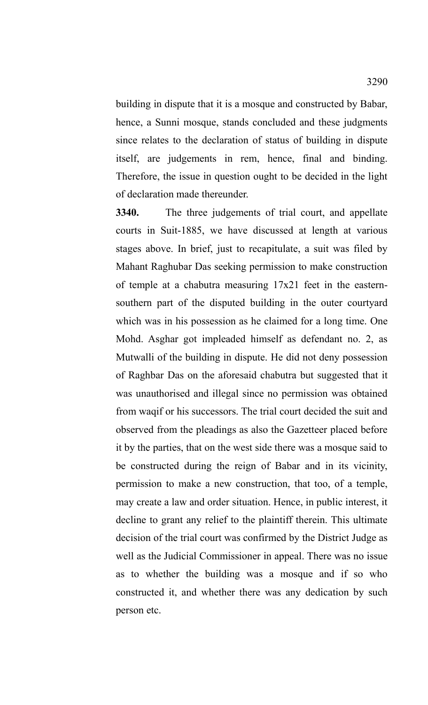building in dispute that it is a mosque and constructed by Babar, hence, a Sunni mosque, stands concluded and these judgments since relates to the declaration of status of building in dispute itself, are judgements in rem, hence, final and binding. Therefore, the issue in question ought to be decided in the light of declaration made thereunder.

**3340.** The three judgements of trial court, and appellate courts in Suit-1885, we have discussed at length at various stages above. In brief, just to recapitulate, a suit was filed by Mahant Raghubar Das seeking permission to make construction of temple at a chabutra measuring 17x21 feet in the easternsouthern part of the disputed building in the outer courtyard which was in his possession as he claimed for a long time. One Mohd. Asghar got impleaded himself as defendant no. 2, as Mutwalli of the building in dispute. He did not deny possession of Raghbar Das on the aforesaid chabutra but suggested that it was unauthorised and illegal since no permission was obtained from waqif or his successors. The trial court decided the suit and observed from the pleadings as also the Gazetteer placed before it by the parties, that on the west side there was a mosque said to be constructed during the reign of Babar and in its vicinity, permission to make a new construction, that too, of a temple, may create a law and order situation. Hence, in public interest, it decline to grant any relief to the plaintiff therein. This ultimate decision of the trial court was confirmed by the District Judge as well as the Judicial Commissioner in appeal. There was no issue as to whether the building was a mosque and if so who constructed it, and whether there was any dedication by such person etc.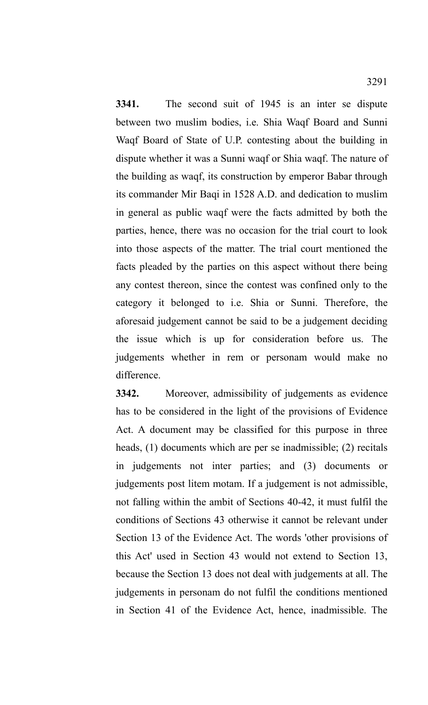**3341.** The second suit of 1945 is an inter se dispute between two muslim bodies, i.e. Shia Waqf Board and Sunni Waqf Board of State of U.P. contesting about the building in dispute whether it was a Sunni waqf or Shia waqf. The nature of the building as waqf, its construction by emperor Babar through its commander Mir Baqi in 1528 A.D. and dedication to muslim in general as public waqf were the facts admitted by both the parties, hence, there was no occasion for the trial court to look into those aspects of the matter. The trial court mentioned the facts pleaded by the parties on this aspect without there being any contest thereon, since the contest was confined only to the category it belonged to i.e. Shia or Sunni. Therefore, the aforesaid judgement cannot be said to be a judgement deciding the issue which is up for consideration before us. The judgements whether in rem or personam would make no difference.

**3342.** Moreover, admissibility of judgements as evidence has to be considered in the light of the provisions of Evidence Act. A document may be classified for this purpose in three heads, (1) documents which are per se inadmissible; (2) recitals in judgements not inter parties; and (3) documents or judgements post litem motam. If a judgement is not admissible, not falling within the ambit of Sections 40-42, it must fulfil the conditions of Sections 43 otherwise it cannot be relevant under Section 13 of the Evidence Act. The words 'other provisions of this Act' used in Section 43 would not extend to Section 13, because the Section 13 does not deal with judgements at all. The judgements in personam do not fulfil the conditions mentioned in Section 41 of the Evidence Act, hence, inadmissible. The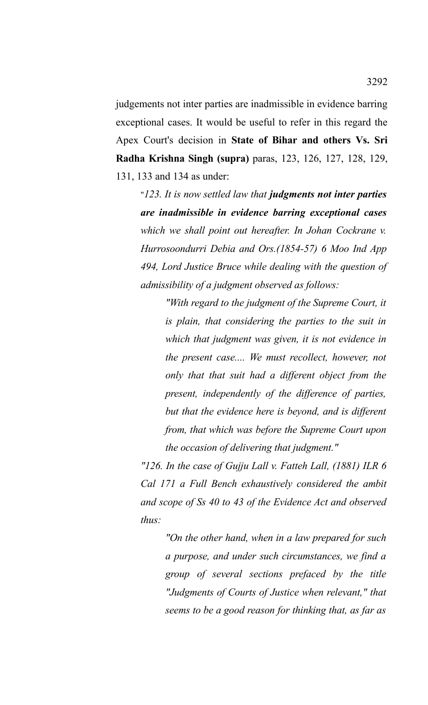judgements not inter parties are inadmissible in evidence barring exceptional cases. It would be useful to refer in this regard the Apex Court's decision in **State of Bihar and others Vs. Sri Radha Krishna Singh (supra)** paras, 123, 126, 127, 128, 129, 131, 133 and 134 as under:

"*123. It is now settled law that judgments not inter parties are inadmissible in evidence barring exceptional cases which we shall point out hereafter. In Johan Cockrane v. Hurrosoondurri Debia and Ors.(1854-57) 6 Moo Ind App 494, Lord Justice Bruce while dealing with the question of admissibility of a judgment observed as follows:*

*"With regard to the judgment of the Supreme Court, it is plain, that considering the parties to the suit in which that judgment was given, it is not evidence in the present case.... We must recollect, however, not only that that suit had a different object from the present, independently of the difference of parties, but that the evidence here is beyond, and is different from, that which was before the Supreme Court upon the occasion of delivering that judgment."*

*"126. In the case of Gujju Lall v. Fatteh Lall, (1881) ILR 6 Cal 171 a Full Bench exhaustively considered the ambit and scope of Ss 40 to 43 of the Evidence Act and observed thus:*

*"On the other hand, when in a law prepared for such a purpose, and under such circumstances, we find a group of several sections prefaced by the title "Judgments of Courts of Justice when relevant," that seems to be a good reason for thinking that, as far as*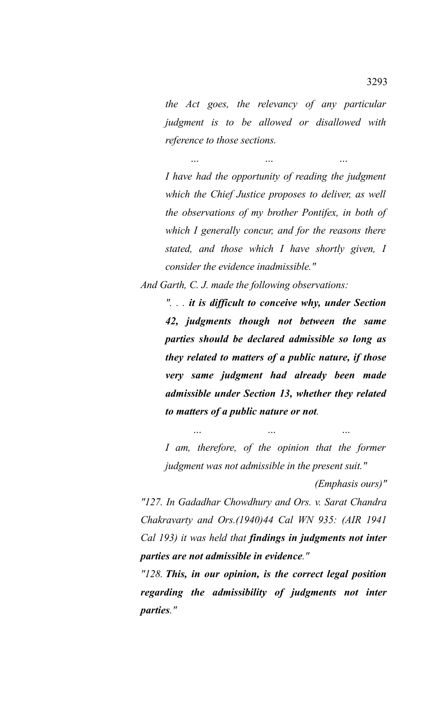*the Act goes, the relevancy of any particular judgment is to be allowed or disallowed with reference to those sections.*

*… … …*

*I have had the opportunity of reading the judgment which the Chief Justice proposes to deliver, as well the observations of my brother Pontifex, in both of which I generally concur, and for the reasons there stated, and those which I have shortly given, I consider the evidence inadmissible."*

*And Garth, C. J. made the following observations:*

*". . . it is difficult to conceive why, under Section 42, judgments though not between the same parties should be declared admissible so long as they related to matters of a public nature, if those very same judgment had already been made admissible under Section 13, whether they related to matters of a public nature or not.*

*I am, therefore, of the opinion that the former judgment was not admissible in the present suit."*

 *… … …*

*(Emphasis ours)"*

*"127. In Gadadhar Chowdhury and Ors. v. Sarat Chandra Chakravarty and Ors.(1940)44 Cal WN 935: (AIR 1941 Cal 193) it was held that findings in judgments not inter parties are not admissible in evidence."*

*"128. This, in our opinion, is the correct legal position regarding the admissibility of judgments not inter parties."*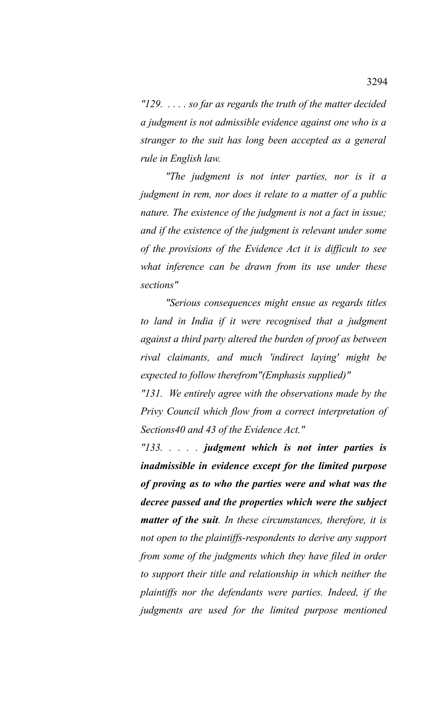*"129. . . . . so far as regards the truth of the matter decided a judgment is not admissible evidence against one who is a stranger to the suit has long been accepted as a general rule in English law.*

*"The judgment is not inter parties, nor is it a judgment in rem, nor does it relate to a matter of a public nature. The existence of the judgment is not a fact in issue; and if the existence of the judgment is relevant under some of the provisions of the Evidence Act it is difficult to see what inference can be drawn from its use under these sections"*

*"Serious consequences might ensue as regards titles to land in India if it were recognised that a judgment against a third party altered the burden of proof as between rival claimants, and much 'indirect laying' might be expected to follow therefrom"(Emphasis supplied)"*

*"131. We entirely agree with the observations made by the Privy Council which flow from a correct interpretation of Sections40 and 43 of the Evidence Act."*

*"133. . . . . judgment which is not inter parties is inadmissible in evidence except for the limited purpose of proving as to who the parties were and what was the decree passed and the properties which were the subject matter of the suit. In these circumstances, therefore, it is not open to the plaintiffs-respondents to derive any support from some of the judgments which they have filed in order to support their title and relationship in which neither the plaintiffs nor the defendants were parties. Indeed, if the judgments are used for the limited purpose mentioned*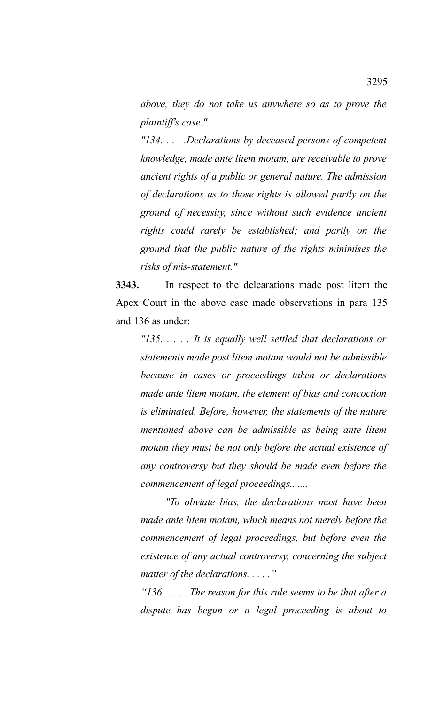*above, they do not take us anywhere so as to prove the plaintiff's case."*

*"134. . . . .Declarations by deceased persons of competent knowledge, made ante litem motam, are receivable to prove ancient rights of a public or general nature. The admission of declarations as to those rights is allowed partly on the ground of necessity, since without such evidence ancient rights could rarely be established; and partly on the ground that the public nature of the rights minimises the risks of mis-statement."*

**3343.** In respect to the delcarations made post litem the Apex Court in the above case made observations in para 135 and 136 as under:

*"135. . . . . It is equally well settled that declarations or statements made post litem motam would not be admissible because in cases or proceedings taken or declarations made ante litem motam, the element of bias and concoction is eliminated. Before, however, the statements of the nature mentioned above can be admissible as being ante litem motam they must be not only before the actual existence of any controversy but they should be made even before the commencement of legal proceedings.......*

*"To obviate bias, the declarations must have been made ante litem motam, which means not merely before the commencement of legal proceedings, but before even the existence of any actual controversy, concerning the subject matter of the declarations. . . . ."*

*"136 . . . . The reason for this rule seems to be that after a dispute has begun or a legal proceeding is about to*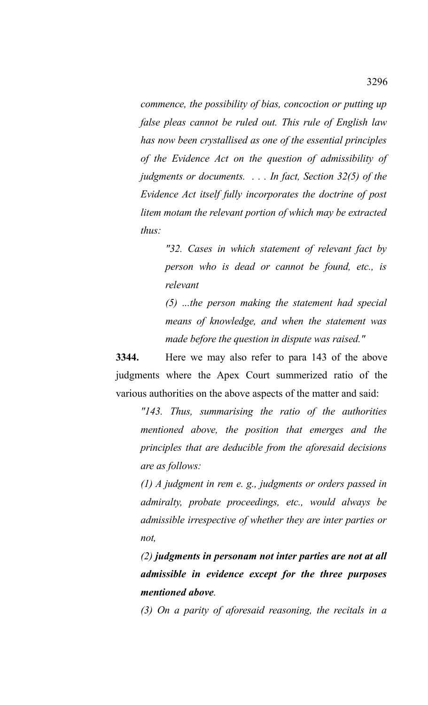*commence, the possibility of bias, concoction or putting up false pleas cannot be ruled out. This rule of English law has now been crystallised as one of the essential principles of the Evidence Act on the question of admissibility of judgments or documents. . . . In fact, Section 32(5) of the Evidence Act itself fully incorporates the doctrine of post litem motam the relevant portion of which may be extracted thus:*

> *"32. Cases in which statement of relevant fact by person who is dead or cannot be found, etc., is relevant*

> *(5) ...the person making the statement had special means of knowledge, and when the statement was made before the question in dispute was raised."*

**3344.** Here we may also refer to para 143 of the above judgments where the Apex Court summerized ratio of the various authorities on the above aspects of the matter and said:

*"143. Thus, summarising the ratio of the authorities mentioned above, the position that emerges and the principles that are deducible from the aforesaid decisions are as follows:*

*(1) A judgment in rem e. g., judgments or orders passed in admiralty, probate proceedings, etc., would always be admissible irrespective of whether they are inter parties or not,*

*(2) judgments in personam not inter parties are not at all admissible in evidence except for the three purposes mentioned above.*

*(3) On a parity of aforesaid reasoning, the recitals in a*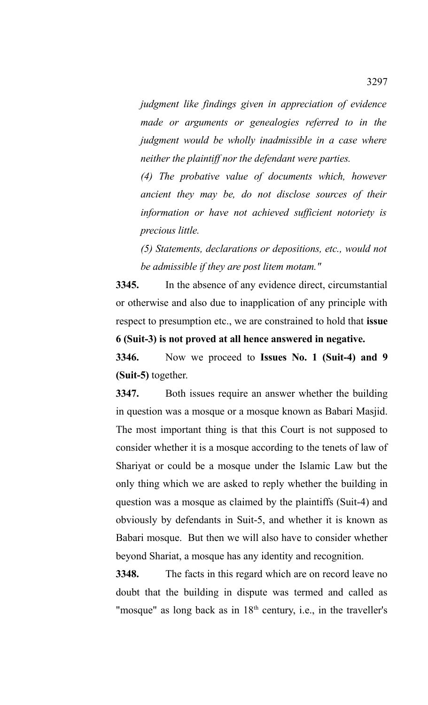*judgment like findings given in appreciation of evidence made or arguments or genealogies referred to in the judgment would be wholly inadmissible in a case where neither the plaintiff nor the defendant were parties.*

*(4) The probative value of documents which, however ancient they may be, do not disclose sources of their information or have not achieved sufficient notoriety is precious little.*

*(5) Statements, declarations or depositions, etc., would not be admissible if they are post litem motam."*

**3345.** In the absence of any evidence direct, circumstantial or otherwise and also due to inapplication of any principle with respect to presumption etc., we are constrained to hold that **issue 6 (Suit-3) is not proved at all hence answered in negative.** 

**3346.** Now we proceed to **Issues No. 1 (Suit-4) and 9 (Suit-5)** together.

**3347.** Both issues require an answer whether the building in question was a mosque or a mosque known as Babari Masjid. The most important thing is that this Court is not supposed to consider whether it is a mosque according to the tenets of law of Shariyat or could be a mosque under the Islamic Law but the only thing which we are asked to reply whether the building in question was a mosque as claimed by the plaintiffs (Suit-4) and obviously by defendants in Suit-5, and whether it is known as Babari mosque. But then we will also have to consider whether beyond Shariat, a mosque has any identity and recognition.

**3348.** The facts in this regard which are on record leave no doubt that the building in dispute was termed and called as "mosque" as long back as in  $18<sup>th</sup>$  century, i.e., in the traveller's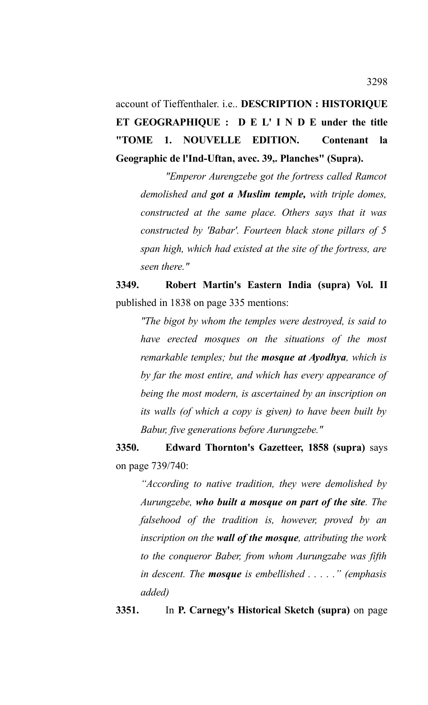account of Tieffenthaler. i.e.. **DESCRIPTION : HISTORIQUE ET GEOGRAPHIQUE : D E L' I N D E under the title "TOME 1. NOUVELLE EDITION. Contenant la Geographic de l'Ind-Uftan, avec. 39,. Planches" (Supra).**

*"Emperor Aurengzebe got the fortress called Ramcot demolished and got a Muslim temple, with triple domes, constructed at the same place. Others says that it was constructed by 'Babar'. Fourteen black stone pillars of 5 span high, which had existed at the site of the fortress, are seen there."*

**3349. Robert Martin's Eastern India (supra) Vol. II** published in 1838 on page 335 mentions:

*"The bigot by whom the temples were destroyed, is said to have erected mosques on the situations of the most remarkable temples; but the mosque at Ayodhya, which is by far the most entire, and which has every appearance of being the most modern, is ascertained by an inscription on its walls (of which a copy is given) to have been built by Babur, five generations before Aurungzebe."*

**3350. Edward Thornton's Gazetteer, 1858 (supra)** says on page 739/740:

*"According to native tradition, they were demolished by Aurungzebe, who built a mosque on part of the site. The falsehood of the tradition is, however, proved by an inscription on the wall of the mosque, attributing the work to the conqueror Baber, from whom Aurungzabe was fifth in descent. The mosque is embellished . . . . ." (emphasis added)*

**3351.** In **P. Carnegy's Historical Sketch (supra)** on page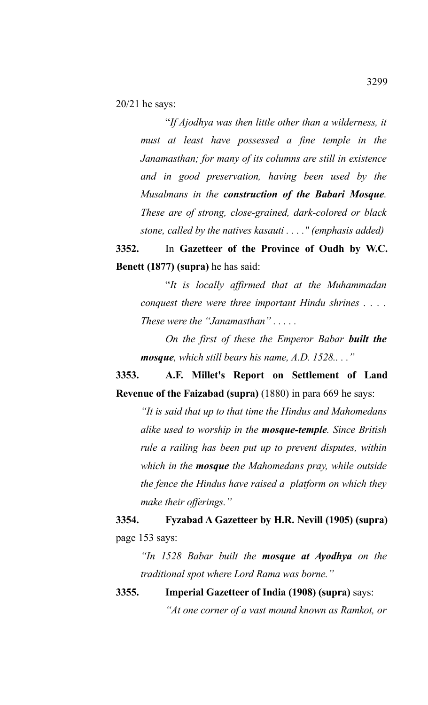20/21 he says:

"*If Ajodhya was then little other than a wilderness, it must at least have possessed a fine temple in the Janamasthan; for many of its columns are still in existence and in good preservation, having been used by the Musalmans in the construction of the Babari Mosque. These are of strong, close-grained, dark-colored or black stone, called by the natives kasauti . . . ." (emphasis added)*

**3352.** In **Gazetteer of the Province of Oudh by W.C. Benett (1877) (supra)** he has said:

"*It is locally affirmed that at the Muhammadan conquest there were three important Hindu shrines . . . . These were the "Janamasthan" . . . . .*

*On the first of these the Emperor Babar built the mosque, which still bears his name, A.D. 1528.. . ."*

**3353. A.F. Millet's Report on Settlement of Land Revenue of the Faizabad (supra)** (1880) in para 669 he says:

*"It is said that up to that time the Hindus and Mahomedans alike used to worship in the mosque-temple. Since British rule a railing has been put up to prevent disputes, within which in the mosque the Mahomedans pray, while outside the fence the Hindus have raised a platform on which they make their offerings."*

**3354. Fyzabad A Gazetteer by H.R. Nevill (1905) (supra)** page 153 says:

*"In 1528 Babar built the mosque at Ayodhya on the traditional spot where Lord Rama was borne."*

**3355. Imperial Gazetteer of India (1908) (supra)** says: *"At one corner of a vast mound known as Ramkot, or*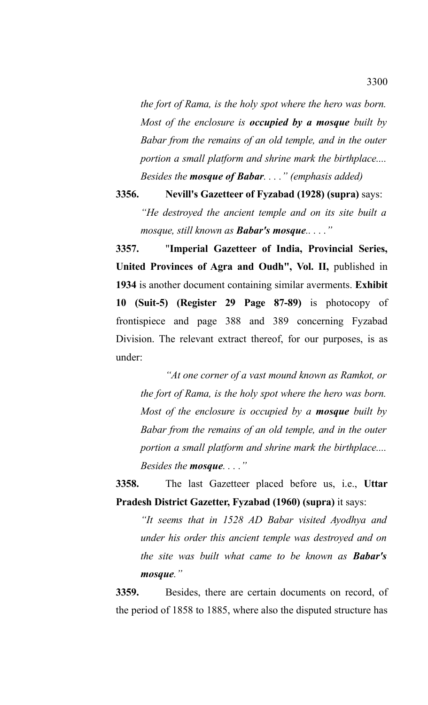*the fort of Rama, is the holy spot where the hero was born. Most of the enclosure is occupied by a mosque built by Babar from the remains of an old temple, and in the outer portion a small platform and shrine mark the birthplace.... Besides the mosque of Babar. . . ." (emphasis added)*

**3356. Nevill's Gazetteer of Fyzabad (1928) (supra)** says: *"He destroyed the ancient temple and on its site built a mosque, still known as Babar's mosque.. . . ."*

**3357.** "**Imperial Gazetteer of India, Provincial Series, United Provinces of Agra and Oudh", Vol. II,** published in **1934** is another document containing similar averments. **Exhibit 10 (Suit-5) (Register 29 Page 87-89)** is photocopy of frontispiece and page 388 and 389 concerning Fyzabad Division. The relevant extract thereof, for our purposes, is as under:

*"At one corner of a vast mound known as Ramkot, or the fort of Rama, is the holy spot where the hero was born. Most of the enclosure is occupied by a mosque built by Babar from the remains of an old temple, and in the outer portion a small platform and shrine mark the birthplace.... Besides the mosque. . . ."*

**3358.** The last Gazetteer placed before us, i.e., **Uttar Pradesh District Gazetter, Fyzabad (1960) (supra)** it says:

*"It seems that in 1528 AD Babar visited Ayodhya and under his order this ancient temple was destroyed and on the site was built what came to be known as Babar's mosque."*

**3359.** Besides, there are certain documents on record, of the period of 1858 to 1885, where also the disputed structure has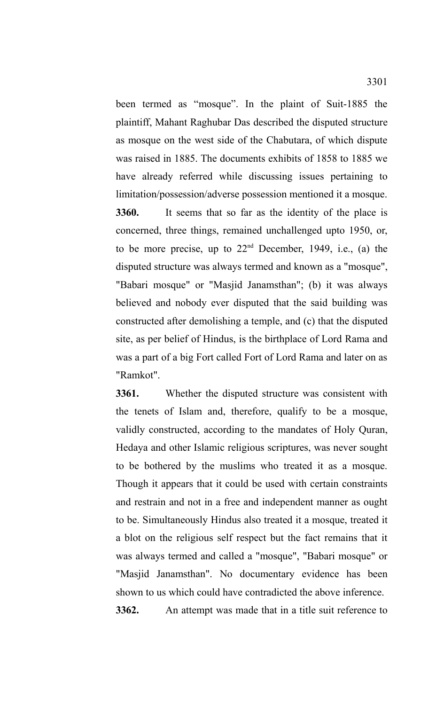been termed as "mosque". In the plaint of Suit-1885 the plaintiff, Mahant Raghubar Das described the disputed structure as mosque on the west side of the Chabutara, of which dispute was raised in 1885. The documents exhibits of 1858 to 1885 we have already referred while discussing issues pertaining to limitation/possession/adverse possession mentioned it a mosque.

**3360.** It seems that so far as the identity of the place is concerned, three things, remained unchallenged upto 1950, or, to be more precise, up to 22nd December, 1949, i.e., (a) the disputed structure was always termed and known as a "mosque", "Babari mosque" or "Masjid Janamsthan"; (b) it was always believed and nobody ever disputed that the said building was constructed after demolishing a temple, and (c) that the disputed site, as per belief of Hindus, is the birthplace of Lord Rama and was a part of a big Fort called Fort of Lord Rama and later on as "Ramkot".

**3361.** Whether the disputed structure was consistent with the tenets of Islam and, therefore, qualify to be a mosque, validly constructed, according to the mandates of Holy Quran, Hedaya and other Islamic religious scriptures, was never sought to be bothered by the muslims who treated it as a mosque. Though it appears that it could be used with certain constraints and restrain and not in a free and independent manner as ought to be. Simultaneously Hindus also treated it a mosque, treated it a blot on the religious self respect but the fact remains that it was always termed and called a "mosque", "Babari mosque" or "Masjid Janamsthan". No documentary evidence has been shown to us which could have contradicted the above inference. **3362.** An attempt was made that in a title suit reference to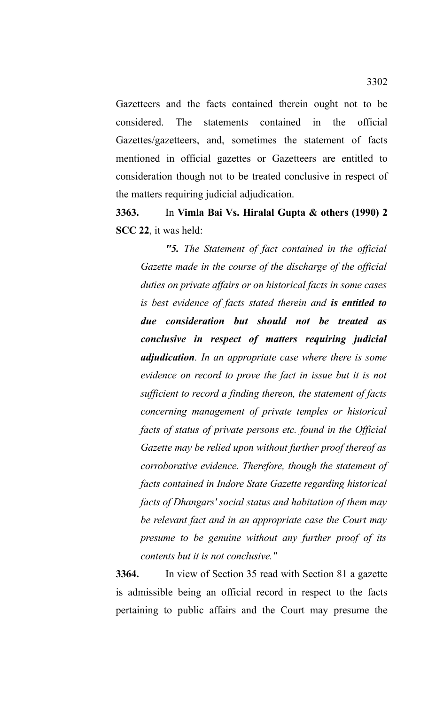Gazetteers and the facts contained therein ought not to be considered. The statements contained in the official Gazettes/gazetteers, and, sometimes the statement of facts mentioned in official gazettes or Gazetteers are entitled to consideration though not to be treated conclusive in respect of the matters requiring judicial adjudication.

**3363.** In **Vimla Bai Vs. Hiralal Gupta & others (1990) 2 SCC 22**, it was held:

*"5. The Statement of fact contained in the official Gazette made in the course of the discharge of the official duties on private affairs or on historical facts in some cases is best evidence of facts stated therein and is entitled to due consideration but should not be treated as conclusive in respect of matters requiring judicial adjudication. In an appropriate case where there is some evidence on record to prove the fact in issue but it is not sufficient to record a finding thereon, the statement of facts concerning management of private temples or historical facts of status of private persons etc. found in the Official Gazette may be relied upon without further proof thereof as corroborative evidence. Therefore, though the statement of facts contained in Indore State Gazette regarding historical facts of Dhangars' social status and habitation of them may be relevant fact and in an appropriate case the Court may presume to be genuine without any further proof of its contents but it is not conclusive."*

**3364.** In view of Section 35 read with Section 81 a gazette is admissible being an official record in respect to the facts pertaining to public affairs and the Court may presume the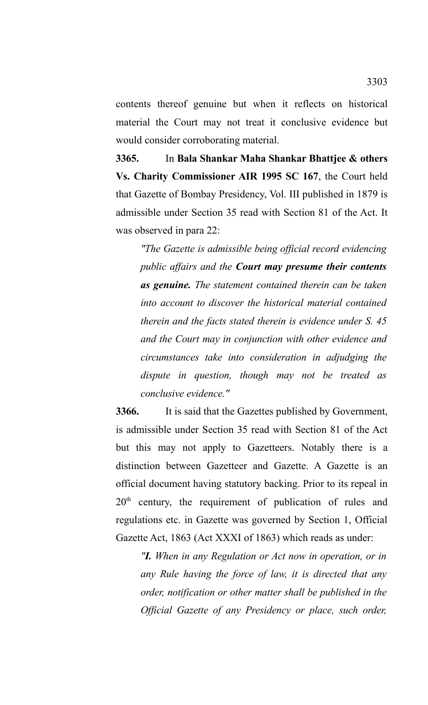contents thereof genuine but when it reflects on historical material the Court may not treat it conclusive evidence but would consider corroborating material.

**3365.** In **Bala Shankar Maha Shankar Bhattjee & others Vs. Charity Commissioner AIR 1995 SC 167**, the Court held that Gazette of Bombay Presidency, Vol. III published in 1879 is admissible under Section 35 read with Section 81 of the Act. It was observed in para 22:

*"The Gazette is admissible being official record evidencing public affairs and the Court may presume their contents as genuine. The statement contained therein can be taken into account to discover the historical material contained therein and the facts stated therein is evidence under S. 45 and the Court may in conjunction with other evidence and circumstances take into consideration in adjudging the dispute in question, though may not be treated as conclusive evidence."*

**3366.** It is said that the Gazettes published by Government, is admissible under Section 35 read with Section 81 of the Act but this may not apply to Gazetteers. Notably there is a distinction between Gazetteer and Gazette. A Gazette is an official document having statutory backing. Prior to its repeal in 20<sup>th</sup> century, the requirement of publication of rules and regulations etc. in Gazette was governed by Section 1, Official Gazette Act, 1863 (Act XXXI of 1863) which reads as under:

*"I. When in any Regulation or Act now in operation, or in any Rule having the force of law, it is directed that any order, notification or other matter shall be published in the Official Gazette of any Presidency or place, such order,*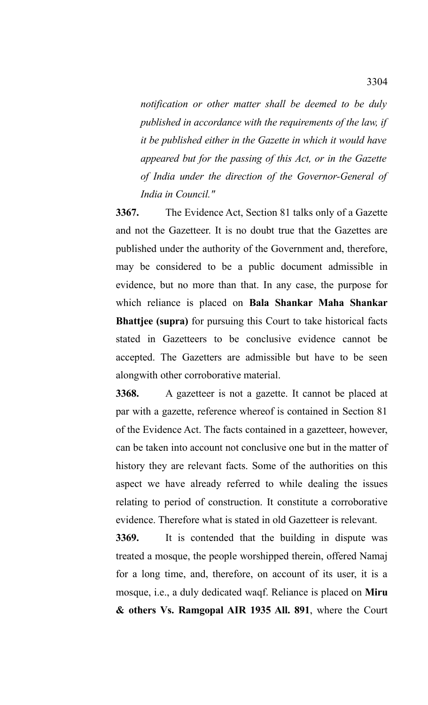*notification or other matter shall be deemed to be duly published in accordance with the requirements of the law, if it be published either in the Gazette in which it would have appeared but for the passing of this Act, or in the Gazette of India under the direction of the Governor-General of India in Council."* 

**3367.** The Evidence Act, Section 81 talks only of a Gazette and not the Gazetteer. It is no doubt true that the Gazettes are published under the authority of the Government and, therefore, may be considered to be a public document admissible in evidence, but no more than that. In any case, the purpose for which reliance is placed on **Bala Shankar Maha Shankar Bhattjee (supra)** for pursuing this Court to take historical facts stated in Gazetteers to be conclusive evidence cannot be accepted. The Gazetters are admissible but have to be seen alongwith other corroborative material.

**3368.** A gazetteer is not a gazette. It cannot be placed at par with a gazette, reference whereof is contained in Section 81 of the Evidence Act. The facts contained in a gazetteer, however, can be taken into account not conclusive one but in the matter of history they are relevant facts. Some of the authorities on this aspect we have already referred to while dealing the issues relating to period of construction. It constitute a corroborative evidence. Therefore what is stated in old Gazetteer is relevant.

**3369.** It is contended that the building in dispute was treated a mosque, the people worshipped therein, offered Namaj for a long time, and, therefore, on account of its user, it is a mosque, i.e., a duly dedicated waqf. Reliance is placed on **Miru & others Vs. Ramgopal AIR 1935 All. 891**, where the Court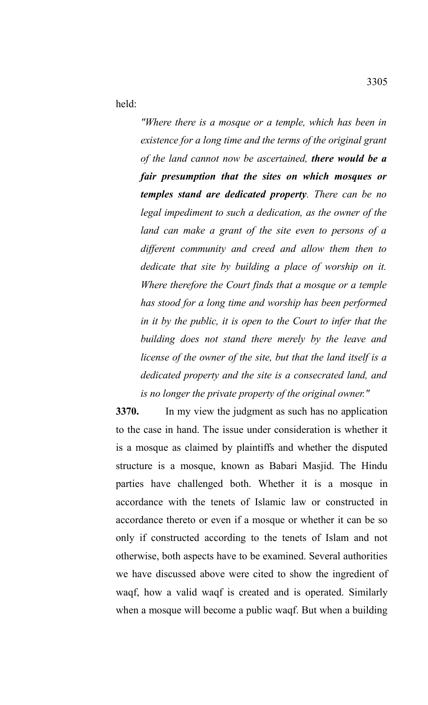held:

*"Where there is a mosque or a temple, which has been in existence for a long time and the terms of the original grant of the land cannot now be ascertained, there would be a fair presumption that the sites on which mosques or temples stand are dedicated property. There can be no legal impediment to such a dedication, as the owner of the land can make a grant of the site even to persons of a different community and creed and allow them then to dedicate that site by building a place of worship on it. Where therefore the Court finds that a mosque or a temple has stood for a long time and worship has been performed in it by the public, it is open to the Court to infer that the building does not stand there merely by the leave and license of the owner of the site, but that the land itself is a dedicated property and the site is a consecrated land, and is no longer the private property of the original owner."*

**3370.** In my view the judgment as such has no application to the case in hand. The issue under consideration is whether it is a mosque as claimed by plaintiffs and whether the disputed structure is a mosque, known as Babari Masjid. The Hindu parties have challenged both. Whether it is a mosque in accordance with the tenets of Islamic law or constructed in accordance thereto or even if a mosque or whether it can be so only if constructed according to the tenets of Islam and not otherwise, both aspects have to be examined. Several authorities we have discussed above were cited to show the ingredient of waqf, how a valid waqf is created and is operated. Similarly when a mosque will become a public waqf. But when a building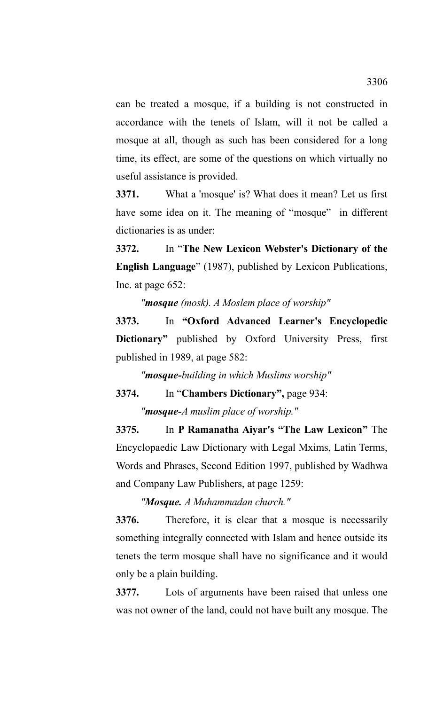can be treated a mosque, if a building is not constructed in accordance with the tenets of Islam, will it not be called a mosque at all, though as such has been considered for a long time, its effect, are some of the questions on which virtually no useful assistance is provided.

**3371.** What a 'mosque' is? What does it mean? Let us first have some idea on it. The meaning of "mosque" in different dictionaries is as under:

**3372.** In "**The New Lexicon Webster's Dictionary of the English Language**" (1987), published by Lexicon Publications, Inc. at page 652:

*"mosque (mosk). A Moslem place of worship"*

**3373.** In **"Oxford Advanced Learner's Encyclopedic Dictionary"** published by Oxford University Press, first published in 1989, at page 582:

*"mosque-building in which Muslims worship"*

**3374.** In "**Chambers Dictionary",** page 934:

*"mosque-A muslim place of worship."*

**3375.** In **P Ramanatha Aiyar's "The Law Lexicon"** The Encyclopaedic Law Dictionary with Legal Mxims, Latin Terms, Words and Phrases, Second Edition 1997, published by Wadhwa and Company Law Publishers, at page 1259:

*"Mosque. A Muhammadan church."*

**3376.** Therefore, it is clear that a mosque is necessarily something integrally connected with Islam and hence outside its tenets the term mosque shall have no significance and it would only be a plain building.

**3377.** Lots of arguments have been raised that unless one was not owner of the land, could not have built any mosque. The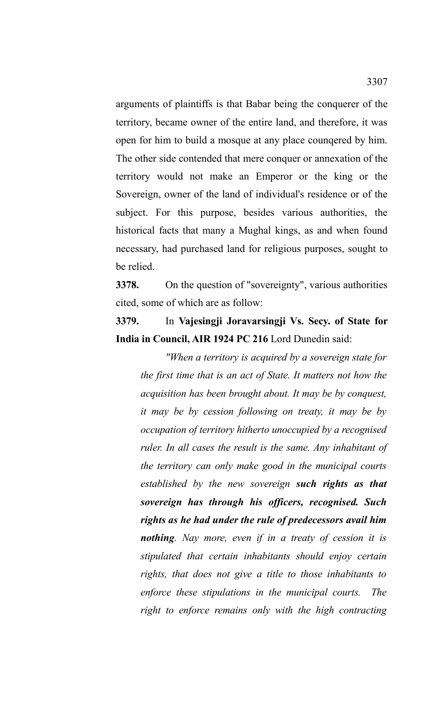arguments of plaintiffs is that Babar being the conquerer of the territory, became owner of the entire land, and therefore, it was open for him to build a mosque at any place counqered by him. The other side contended that mere conquer or annexation of the territory would not make an Emperor or the king or the Sovereign, owner of the land of individual's residence or of the subject. For this purpose, besides various authorities, the historical facts that many a Mughal kings, as and when found necessary, had purchased land for religious purposes, sought to be relied.

**3378.** On the question of "sovereignty", various authorities cited, some of which are as follow:

**3379.** In **Vajesingji Joravarsingji Vs. Secy. of State for India in Council, AIR 1924 PC 216** Lord Dunedin said:

*"When a territory is acquired by a sovereign state for the first time that is an act of State. It matters not how the acquisition has been brought about. It may be by conquest, it may be by cession following on treaty, it may be by occupation of territory hitherto unoccupied by a recognised ruler. In all cases the result is the same. Any inhabitant of the territory can only make good in the municipal courts established by the new sovereign such rights as that sovereign has through his officers, recognised. Such rights as he had under the rule of predecessors avail him nothing. Nay more, even if in a treaty of cession it is stipulated that certain inhabitants should enjoy certain rights, that does not give a title to those inhabitants to enforce these stipulations in the municipal courts. The right to enforce remains only with the high contracting*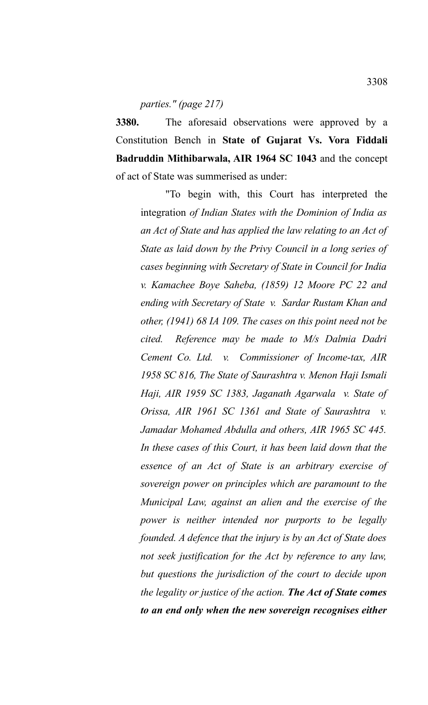## *parties." (page 217)*

**3380.** The aforesaid observations were approved by a Constitution Bench in **State of Gujarat Vs. Vora Fiddali Badruddin Mithibarwala, AIR 1964 SC 1043** and the concept of act of State was summerised as under:

"To begin with, this Court has interpreted the integration *of Indian States with the Dominion of India as an Act of State and has applied the law relating to an Act of State as laid down by the Privy Council in a long series of cases beginning with Secretary of State in Council for India v. Kamachee Boye Saheba, (1859) 12 Moore PC 22 and ending with Secretary of State v. Sardar Rustam Khan and other, (1941) 68 IA 109. The cases on this point need not be cited. Reference may be made to M/s Dalmia Dadri Cement Co. Ltd. v. Commissioner of Income-tax, AIR 1958 SC 816, The State of Saurashtra v. Menon Haji Ismali Haji, AIR 1959 SC 1383, Jaganath Agarwala v. State of Orissa, AIR 1961 SC 1361 and State of Saurashtra v. Jamadar Mohamed Abdulla and others, AIR 1965 SC 445. In these cases of this Court, it has been laid down that the essence of an Act of State is an arbitrary exercise of sovereign power on principles which are paramount to the Municipal Law, against an alien and the exercise of the power is neither intended nor purports to be legally founded. A defence that the injury is by an Act of State does not seek justification for the Act by reference to any law, but questions the jurisdiction of the court to decide upon the legality or justice of the action. The Act of State comes to an end only when the new sovereign recognises either*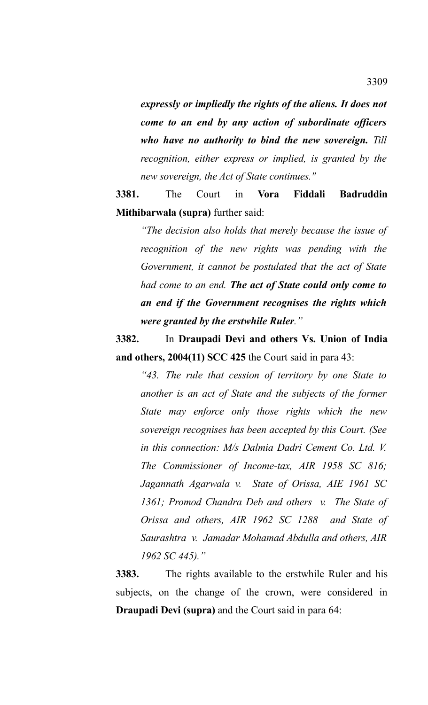*expressly or impliedly the rights of the aliens. It does not come to an end by any action of subordinate officers who have no authority to bind the new sovereign. Till recognition, either express or implied, is granted by the new sovereign, the Act of State continues."*

**3381.** The Court in **Vora Fiddali Badruddin Mithibarwala (supra)** further said:

*"The decision also holds that merely because the issue of recognition of the new rights was pending with the Government, it cannot be postulated that the act of State had come to an end. The act of State could only come to an end if the Government recognises the rights which were granted by the erstwhile Ruler."* 

**3382.** In **Draupadi Devi and others Vs. Union of India and others, 2004(11) SCC 425** the Court said in para 43:

*"43. The rule that cession of territory by one State to another is an act of State and the subjects of the former State may enforce only those rights which the new sovereign recognises has been accepted by this Court. (See in this connection: M/s Dalmia Dadri Cement Co. Ltd. V. The Commissioner of Income-tax, AIR 1958 SC 816; Jagannath Agarwala v. State of Orissa, AIE 1961 SC 1361; Promod Chandra Deb and others v. The State of Orissa and others, AIR 1962 SC 1288 and State of Saurashtra v. Jamadar Mohamad Abdulla and others, AIR 1962 SC 445)."* 

**3383.** The rights available to the erstwhile Ruler and his subjects, on the change of the crown, were considered in **Draupadi Devi (supra)** and the Court said in para 64: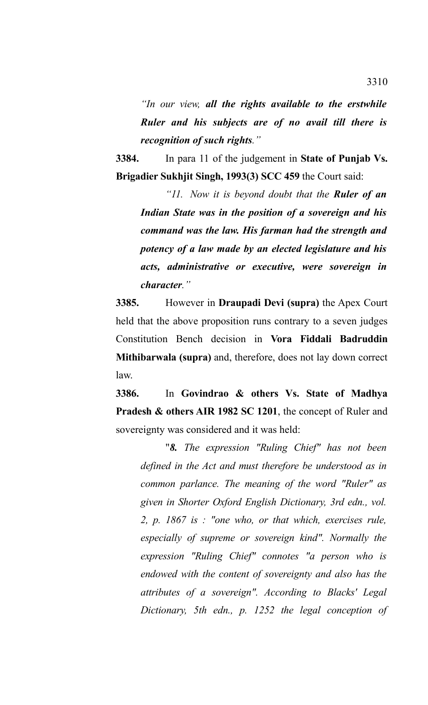*"In our view, all the rights available to the erstwhile Ruler and his subjects are of no avail till there is recognition of such rights."*

**3384.** In para 11 of the judgement in **State of Punjab Vs. Brigadier Sukhjit Singh, 1993(3) SCC 459** the Court said:

*"11. Now it is beyond doubt that the Ruler of an Indian State was in the position of a sovereign and his command was the law. His farman had the strength and potency of a law made by an elected legislature and his acts, administrative or executive, were sovereign in character."* 

**3385.** However in **Draupadi Devi (supra)** the Apex Court held that the above proposition runs contrary to a seven judges Constitution Bench decision in **Vora Fiddali Badruddin Mithibarwala (supra)** and, therefore, does not lay down correct law.

**3386.** In **Govindrao & others Vs. State of Madhya Pradesh & others AIR 1982 SC 1201**, the concept of Ruler and sovereignty was considered and it was held:

"*8. The expression "Ruling Chief" has not been defined in the Act and must therefore be understood as in common parlance. The meaning of the word "Ruler" as given in Shorter Oxford English Dictionary, 3rd edn., vol. 2, p. 1867 is : "one who, or that which, exercises rule, especially of supreme or sovereign kind". Normally the expression "Ruling Chief" connotes "a person who is endowed with the content of sovereignty and also has the attributes of a sovereign". According to Blacks' Legal Dictionary, 5th edn., p. 1252 the legal conception of*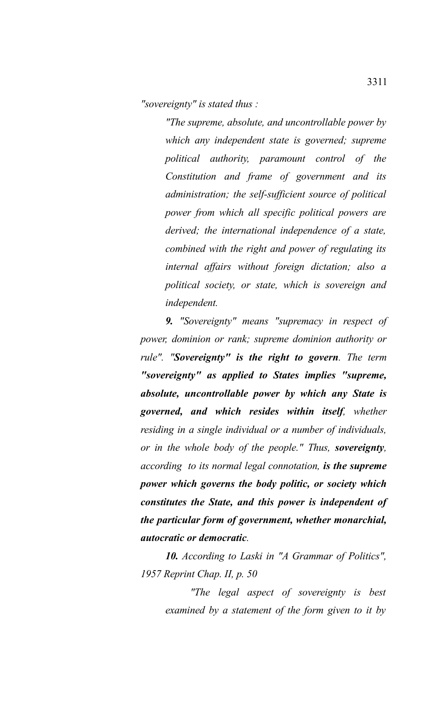*"sovereignty" is stated thus :*

*"The supreme, absolute, and uncontrollable power by which any independent state is governed; supreme political authority, paramount control of the Constitution and frame of government and its administration; the self-sufficient source of political power from which all specific political powers are derived; the international independence of a state, combined with the right and power of regulating its internal affairs without foreign dictation; also a political society, or state, which is sovereign and independent.*

*9. "Sovereignty" means "supremacy in respect of power, dominion or rank; supreme dominion authority or rule". "Sovereignty" is the right to govern. The term "sovereignty" as applied to States implies "supreme, absolute, uncontrollable power by which any State is governed, and which resides within itself, whether residing in a single individual or a number of individuals, or in the whole body of the people." Thus, sovereignty, according to its normal legal connotation, is the supreme power which governs the body politic, or society which constitutes the State, and this power is independent of the particular form of government, whether monarchial, autocratic or democratic.*

*10. According to Laski in "A Grammar of Politics", 1957 Reprint Chap. II, p. 50*

> *"The legal aspect of sovereignty is best examined by a statement of the form given to it by*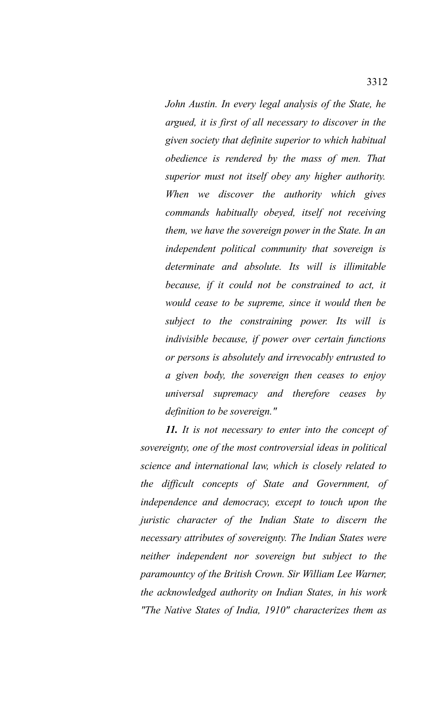*John Austin. In every legal analysis of the State, he argued, it is first of all necessary to discover in the given society that definite superior to which habitual obedience is rendered by the mass of men. That superior must not itself obey any higher authority. When we discover the authority which gives commands habitually obeyed, itself not receiving them, we have the sovereign power in the State. In an independent political community that sovereign is determinate and absolute. Its will is illimitable because, if it could not be constrained to act, it would cease to be supreme, since it would then be subject to the constraining power. Its will is indivisible because, if power over certain functions or persons is absolutely and irrevocably entrusted to a given body, the sovereign then ceases to enjoy universal supremacy and therefore ceases by definition to be sovereign."*

*11. It is not necessary to enter into the concept of sovereignty, one of the most controversial ideas in political science and international law, which is closely related to the difficult concepts of State and Government, of independence and democracy, except to touch upon the juristic character of the Indian State to discern the necessary attributes of sovereignty. The Indian States were neither independent nor sovereign but subject to the paramountcy of the British Crown. Sir William Lee Warner, the acknowledged authority on Indian States, in his work "The Native States of India, 1910" characterizes them as*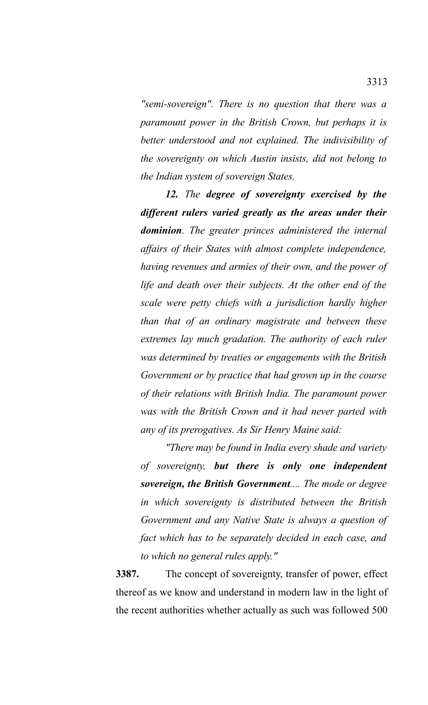*"semi-sovereign". There is no question that there was a paramount power in the British Crown, but perhaps it is better understood and not explained. The indivisibility of the sovereignty on which Austin insists, did not belong to the Indian system of sovereign States.*

*12. The degree of sovereignty exercised by the different rulers varied greatly as the areas under their dominion. The greater princes administered the internal affairs of their States with almost complete independence, having revenues and armies of their own, and the power of life and death over their subjects. At the other end of the scale were petty chiefs with a jurisdiction hardly higher than that of an ordinary magistrate and between these extremes lay much gradation. The authority of each ruler was determined by treaties or engagements with the British Government or by practice that had grown up in the course of their relations with British India. The paramount power was with the British Crown and it had never parted with any of its prerogatives. As Sir Henry Maine said:*

*"There may be found in India every shade and variety of sovereignty, but there is only one independent sovereign, the British Government.... The mode or degree in which sovereignty is distributed between the British Government and any Native State is always a question of fact which has to be separately decided in each case, and to which no general rules apply."*

**3387.** The concept of sovereignty, transfer of power, effect thereof as we know and understand in modern law in the light of the recent authorities whether actually as such was followed 500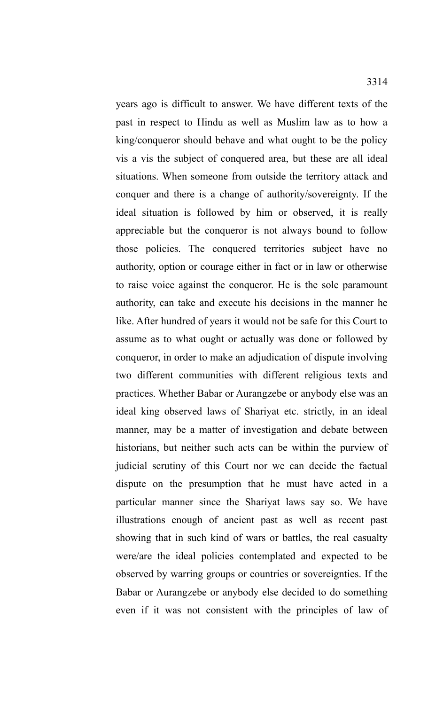years ago is difficult to answer. We have different texts of the past in respect to Hindu as well as Muslim law as to how a king/conqueror should behave and what ought to be the policy vis a vis the subject of conquered area, but these are all ideal situations. When someone from outside the territory attack and conquer and there is a change of authority/sovereignty. If the ideal situation is followed by him or observed, it is really appreciable but the conqueror is not always bound to follow those policies. The conquered territories subject have no authority, option or courage either in fact or in law or otherwise to raise voice against the conqueror. He is the sole paramount authority, can take and execute his decisions in the manner he like. After hundred of years it would not be safe for this Court to assume as to what ought or actually was done or followed by conqueror, in order to make an adjudication of dispute involving two different communities with different religious texts and practices. Whether Babar or Aurangzebe or anybody else was an ideal king observed laws of Shariyat etc. strictly, in an ideal manner, may be a matter of investigation and debate between historians, but neither such acts can be within the purview of judicial scrutiny of this Court nor we can decide the factual dispute on the presumption that he must have acted in a particular manner since the Shariyat laws say so. We have illustrations enough of ancient past as well as recent past showing that in such kind of wars or battles, the real casualty were/are the ideal policies contemplated and expected to be observed by warring groups or countries or sovereignties. If the Babar or Aurangzebe or anybody else decided to do something even if it was not consistent with the principles of law of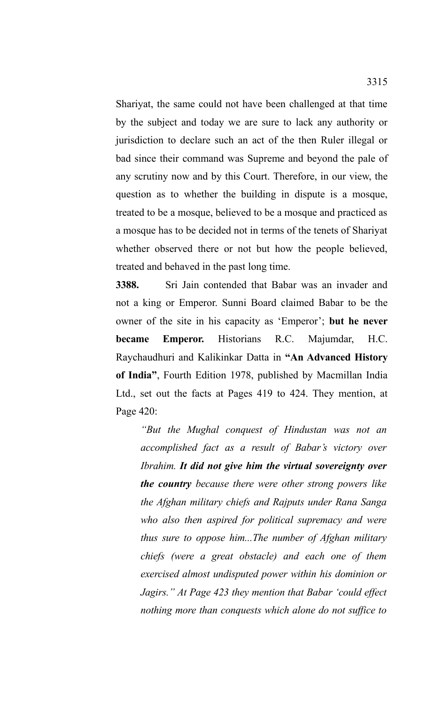Shariyat, the same could not have been challenged at that time by the subject and today we are sure to lack any authority or jurisdiction to declare such an act of the then Ruler illegal or bad since their command was Supreme and beyond the pale of any scrutiny now and by this Court. Therefore, in our view, the question as to whether the building in dispute is a mosque, treated to be a mosque, believed to be a mosque and practiced as a mosque has to be decided not in terms of the tenets of Shariyat whether observed there or not but how the people believed, treated and behaved in the past long time.

**3388.** Sri Jain contended that Babar was an invader and not a king or Emperor. Sunni Board claimed Babar to be the owner of the site in his capacity as 'Emperor'; **but he never became Emperor.** Historians R.C. Majumdar, H.C. Raychaudhuri and Kalikinkar Datta in **"An Advanced History of India"**, Fourth Edition 1978, published by Macmillan India Ltd., set out the facts at Pages 419 to 424. They mention, at Page 420:

*"But the Mughal conquest of Hindustan was not an accomplished fact as a result of Babar's victory over Ibrahim. It did not give him the virtual sovereignty over the country because there were other strong powers like the Afghan military chiefs and Rajputs under Rana Sanga who also then aspired for political supremacy and were thus sure to oppose him...The number of Afghan military chiefs (were a great obstacle) and each one of them exercised almost undisputed power within his dominion or Jagirs." At Page 423 they mention that Babar 'could effect nothing more than conquests which alone do not suffice to*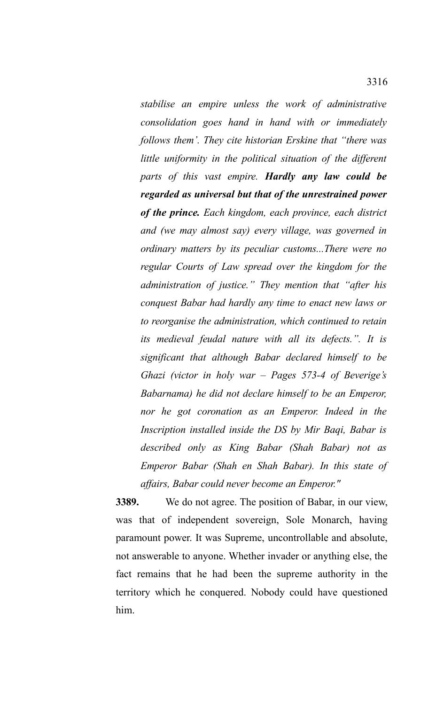*stabilise an empire unless the work of administrative consolidation goes hand in hand with or immediately follows them'. They cite historian Erskine that "there was little uniformity in the political situation of the different parts of this vast empire. Hardly any law could be regarded as universal but that of the unrestrained power of the prince. Each kingdom, each province, each district and (we may almost say) every village, was governed in ordinary matters by its peculiar customs...There were no regular Courts of Law spread over the kingdom for the administration of justice." They mention that "after his conquest Babar had hardly any time to enact new laws or to reorganise the administration, which continued to retain its medieval feudal nature with all its defects.". It is significant that although Babar declared himself to be Ghazi (victor in holy war – Pages 573-4 of Beverige's Babarnama) he did not declare himself to be an Emperor, nor he got coronation as an Emperor. Indeed in the Inscription installed inside the DS by Mir Baqi, Babar is described only as King Babar (Shah Babar) not as Emperor Babar (Shah en Shah Babar). In this state of affairs, Babar could never become an Emperor."*

**3389.** We do not agree. The position of Babar, in our view, was that of independent sovereign, Sole Monarch, having paramount power. It was Supreme, uncontrollable and absolute, not answerable to anyone. Whether invader or anything else, the fact remains that he had been the supreme authority in the territory which he conquered. Nobody could have questioned him.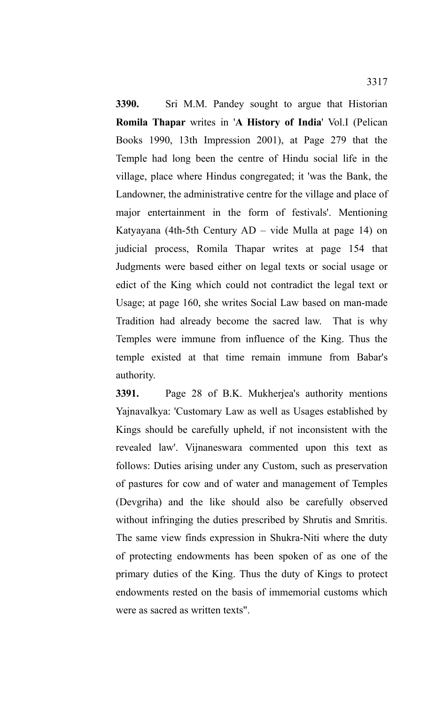**3390.** Sri M.M. Pandey sought to argue that Historian **Romila Thapar** writes in '**A History of India**' Vol.I (Pelican Books 1990, 13th Impression 2001), at Page 279 that the Temple had long been the centre of Hindu social life in the village, place where Hindus congregated; it 'was the Bank, the Landowner, the administrative centre for the village and place of major entertainment in the form of festivals'. Mentioning Katyayana (4th-5th Century AD – vide Mulla at page 14) on judicial process, Romila Thapar writes at page 154 that Judgments were based either on legal texts or social usage or edict of the King which could not contradict the legal text or Usage; at page 160, she writes Social Law based on man-made Tradition had already become the sacred law.That is why Temples were immune from influence of the King. Thus the temple existed at that time remain immune from Babar's authority.

**3391.** Page 28 of B.K. Mukherjea's authority mentions Yajnavalkya: 'Customary Law as well as Usages established by Kings should be carefully upheld, if not inconsistent with the revealed law'. Vijnaneswara commented upon this text as follows: Duties arising under any Custom, such as preservation of pastures for cow and of water and management of Temples (Devgriha) and the like should also be carefully observed without infringing the duties prescribed by Shrutis and Smritis. The same view finds expression in Shukra-Niti where the duty of protecting endowments has been spoken of as one of the primary duties of the King. Thus the duty of Kings to protect endowments rested on the basis of immemorial customs which were as sacred as written texts".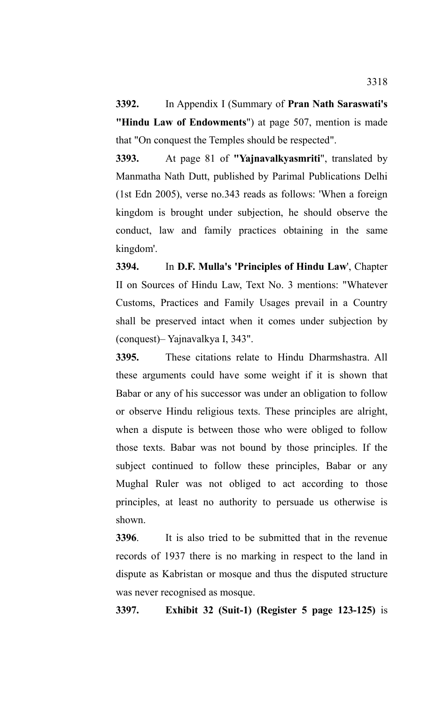**3392.** In Appendix I (Summary of **Pran Nath Saraswati's "Hindu Law of Endowments**") at page 507, mention is made that "On conquest the Temples should be respected".

**3393.** At page 81 of **"Yajnavalkyasmriti**", translated by Manmatha Nath Dutt, published by Parimal Publications Delhi (1st Edn 2005), verse no.343 reads as follows: 'When a foreign kingdom is brought under subjection, he should observe the conduct, law and family practices obtaining in the same kingdom'.

**3394.** In **D.F. Mulla's 'Principles of Hindu Law**', Chapter II on Sources of Hindu Law, Text No. 3 mentions: "Whatever Customs, Practices and Family Usages prevail in a Country shall be preserved intact when it comes under subjection by (conquest)– Yajnavalkya I, 343".

**3395.** These citations relate to Hindu Dharmshastra. All these arguments could have some weight if it is shown that Babar or any of his successor was under an obligation to follow or observe Hindu religious texts. These principles are alright, when a dispute is between those who were obliged to follow those texts. Babar was not bound by those principles. If the subject continued to follow these principles, Babar or any Mughal Ruler was not obliged to act according to those principles, at least no authority to persuade us otherwise is shown.

**3396**. It is also tried to be submitted that in the revenue records of 1937 there is no marking in respect to the land in dispute as Kabristan or mosque and thus the disputed structure was never recognised as mosque.

**3397. Exhibit 32 (Suit-1) (Register 5 page 123-125)** is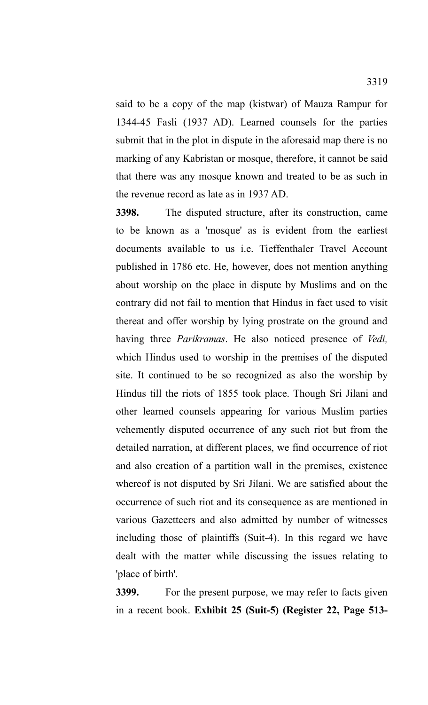said to be a copy of the map (kistwar) of Mauza Rampur for 1344-45 Fasli (1937 AD). Learned counsels for the parties submit that in the plot in dispute in the aforesaid map there is no marking of any Kabristan or mosque, therefore, it cannot be said that there was any mosque known and treated to be as such in the revenue record as late as in 1937 AD.

**3398.** The disputed structure, after its construction, came to be known as a 'mosque' as is evident from the earliest documents available to us i.e. Tieffenthaler Travel Account published in 1786 etc. He, however, does not mention anything about worship on the place in dispute by Muslims and on the contrary did not fail to mention that Hindus in fact used to visit thereat and offer worship by lying prostrate on the ground and having three *Parikramas*. He also noticed presence of *Vedi,* which Hindus used to worship in the premises of the disputed site. It continued to be so recognized as also the worship by Hindus till the riots of 1855 took place. Though Sri Jilani and other learned counsels appearing for various Muslim parties vehemently disputed occurrence of any such riot but from the detailed narration, at different places, we find occurrence of riot and also creation of a partition wall in the premises, existence whereof is not disputed by Sri Jilani. We are satisfied about the occurrence of such riot and its consequence as are mentioned in various Gazetteers and also admitted by number of witnesses including those of plaintiffs (Suit-4). In this regard we have dealt with the matter while discussing the issues relating to 'place of birth'.

**3399.** For the present purpose, we may refer to facts given in a recent book. **Exhibit 25 (Suit-5) (Register 22, Page 513-**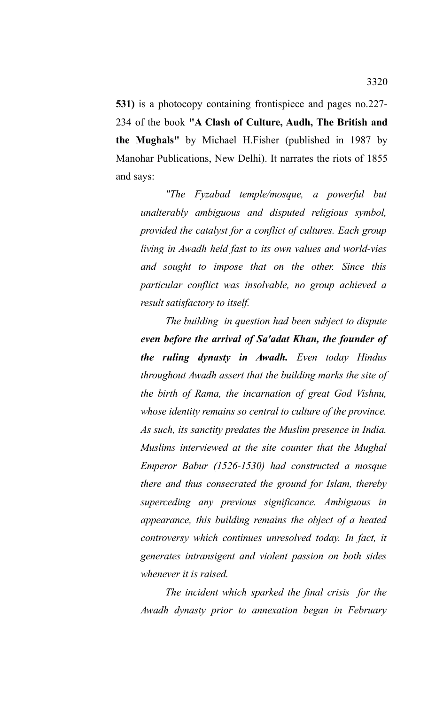**531)** is a photocopy containing frontispiece and pages no.227- 234 of the book **"A Clash of Culture, Audh, The British and the Mughals"** by Michael H.Fisher (published in 1987 by Manohar Publications, New Delhi). It narrates the riots of 1855 and says:

*"The Fyzabad temple/mosque, a powerful but unalterably ambiguous and disputed religious symbol, provided the catalyst for a conflict of cultures. Each group living in Awadh held fast to its own values and world-vies and sought to impose that on the other. Since this particular conflict was insolvable, no group achieved a result satisfactory to itself.*

*The building in question had been subject to dispute even before the arrival of Sa'adat Khan, the founder of the ruling dynasty in Awadh. Even today Hindus throughout Awadh assert that the building marks the site of the birth of Rama, the incarnation of great God Vishnu, whose identity remains so central to culture of the province. As such, its sanctity predates the Muslim presence in India. Muslims interviewed at the site counter that the Mughal Emperor Babur (1526-1530) had constructed a mosque there and thus consecrated the ground for Islam, thereby superceding any previous significance. Ambiguous in appearance, this building remains the object of a heated controversy which continues unresolved today. In fact, it generates intransigent and violent passion on both sides whenever it is raised.*

*The incident which sparked the final crisis for the Awadh dynasty prior to annexation began in February*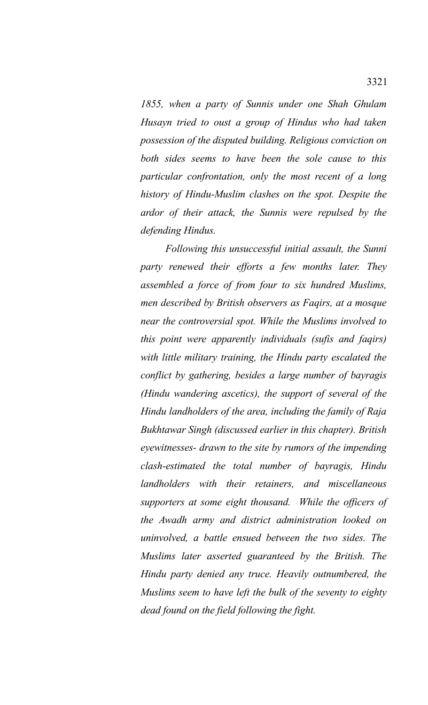*1855, when a party of Sunnis under one Shah Ghulam Husayn tried to oust a group of Hindus who had taken possession of the disputed building. Religious conviction on both sides seems to have been the sole cause to this particular confrontation, only the most recent of a long history of Hindu-Muslim clashes on the spot. Despite the ardor of their attack, the Sunnis were repulsed by the defending Hindus.*

*Following this unsuccessful initial assault, the Sunni party renewed their efforts a few months later. They assembled a force of from four to six hundred Muslims, men described by British observers as Faqirs, at a mosque near the controversial spot. While the Muslims involved to this point were apparently individuals (sufis and faqirs) with little military training, the Hindu party escalated the conflict by gathering, besides a large number of bayragis (Hindu wandering ascetics), the support of several of the Hindu landholders of the area, including the family of Raja Bukhtawar Singh (discussed earlier in this chapter). British eyewitnesses- drawn to the site by rumors of the impending clash-estimated the total number of bayragis, Hindu landholders with their retainers, and miscellaneous supporters at some eight thousand. While the officers of the Awadh army and district administration looked on uninvolved, a battle ensued between the two sides. The Muslims later asserted guaranteed by the British. The Hindu party denied any truce. Heavily outnumbered, the Muslims seem to have left the bulk of the seventy to eighty dead found on the field following the fight.*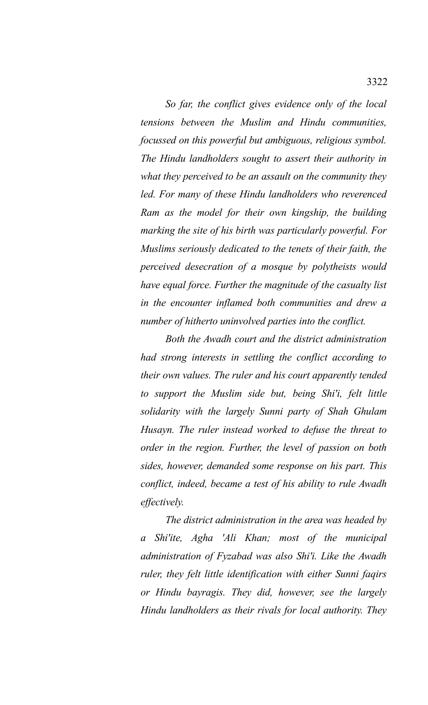*So far, the conflict gives evidence only of the local tensions between the Muslim and Hindu communities, focussed on this powerful but ambiguous, religious symbol. The Hindu landholders sought to assert their authority in what they perceived to be an assault on the community they led. For many of these Hindu landholders who reverenced Ram as the model for their own kingship, the building marking the site of his birth was particularly powerful. For Muslims seriously dedicated to the tenets of their faith, the perceived desecration of a mosque by polytheists would have equal force. Further the magnitude of the casualty list in the encounter inflamed both communities and drew a number of hitherto uninvolved parties into the conflict.*

*Both the Awadh court and the district administration had strong interests in settling the conflict according to their own values. The ruler and his court apparently tended to support the Muslim side but, being Shi'i, felt little solidarity with the largely Sunni party of Shah Ghulam Husayn. The ruler instead worked to defuse the threat to order in the region. Further, the level of passion on both sides, however, demanded some response on his part. This conflict, indeed, became a test of his ability to rule Awadh effectively.*

*The district administration in the area was headed by a Shi'ite, Agha 'Ali Khan; most of the municipal administration of Fyzabad was also Shi'i. Like the Awadh ruler, they felt little identification with either Sunni faqirs or Hindu bayragis. They did, however, see the largely Hindu landholders as their rivals for local authority. They*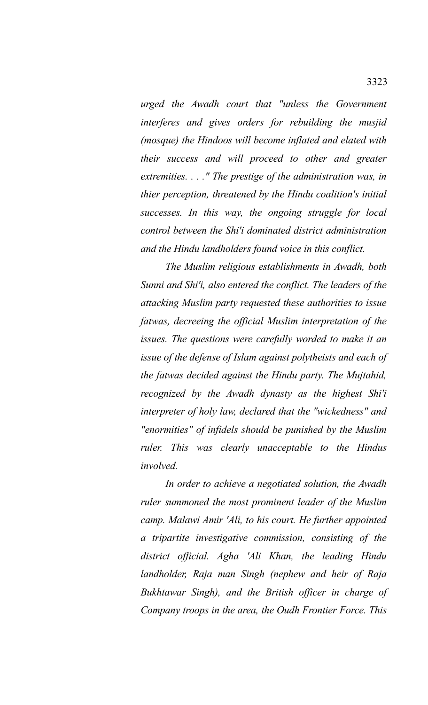*urged the Awadh court that "unless the Government interferes and gives orders for rebuilding the musjid (mosque) the Hindoos will become inflated and elated with their success and will proceed to other and greater extremities. . . ." The prestige of the administration was, in thier perception, threatened by the Hindu coalition's initial successes. In this way, the ongoing struggle for local control between the Shi'i dominated district administration and the Hindu landholders found voice in this conflict.* 

*The Muslim religious establishments in Awadh, both Sunni and Shi'i, also entered the conflict. The leaders of the attacking Muslim party requested these authorities to issue fatwas, decreeing the official Muslim interpretation of the issues. The questions were carefully worded to make it an issue of the defense of Islam against polytheists and each of the fatwas decided against the Hindu party. The Mujtahid, recognized by the Awadh dynasty as the highest Shi'i interpreter of holy law, declared that the "wickedness" and "enormities" of infidels should be punished by the Muslim ruler. This was clearly unacceptable to the Hindus involved.*

*In order to achieve a negotiated solution, the Awadh ruler summoned the most prominent leader of the Muslim camp. Malawi Amir 'Ali, to his court. He further appointed a tripartite investigative commission, consisting of the district official. Agha 'Ali Khan, the leading Hindu landholder, Raja man Singh (nephew and heir of Raja Bukhtawar Singh), and the British officer in charge of Company troops in the area, the Oudh Frontier Force. This*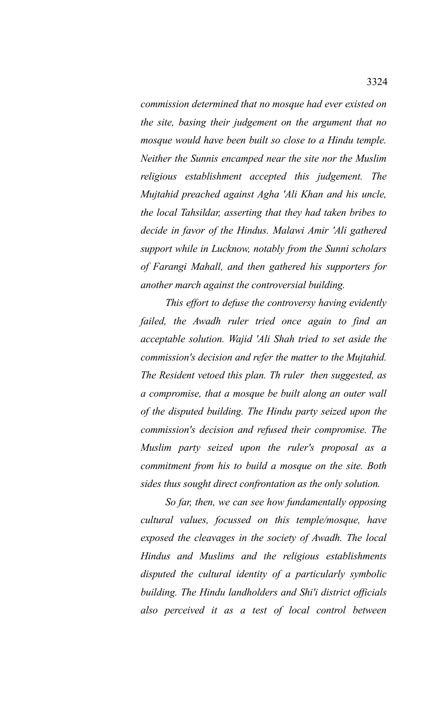*commission determined that no mosque had ever existed on the site, basing their judgement on the argument that no mosque would have been built so close to a Hindu temple. Neither the Sunnis encamped near the site nor the Muslim religious establishment accepted this judgement. The Mujtahid preached against Agha 'Ali Khan and his uncle, the local Tahsildar, asserting that they had taken bribes to decide in favor of the Hindus. Malawi Amir 'Ali gathered support while in Lucknow, notably from the Sunni scholars of Farangi Mahall, and then gathered his supporters for another march against the controversial building.*

*This effort to defuse the controversy having evidently failed, the Awadh ruler tried once again to find an acceptable solution. Wajid 'Ali Shah tried to set aside the commission's decision and refer the matter to the Mujtahid. The Resident vetoed this plan. Th ruler then suggested, as a compromise, that a mosque be built along an outer wall of the disputed building. The Hindu party seized upon the commission's decision and refused their compromise. The Muslim party seized upon the ruler's proposal as a commitment from his to build a mosque on the site. Both sides thus sought direct confrontation as the only solution.*

*So far, then, we can see how fundamentally opposing cultural values, focussed on this temple/mosque, have exposed the cleavages in the society of Awadh. The local Hindus and Muslims and the religious establishments disputed the cultural identity of a particularly symbolic building. The Hindu landholders and Shi'i district officials also perceived it as a test of local control between*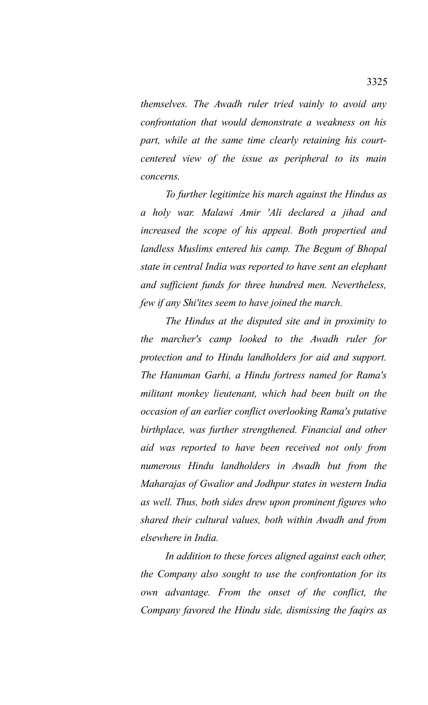*themselves. The Awadh ruler tried vainly to avoid any confrontation that would demonstrate a weakness on his part, while at the same time clearly retaining his courtcentered view of the issue as peripheral to its main concerns.*

*To further legitimize his march against the Hindus as a holy war. Malawi Amir 'Ali declared a jihad and increased the scope of his appeal. Both propertied and landless Muslims entered his camp. The Begum of Bhopal state in central India was reported to have sent an elephant and sufficient funds for three hundred men. Nevertheless, few if any Shi'ites seem to have joined the march.*

*The Hindus at the disputed site and in proximity to the marcher's camp looked to the Awadh ruler for protection and to Hindu landholders for aid and support. The Hanuman Garhi, a Hindu fortress named for Rama's militant monkey lieutenant, which had been built on the occasion of an earlier conflict overlooking Rama's putative birthplace, was further strengthened. Financial and other aid was reported to have been received not only from numerous Hindu landholders in Awadh but from the Maharajas of Gwalior and Jodhpur states in western India as well. Thus, both sides drew upon prominent figures who shared their cultural values, both within Awadh and from elsewhere in India.*

*In addition to these forces aligned against each other, the Company also sought to use the confrontation for its own advantage. From the onset of the conflict, the Company favored the Hindu side, dismissing the faqirs as*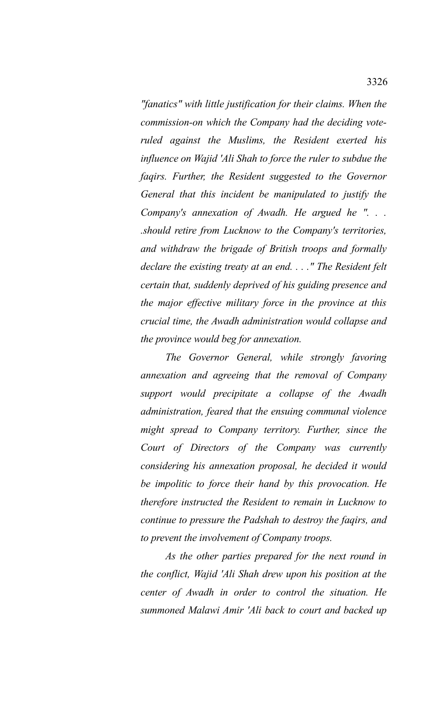*"fanatics" with little justification for their claims. When the commission-on which the Company had the deciding voteruled against the Muslims, the Resident exerted his influence on Wajid 'Ali Shah to force the ruler to subdue the faqirs. Further, the Resident suggested to the Governor General that this incident be manipulated to justify the Company's annexation of Awadh. He argued he ". . . .should retire from Lucknow to the Company's territories, and withdraw the brigade of British troops and formally declare the existing treaty at an end. . . ." The Resident felt certain that, suddenly deprived of his guiding presence and the major effective military force in the province at this crucial time, the Awadh administration would collapse and the province would beg for annexation.*

*The Governor General, while strongly favoring annexation and agreeing that the removal of Company support would precipitate a collapse of the Awadh administration, feared that the ensuing communal violence might spread to Company territory. Further, since the Court of Directors of the Company was currently considering his annexation proposal, he decided it would be impolitic to force their hand by this provocation. He therefore instructed the Resident to remain in Lucknow to continue to pressure the Padshah to destroy the faqirs, and to prevent the involvement of Company troops.*

*As the other parties prepared for the next round in the conflict, Wajid 'Ali Shah drew upon his position at the center of Awadh in order to control the situation. He summoned Malawi Amir 'Ali back to court and backed up*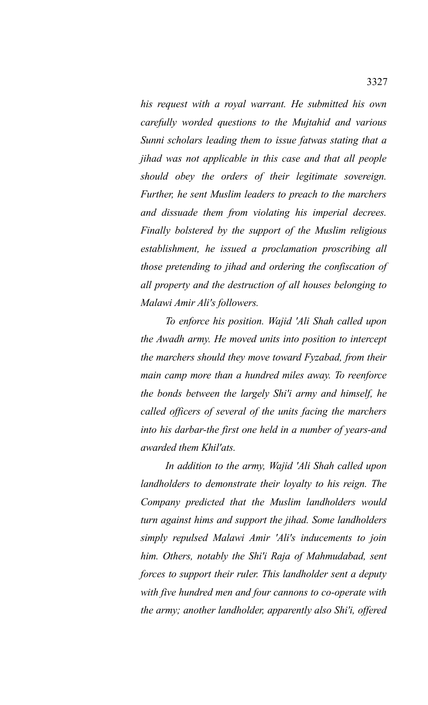*his request with a royal warrant. He submitted his own carefully worded questions to the Mujtahid and various Sunni scholars leading them to issue fatwas stating that a jihad was not applicable in this case and that all people should obey the orders of their legitimate sovereign. Further, he sent Muslim leaders to preach to the marchers and dissuade them from violating his imperial decrees. Finally bolstered by the support of the Muslim religious establishment, he issued a proclamation proscribing all those pretending to jihad and ordering the confiscation of all property and the destruction of all houses belonging to Malawi Amir Ali's followers.*

*To enforce his position. Wajid 'Ali Shah called upon the Awadh army. He moved units into position to intercept the marchers should they move toward Fyzabad, from their main camp more than a hundred miles away. To reenforce the bonds between the largely Shi'i army and himself, he called officers of several of the units facing the marchers into his darbar-the first one held in a number of years-and awarded them Khil'ats.*

*In addition to the army, Wajid 'Ali Shah called upon landholders to demonstrate their loyalty to his reign. The Company predicted that the Muslim landholders would turn against hims and support the jihad. Some landholders simply repulsed Malawi Amir 'Ali's inducements to join him. Others, notably the Shi'i Raja of Mahmudabad, sent forces to support their ruler. This landholder sent a deputy with five hundred men and four cannons to co-operate with the army; another landholder, apparently also Shi'i, offered*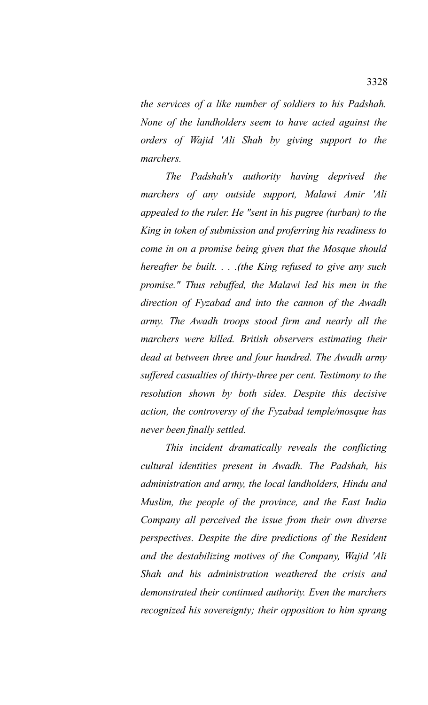*the services of a like number of soldiers to his Padshah. None of the landholders seem to have acted against the orders of Wajid 'Ali Shah by giving support to the marchers.*

*The Padshah's authority having deprived the marchers of any outside support, Malawi Amir 'Ali appealed to the ruler. He "sent in his pugree (turban) to the King in token of submission and proferring his readiness to come in on a promise being given that the Mosque should hereafter be built. . . .(the King refused to give any such promise." Thus rebuffed, the Malawi led his men in the direction of Fyzabad and into the cannon of the Awadh army. The Awadh troops stood firm and nearly all the marchers were killed. British observers estimating their dead at between three and four hundred. The Awadh army suffered casualties of thirty-three per cent. Testimony to the resolution shown by both sides. Despite this decisive action, the controversy of the Fyzabad temple/mosque has never been finally settled.*

*This incident dramatically reveals the conflicting cultural identities present in Awadh. The Padshah, his administration and army, the local landholders, Hindu and Muslim, the people of the province, and the East India Company all perceived the issue from their own diverse perspectives. Despite the dire predictions of the Resident and the destabilizing motives of the Company, Wajid 'Ali Shah and his administration weathered the crisis and demonstrated their continued authority. Even the marchers recognized his sovereignty; their opposition to him sprang*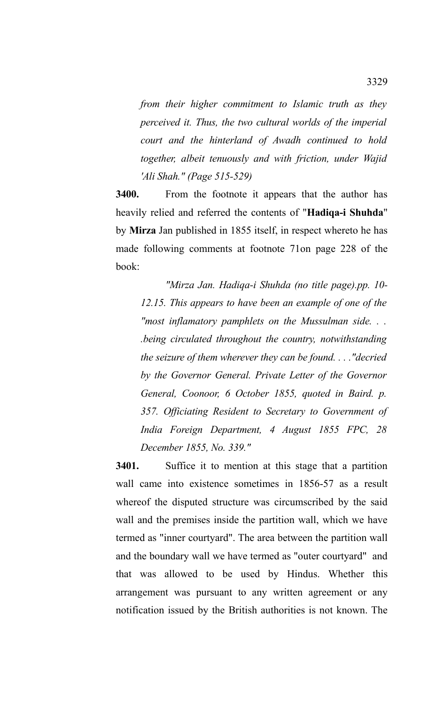*from their higher commitment to Islamic truth as they perceived it. Thus, the two cultural worlds of the imperial court and the hinterland of Awadh continued to hold together, albeit tenuously and with friction, under Wajid 'Ali Shah." (Page 515-529)*

**3400.** From the footnote it appears that the author has heavily relied and referred the contents of "**Hadiqa-i Shuhda**" by **Mirza** Jan published in 1855 itself, in respect whereto he has made following comments at footnote 71on page 228 of the book:

*"Mirza Jan. Hadiqa-i Shuhda (no title page).pp. 10- 12.15. This appears to have been an example of one of the "most inflamatory pamphlets on the Mussulman side. . . .being circulated throughout the country, notwithstanding the seizure of them wherever they can be found. . . ."decried by the Governor General. Private Letter of the Governor General, Coonoor, 6 October 1855, quoted in Baird. p. 357. Officiating Resident to Secretary to Government of India Foreign Department, 4 August 1855 FPC, 28 December 1855, No. 339."*

**3401.** Suffice it to mention at this stage that a partition wall came into existence sometimes in 1856-57 as a result whereof the disputed structure was circumscribed by the said wall and the premises inside the partition wall, which we have termed as "inner courtyard". The area between the partition wall and the boundary wall we have termed as "outer courtyard" and that was allowed to be used by Hindus. Whether this arrangement was pursuant to any written agreement or any notification issued by the British authorities is not known. The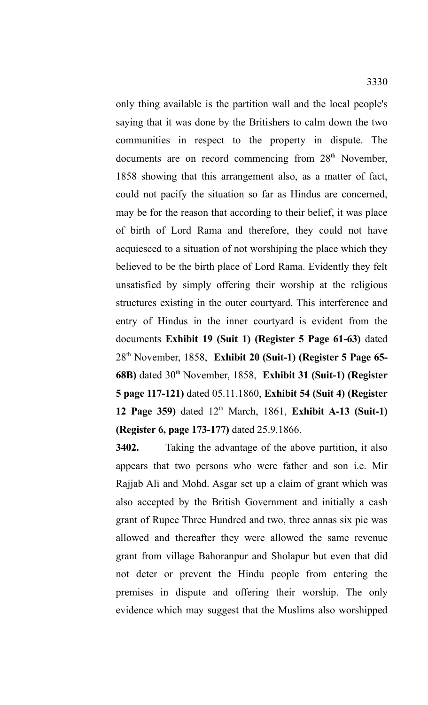only thing available is the partition wall and the local people's saying that it was done by the Britishers to calm down the two communities in respect to the property in dispute. The documents are on record commencing from 28<sup>th</sup> November, 1858 showing that this arrangement also, as a matter of fact, could not pacify the situation so far as Hindus are concerned, may be for the reason that according to their belief, it was place of birth of Lord Rama and therefore, they could not have acquiesced to a situation of not worshiping the place which they believed to be the birth place of Lord Rama. Evidently they felt unsatisfied by simply offering their worship at the religious structures existing in the outer courtyard. This interference and entry of Hindus in the inner courtyard is evident from the documents **Exhibit 19 (Suit 1) (Register 5 Page 61-63)** dated 28th November, 1858, **Exhibit 20 (Suit-1) (Register 5 Page 65- 68B)** dated 30th November, 1858, **Exhibit 31 (Suit-1) (Register 5 page 117-121)** dated 05.11.1860, **Exhibit 54 (Suit 4) (Register 12 Page 359)** dated 12th March, 1861, **Exhibit A-13 (Suit-1) (Register 6, page 173-177)** dated 25.9.1866.

**3402.** Taking the advantage of the above partition, it also appears that two persons who were father and son i.e. Mir Rajjab Ali and Mohd. Asgar set up a claim of grant which was also accepted by the British Government and initially a cash grant of Rupee Three Hundred and two, three annas six pie was allowed and thereafter they were allowed the same revenue grant from village Bahoranpur and Sholapur but even that did not deter or prevent the Hindu people from entering the premises in dispute and offering their worship. The only evidence which may suggest that the Muslims also worshipped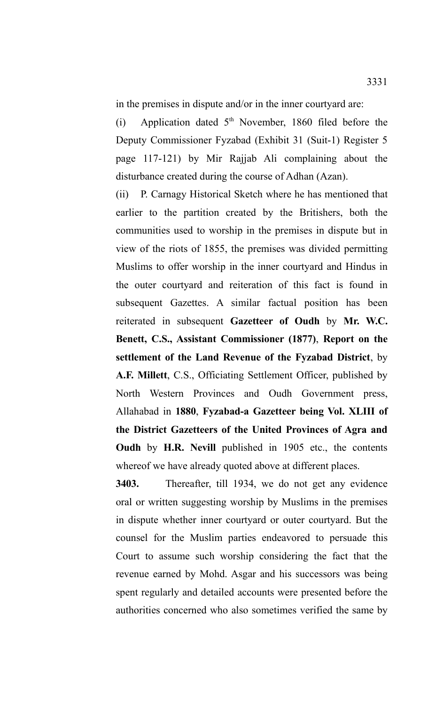in the premises in dispute and/or in the inner courtyard are:

(i) Application dated  $5<sup>th</sup>$  November, 1860 filed before the Deputy Commissioner Fyzabad (Exhibit 31 (Suit-1) Register 5 page 117-121) by Mir Rajjab Ali complaining about the disturbance created during the course of Adhan (Azan).

(ii) P. Carnagy Historical Sketch where he has mentioned that earlier to the partition created by the Britishers, both the communities used to worship in the premises in dispute but in view of the riots of 1855, the premises was divided permitting Muslims to offer worship in the inner courtyard and Hindus in the outer courtyard and reiteration of this fact is found in subsequent Gazettes. A similar factual position has been reiterated in subsequent **Gazetteer of Oudh** by **Mr. W.C. Benett, C.S., Assistant Commissioner (1877)**, **Report on the settlement of the Land Revenue of the Fyzabad District**, by **A.F. Millett**, C.S., Officiating Settlement Officer, published by North Western Provinces and Oudh Government press, Allahabad in **1880**, **Fyzabad-a Gazetteer being Vol. XLIII of the District Gazetteers of the United Provinces of Agra and Oudh** by **H.R. Nevill** published in 1905 etc., the contents whereof we have already quoted above at different places.

**3403.** Thereafter, till 1934, we do not get any evidence oral or written suggesting worship by Muslims in the premises in dispute whether inner courtyard or outer courtyard. But the counsel for the Muslim parties endeavored to persuade this Court to assume such worship considering the fact that the revenue earned by Mohd. Asgar and his successors was being spent regularly and detailed accounts were presented before the authorities concerned who also sometimes verified the same by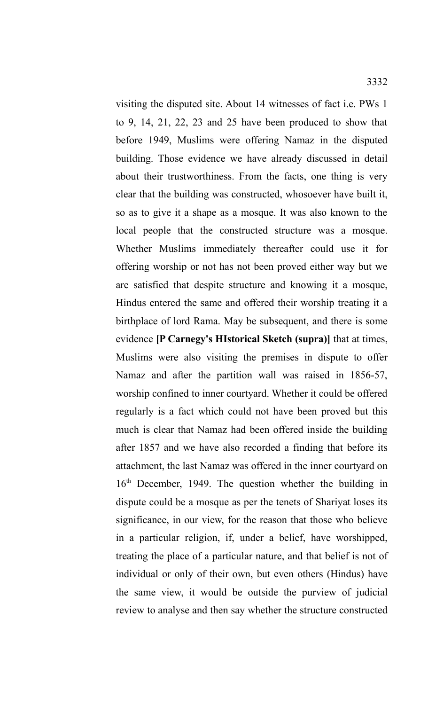visiting the disputed site. About 14 witnesses of fact i.e. PWs 1 to 9, 14, 21, 22, 23 and 25 have been produced to show that before 1949, Muslims were offering Namaz in the disputed building. Those evidence we have already discussed in detail about their trustworthiness. From the facts, one thing is very clear that the building was constructed, whosoever have built it, so as to give it a shape as a mosque. It was also known to the local people that the constructed structure was a mosque. Whether Muslims immediately thereafter could use it for offering worship or not has not been proved either way but we are satisfied that despite structure and knowing it a mosque, Hindus entered the same and offered their worship treating it a birthplace of lord Rama. May be subsequent, and there is some evidence **[P Carnegy's HIstorical Sketch (supra)]** that at times, Muslims were also visiting the premises in dispute to offer Namaz and after the partition wall was raised in 1856-57, worship confined to inner courtyard. Whether it could be offered regularly is a fact which could not have been proved but this much is clear that Namaz had been offered inside the building after 1857 and we have also recorded a finding that before its attachment, the last Namaz was offered in the inner courtyard on 16<sup>th</sup> December, 1949. The question whether the building in dispute could be a mosque as per the tenets of Shariyat loses its significance, in our view, for the reason that those who believe in a particular religion, if, under a belief, have worshipped, treating the place of a particular nature, and that belief is not of individual or only of their own, but even others (Hindus) have the same view, it would be outside the purview of judicial review to analyse and then say whether the structure constructed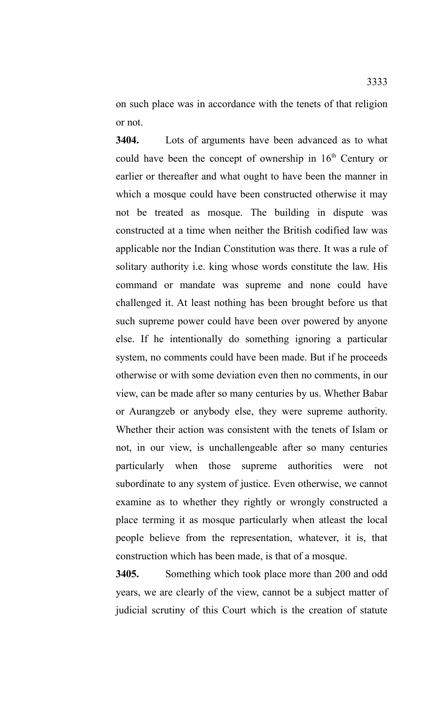on such place was in accordance with the tenets of that religion or not.

**3404.** Lots of arguments have been advanced as to what could have been the concept of ownership in  $16<sup>th</sup>$  Century or earlier or thereafter and what ought to have been the manner in which a mosque could have been constructed otherwise it may not be treated as mosque. The building in dispute was constructed at a time when neither the British codified law was applicable nor the Indian Constitution was there. It was a rule of solitary authority i.e. king whose words constitute the law. His command or mandate was supreme and none could have challenged it. At least nothing has been brought before us that such supreme power could have been over powered by anyone else. If he intentionally do something ignoring a particular system, no comments could have been made. But if he proceeds otherwise or with some deviation even then no comments, in our view, can be made after so many centuries by us. Whether Babar or Aurangzeb or anybody else, they were supreme authority. Whether their action was consistent with the tenets of Islam or not, in our view, is unchallengeable after so many centuries particularly when those supreme authorities were not subordinate to any system of justice. Even otherwise, we cannot examine as to whether they rightly or wrongly constructed a place terming it as mosque particularly when atleast the local people believe from the representation, whatever, it is, that construction which has been made, is that of a mosque.

**3405.** Something which took place more than 200 and odd years, we are clearly of the view, cannot be a subject matter of judicial scrutiny of this Court which is the creation of statute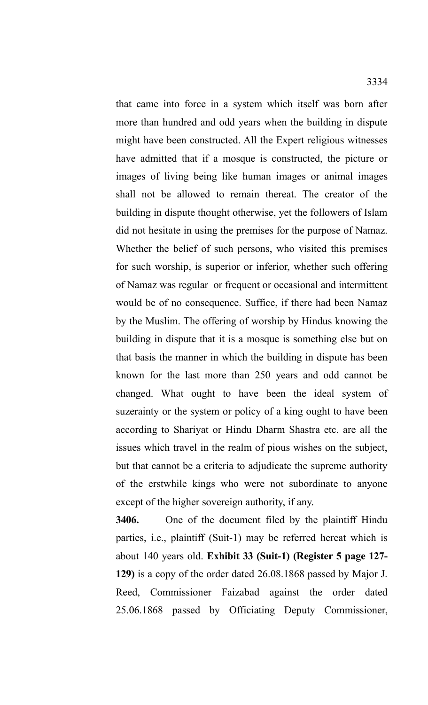that came into force in a system which itself was born after more than hundred and odd years when the building in dispute might have been constructed. All the Expert religious witnesses have admitted that if a mosque is constructed, the picture or images of living being like human images or animal images shall not be allowed to remain thereat. The creator of the building in dispute thought otherwise, yet the followers of Islam did not hesitate in using the premises for the purpose of Namaz. Whether the belief of such persons, who visited this premises for such worship, is superior or inferior, whether such offering of Namaz was regular or frequent or occasional and intermittent would be of no consequence. Suffice, if there had been Namaz by the Muslim. The offering of worship by Hindus knowing the building in dispute that it is a mosque is something else but on that basis the manner in which the building in dispute has been known for the last more than 250 years and odd cannot be changed. What ought to have been the ideal system of suzerainty or the system or policy of a king ought to have been according to Shariyat or Hindu Dharm Shastra etc. are all the issues which travel in the realm of pious wishes on the subject, but that cannot be a criteria to adjudicate the supreme authority of the erstwhile kings who were not subordinate to anyone except of the higher sovereign authority, if any.

**3406.** One of the document filed by the plaintiff Hindu parties, i.e., plaintiff (Suit-1) may be referred hereat which is about 140 years old. **Exhibit 33 (Suit-1) (Register 5 page 127- 129)** is a copy of the order dated 26.08.1868 passed by Major J. Reed, Commissioner Faizabad against the order dated 25.06.1868 passed by Officiating Deputy Commissioner,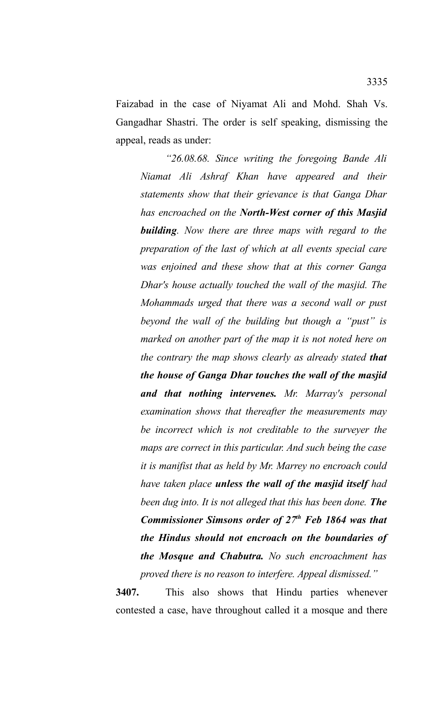Faizabad in the case of Niyamat Ali and Mohd. Shah Vs. Gangadhar Shastri. The order is self speaking, dismissing the appeal, reads as under:

*"26.08.68. Since writing the foregoing Bande Ali Niamat Ali Ashraf Khan have appeared and their statements show that their grievance is that Ganga Dhar has encroached on the North-West corner of this Masjid building. Now there are three maps with regard to the preparation of the last of which at all events special care was enjoined and these show that at this corner Ganga Dhar's house actually touched the wall of the masjid. The Mohammads urged that there was a second wall or pust beyond the wall of the building but though a "pust" is marked on another part of the map it is not noted here on the contrary the map shows clearly as already stated that the house of Ganga Dhar touches the wall of the masjid and that nothing intervenes. Mr. Marray's personal examination shows that thereafter the measurements may be incorrect which is not creditable to the surveyer the maps are correct in this particular. And such being the case it is manifist that as held by Mr. Marrey no encroach could have taken place unless the wall of the masjid itself had been dug into. It is not alleged that this has been done. The Commissioner Simsons order of 27th Feb 1864 was that the Hindus should not encroach on the boundaries of the Mosque and Chabutra. No such encroachment has proved there is no reason to interfere. Appeal dismissed."*

**3407.** This also shows that Hindu parties whenever contested a case, have throughout called it a mosque and there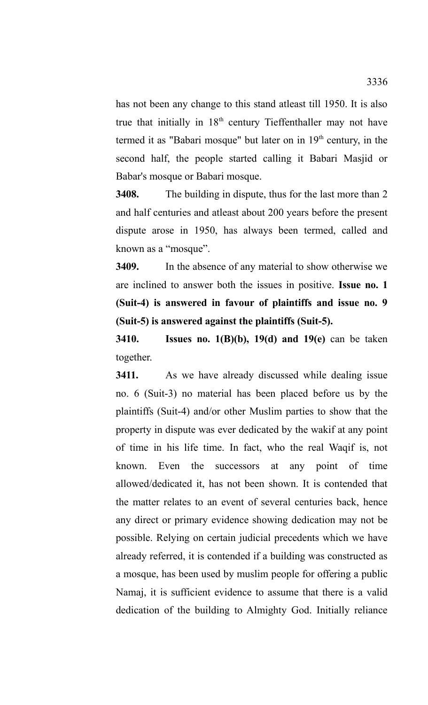has not been any change to this stand atleast till 1950. It is also true that initially in 18<sup>th</sup> century Tieffenthaller may not have termed it as "Babari mosque" but later on in  $19<sup>th</sup>$  century, in the second half, the people started calling it Babari Masjid or Babar's mosque or Babari mosque.

**3408.** The building in dispute, thus for the last more than 2 and half centuries and atleast about 200 years before the present dispute arose in 1950, has always been termed, called and known as a "mosque".

**3409.** In the absence of any material to show otherwise we are inclined to answer both the issues in positive. **Issue no. 1 (Suit-4) is answered in favour of plaintiffs and issue no. 9 (Suit-5) is answered against the plaintiffs (Suit-5).**

**3410. Issues no. 1(B)(b), 19(d) and 19(e)** can be taken together.

**3411.** As we have already discussed while dealing issue no. 6 (Suit-3) no material has been placed before us by the plaintiffs (Suit-4) and/or other Muslim parties to show that the property in dispute was ever dedicated by the wakif at any point of time in his life time. In fact, who the real Waqif is, not known. Even the successors at any point of time allowed/dedicated it, has not been shown. It is contended that the matter relates to an event of several centuries back, hence any direct or primary evidence showing dedication may not be possible. Relying on certain judicial precedents which we have already referred, it is contended if a building was constructed as a mosque, has been used by muslim people for offering a public Namaj, it is sufficient evidence to assume that there is a valid dedication of the building to Almighty God. Initially reliance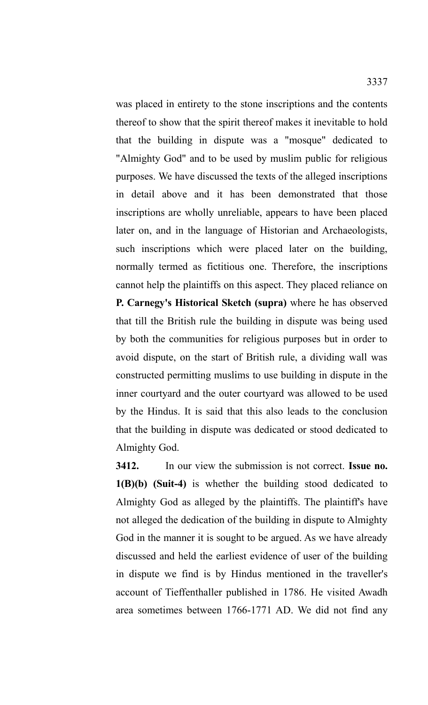was placed in entirety to the stone inscriptions and the contents thereof to show that the spirit thereof makes it inevitable to hold that the building in dispute was a "mosque" dedicated to "Almighty God" and to be used by muslim public for religious purposes. We have discussed the texts of the alleged inscriptions in detail above and it has been demonstrated that those inscriptions are wholly unreliable, appears to have been placed later on, and in the language of Historian and Archaeologists, such inscriptions which were placed later on the building, normally termed as fictitious one. Therefore, the inscriptions cannot help the plaintiffs on this aspect. They placed reliance on **P. Carnegy's Historical Sketch (supra)** where he has observed that till the British rule the building in dispute was being used by both the communities for religious purposes but in order to avoid dispute, on the start of British rule, a dividing wall was constructed permitting muslims to use building in dispute in the inner courtyard and the outer courtyard was allowed to be used by the Hindus. It is said that this also leads to the conclusion that the building in dispute was dedicated or stood dedicated to Almighty God.

**3412.** In our view the submission is not correct. **Issue no. 1(B)(b) (Suit-4)** is whether the building stood dedicated to Almighty God as alleged by the plaintiffs. The plaintiff's have not alleged the dedication of the building in dispute to Almighty God in the manner it is sought to be argued. As we have already discussed and held the earliest evidence of user of the building in dispute we find is by Hindus mentioned in the traveller's account of Tieffenthaller published in 1786. He visited Awadh area sometimes between 1766-1771 AD. We did not find any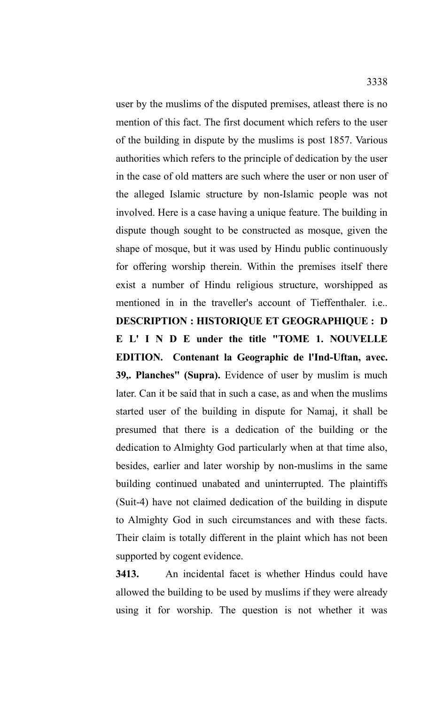user by the muslims of the disputed premises, atleast there is no mention of this fact. The first document which refers to the user of the building in dispute by the muslims is post 1857. Various authorities which refers to the principle of dedication by the user in the case of old matters are such where the user or non user of the alleged Islamic structure by non-Islamic people was not involved. Here is a case having a unique feature. The building in dispute though sought to be constructed as mosque, given the shape of mosque, but it was used by Hindu public continuously for offering worship therein. Within the premises itself there exist a number of Hindu religious structure, worshipped as mentioned in in the traveller's account of Tieffenthaler. i.e.. **DESCRIPTION : HISTORIQUE ET GEOGRAPHIQUE : D E L' I N D E under the title "TOME 1. NOUVELLE EDITION. Contenant la Geographic de l'Ind-Uftan, avec. 39,. Planches" (Supra).** Evidence of user by muslim is much later. Can it be said that in such a case, as and when the muslims started user of the building in dispute for Namaj, it shall be presumed that there is a dedication of the building or the dedication to Almighty God particularly when at that time also, besides, earlier and later worship by non-muslims in the same building continued unabated and uninterrupted. The plaintiffs (Suit-4) have not claimed dedication of the building in dispute to Almighty God in such circumstances and with these facts.

Their claim is totally different in the plaint which has not been supported by cogent evidence.

**3413.** An incidental facet is whether Hindus could have allowed the building to be used by muslims if they were already using it for worship. The question is not whether it was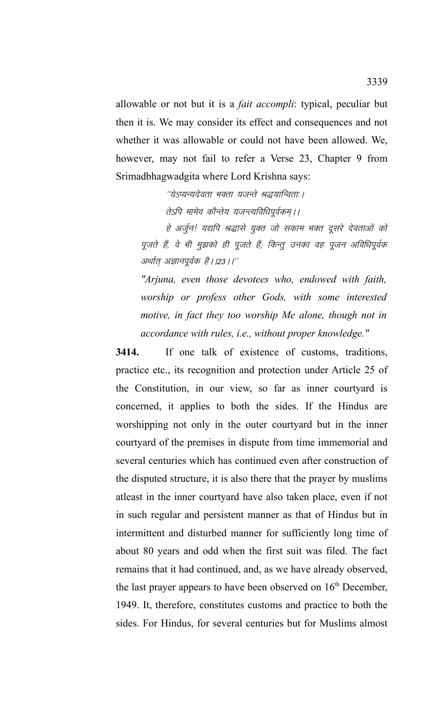allowable or not but it is a *fait accompli*: typical, peculiar but then it is. We may consider its effect and consequences and not whether it was allowable or could not have been allowed. We, however, may not fail to refer a Verse 23, Chapter 9 from Srimadbhagwadgita where Lord Krishna says:

> "येऽप्यन्यदेवता भक्ता यजन्ते श्रद्धयान्विताः । तेऽपि मामेव कौन्तेय यजन्त्यविधिपूर्वकम् ।।

हे अर्जुन! यद्यपि श्रद्धासे युक्त जो सकाम भक्त दूसरे देवताओं को पूजते हैं, वे भी मुझको ही पूजते हैं; किन्तु उनका वह पूजन अविधिपूर्वक अर्थात् अज्ञानपूर्वक है।।23।।''

*"Arjuna, even those devotees who, endowed with faith, worship or profess other Gods, with some interested motive, in fact they too worship Me alone, though not in accordance with rules, i.e., without proper knowledge."*

**3414.** If one talk of existence of customs, traditions, practice etc., its recognition and protection under Article 25 of the Constitution, in our view, so far as inner courtyard is concerned, it applies to both the sides. If the Hindus are worshipping not only in the outer courtyard but in the inner courtyard of the premises in dispute from time immemorial and several centuries which has continued even after construction of the disputed structure, it is also there that the prayer by muslims atleast in the inner courtyard have also taken place, even if not in such regular and persistent manner as that of Hindus but in intermittent and disturbed manner for sufficiently long time of about 80 years and odd when the first suit was filed. The fact remains that it had continued, and, as we have already observed, the last prayer appears to have been observed on 16<sup>th</sup> December, 1949. It, therefore, constitutes customs and practice to both the sides. For Hindus, for several centuries but for Muslims almost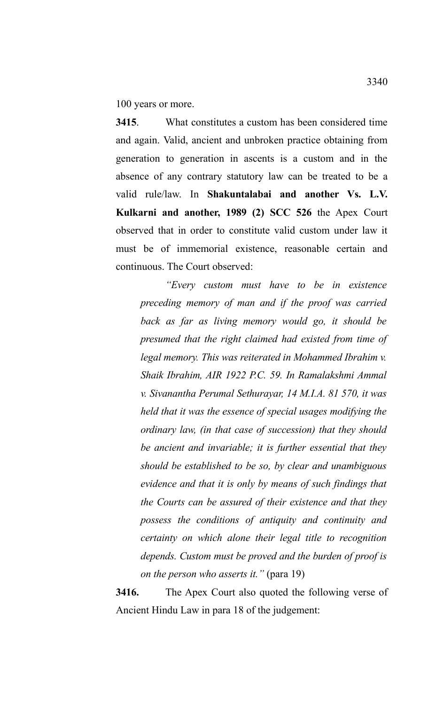100 years or more.

**3415**. What constitutes a custom has been considered time and again. Valid, ancient and unbroken practice obtaining from generation to generation in ascents is a custom and in the absence of any contrary statutory law can be treated to be a valid rule/law. In **Shakuntalabai and another Vs. L.V. Kulkarni and another, 1989 (2) SCC 526** the Apex Court observed that in order to constitute valid custom under law it must be of immemorial existence, reasonable certain and continuous. The Court observed:

*"Every custom must have to be in existence preceding memory of man and if the proof was carried back as far as living memory would go, it should be presumed that the right claimed had existed from time of legal memory. This was reiterated in Mohammed Ibrahim v. Shaik Ibrahim, AIR 1922 P.C. 59. In Ramalakshmi Ammal v. Sivanantha Perumal Sethurayar, 14 M.I.A. 81 570, it was held that it was the essence of special usages modifying the ordinary law, (in that case of succession) that they should be ancient and invariable; it is further essential that they should be established to be so, by clear and unambiguous evidence and that it is only by means of such findings that the Courts can be assured of their existence and that they possess the conditions of antiquity and continuity and certainty on which alone their legal title to recognition depends. Custom must be proved and the burden of proof is on the person who asserts it."* (para 19)

**3416.** The Apex Court also quoted the following verse of Ancient Hindu Law in para 18 of the judgement: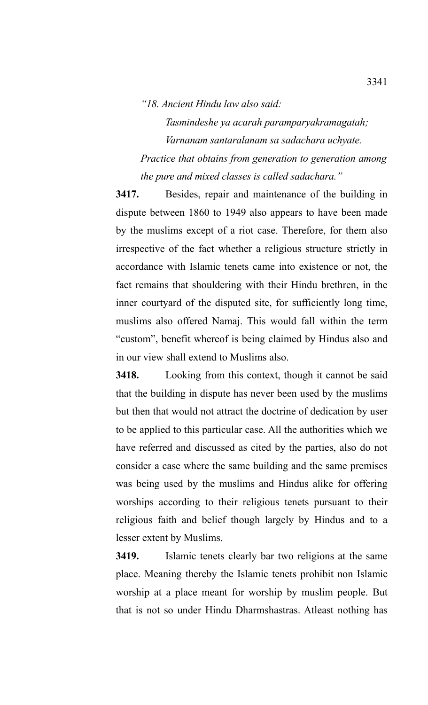## *"18. Ancient Hindu law also said:*

*Tasmindeshe ya acarah paramparyakramagatah; Varnanam santaralanam sa sadachara uchyate. Practice that obtains from generation to generation among the pure and mixed classes is called sadachara."*

**3417.** Besides, repair and maintenance of the building in dispute between 1860 to 1949 also appears to have been made by the muslims except of a riot case. Therefore, for them also irrespective of the fact whether a religious structure strictly in accordance with Islamic tenets came into existence or not, the fact remains that shouldering with their Hindu brethren, in the inner courtyard of the disputed site, for sufficiently long time, muslims also offered Namaj. This would fall within the term "custom", benefit whereof is being claimed by Hindus also and in our view shall extend to Muslims also.

**3418.** Looking from this context, though it cannot be said that the building in dispute has never been used by the muslims but then that would not attract the doctrine of dedication by user to be applied to this particular case. All the authorities which we have referred and discussed as cited by the parties, also do not consider a case where the same building and the same premises was being used by the muslims and Hindus alike for offering worships according to their religious tenets pursuant to their religious faith and belief though largely by Hindus and to a lesser extent by Muslims.

**3419.** Islamic tenets clearly bar two religions at the same place. Meaning thereby the Islamic tenets prohibit non Islamic worship at a place meant for worship by muslim people. But that is not so under Hindu Dharmshastras. Atleast nothing has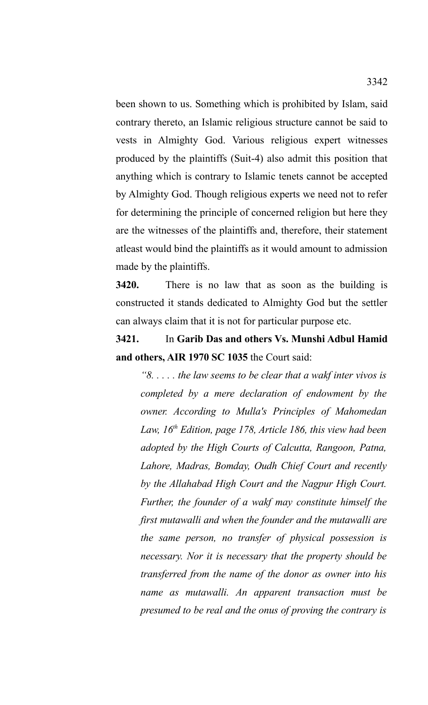been shown to us. Something which is prohibited by Islam, said contrary thereto, an Islamic religious structure cannot be said to vests in Almighty God. Various religious expert witnesses produced by the plaintiffs (Suit-4) also admit this position that anything which is contrary to Islamic tenets cannot be accepted by Almighty God. Though religious experts we need not to refer for determining the principle of concerned religion but here they are the witnesses of the plaintiffs and, therefore, their statement atleast would bind the plaintiffs as it would amount to admission made by the plaintiffs.

**3420.** There is no law that as soon as the building is constructed it stands dedicated to Almighty God but the settler can always claim that it is not for particular purpose etc.

**3421.** In **Garib Das and others Vs. Munshi Adbul Hamid and others, AIR 1970 SC 1035** the Court said:

*"8. . . . . the law seems to be clear that a wakf inter vivos is completed by a mere declaration of endowment by the owner. According to Mulla's Principles of Mahomedan Law, 16th Edition, page 178, Article 186, this view had been adopted by the High Courts of Calcutta, Rangoon, Patna, Lahore, Madras, Bomday, Oudh Chief Court and recently by the Allahabad High Court and the Nagpur High Court. Further, the founder of a wakf may constitute himself the first mutawalli and when the founder and the mutawalli are the same person, no transfer of physical possession is necessary. Nor it is necessary that the property should be transferred from the name of the donor as owner into his name as mutawalli. An apparent transaction must be presumed to be real and the onus of proving the contrary is*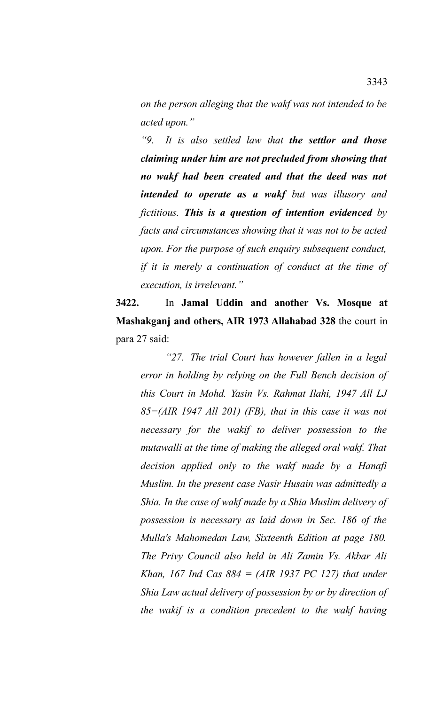*on the person alleging that the wakf was not intended to be acted upon."*

*"9. It is also settled law that the settlor and those claiming under him are not precluded from showing that no wakf had been created and that the deed was not intended to operate as a wakf but was illusory and fictitious. This is a question of intention evidenced by facts and circumstances showing that it was not to be acted upon. For the purpose of such enquiry subsequent conduct, if it is merely a continuation of conduct at the time of execution, is irrelevant."*

**3422.** In **Jamal Uddin and another Vs. Mosque at Mashakganj and others, AIR 1973 Allahabad 328** the court in para 27 said:

*"27. The trial Court has however fallen in a legal error in holding by relying on the Full Bench decision of this Court in Mohd. Yasin Vs. Rahmat Ilahi, 1947 All LJ 85=(AIR 1947 All 201) (FB), that in this case it was not necessary for the wakif to deliver possession to the mutawalli at the time of making the alleged oral wakf. That decision applied only to the wakf made by a Hanafi Muslim. In the present case Nasir Husain was admittedly a Shia. In the case of wakf made by a Shia Muslim delivery of possession is necessary as laid down in Sec. 186 of the Mulla's Mahomedan Law, Sixteenth Edition at page 180. The Privy Council also held in Ali Zamin Vs. Akbar Ali Khan, 167 Ind Cas 884 = (AIR 1937 PC 127) that under Shia Law actual delivery of possession by or by direction of the wakif is a condition precedent to the wakf having*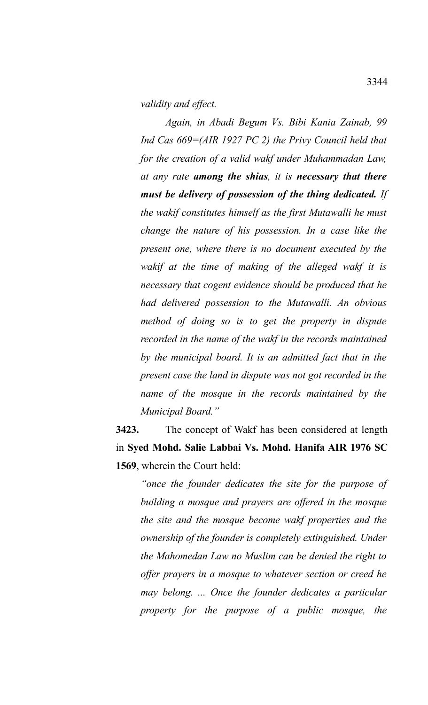*validity and effect.* 

*Again, in Abadi Begum Vs. Bibi Kania Zainab, 99 Ind Cas 669=(AIR 1927 PC 2) the Privy Council held that for the creation of a valid wakf under Muhammadan Law, at any rate among the shias, it is necessary that there must be delivery of possession of the thing dedicated. If the wakif constitutes himself as the first Mutawalli he must change the nature of his possession. In a case like the present one, where there is no document executed by the wakif at the time of making of the alleged wakf it is necessary that cogent evidence should be produced that he had delivered possession to the Mutawalli. An obvious method of doing so is to get the property in dispute recorded in the name of the wakf in the records maintained by the municipal board. It is an admitted fact that in the present case the land in dispute was not got recorded in the name of the mosque in the records maintained by the Municipal Board."*

**3423.** The concept of Wakf has been considered at length in **Syed Mohd. Salie Labbai Vs. Mohd. Hanifa AIR 1976 SC 1569**, wherein the Court held:

*"once the founder dedicates the site for the purpose of building a mosque and prayers are offered in the mosque the site and the mosque become wakf properties and the ownership of the founder is completely extinguished. Under the Mahomedan Law no Muslim can be denied the right to offer prayers in a mosque to whatever section or creed he may belong. ... Once the founder dedicates a particular property for the purpose of a public mosque, the*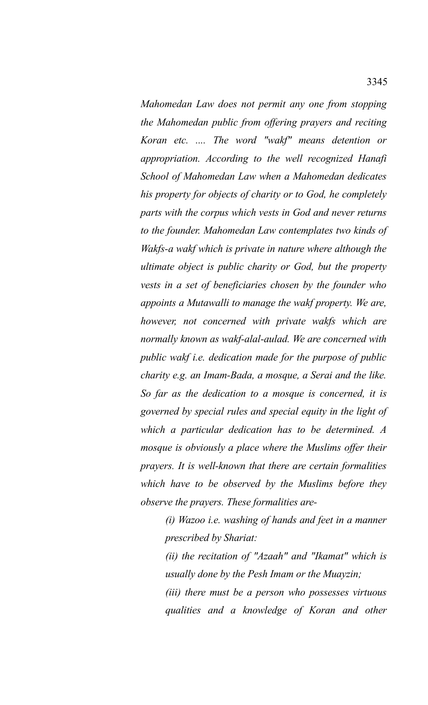*Mahomedan Law does not permit any one from stopping the Mahomedan public from offering prayers and reciting Koran etc. .... The word "wakf" means detention or appropriation. According to the well recognized Hanafi School of Mahomedan Law when a Mahomedan dedicates his property for objects of charity or to God, he completely parts with the corpus which vests in God and never returns to the founder. Mahomedan Law contemplates two kinds of Wakfs-a wakf which is private in nature where although the ultimate object is public charity or God, but the property vests in a set of beneficiaries chosen by the founder who appoints a Mutawalli to manage the wakf property. We are, however, not concerned with private wakfs which are normally known as wakf-alal-aulad. We are concerned with public wakf i.e. dedication made for the purpose of public charity e.g. an Imam-Bada, a mosque, a Serai and the like. So far as the dedication to a mosque is concerned, it is governed by special rules and special equity in the light of which a particular dedication has to be determined. A mosque is obviously a place where the Muslims offer their prayers. It is well-known that there are certain formalities which have to be observed by the Muslims before they observe the prayers. These formalities are-* 

*(i) Wazoo i.e. washing of hands and feet in a manner prescribed by Shariat:*

*(ii) the recitation of "Azaah" and "Ikamat" which is usually done by the Pesh Imam or the Muayzin;* 

*(iii) there must be a person who possesses virtuous qualities and a knowledge of Koran and other*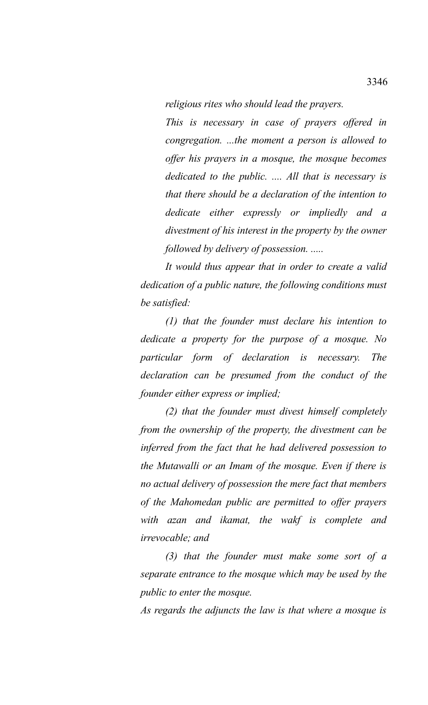*religious rites who should lead the prayers.*

*This is necessary in case of prayers offered in congregation. ...the moment a person is allowed to offer his prayers in a mosque, the mosque becomes dedicated to the public. .... All that is necessary is that there should be a declaration of the intention to dedicate either expressly or impliedly and a divestment of his interest in the property by the owner followed by delivery of possession. .....*

*It would thus appear that in order to create a valid dedication of a public nature, the following conditions must be satisfied:*

*(1) that the founder must declare his intention to dedicate a property for the purpose of a mosque. No particular form of declaration is necessary. The declaration can be presumed from the conduct of the founder either express or implied;* 

*(2) that the founder must divest himself completely from the ownership of the property, the divestment can be inferred from the fact that he had delivered possession to the Mutawalli or an Imam of the mosque. Even if there is no actual delivery of possession the mere fact that members of the Mahomedan public are permitted to offer prayers with azan and ikamat, the wakf is complete and irrevocable; and*

*(3) that the founder must make some sort of a separate entrance to the mosque which may be used by the public to enter the mosque.*

*As regards the adjuncts the law is that where a mosque is*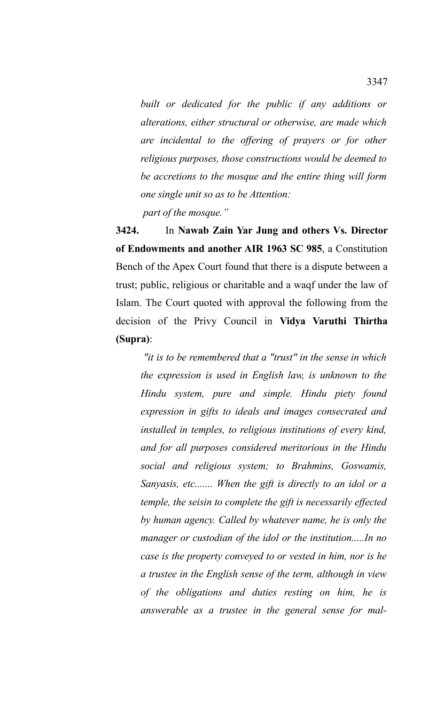*built or dedicated for the public if any additions or alterations, either structural or otherwise, are made which are incidental to the offering of prayers or for other religious purposes, those constructions would be deemed to be accretions to the mosque and the entire thing will form one single unit so as to be Attention:*

 *part of the mosque."*

**3424.** In **Nawab Zain Yar Jung and others Vs. Director of Endowments and another AIR 1963 SC 985**, a Constitution Bench of the Apex Court found that there is a dispute between a trust; public, religious or charitable and a waqf under the law of Islam. The Court quoted with approval the following from the decision of the Privy Council in **Vidya Varuthi Thirtha (Supra)**:

 *"it is to be remembered that a "trust" in the sense in which the expression is used in English law, is unknown to the Hindu system, pure and simple. Hindu piety found expression in gifts to ideals and images consecrated and installed in temples, to religious institutions of every kind, and for all purposes considered meritorious in the Hindu social and religious system; to Brahmins, Goswamis, Sanyasis, etc....... When the gift is directly to an idol or a temple, the seisin to complete the gift is necessarily effected by human agency. Called by whatever name, he is only the manager or custodian of the idol or the institution.....In no case is the property conveyed to or vested in him, nor is he a trustee in the English sense of the term, although in view of the obligations and duties resting on him, he is answerable as a trustee in the general sense for mal-*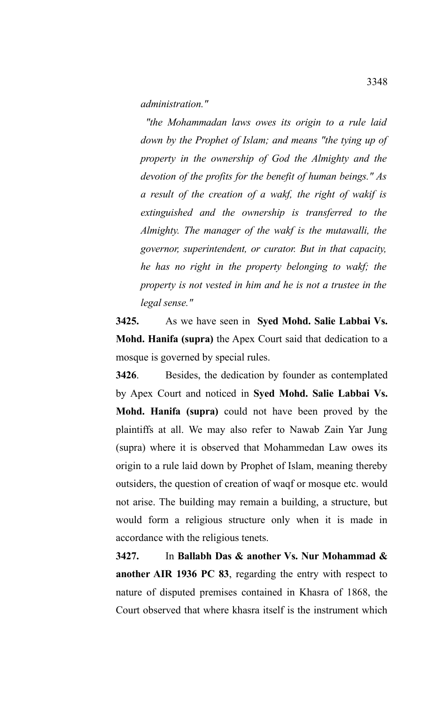*administration."* 

 *"the Mohammadan laws owes its origin to a rule laid down by the Prophet of Islam; and means "the tying up of property in the ownership of God the Almighty and the devotion of the profits for the benefit of human beings." As a result of the creation of a wakf, the right of wakif is extinguished and the ownership is transferred to the Almighty. The manager of the wakf is the mutawalli, the governor, superintendent, or curator. But in that capacity, he has no right in the property belonging to wakf; the property is not vested in him and he is not a trustee in the legal sense."* 

**3425.** As we have seen in **Syed Mohd. Salie Labbai Vs. Mohd. Hanifa (supra)** the Apex Court said that dedication to a mosque is governed by special rules.

**3426**. Besides, the dedication by founder as contemplated by Apex Court and noticed in **Syed Mohd. Salie Labbai Vs. Mohd. Hanifa (supra)** could not have been proved by the plaintiffs at all. We may also refer to Nawab Zain Yar Jung (supra) where it is observed that Mohammedan Law owes its origin to a rule laid down by Prophet of Islam, meaning thereby outsiders, the question of creation of waqf or mosque etc. would not arise. The building may remain a building, a structure, but would form a religious structure only when it is made in accordance with the religious tenets.

**3427.** In **Ballabh Das & another Vs. Nur Mohammad & another AIR 1936 PC 83**, regarding the entry with respect to nature of disputed premises contained in Khasra of 1868, the Court observed that where khasra itself is the instrument which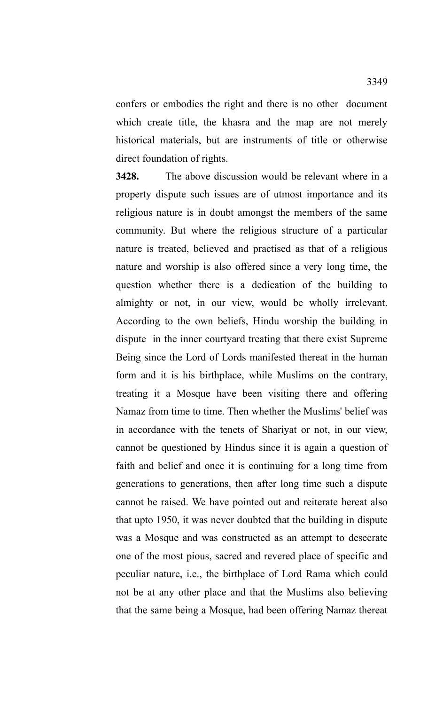confers or embodies the right and there is no other document which create title, the khasra and the map are not merely historical materials, but are instruments of title or otherwise direct foundation of rights.

**3428.** The above discussion would be relevant where in a property dispute such issues are of utmost importance and its religious nature is in doubt amongst the members of the same community. But where the religious structure of a particular nature is treated, believed and practised as that of a religious nature and worship is also offered since a very long time, the question whether there is a dedication of the building to almighty or not, in our view, would be wholly irrelevant. According to the own beliefs, Hindu worship the building in dispute in the inner courtyard treating that there exist Supreme Being since the Lord of Lords manifested thereat in the human form and it is his birthplace, while Muslims on the contrary, treating it a Mosque have been visiting there and offering Namaz from time to time. Then whether the Muslims' belief was in accordance with the tenets of Shariyat or not, in our view, cannot be questioned by Hindus since it is again a question of faith and belief and once it is continuing for a long time from generations to generations, then after long time such a dispute cannot be raised. We have pointed out and reiterate hereat also that upto 1950, it was never doubted that the building in dispute was a Mosque and was constructed as an attempt to desecrate one of the most pious, sacred and revered place of specific and peculiar nature, i.e., the birthplace of Lord Rama which could not be at any other place and that the Muslims also believing that the same being a Mosque, had been offering Namaz thereat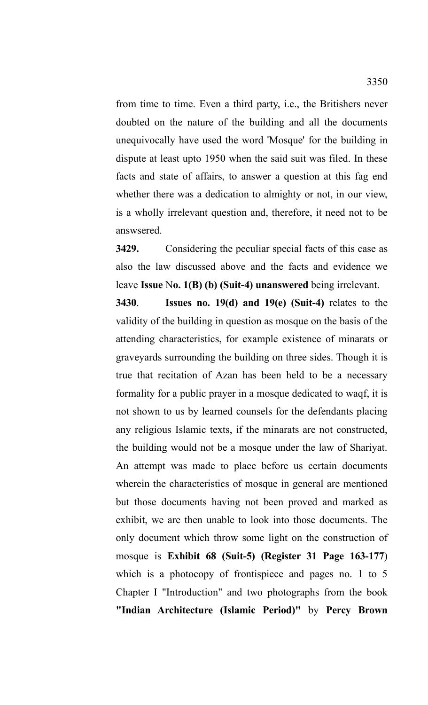from time to time. Even a third party, i.e., the Britishers never doubted on the nature of the building and all the documents unequivocally have used the word 'Mosque' for the building in dispute at least upto 1950 when the said suit was filed. In these facts and state of affairs, to answer a question at this fag end whether there was a dedication to almighty or not, in our view, is a wholly irrelevant question and, therefore, it need not to be answsered.

**3429.** Considering the peculiar special facts of this case as also the law discussed above and the facts and evidence we leave **Issue** N**o. 1(B) (b) (Suit-4) unanswered** being irrelevant.

**3430**. **Issues no. 19(d) and 19(e) (Suit-4)** relates to the validity of the building in question as mosque on the basis of the attending characteristics, for example existence of minarats or graveyards surrounding the building on three sides. Though it is true that recitation of Azan has been held to be a necessary formality for a public prayer in a mosque dedicated to waqf, it is not shown to us by learned counsels for the defendants placing any religious Islamic texts, if the minarats are not constructed, the building would not be a mosque under the law of Shariyat. An attempt was made to place before us certain documents wherein the characteristics of mosque in general are mentioned but those documents having not been proved and marked as exhibit, we are then unable to look into those documents. The only document which throw some light on the construction of mosque is **Exhibit 68 (Suit-5) (Register 31 Page 163-177**) which is a photocopy of frontispiece and pages no. 1 to 5 Chapter I "Introduction" and two photographs from the book **"Indian Architecture (Islamic Period)"** by **Percy Brown**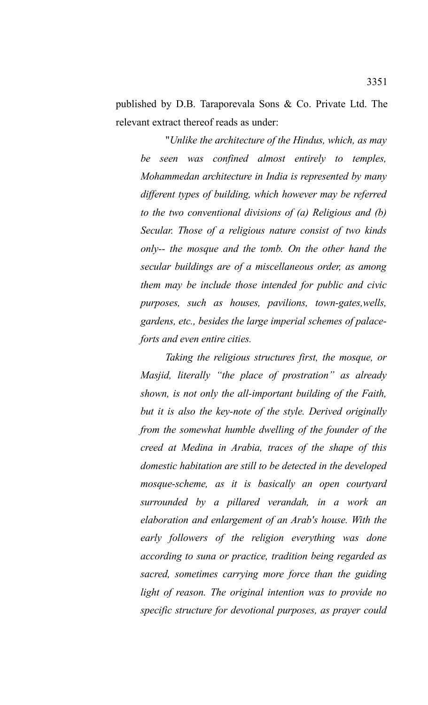published by D.B. Taraporevala Sons & Co. Private Ltd. The relevant extract thereof reads as under:

"*Unlike the architecture of the Hindus, which, as may be seen was confined almost entirely to temples, Mohammedan architecture in India is represented by many different types of building, which however may be referred to the two conventional divisions of (a) Religious and (b) Secular. Those of a religious nature consist of two kinds only-- the mosque and the tomb. On the other hand the secular buildings are of a miscellaneous order, as among them may be include those intended for public and civic purposes, such as houses, pavilions, town-gates,wells, gardens, etc., besides the large imperial schemes of palaceforts and even entire cities.*

*Taking the religious structures first, the mosque, or Masjid, literally "the place of prostration" as already shown, is not only the all-important building of the Faith, but it is also the key-note of the style. Derived originally from the somewhat humble dwelling of the founder of the creed at Medina in Arabia, traces of the shape of this domestic habitation are still to be detected in the developed mosque-scheme, as it is basically an open courtyard surrounded by a pillared verandah, in a work an elaboration and enlargement of an Arab's house. With the early followers of the religion everything was done according to suna or practice, tradition being regarded as sacred, sometimes carrying more force than the guiding light of reason. The original intention was to provide no specific structure for devotional purposes, as prayer could*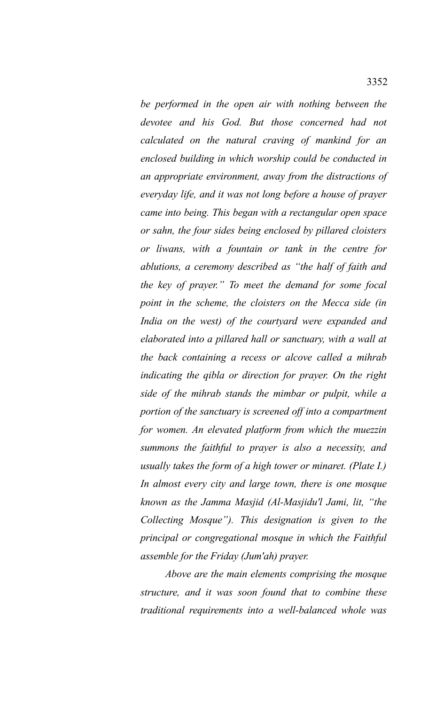*be performed in the open air with nothing between the devotee and his God. But those concerned had not calculated on the natural craving of mankind for an enclosed building in which worship could be conducted in an appropriate environment, away from the distractions of everyday life, and it was not long before a house of prayer came into being. This began with a rectangular open space or sahn, the four sides being enclosed by pillared cloisters or liwans, with a fountain or tank in the centre for ablutions, a ceremony described as "the half of faith and the key of prayer." To meet the demand for some focal point in the scheme, the cloisters on the Mecca side (in India on the west) of the courtyard were expanded and elaborated into a pillared hall or sanctuary, with a wall at the back containing a recess or alcove called a mihrab indicating the qibla or direction for prayer. On the right side of the mihrab stands the mimbar or pulpit, while a portion of the sanctuary is screened off into a compartment for women. An elevated platform from which the muezzin summons the faithful to prayer is also a necessity, and usually takes the form of a high tower or minaret. (Plate I.) In almost every city and large town, there is one mosque known as the Jamma Masjid (Al-Masjidu'l Jami, lit, "the Collecting Mosque"). This designation is given to the principal or congregational mosque in which the Faithful assemble for the Friday (Jum'ah) prayer.* 

*Above are the main elements comprising the mosque structure, and it was soon found that to combine these traditional requirements into a well-balanced whole was*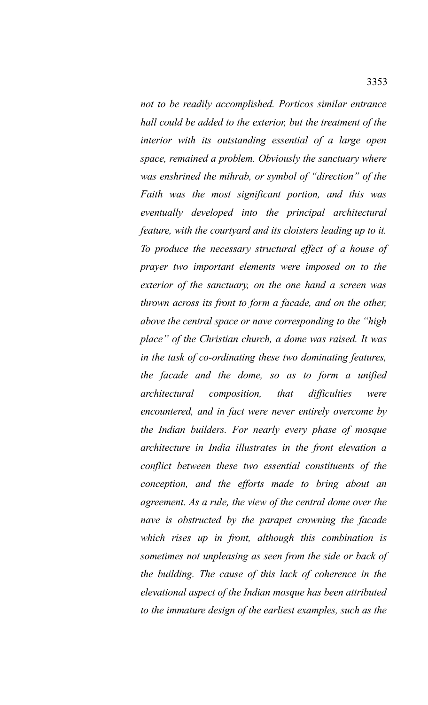*not to be readily accomplished. Porticos similar entrance hall could be added to the exterior, but the treatment of the interior with its outstanding essential of a large open space, remained a problem. Obviously the sanctuary where was enshrined the mihrab, or symbol of "direction" of the Faith was the most significant portion, and this was eventually developed into the principal architectural feature, with the courtyard and its cloisters leading up to it. To produce the necessary structural effect of a house of prayer two important elements were imposed on to the exterior of the sanctuary, on the one hand a screen was thrown across its front to form a facade, and on the other, above the central space or nave corresponding to the "high place" of the Christian church, a dome was raised. It was in the task of co-ordinating these two dominating features, the facade and the dome, so as to form a unified architectural composition, that difficulties were encountered, and in fact were never entirely overcome by the Indian builders. For nearly every phase of mosque architecture in India illustrates in the front elevation a conflict between these two essential constituents of the conception, and the efforts made to bring about an agreement. As a rule, the view of the central dome over the nave is obstructed by the parapet crowning the facade which rises up in front, although this combination is sometimes not unpleasing as seen from the side or back of the building. The cause of this lack of coherence in the elevational aspect of the Indian mosque has been attributed to the immature design of the earliest examples, such as the*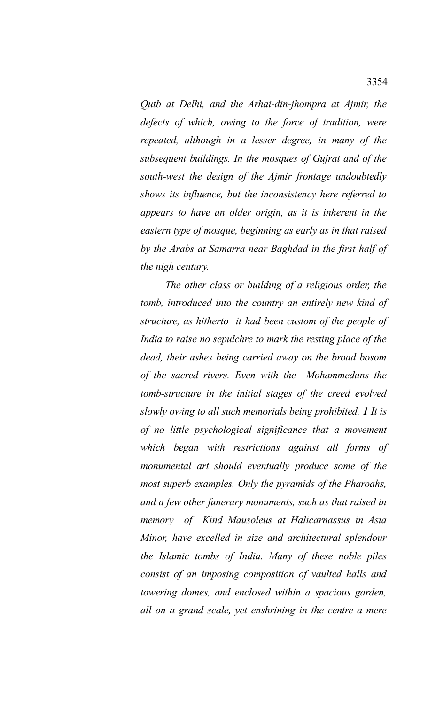*Qutb at Delhi, and the Arhai-din-jhompra at Ajmir, the defects of which, owing to the force of tradition, were repeated, although in a lesser degree, in many of the subsequent buildings. In the mosques of Gujrat and of the south-west the design of the Ajmir frontage undoubtedly shows its influence, but the inconsistency here referred to appears to have an older origin, as it is inherent in the eastern type of mosque, beginning as early as in that raised by the Arabs at Samarra near Baghdad in the first half of the nigh century.* 

*The other class or building of a religious order, the tomb, introduced into the country an entirely new kind of structure, as hitherto it had been custom of the people of India to raise no sepulchre to mark the resting place of the dead, their ashes being carried away on the broad bosom of the sacred rivers. Even with the Mohammedans the tomb-structure in the initial stages of the creed evolved slowly owing to all such memorials being prohibited. 1 It is of no little psychological significance that a movement which began with restrictions against all forms of monumental art should eventually produce some of the most superb examples. Only the pyramids of the Pharoahs, and a few other funerary monuments, such as that raised in memory of Kind Mausoleus at Halicarnassus in Asia Minor, have excelled in size and architectural splendour the Islamic tombs of India. Many of these noble piles consist of an imposing composition of vaulted halls and towering domes, and enclosed within a spacious garden, all on a grand scale, yet enshrining in the centre a mere*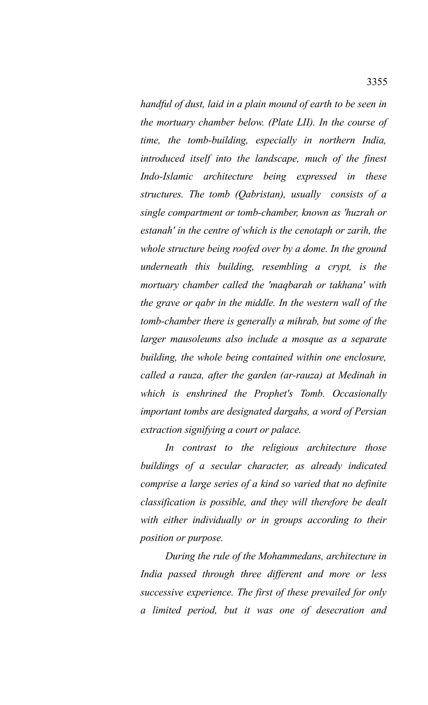*handful of dust, laid in a plain mound of earth to be seen in the mortuary chamber below. (Plate LII). In the course of time, the tomb-building, especially in northern India, introduced itself into the landscape, much of the finest Indo-Islamic architecture being expressed in these structures. The tomb (Qabristan), usually consists of a single compartment or tomb-chamber, known as 'huzrah or estanah' in the centre of which is the cenotaph or zarih, the whole structure being roofed over by a dome. In the ground underneath this building, resembling a crypt, is the mortuary chamber called the 'maqbarah or takhana' with the grave or qabr in the middle. In the western wall of the tomb-chamber there is generally a mihrab, but some of the larger mausoleums also include a mosque as a separate building, the whole being contained within one enclosure, called a rauza, after the garden (ar-rauza) at Medinah in which is enshrined the Prophet's Tomb. Occasionally important tombs are designated dargahs, a word of Persian extraction signifying a court or palace.* 

*In contrast to the religious architecture those buildings of a secular character, as already indicated comprise a large series of a kind so varied that no definite classification is possible, and they will therefore be dealt with either individually or in groups according to their position or purpose.*

*During the rule of the Mohammedans, architecture in India passed through three different and more or less successive experience. The first of these prevailed for only a limited period, but it was one of desecration and*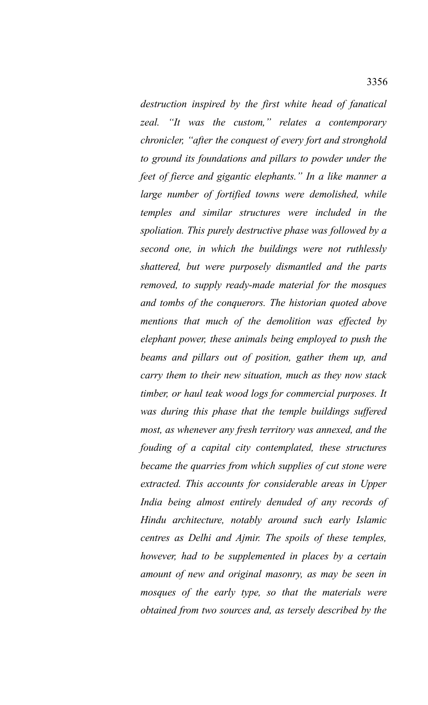*destruction inspired by the first white head of fanatical zeal. "It was the custom," relates a contemporary chronicler, "after the conquest of every fort and stronghold to ground its foundations and pillars to powder under the feet of fierce and gigantic elephants." In a like manner a large number of fortified towns were demolished, while temples and similar structures were included in the spoliation. This purely destructive phase was followed by a second one, in which the buildings were not ruthlessly shattered, but were purposely dismantled and the parts removed, to supply ready-made material for the mosques and tombs of the conquerors. The historian quoted above mentions that much of the demolition was effected by elephant power, these animals being employed to push the beams and pillars out of position, gather them up, and carry them to their new situation, much as they now stack timber, or haul teak wood logs for commercial purposes. It was during this phase that the temple buildings suffered most, as whenever any fresh territory was annexed, and the fouding of a capital city contemplated, these structures became the quarries from which supplies of cut stone were extracted. This accounts for considerable areas in Upper India being almost entirely denuded of any records of Hindu architecture, notably around such early Islamic centres as Delhi and Ajmir. The spoils of these temples, however, had to be supplemented in places by a certain amount of new and original masonry, as may be seen in mosques of the early type, so that the materials were obtained from two sources and, as tersely described by the*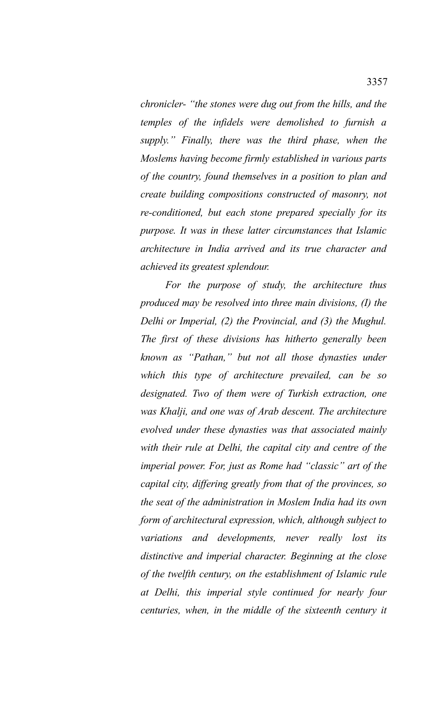*chronicler- "the stones were dug out from the hills, and the temples of the infidels were demolished to furnish a supply." Finally, there was the third phase, when the Moslems having become firmly established in various parts of the country, found themselves in a position to plan and create building compositions constructed of masonry, not re-conditioned, but each stone prepared specially for its purpose. It was in these latter circumstances that Islamic architecture in India arrived and its true character and achieved its greatest splendour.* 

*For the purpose of study, the architecture thus produced may be resolved into three main divisions, (I) the Delhi or Imperial, (2) the Provincial, and (3) the Mughul. The first of these divisions has hitherto generally been known as "Pathan," but not all those dynasties under which this type of architecture prevailed, can be so designated. Two of them were of Turkish extraction, one was Khalji, and one was of Arab descent. The architecture evolved under these dynasties was that associated mainly with their rule at Delhi, the capital city and centre of the imperial power. For, just as Rome had "classic" art of the capital city, differing greatly from that of the provinces, so the seat of the administration in Moslem India had its own form of architectural expression, which, although subject to variations and developments, never really lost its distinctive and imperial character. Beginning at the close of the twelfth century, on the establishment of Islamic rule at Delhi, this imperial style continued for nearly four centuries, when, in the middle of the sixteenth century it*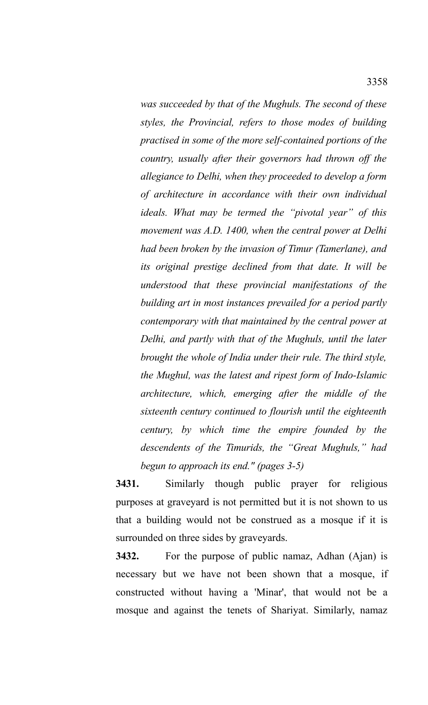*was succeeded by that of the Mughuls. The second of these styles, the Provincial, refers to those modes of building practised in some of the more self-contained portions of the country, usually after their governors had thrown off the allegiance to Delhi, when they proceeded to develop a form of architecture in accordance with their own individual ideals. What may be termed the "pivotal year" of this movement was A.D. 1400, when the central power at Delhi had been broken by the invasion of Timur (Tamerlane), and its original prestige declined from that date. It will be understood that these provincial manifestations of the building art in most instances prevailed for a period partly contemporary with that maintained by the central power at Delhi, and partly with that of the Mughuls, until the later brought the whole of India under their rule. The third style, the Mughul, was the latest and ripest form of Indo-Islamic architecture, which, emerging after the middle of the sixteenth century continued to flourish until the eighteenth century, by which time the empire founded by the descendents of the Timurids, the "Great Mughuls," had begun to approach its end." (pages 3-5)* 

**3431.** Similarly though public prayer for religious purposes at graveyard is not permitted but it is not shown to us that a building would not be construed as a mosque if it is surrounded on three sides by graveyards.

**3432.** For the purpose of public namaz, Adhan (Ajan) is necessary but we have not been shown that a mosque, if constructed without having a 'Minar', that would not be a mosque and against the tenets of Shariyat. Similarly, namaz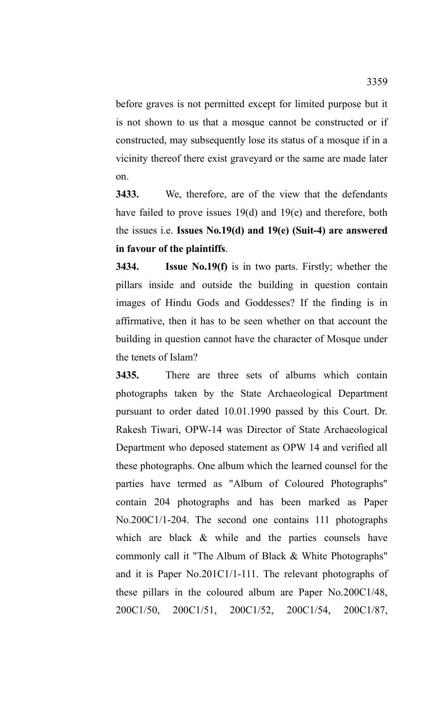before graves is not permitted except for limited purpose but it is not shown to us that a mosque cannot be constructed or if constructed, may subsequently lose its status of a mosque if in a vicinity thereof there exist graveyard or the same are made later on.

**3433.** We, therefore, are of the view that the defendants have failed to prove issues 19(d) and 19(e) and therefore, both the issues i.e. **Issues No.19(d) and 19(e) (Suit-4) are answered in favour of the plaintiffs**.

**3434. Issue No.19(f)** is in two parts. Firstly; whether the pillars inside and outside the building in question contain images of Hindu Gods and Goddesses? If the finding is in affirmative, then it has to be seen whether on that account the building in question cannot have the character of Mosque under the tenets of Islam?

**3435.** There are three sets of albums which contain photographs taken by the State Archaeological Department pursuant to order dated 10.01.1990 passed by this Court. Dr. Rakesh Tiwari, OPW-14 was Director of State Archaeological Department who deposed statement as OPW 14 and verified all these photographs. One album which the learned counsel for the parties have termed as "Album of Coloured Photographs" contain 204 photographs and has been marked as Paper No.200C1/1-204. The second one contains 111 photographs which are black  $\&$  while and the parties counsels have commonly call it "The Album of Black & White Photographs" and it is Paper No.201C1/1-111. The relevant photographs of these pillars in the coloured album are Paper No.200C1/48, 200C1/50, 200C1/51, 200C1/52, 200C1/54, 200C1/87,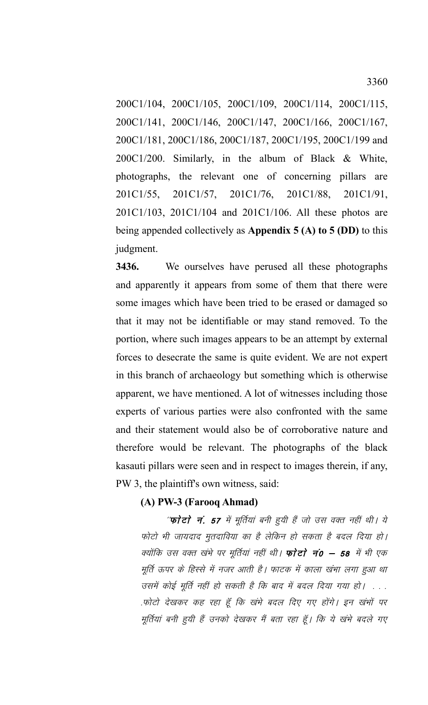200C1/104, 200C1/105, 200C1/109, 200C1/114, 200C1/115, 200C1/141, 200C1/146, 200C1/147, 200C1/166, 200C1/167, 200C1/181, 200C1/186, 200C1/187, 200C1/195, 200C1/199 and 200C1/200. Similarly, in the album of Black & White, photographs, the relevant one of concerning pillars are 201C1/55, 201C1/57, 201C1/76, 201C1/88, 201C1/91, 201C1/103, 201C1/104 and 201C1/106. All these photos are being appended collectively as **Appendix 5 (A) to 5 (DD)** to this judgment.

**3436.** We ourselves have perused all these photographs and apparently it appears from some of them that there were some images which have been tried to be erased or damaged so that it may not be identifiable or may stand removed. To the portion, where such images appears to be an attempt by external forces to desecrate the same is quite evident. We are not expert in this branch of archaeology but something which is otherwise apparent, we have mentioned. A lot of witnesses including those experts of various parties were also confronted with the same and their statement would also be of corroborative nature and therefore would be relevant. The photographs of the black kasauti pillars were seen and in respect to images therein, if any, PW 3, the plaintiff's own witness, said:

# **(A) PW-3 (Farooq Ahmad)**

''**फोटो नं. 57** में मूर्तियां बनी हुयी हैं जो उस वक्त नहीं थी। ये फोटो भी जायदाद मुतदाविया का है लेकिन हो सकता है बदल दिया हो। क्योंकि उस वक्त खंभे पर मूर्तियां नहीं थी। **फोटो नं0 – 58** में भी एक मूर्ति ऊपर के हिस्से में नजर आती है। फाटक में काला खंभा लगा हुआ था उसमें कोई मूर्ति नहीं हो सकती है कि बाद में बदल दिया गया हो। . . . .फोटो देखकर कह रहा हूँ कि खंभे बदल दिए गए होंगे। इन खंभों पर मूर्तियां बनी हुयी हैं उनको देखकर मैं बता रहा हूँ। कि ये खंभे बदले गए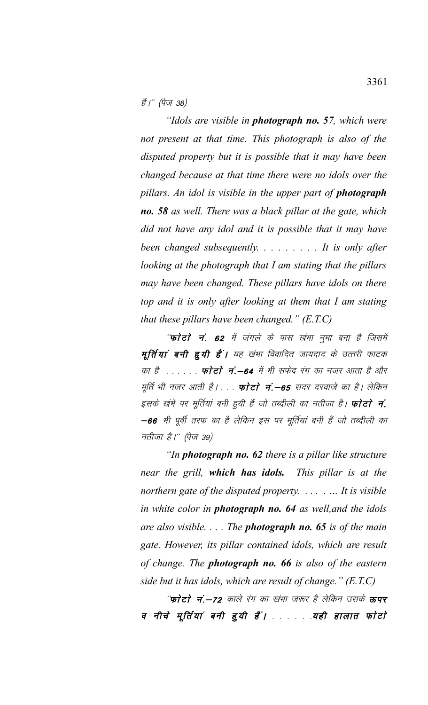हैं।" (पेज 38)

*"Idols are visible in photograph no. 57, which were not present at that time. This photograph is also of the disputed property but it is possible that it may have been changed because at that time there were no idols over the pillars. An idol is visible in the upper part of photograph no. 58 as well. There was a black pillar at the gate, which did not have any idol and it is possible that it may have been changed subsequently. . . . . . . . . It is only after looking at the photograph that I am stating that the pillars may have been changed. These pillars have idols on there top and it is only after looking at them that I am stating that these pillars have been changed." (E.T.C)* 

''फोटो नं. 62 में जंगले के पास खंभा नुमा बना है जिसमें मूर्तियां बनी हूयी हैं। यह खंभा विवादित जायदाद के उत्तरी फाटक का है <sub>- - - - -</sub> कोटो नं.—64 में भी सफेद रंग का नजर आता है और मूर्ति भी नजर आती है। . . . **फोटो नं.—65** सदर दरवाजे का है। लेकिन इसके खंभे पर मूर्तियां बनी हुयी हैं जो तब्दीली का नतीजा है। **फोटो नं**. -66 भी पूर्वी तरफ का है लेकिन इस पर मूर्तियां बनी हैं जो तब्दीली का नतीजा है।'' (पेज 39)

*"In photograph no. 62 there is a pillar like structure near the grill, which has idols. This pillar is at the northern gate of the disputed property. . . . . … It is visible in white color in photograph no. 64 as well,and the idols are also visible. . . . The photograph no. 65 is of the main gate. However, its pillar contained idols, which are result of change. The photograph no. 66 is also of the eastern side but it has idols, which are result of change." (E.T.C)* 

''फोटो नं.—72 काले रंग का खंभा जरूर है लेकिन उसके **ऊपर** व नीचे मूर्तियां बनी हुयी हैं। . . . . यही हालात फोटो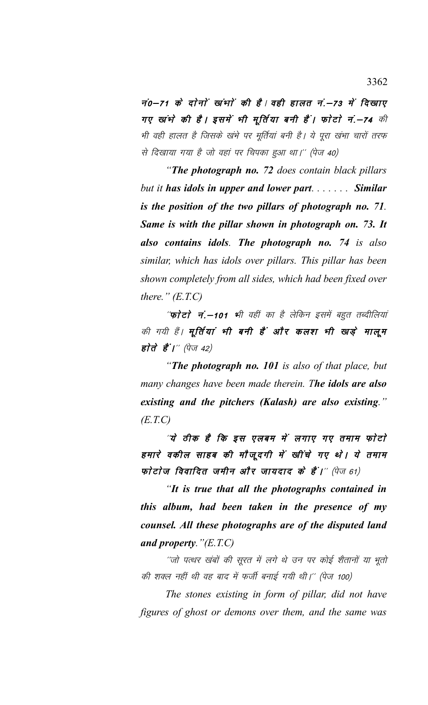नं0-71 के दोनों खंभों की है। वही हालत नं.-73 में दिखाए गए खांभे की है। इसमें भी मूर्तिया बनी हैं। फोटो नं.-74 की भी वही हालत है जिसके खंभे पर मूर्तियां बनी है। ये पूरा खंभा चारों तरफ से दिखाया गया है जो वहां पर चिपका हुआ था।'' (पेज 40)

"The photograph no. 72 does contain black pillars but it has idols in upper and lower part....... Similar is the position of the two pillars of photograph no. 71. Same is with the pillar shown in photograph on. 73. It also contains idols. The photograph no. 74 is also similar, which has idols over pillars. This pillar has been shown completely from all sides, which had been fixed over there."  $(E.T.C)$ 

''**फोटो नं.—101 भी** वहीं का है लेकिन इसमें बहुत तब्दीलियां की गयी हैं। मूर्तियां भी बनी हैं और कलश भी खड़े मालूम होते हैं।'' (पेज 42)

"The photograph no. 101 is also of that place, but many changes have been made therein. The idols are also existing and the pitchers (Kalash) are also existing."  $(E.T.C)$ 

'ये ठीक है कि इस एलबम में लगाए गए तमाम फोटो हमारे वकील साहब की मौजूदगी में खींचे गए थे। ये तमाम फोटोज विवादित जमीन और जायदाद के हैं।'' (पेज 61)

"It is true that all the photographs contained in this album, had been taken in the presence of my counsel. All these photographs are of the disputed land and property.  $" (E.T.C)$ 

''जो पत्थर खंबों की सूरत में लगे थे उन पर कोई शैतानों या भूतो की शक्ल नहीं थी वह बाद में फर्जी बनाई गयी थी।'' (पेज 100)

The stones existing in form of pillar, did not have figures of ghost or demons over them, and the same was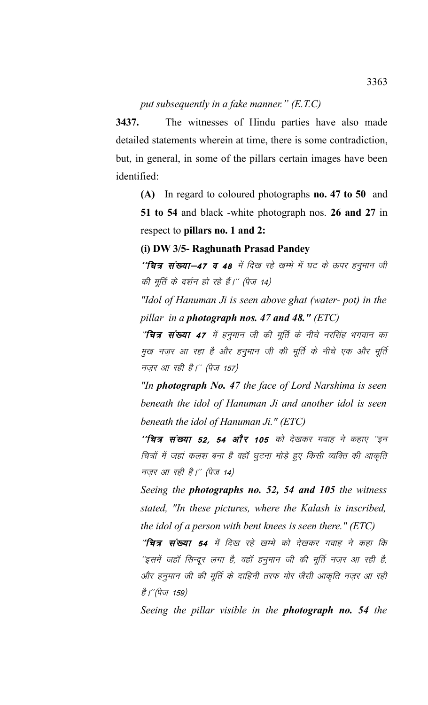# *put subsequently in a fake manner." (E.T.C)*

**3437.** The witnesses of Hindu parties have also made detailed statements wherein at time, there is some contradiction, but, in general, in some of the pillars certain images have been identified:

**(A)** In regard to coloured photographs **no. 47 to 50** and **51 to 54** and black -white photograph nos. **26 and 27** in respect to **pillars no. 1 and 2:**

## **(i) DW 3/5- Raghunath Prasad Pandey**

 $^{\prime\prime}$ चित्र संख्या-47 व 48 में दिख रहे खम्भे में घट के ऊपर हनुमान जी की मूर्ति के दर्शन हो रहे हैं।'' (पेज 14)

*"Idol of Hanuman Ji is seen above ghat (water- pot) in the pillar in a photograph nos. 47 and 48." (ETC)*

"**चित्र संख्या 47** में हनुमान जी की मूर्ति के नीचे नरसिंह भगवान का मुख नज़र आ रहा है और हनुमान जी की मूर्ति के नीचे एक और मूर्ति नजर आ रही है।'' (पेज 157)

*"In photograph No. 47 the face of Lord Narshima is seen beneath the idol of Hanuman Ji and another idol is seen beneath the idol of Hanuman Ji." (ETC)*

 $^{\prime\prime}$ चित्र संख्या 52, 54 और 105 को देखकर गवाह ने कहाए "इन चित्रों में जहां कलश बना है वहाँ घुटना मोडे हुए किसी व्यक्ति की आकृति नज़र आ $\vec{z}$ ही है।'' (पेज 14)

*Seeing the photographs no. 52, 54 and 105 the witness stated, "In these pictures, where the Kalash is inscribed, the idol of a person with bent knees is seen there." (ETC)*

"चित्र संख्या 54 में दिख रहे खम्भे को देखकर गवाह ने कहा कि 'इसमें जहाँ सिन्दूर लगा है, वहाँ हनुमान जी की मूर्ति नज़र आ रही है, ओर हनुमान जी की मूर्ति के दाहिनी तरफ मोर जैसी आकृति नज़र आ रही *है।''(पेज 159)* 

*Seeing the pillar visible in the photograph no. 54 the*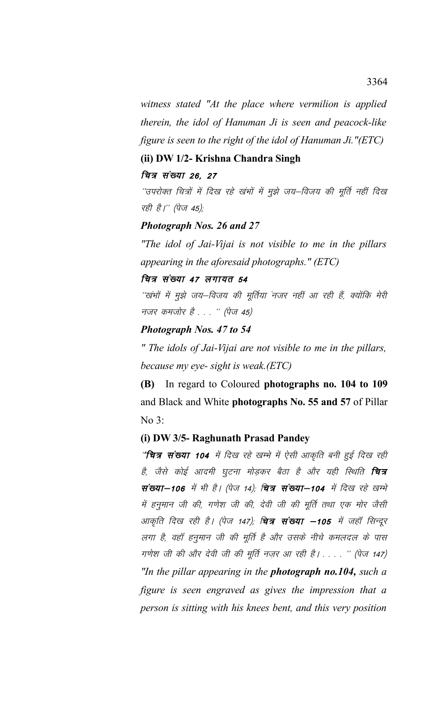*witness stated "At the place where vermilion is applied therein, the idol of Hanuman Ji is seen and peacock-like figure is seen to the right of the idol of Hanuman Ji."(ETC)*

# **(ii) DW 1/2- Krishna Chandra Singh**

# वित्र संख्या 26, 27

''उपरोक्त चित्रों में दिख रहे खंभों में मुझे जय–विजय की मूर्ति नहीं दिख रही है।'' (पेज 45);

## *Photograph Nos. 26 and 27*

*"The idol of Jai-Vijai is not visible to me in the pillars appearing in the aforesaid photographs." (ETC)*

## चित्र संख्या 47 लगायत 54

''खंभों में मुझे जय–विजय की मूर्तिया नजर नहीं आ रही हैं, क्योंकि मेरी नजर कमजोर है . . . '' (पेज 45)

## *Photograph Nos. 47 to 54*

*" The idols of Jai-Vijai are not visible to me in the pillars, because my eye- sight is weak.(ETC)* 

**(B)** In regard to Coloured **photographs no. 104 to 109** and Black and White **photographs No. 55 and 57** of Pillar No 3:

# **(i) DW 3/5- Raghunath Prasad Pandey**

''चित्र संख्या 104 में दिख रहे खम्भे में ऐसी आकृति बनी हुई दिख रही है, जैसे कोई आदमी घुटना मोड़कर बैठा है और यही स्थिति **चित्र** संख्या-106 में भी है। (पेज 14), वित्र संख्या-104 में दिख रहे खम्भे में हनुमान जी की, गणेश जी की, देवी जी की मूर्ति तथा एक मोर जैसी आकृति दिख रही है। (पेज 147); **चित्र संख्या –105** में जहाँ सिन्दूर लगा है, वहाँ हनुमान जी की मूर्ति है और उसके नीचे कमलदल के पास गणेश जी की और देवी जी की मूर्ति नज़र आ रही है। . . . '' (पेज 147) *"In the pillar appearing in the photograph no.104, such a figure is seen engraved as gives the impression that a person is sitting with his knees bent, and this very position*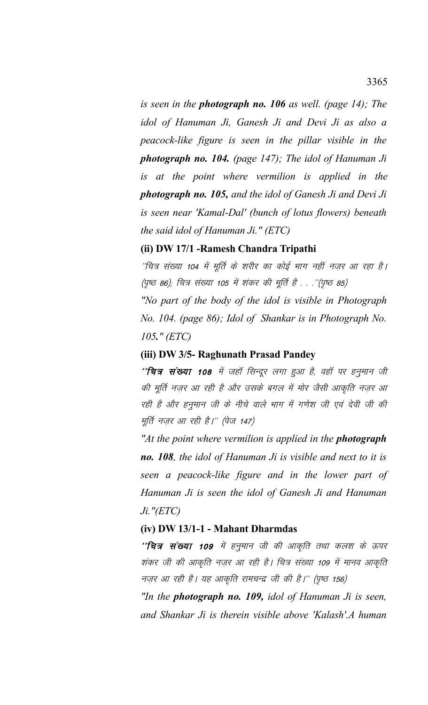*is seen in the photograph no. 106 as well. (page 14); The idol of Hanuman Ji, Ganesh Ji and Devi Ji as also a peacock-like figure is seen in the pillar visible in the photograph no. 104. (page 147); The idol of Hanuman Ji is at the point where vermilion is applied in the photograph no. 105, and the idol of Ganesh Ji and Devi Ji is seen near 'Kamal-Dal' (bunch of lotus flowers) beneath the said idol of Hanuman Ji." (ETC)* 

# **(ii) DW 17/1 -Ramesh Chandra Tripathi**

''चित्र संख्या 104 में मूर्ति के शरीर का कोई भाग नहीं नज़र आ रहा है। (पृष्ठ 86); चित्र संख्या 105 में शंकर की मूर्ति है . . .''(पृष्ठ 85) *"No part of the body of the idol is visible in Photograph No. 104. (page 86); Idol of Shankar is in Photograph No. 105." (ETC)*

## **(iii) DW 3/5- Raghunath Prasad Pandey**

 $^{\prime\prime}$ चित्र संख्या 108 में जहाँ सिन्दूर लगा हुआ है, वहाँ पर हनुमान जी की मूर्ति नज़र आ रही है और उसके बग़ल में मोर जैसी आकृति नज़र आ रही है और हनुमान जी के नीचे वाले भाग में गणेश जी एवं देवी जी की मूर्ति नज़र आ रही है।'' (पेज 147)

*"At the point where vermilion is applied in the photograph no. 108, the idol of Hanuman Ji is visible and next to it is seen a peacock-like figure and in the lower part of Hanuman Ji is seen the idol of Ganesh Ji and Hanuman Ji."(ETC)*

## **(iv) DW 13/1-1 - Mahant Dharmdas**

''**चित्र संख्या 109** में हनुमान जी की आकृति तथा कलश के ऊपर शंकर जी की आकृति नज़र आ रही है। चित्र संख्या 109 में मानव आकृति नज़र आ रही है। यह आकृति रामचन्द्र जी की है।'' (पृष्ठ 156)

*"In the photograph no. 109, idol of Hanuman Ji is seen, and Shankar Ji is therein visible above 'Kalash'.A human*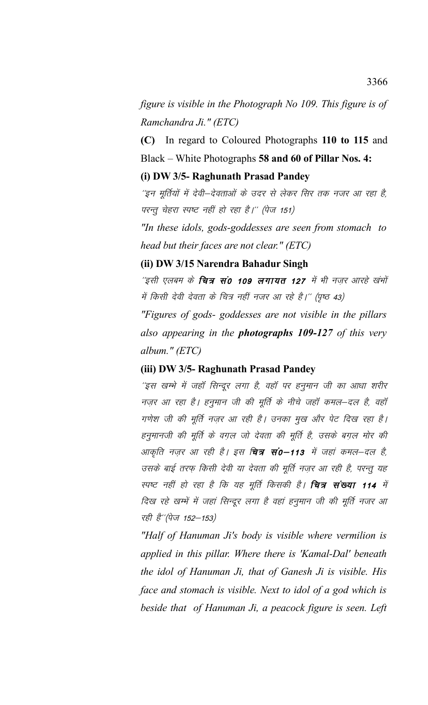*figure is visible in the Photograph No 109. This figure is of Ramchandra Ji." (ETC)*

**(C)** In regard to Coloured Photographs **110 to 115** and Black – White Photographs **58 and 60 of Pillar Nos. 4:**

## **(i) DW 3/5- Raghunath Prasad Pandey**

'इन मूर्तियों में देवी—देवताओं के उदर से लेकर सिर तक नजर आ रहा है, परन्तु चेहरा स्पष्ट नहीं हो रहा है।" (पेज 151)

*"In these idols, gods-goddesses are seen from stomach to head but their faces are not clear." (ETC)* 

# **(ii) DW 3/15 Narendra Bahadur Singh**

''इसी एलबम के **चित्र सं0 109 लगायत 127** में भी नज़र आरहे खंभों में किसी देवी देवता के चित्र नहीं नजर आ रहे है।'' (पृष्ठ 43)

*"Figures of gods- goddesses are not visible in the pillars also appearing in the photographs 109-127 of this very album." (ETC)*

## **(iii) DW 3/5- Raghunath Prasad Pandey**

'इस खम्भे में जहाँ सिन्दूर लगा है, वहाँ पर हनुमान जी का आधा शरीर नज़र आ रहा है। हनुमान जी की मूर्ति के नीचे जहाँ कमल–दल है, वहाँ गणेश जी की मूर्ति नज़र आ रही है। उनका मुख और पेट दिख रहा है। हनुमानजी की मूर्ति के वग़ल जो देवता की मूर्ति है, उसके बग़ल मोर की आकृति नज़र आ रही है। इस **चित्र सं0–113** में जहां कमल–दल है, उसके बाई तरफ़ किसी देवी या देवता की मूर्ति नज़र आ रही है, परन्तु यह स्पष्ट नहीं हो रहा है कि यह मूर्ति किसकी है। **चित्र संख्या 114** में दिख रहे खम्भें में जहां सिन्दूर लगा है वहां हनुमान जी की मूर्ति नजर आ रही है" (पेज 152-153)

*"Half of Hanuman Ji's body is visible where vermilion is applied in this pillar. Where there is 'Kamal-Dal' beneath the idol of Hanuman Ji, that of Ganesh Ji is visible. His face and stomach is visible. Next to idol of a god which is beside that of Hanuman Ji, a peacock figure is seen. Left*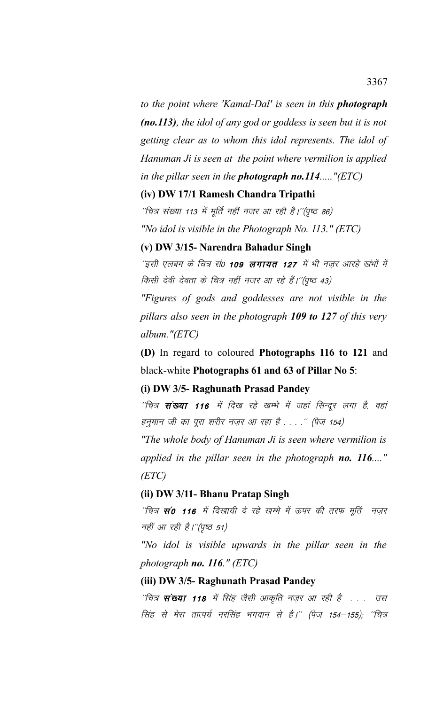*to the point where 'Kamal-Dal' is seen in this photograph (no.113), the idol of any god or goddess is seen but it is not getting clear as to whom this idol represents. The idol of Hanuman Ji is seen at the point where vermilion is applied in the pillar seen in the photograph no.114....."(ETC)*

## **(iv) DW 17/1 Ramesh Chandra Tripathi**

 $^{\prime\prime}$ चित्र संख्या 113 में मूर्ति नहीं नजर आ रही है।''(पृष्ठ 86) *"No idol is visible in the Photograph No. 113." (ETC)*

### **(v) DW 3/15- Narendra Bahadur Singh**

'इसी एलबम के चित्र सं0 **109 लगायत 127** में भी नजर आरहे खंभों में किसी देवी देवता के चित्र नहीं नजर आ रहे हैं।''(पृष्ठ 43)

*"Figures of gods and goddesses are not visible in the pillars also seen in the photograph 109 to 127 of this very album."(ETC)*

**(D)** In regard to coloured **Photographs 116 to 121** and black-white **Photographs 61 and 63 of Pillar No 5**:

# **(i) DW 3/5- Raghunath Prasad Pandey**

''चित्र **संख्या 116** में दिख रहे खम्भे में जहां सिन्दूर लगा है, वहां हनुमान जी का पूरा शरीर नज़र आ रहा है . . . .'' (पेज 154)

*"The whole body of Hanuman Ji is seen where vermilion is applied in the pillar seen in the photograph no. 116...." (ETC)*

### **(ii) DW 3/11- Bhanu Pratap Singh**

''चित्र **सं0 116** में दिखायी दे रहे खम्भे में ऊपर की तरफ मूर्ति नज़र नहीं आ रही है।"(पृष्ठ 51)

*"No idol is visible upwards in the pillar seen in the photograph no. 116." (ETC)*

## **(iii) DW 3/5- Raghunath Prasad Pandey**

''चित्र **संख्या 118** में सिंह जैसी आकृति नज़र आ रही है . . . उस सिंह से मेरा तात्पर्य नरसिंह भगवान से है।'' (पेज 154–155); ''चित्र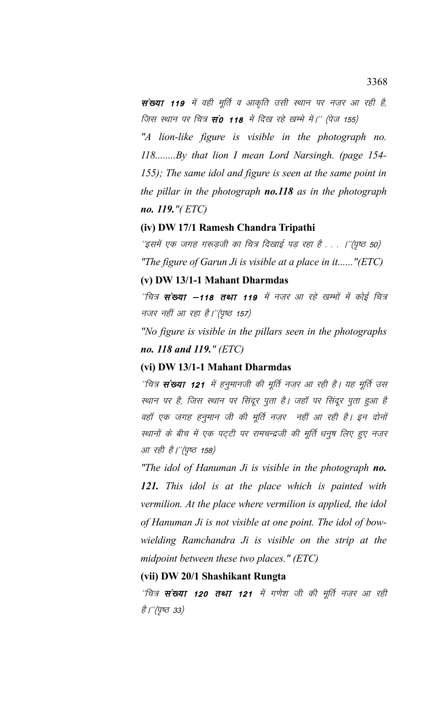संख्या 119 में वही मूर्ति व आकृति उसी स्थान पर नजर आ रही है, जिस स्थान पर चित्र **सं0 118** में दिख रहे खम्भे में।'' (पेज 155)

"A lion-like figure is visible in the photograph no. 118........By that lion I mean Lord Narsingh. (page 154-155); The same idol and figure is seen at the same point in the pillar in the photograph **no.118** as in the photograph *no.* 119." $(ETC)$ 

## (iv) DW 17/1 Ramesh Chandra Tripathi

'इसमें एक जगह गरूड़जी का चित्र दिखाई पड़ रहा है . . . ।''(पृष्ठ 50) "The figure of Garun Ji is visible at a place in it......" (ETC)

## (v) DW 13/1-1 Mahant Dharmdas

''चित्र **संख्या –118 तथा 119** में नज़र आ रहे खम्मों में कोई चित्र नजर नहीं आ रहा है।"(पृष्ठ 157)

"No figure is visible in the pillars seen in the photographs no. 118 and 119." (ETC)

# (vi) DW 13/1-1 Mahant Dharmdas

''चित्र **संख्या 121** में हनुमानजी की मूर्ति नज़र आ रही है। यह मूर्ति उस स्थान पर है, जिस स्थान पर सिंदूर पूता है। जहाँ पर सिंदूर पूता हुआ है वहाँ एक जगह हनुमान जी की मूर्ति नज़र नहीं आ रही है। इन दोनों स्थानों के बीच में एक पट्टी पर रामचन्द्रजी की मूर्ति धनुष लिए हुए नज़र आ रही है।''(पृष्ठ 158)

"The idol of Hanuman Ji is visible in the photograph no. 121. This idol is at the place which is painted with vermilion. At the place where vermilion is applied, the idol of Hanuman Ji is not visible at one point. The idol of bowwielding Ramchandra Ji is visible on the strip at the midpoint between these two places."  $(ETC)$ 

## (vii) DW 20/1 Shashikant Rungta

''चित्र **संख्या 120 तथा 121** में गणेश जी की मूर्ति नज़र आ रही *है।"(पुष्ठ 33)*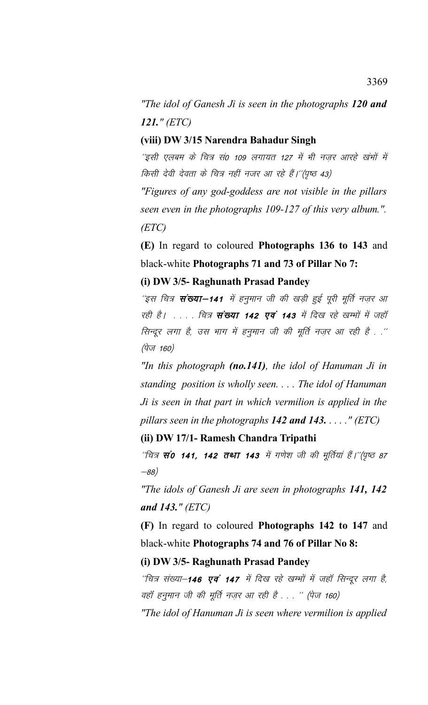"The idol of Ganesh Ji is seen in the photographs  $120$  and  $121.$ " (ETC)

# (viii) DW 3/15 Narendra Bahadur Singh

''इसी एलबम के चित्र सं0 109 लगायत 127 में भी नज़र आरहे खंभों में किसी देवी देवता के चित्र नहीं नजर आ रहे हैं।''(पृष्ठ 43)

"Figures of any god-goddess are not visible in the pillars" seen even in the photographs 109-127 of this very album.".  $(ETC)$ 

(E) In regard to coloured Photographs 136 to 143 and black-white Photographs 71 and 73 of Pillar No 7:

# (i) DW 3/5- Raghunath Prasad Pandey

''इस चित्र **संख्या–141** में हनुमान जी की खड़ी हुई पुरी मूर्ति नजर आ रही है। . . . . चित्र संख्या 142 एवं 143 में दिख रहे खम्भों में जहाँ सिन्दूर लगा है, उस भाग में हनुमान जी की मूर्ति नज़र आ रही है . .'' (पेज 160)

"In this photograph  $(no.141)$ , the idol of Hanuman Ji in standing position is wholly seen.... The idol of Hanuman Ji is seen in that part in which vermilion is applied in the pillars seen in the photographs 142 and 143.  $\ldots$  " (ETC)

## (ii) DW 17/1- Ramesh Chandra Tripathi

''चित्र **सं0 141, 142 तथा 143** में गणेश जी की मूर्तियां हैं।''(पृष्ठ 87  $-88)$ 

"The idols of Ganesh Ji are seen in photographs 141, 142 and 143."  $(ETC)$ 

(F) In regard to coloured Photographs 142 to 147 and black-white Photographs 74 and 76 of Pillar No 8:

(i) DW 3/5- Raghunath Prasad Pandey

''चित्र संख्या–**146 एवं 147** में दिख रहे खम्भों में जहॉ सिन्दूर लगा है, वहॉ हनुमान जी की मूर्ति नज़र आ रही है . . . '' (पेज 160)

"The idol of Hanuman Ji is seen where vermilion is applied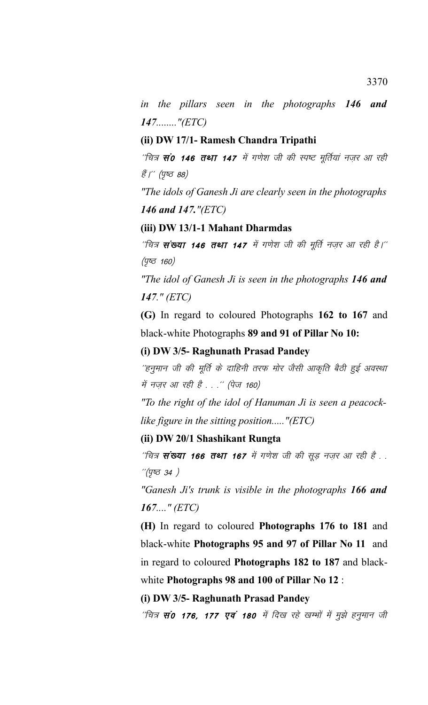*in the pillars seen in the photographs 146 and 147........"(ETC)*

# **(ii) DW 17/1- Ramesh Chandra Tripathi**

''चित्र **सं0 146 तथा 147** में गणेश जी की स्पष्ट मूर्तियां नज़र आ रही हैं।'' (पृष्ठ 88)

*"The idols of Ganesh Ji are clearly seen in the photographs 146 and 147."(ETC)*

# **(iii) DW 13/1-1 Mahant Dharmdas**

 $^{\prime\prime}$ चित्र **संख्या 146 तथा 147** में गणेश जी की मूर्ति नज़र आ रही है।''  $(y$  $\sigma$  160)

*"The idol of Ganesh Ji is seen in the photographs 146 and 147." (ETC)*

**(G)** In regard to coloured Photographs **162 to 167** and black-white Photographs **89 and 91 of Pillar No 10:**

# **(i) DW 3/5- Raghunath Prasad Pandey**

''हनुमान जी की मूर्ति के दाहिनी तरफ मोर जैसी आकृति बैठी हुई अवस्था में नज़र आ रही है . . .'' (पेज 160)

*"To the right of the idol of Hanuman Ji is seen a peacocklike figure in the sitting position....."(ETC)*

# **(ii) DW 20/1 Shashikant Rungta**

''चित्र **संख्या 166 तथा 167** में गणेश जी की सूड़ नज़र आ रही है . .  $''$ (पृष्ठ 34)

*"Ganesh Ji's trunk is visible in the photographs 166 and 167...." (ETC)*

**(H)** In regard to coloured **Photographs 176 to 181** and black-white **Photographs 95 and 97 of Pillar No 11** and in regard to coloured **Photographs 182 to 187** and blackwhite **Photographs 98 and 100 of Pillar No 12** :

### **(i) DW 3/5- Raghunath Prasad Pandey**

"चित्र **सं0 176, 177 एवं 180** में दिख रहे खम्भों में मुझे हनुमान जी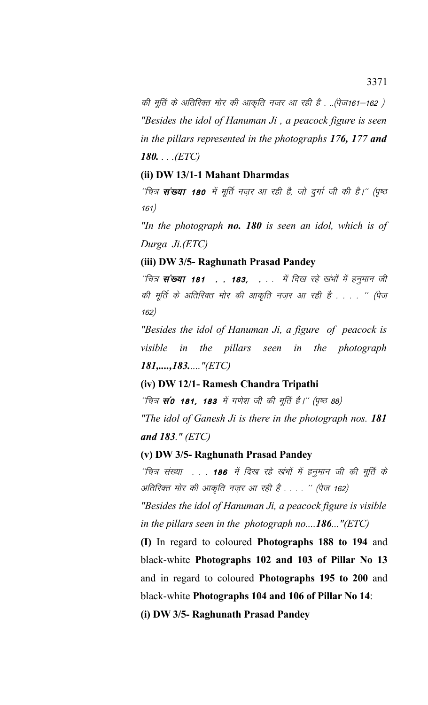की मूर्ति के अतिरिक्त मोर की आकृति नजर आ रही है . ..(पेज161–162 ) *"Besides the idol of Hanuman Ji , a peacock figure is seen in the pillars represented in the photographs 176, 177 and 180. . . .(ETC)*

# **(ii) DW 13/1-1 Mahant Dharmdas**

''चित्र **संख्या 180** में मूर्ति नज़र आ रही है, जो दुर्गा जी की है।'' (पृष्ठ 161)

*"In the photograph no. 180 is seen an idol, which is of Durga Ji.(ETC)*

**(iii) DW 3/5- Raghunath Prasad Pandey**

 $\hat{z}$ चित्र **संख्या 181 . . 183, .** . . में दिख रहे खंभों में हनुमान जी की मूर्ति के अतिरिक्त मोर की आकृति नज़र आ रही है . . . . '' (पेज 162½

*"Besides the idol of Hanuman Ji, a figure of peacock is visible in the pillars seen in the photograph 181,....,183....."(ETC)*

# **(iv) DW 12/1- Ramesh Chandra Tripathi**

 $^{\prime\prime}$ चित्र **स** $\dot{\bm v}$  **181, 183** में गणेश जी की मूर्ति है।'' (पृष्ठ 88) *"The idol of Ganesh Ji is there in the photograph nos. 181 and 183." (ETC)*

**(v) DW 3/5- Raghunath Prasad Pandey**

''चित्र संख्या . . . 186 में दिख रहे खंभों में हनुमान जी की मूर्ति के अतिरिक्त मोर की आकृति नज़र आ रही है . . . . '' (पेज 162)

*"Besides the idol of Hanuman Ji, a peacock figure is visible in the pillars seen in the photograph no....186..."(ETC)*

**(I)** In regard to coloured **Photographs 188 to 194** and black-white **Photographs 102 and 103 of Pillar No 13** and in regard to coloured **Photographs 195 to 200** and black-white **Photographs 104 and 106 of Pillar No 14**:

**(i) DW 3/5- Raghunath Prasad Pandey**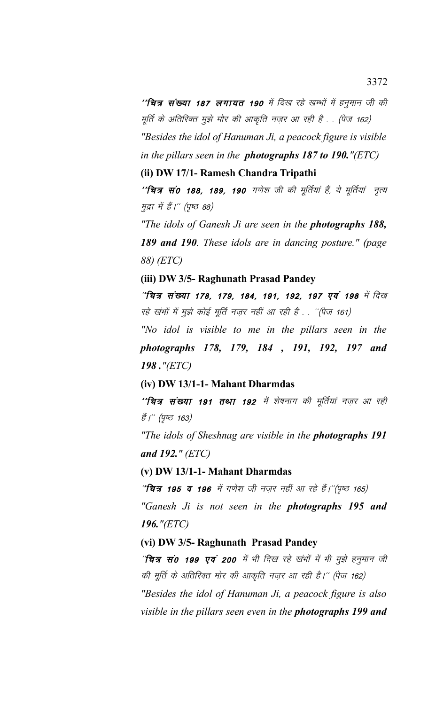''**चित्र संख्या 187 लगायत 190** में दिख रहे खम्भों में हनुमान जी की मूर्ति के अतिरिक्त मुझे मोर की आकृति नज़र आ रही है . . (पेज 162) *"Besides the idol of Hanuman Ji, a peacock figure is visible in the pillars seen in the photographs 187 to 190."(ETC)*

#### **(ii) DW 17/1- Ramesh Chandra Tripathi**

''**चित्र सं0 188, 189, 190** गणेश जी की मूर्तियां हैं, ये मूर्तियां नृत्य मुद्रा में हैं।" (पृष्ठ 88)

*"The idols of Ganesh Ji are seen in the photographs 188, 189 and 190. These idols are in dancing posture." (page 88) (ETC)*

**(iii) DW 3/5- Raghunath Prasad Pandey**

"चित्र संख्या 178, 179, 184, 191, 192, 197 एवं 198 में दिख रहे खंभों में मुझे कोई मूर्ति नज़र नहीं आ रही है . . ''(पेज 161)

*"No idol is visible to me in the pillars seen in the photographs 178, 179, 184 , 191, 192, 197 and 198 ."(ETC)* 

### **(iv) DW 13/1-1- Mahant Dharmdas**

''**चित्र संख्या 191 तथा 192** में शेषनाग की मूर्तियां नज़र आ रही हैं।'' (पृष्ठ 163)

*"The idols of Sheshnag are visible in the photographs 191 and 192." (ETC)*

#### **(v) DW 13/1-1- Mahant Dharmdas**

 $^{\prime\prime}$ चित्र 195 व 196 में गणेश जी नज़र नहीं आ रहे हैं।''(पृष्ठ 165) *"Ganesh Ji is not seen in the photographs 195 and 196."(ETC)*

## **(vi) DW 3/5- Raghunath Prasad Pandey**

^**चित्र सं0 199 एवं 200** में भी दिख रहे खंभों में भी मुझे हनुमान जी की मूर्ति के अतिरिक्त मोर की आकृति नज़र आ रही है।'' (पेज 162) *"Besides the idol of Hanuman Ji, a peacock figure is also visible in the pillars seen even in the photographs 199 and*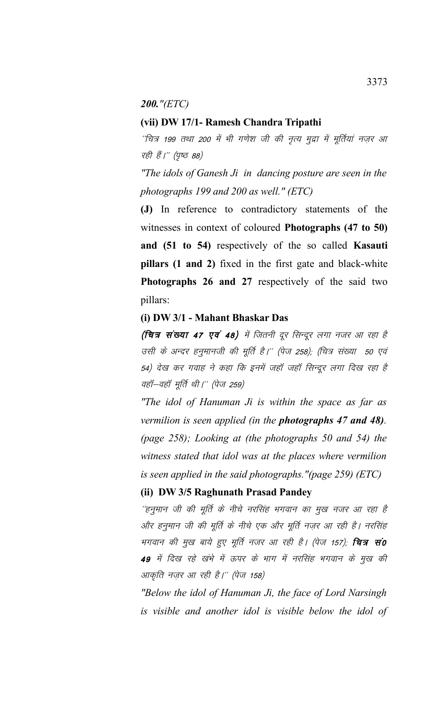#### *200."(ETC)*

### **(vii) DW 17/1- Ramesh Chandra Tripathi**

 $^\prime$ चित्र 199 तथा 200 में भी गणेश जी की नृत्य मुद्रा में मूर्तियां नज़र आ रही हैं।'' (पृष्ठ 88)

*"The idols of Ganesh Ji in dancing posture are seen in the photographs 199 and 200 as well." (ETC)*

**(J)** In reference to contradictory statements of the witnesses in context of coloured **Photographs (47 to 50) and (51 to 54)** respectively of the so called **Kasauti pillars (1 and 2)** fixed in the first gate and black-white **Photographs 26 and 27** respectively of the said two pillars:

### **(i) DW 3/1 - Mahant Bhaskar Das**

(चित्र संख्या 47 एवं 48) में जितनी दूर सिन्दूर लगा नजर आ रहा है उसी के अन्दर हनुमानजी की मूर्ति है।'' (पेज 258); (चित्र संख्या 50 एवं 54) देख कर गवाह ने कहा कि इनमें जहाँ जहाँ सिन्दूर लगा दिख रहा है वहॉ–वहॉ मूर्ति थी।'' (पेज 259)

*"The idol of Hanuman Ji is within the space as far as vermilion is seen applied (in the photographs 47 and 48). (page 258); Looking at (the photographs 50 and 54) the witness stated that idol was at the places where vermilion is seen applied in the said photographs."(page 259) (ETC)*

## **(ii) DW 3/5 Raghunath Prasad Pandey**

''हनुमान जी की मूर्ति के नीचे नरसिंह भगवान का मुख नजर आ रहा है और हनुमान जी की मूर्ति के नीचे एक और मूर्ति नज़र आ रही है। नरसिंह भगवान की मुख बाये हुए मूर्ति नजर आ रही है। (पेज 157); **चित्र सं0** 49 में दिख रहे खंभे में ऊपर के भाग में नरसिंह भगवान के मुख की आकृति नज़र आ रही है।'' (पेज 158)

*"Below the idol of Hanuman Ji, the face of Lord Narsingh is visible and another idol is visible below the idol of*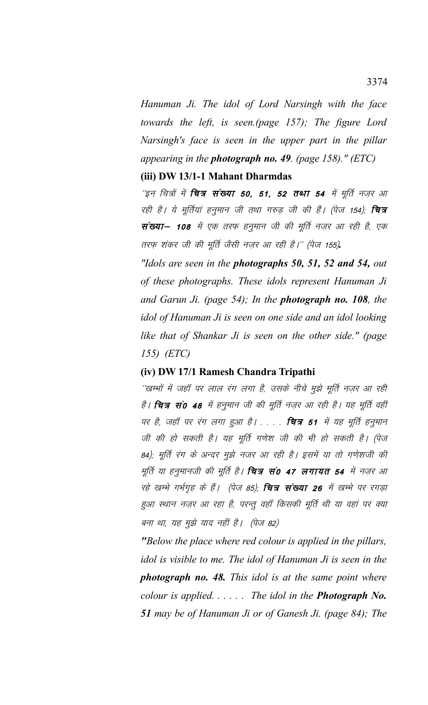*Hanuman Ji. The idol of Lord Narsingh with the face towards the left, is seen.(page 157); The figure Lord Narsingh's face is seen in the upper part in the pillar appearing in the photograph no. 49. (page 158)." (ETC)*

# **(iii) DW 13/1-1 Mahant Dharmdas**

 $\tilde{z}$ इन चित्रों में **चित्र संख्या 50, 51, 52 तथा 54** में मूर्ति नज़र आ रही है। ये मूर्तियां हनुमान जी तथा गरुड़ जी की हैं। (पेज 154); **चित्र** संख्या– 108 में एक तरफ हनुमान जी की मूर्ति नज़र आ रही है, एक तरफ़ शंकर जी की मूर्ति जैसी नज़र आ रही है।'' (पेज 155).

*"Idols are seen in the photographs 50, 51, 52 and 54, out of these photographs. These idols represent Hanuman Ji and Garun Ji. (page 54); In the photograph no. 108, the idol of Hanuman Ji is seen on one side and an idol looking like that of Shankar Ji is seen on the other side." (page 155) (ETC)*

# **(iv) DW 17/1 Ramesh Chandra Tripathi**

''खम्भों में जहाँ पर लाल रंग लगा है, उसके नीचे मुझे मूर्ति नज़र आ रही है। **चित्र सं0 48** में हनुमान जी की मूर्ति नज़र आ रही है। यह मूर्ति वहीं पर है, जहाँ पर रंग लगा हुआ है। . . . . **चित्र 51** में यह मूर्ति हनुमान जी की हो सकती है। यह मूर्ति गणेश जी की भी हो सकती है। (पेज 84); मूर्ति रंग के अन्दर मुझे नजर आ रही है। इसमें या तो गणेशजी की मूर्ति या हनुमानजी की मूर्ति है। **चित्र सं0 47 लगायत 54** में नज़र आ रहे खम्भे गर्भगृह के हैं। (पेज 85), **चित्र संख्या 26** में खम्भे पर रगड़ा हुआ स्थान नज़र आ रहा है, परन्तू वहाँ किसकी मूर्ति थी या वहां पर क्या बना था, यह मुझे याद नहीं है। (पेज 82)

*"Below the place where red colour is applied in the pillars, idol is visible to me. The idol of Hanuman Ji is seen in the photograph no. 48. This idol is at the same point where colour is applied. . . . . . The idol in the Photograph No. 51 may be of Hanuman Ji or of Ganesh Ji. (page 84); The*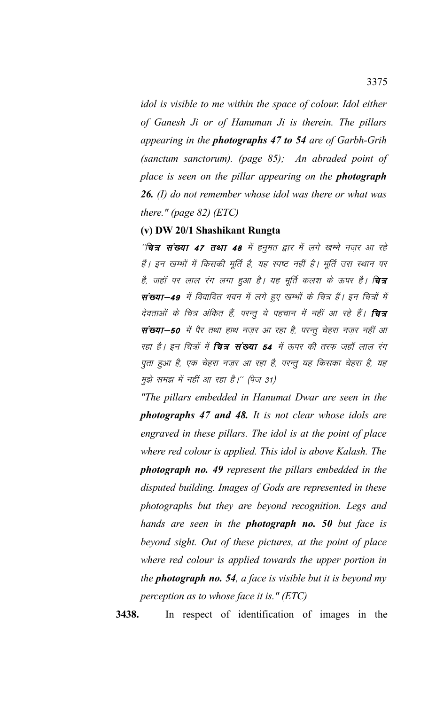*idol is visible to me within the space of colour. Idol either of Ganesh Ji or of Hanuman Ji is therein. The pillars appearing in the photographs 47 to 54 are of Garbh-Grih (sanctum sanctorum). (page 85); An abraded point of place is seen on the pillar appearing on the photograph 26. (I) do not remember whose idol was there or what was there." (page 82) (ETC)*

### **(v) DW 20/1 Shashikant Rungta**

''चि**त्र संख्या 47 तथा 48** में हनुमत द्वार में लगे खम्भे नज़र आ रहे हैं। इन खम्भों में किसकी मूर्ति है, यह स्पष्ट नहीं है। मूर्ति उस स्थान पर है, जहॉ पर लाल रंग लगा हुआ है। यह मूर्ति कलश के ऊपर है। **चित्र** संख्या-49 में विवादित भवन में लगे हुए खम्भों के चित्र हैं। इन चित्रों में देवताओं के चित्र अंकित हैं, परन्तु ये पहचान में नहीं आ रहे हैं। **चित्र** संख्या-50 में पैर तथा हाथ नज़र आ रहा है, परन्तू चेहरा नज़र नहीं आ रहा है। इन चित्रों में **चित्र संख्या 54** में ऊपर की तरफ जहाँ लाल रंग पुता हुआ है, एक चेहरा नज़र आ रहा है, परन्तु यह किसका चेहरा है, यह मुझे समझ में नहीं आ रहा है।'' (पेज 31)

*"The pillars embedded in Hanumat Dwar are seen in the photographs 47 and 48. It is not clear whose idols are engraved in these pillars. The idol is at the point of place where red colour is applied. This idol is above Kalash. The photograph no. 49 represent the pillars embedded in the disputed building. Images of Gods are represented in these photographs but they are beyond recognition. Legs and hands are seen in the photograph no. 50 but face is beyond sight. Out of these pictures, at the point of place where red colour is applied towards the upper portion in the photograph no. 54, a face is visible but it is beyond my perception as to whose face it is." (ETC)*

**3438.** In respect of identification of images in the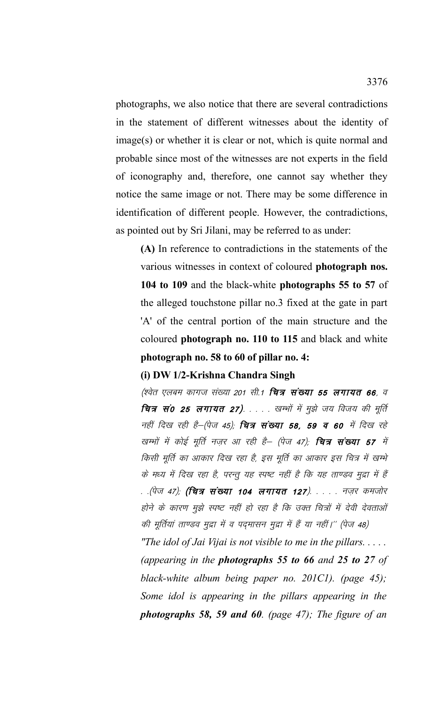photographs, we also notice that there are several contradictions in the statement of different witnesses about the identity of image(s) or whether it is clear or not, which is quite normal and probable since most of the witnesses are not experts in the field of iconography and, therefore, one cannot say whether they notice the same image or not. There may be some difference in identification of different people. However, the contradictions, as pointed out by Sri Jilani, may be referred to as under:

(A) In reference to contradictions in the statements of the various witnesses in context of coloured photograph nos. 104 to 109 and the black-white photographs 55 to 57 of the alleged touchstone pillar no.3 fixed at the gate in part 'A' of the central portion of the main structure and the coloured photograph no. 110 to 115 and black and white photograph no. 58 to 60 of pillar no. 4:

# (i) DW 1/2-Krishna Chandra Singh

(श्वेत एलबम कागज संख्या 201 सी.1 **चित्र संख्या 55 लगायत 66**, व चित्र सं0 25 लगायत 27). . . . . खम्भों में मुझे जय विजय की मूर्ति नहीं दिख रही है-(पेज 45); **चित्र संख्या 58, 59 व 60** में दिख रहे खम्भों में कोई मूर्ति नज़र आ रही है– (पेज 47); **चित्र संख्या 57** में किसी मूर्ति का आकार दिख रहा है, इस मूर्ति का आकार इस चित्र में खम्भे के मध्य में दिख रहा है, परन्तु यह स्पष्ट नहीं है कि यह ताण्डव मुद्रा में हैं . .(पेज 47); **(चित्र संख्या 104 लगायत 127**). . . . . नज़र कमजोर होने के कारण मुझे स्पष्ट नहीं हो रहा है कि उक्त चित्रों में देवी देवताओं की मूर्तियां ताण्डव मुद्रा में व पदमासन मुद्रा में हैं या नहीं।'' (पेज 48)

"The idol of Jai Vijai is not visible to me in the pillars..... (appearing in the **photographs 55 to 66** and 25 to 27 of black-white album being paper no.  $201Cl$ ). (page 45); Some idol is appearing in the pillars appearing in the photographs 58, 59 and 60. (page 47); The figure of an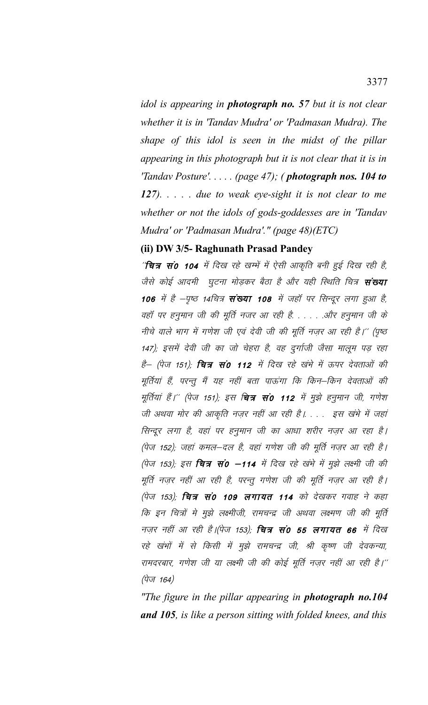idol is appearing in **photograph no.** 57 but it is not clear whether it is in 'Tandav Mudra' or 'Padmasan Mudra). The shape of this idol is seen in the midst of the pillar appearing in this photograph but it is not clear that it is in *'Tandav Posture'.....* (page 47); (**photograph nos. 104 to** 127).  $\ldots$  due to weak eye-sight it is not clear to me whether or not the idols of gods-goddesses are in 'Tandav Mudra' or 'Padmasan Mudra'." (page 48)(ETC)

# (ii) DW 3/5- Raghunath Prasad Pandey

''चित्र सं0 104 में दिख रहे खम्भें में ऐसी आकृति बनी हुई दिख रही है, जैसे कोई आदमी घुटना मोड़कर बैठा है और यही स्थिति चित्र **संख्या** 106 में है -पृष्ठ 14चित्र संख्या 108 में जहाँ पर सिन्दूर लगा हुआ है, वहॉ पर हनुमान जी की मूर्ति नजर आ रही है. . . . . .और हनुमान जी के नीचे वाले भाग में गणेश जी एवं देवी जी की मूर्ति नज़र आ रही है।'' (पृष्ठ 147); इसमें देवी जी का जो चेहरा है, वह दुर्गाजी जैसा मालूम पड़ रहा है– (पेज 151); **चित्र सं0 112** में दिख रहे खंभे में ऊपर देवताओं की मूर्तियां हैं, परन्तु मैं यह नहीं बता पाऊंगा कि किन–किन देवताओं की मूर्तियां हैं।'' (पेज 151); इस **चित्र सं0 112** में मुझे हनुमान जी, गणेश जी अथवा मोर की आकृति नज़र नहीं आ रही है। . . . इस खंभे में जहां सिन्दूर लगा है, वहां पर हनुमान जी का आधा शरीर नज़र आ रहा है। (पेज 152); जहां कमल-दल है, वहां गणेश जी की मूर्ति नज़र आ रही है। (पेज 153), इस **चित्र सं0 -114** में दिख रहे खंभे में मुझे लक्ष्मी जी की मूर्ति नज़र नहीं आ रही है, परन्तु गणेश जी की मूर्ति नज़र आ रही है। (पेज 153); **चित्र सं0 109 लगायत 114** को देखकर गवाह ने कहा कि इन चित्रों मे मुझे लक्ष्मीजी, रामचन्द्र जी अथवा लक्ष्मण जी की मूर्ति नज़र नहीं आ रही है।(पेज 153); **चित्र सं0 55 लगायत 66** में दिख रहे खंभों में से किसी में मुझे रामचन्द्र जी, श्री कृष्ण जी देवकन्या, रामदरबार, गणेश जी या लक्ष्मी जी की कोई मूर्ति नज़र नहीं आ रही है।''  $(\dot{\vec{q}}\vec{v}$  164)

"The figure in the pillar appearing in **photograph no.104** and 105, is like a person sitting with folded knees, and this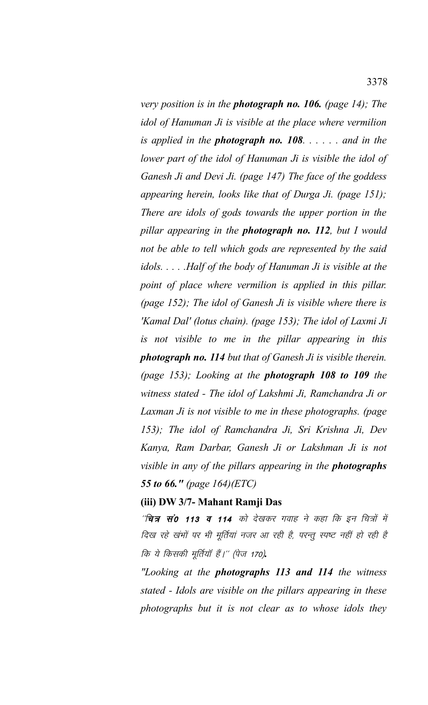*very position is in the photograph no. 106. (page 14); The idol of Hanuman Ji is visible at the place where vermilion is applied in the photograph no. 108. . . . . . and in the lower part of the idol of Hanuman Ji is visible the idol of Ganesh Ji and Devi Ji. (page 147) The face of the goddess appearing herein, looks like that of Durga Ji. (page 151); There are idols of gods towards the upper portion in the pillar appearing in the photograph no. 112, but I would not be able to tell which gods are represented by the said idols. . . . .Half of the body of Hanuman Ji is visible at the point of place where vermilion is applied in this pillar. (page 152); The idol of Ganesh Ji is visible where there is 'Kamal Dal' (lotus chain). (page 153); The idol of Laxmi Ji is not visible to me in the pillar appearing in this photograph no. 114 but that of Ganesh Ji is visible therein. (page 153); Looking at the photograph 108 to 109 the witness stated - The idol of Lakshmi Ji, Ramchandra Ji or Laxman Ji is not visible to me in these photographs. (page 153); The idol of Ramchandra Ji, Sri Krishna Ji, Dev Kanya, Ram Darbar, Ganesh Ji or Lakshman Ji is not visible in any of the pillars appearing in the photographs 55 to 66." (page 164)(ETC)*

#### **(iii) DW 3/7- Mahant Ramji Das**

''चित्र सं0 113 व 114 को देखकर गवाह ने कहा कि इन चित्रों में दिख रहे खंभों पर भी मूर्तियां नजर आ रही है, परन्तू स्पष्ट नहीं हो रही है *कि ये किसकी मूर्तियॉ हैं।'' (पेज 170).* 

*"Looking at the photographs 113 and 114 the witness stated - Idols are visible on the pillars appearing in these photographs but it is not clear as to whose idols they*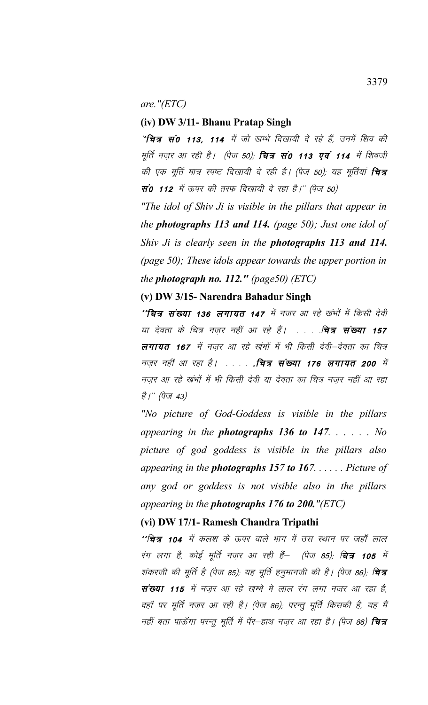are." $(ETC)$ 

## (iv) DW 3/11- Bhanu Pratap Singh

"चित्र सं0 113, 114 में जो खम्भे दिखायी दे रहे हैं, उनमें शिव की मूर्ति नज़र आ रही है। (पेज 50); **चित्र सं0 113 एवं 114** में शिवजी की एक मूर्ति मात्र स्पष्ट दिखायी दे रही है। (पेज 50); यह मूर्तियां **चित्र सं0 112** में ऊपर की तरफ दिखायी दे रहा है।'' (पेज 50)

"The idol of Shiv Ji is visible in the pillars that appear in the **photographs 113 and 114.** (page 50); Just one idol of Shiv Ji is clearly seen in the **photographs 113 and 114.** (page 50); These idols appear towards the upper portion in the photograph no. 112." (page50)  $(ETC)$ 

### (v) DW 3/15- Narendra Bahadur Singh

''चित्र संख्या 136 लगायत 147 में नजर आ रहे खंभों में किसी देवी या देवता के चित्र नज़र नहीं आ रहे हैं। . . . . . चित्र संख्या 157 लगायत 167 में नजर आ रहे खंभों में भी किसी देवी–देवता का चित्र नज़र नहीं आ रहा है। . . . . . . वित्र संख्या 176 लगायत 200 में नज़र आ रहे खंभों में भी किसी देवी या देवता का चित्र नज़र नहीं आ रहा है।'' (पेज 43)

"No picture of God-Goddess is visible in the pillars appearing in the **photographs 136 to 147.**  $\ldots$   $\ldots$  No picture of god goddess is visible in the pillars also appearing in the **photographs 157 to 167**...... Picture of any god or goddess is not visible also in the pillars appearing in the **photographs**  $176$  to  $200$ ."(ETC)

## (vi) DW 17/1- Ramesh Chandra Tripathi

''चित्र 104 में कलश के ऊपर वाले भाग में उस स्थान पर जहाँ लाल रंग लगा है, कोई मूर्ति नज़र आ रही हैं— (पेज 85); **चित्र 105** में शंकरजी की मूर्ति है (पेज 85); यह मूर्ति हनुमानजी की है। (पेज 86); **चित्र** संख्या 115 में नज़र आ रहे खम्भे मे लाल रंग लगा नजर आ रहा है, वहॉ पर मूर्ति नज़र आ रही है। (पेज 86); परन्तु मूर्ति किसकी है, यह मैं नहीं बता पाऊँगा परन्तु मूर्ति में पॅर–हाथ नज़र आ रहा है। (पेज 86) **चित्र**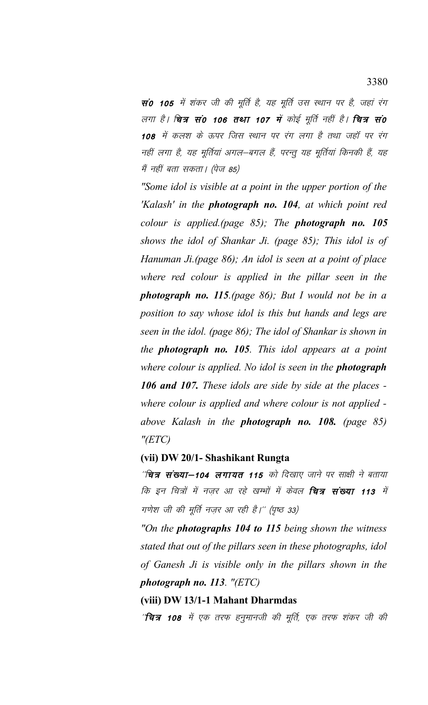सं0 105 में शंकर जी की मूर्ति है, यह मूर्ति उस स्थान पर है, जहां रंग लगा है। **चित्र सं0 106 तथा 107 में** कोई मूर्ति नहीं है। **चित्र सं0** 108 में कलश के ऊपर जिस स्थान पर रंग लगा है तथा जहाँ पर रंग नहीं लगा है, यह मूर्तियां अगल—बगल हैं, परन्तु यह मूर्तियां किनकी हैं, यह मैं नहीं बता सकता। (पेज 85)

*"Some idol is visible at a point in the upper portion of the 'Kalash' in the photograph no. 104, at which point red colour is applied.(page 85); The photograph no. 105 shows the idol of Shankar Ji. (page 85); This idol is of Hanuman Ji.(page 86); An idol is seen at a point of place where red colour is applied in the pillar seen in the photograph no. 115.(page 86); But I would not be in a position to say whose idol is this but hands and legs are seen in the idol. (page 86); The idol of Shankar is shown in the photograph no. 105. This idol appears at a point where colour is applied. No idol is seen in the photograph 106 and 107. These idols are side by side at the places where colour is applied and where colour is not applied above Kalash in the photograph no. 108. (page 85) "(ETC)* 

### **(vii) DW 20/1- Shashikant Rungta**

''चित्र संख्या—104 लगायत 115 को दिखाए जाने पर साक्षी ने बताया कि इन चित्रों में नज़र आ रहे खम्भों में केवल **चित्र संख्या 113** में गणेश जी की मूर्ति नज़र आ रही है।'' (पृष्ठ 33)

*"On the photographs 104 to 115 being shown the witness stated that out of the pillars seen in these photographs, idol of Ganesh Ji is visible only in the pillars shown in the photograph no. 113. "(ETC)*

**(viii) DW 13/1-1 Mahant Dharmdas**

'**'चित्र 108** में एक तरफ हनुमानजी की मूर्ति, एक तरफ शंकर जी की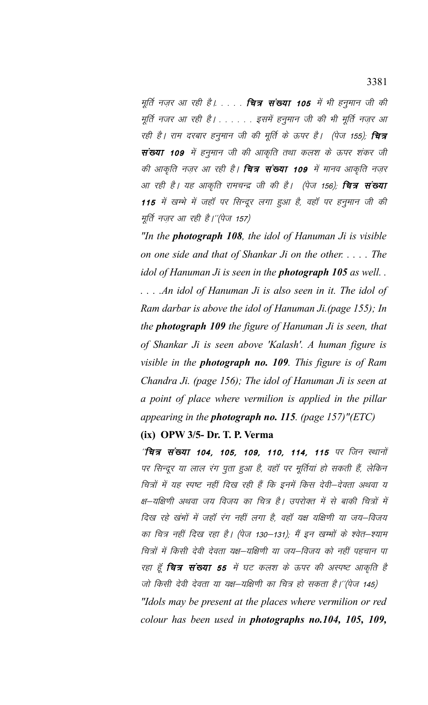मूर्ति नज़र आ रही है। . . . . **चित्र संख्या 105** में भी हनुमान जी की मूर्ति नजर आ रही है। . . . . . इसमें हनुमान जी की भी मूर्ति नज़र आ रही है। राम दरबार हनुमान जी की मूर्ति के ऊपर है। (पेज 155); **चित्र** संख्या 109 में हनुमान जी की आकृति तथा कलश के ऊपर शंकर जी की आकृति नज़र आ रही है। **चित्र संख्या 109** में मानव आकृति नज़र आ रही है। यह आकृति रामचन्द्र जी की है। (पेज 156); **चित्र संख्या** 115 में खम्भे में जहाँ पर सिन्दूर लगा हुआ है, वहाँ पर हनुमान जी की मूर्ति नज़र आ रही है।"(पेज 157)

*"In the photograph 108, the idol of Hanuman Ji is visible on one side and that of Shankar Ji on the other. . . . . The idol of Hanuman Ji is seen in the photograph 105 as well. . . . . .An idol of Hanuman Ji is also seen in it. The idol of Ram darbar is above the idol of Hanuman Ji.(page 155); In the photograph 109 the figure of Hanuman Ji is seen, that of Shankar Ji is seen above 'Kalash'. A human figure is visible in the photograph no. 109. This figure is of Ram Chandra Ji. (page 156); The idol of Hanuman Ji is seen at a point of place where vermilion is applied in the pillar appearing in the photograph no. 115. (page 157)"(ETC)*

# **(ix) OPW 3/5- Dr. T. P. Verma**

 $\hat{z}$ चित्र संख्या 104, 105, 109, 110, 114, 115 पर जिन स्थानों पर सिन्दूर या लाल रंग पूता हुआ है, वहाँ पर मूर्तियां हो सकती हैं, लेकिन चित्रों में यह स्पष्ट नहीं दिख रही हैं कि इनमें किस देवी-देवता अथवा य क्ष-यक्षिणी अथवा जय विजय का चित्र है। उपरोक्त में से बाकी चित्रों में दिख रहे खंभों में जहाँ रंग नहीं लगा है, वहाँ यक्ष यक्षिणी या जय–विजय का चित्र नहीं दिख रहा है। (पेज 130–131); मैं इन खम्भों के श्वेत–श्याम चित्रों में किसी देवी देवता यक्ष–यक्षिणी या जय–विजय को नहीं पहचान पा रहा हूँ **चित्र संख्या 55** में घट कलश के ऊपर की अस्पष्ट आकृति है जो किसी देवी देवता या यक्ष—यक्षिणी का चित्र हो सकता है।''(पेज 145) *"Idols may be present at the places where vermilion or red colour has been used in photographs no.104, 105, 109,*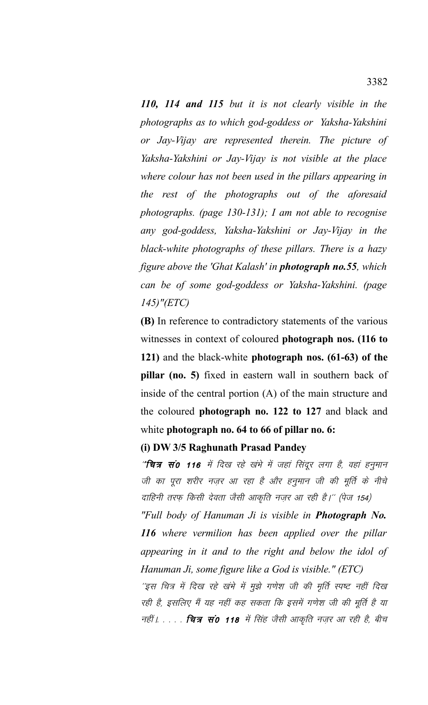*110, 114 and 115 but it is not clearly visible in the photographs as to which god-goddess or Yaksha-Yakshini or Jay-Vijay are represented therein. The picture of Yaksha-Yakshini or Jay-Vijay is not visible at the place where colour has not been used in the pillars appearing in the rest of the photographs out of the aforesaid photographs. (page 130-131); I am not able to recognise any god-goddess, Yaksha-Yakshini or Jay-Vijay in the black-white photographs of these pillars. There is a hazy figure above the 'Ghat Kalash' in photograph no.55, which can be of some god-goddess or Yaksha-Yakshini. (page 145)"(ETC)*

**(B)** In reference to contradictory statements of the various witnesses in context of coloured **photograph nos. (116 to 121)** and the black-white **photograph nos. (61-63) of the pillar (no. 5)** fixed in eastern wall in southern back of inside of the central portion (A) of the main structure and the coloured **photograph no. 122 to 127** and black and white **photograph no. 64 to 66 of pillar no. 6:**

### **(i) DW 3/5 Raghunath Prasad Pandey**

"**चित्र सं0 116** में दिख रहे खंभे में जहां सिंदूर लगा है, वहां हनुमान जी का पूरा शरीर नज़र आ रहा है और हनुमान जी की मूर्ति के नीचे दाहिनी तरफ़ किसी देवता जैसी आकृति नज़र आ रही है।'' (पेज 154)

*"Full body of Hanuman Ji is visible in Photograph No. 116 where vermilion has been applied over the pillar appearing in it and to the right and below the idol of Hanuman Ji, some figure like a God is visible." (ETC)* 

'इस चित्र में दिख रहे खंभे में मुझे गणेश जी की मृर्ति स्पष्ट नहीं दिख रही है, इसलिए मैं यह नहीं कह सकता कि इसमें गणेश जी की मूर्ति है या नहीं | . . . . **चित्र सं0 118** में सिंह जैसी आकृति नज़र आ रही है, बीच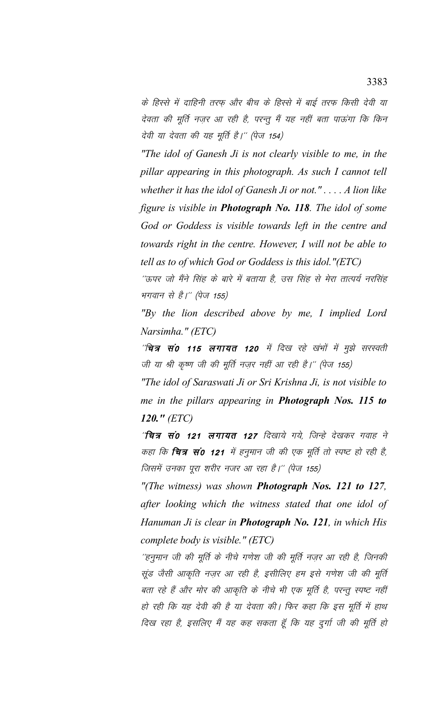के हिस्से में दाहिनी तरफ और बीच के हिस्से में बाई तरफ किसी देवी या देवता की मूर्ति नज़र आ रही है, परन्तु मैं यह नहीं बता पाऊंगा कि किन देवी या देवता की यह मूर्ति है।'' (पेज 154)

"The idol of Ganesh Ji is not clearly visible to me, in the pillar appearing in this photograph. As such I cannot tell whether it has the idol of Ganesh Ji or not.".... A lion like figure is visible in **Photograph No. 118**. The idol of some God or Goddess is visible towards left in the centre and towards right in the centre. However, I will not be able to tell as to of which God or Goddess is this idol."(ETC)

''ऊपर जो मैंने सिंह के बारे में बताया है, उस सिंह से मेरा तात्पर्य नरसिंह भगवान से है।" (पेज 155)

"By the lion described above by me, I implied Lord Narsimha." (ETC)

*''चित्र सं0 115 लगायत 120 में दिख रहे खंभों में मुझे सरस्वती* जी या श्री कृष्ण जी की मूर्ति नज़र नहीं आ रही है।" (पेज 155)

"The idol of Saraswati Ji or Sri Krishna Ji, is not visible to me in the pillars appearing in **Photograph** Nos. 115 to 120."  $(ETC)$ 

''चित्र सं0 121 लगायत 127 दिखाये गये, जिन्हे देखकर गवाह ने कहा कि **चित्र सं0 121** में हनुमान जी की एक मूर्ति तो स्पष्ट हो रही है, जिसमें उनका पूरा शरीर नजर आ रहा है।'' (पेज 155)

"(The witness) was shown **Photograph Nos. 121 to 127**, after looking which the witness stated that one idol of Hanuman Ji is clear in **Photograph No. 121**, in which His complete body is visible." (ETC)

''हनुमान जी की मूर्ति के नीचे गणेश जी की मूर्ति नज़र आ रही है, जिनकी सूंड जैसी आकृति नज़र आ रही है, इसीलिए हम इसे गणेश जी की मूर्ति बता रहे हैं और मोर की आकृति के नीचे भी एक मूर्ति है, परन्तु स्पष्ट नहीं हो रही कि यह देवी की है या देवता की। फिर कहा कि इस मूर्ति में हाथ दिख रहा है, इसलिए मैं यह कह सकता हूँ कि यह दुर्गा जी की मूर्ति हो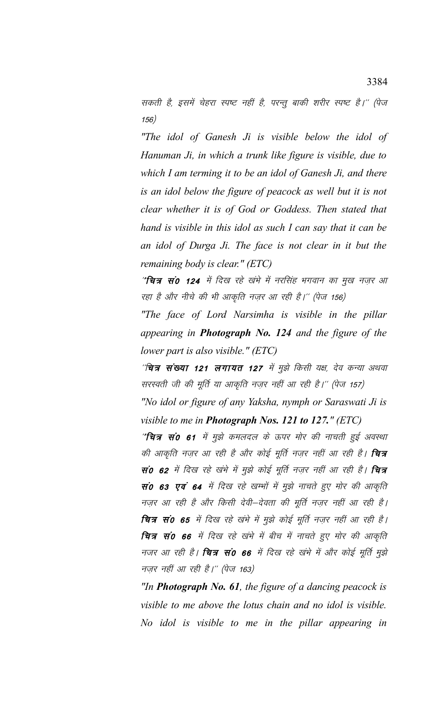सकती है, इसमें चेहरा स्पष्ट नहीं है, परन्तु बाकी शरीर स्पष्ट है।'' (पेज  $(156)$ 

"The idol of Ganesh Ji is visible below the idol of Hanuman Ji, in which a trunk like figure is visible, due to which I am terming it to be an idol of Ganesh Ji, and there is an idol below the figure of peacock as well but it is not clear whether it is of God or Goddess. Then stated that hand is visible in this idol as such I can say that it can be an idol of Durga Ji. The face is not clear in it but the remaining body is clear." (ETC)

"**चित्र सं0 124** में दिख रहे खंभे में नरसिंह भगवान का मुख नज़र आ रहा है और नीचे की भी आकृति नज़र आ रही है।'' (पेज 156)

"The face of Lord Narsimha is visible in the pillar appearing in **Photograph No. 124** and the figure of the lower part is also visible."  $(ETC)$ 

''चित्र **संख्या 121 लगायत 127** में मुझे किसी यक्ष, देव कन्या अथवा सरस्वती जी की मूर्ति या आकृति नज़र नहीं आ रही है।" (पेज 157)

"No idol or figure of any Yaksha, nymph or Saraswati Ji is visible to me in **Photograph Nos. 121 to 127.**" (ETC)

"चित्र सं0 61 में मुझे कमलदल के ऊपर मोर की नाचती हुई अवस्था की आकृति नज़र आ रही है और कोई मूर्ति नज़र नहीं आ रही है। **चित्र** सं0 62 में दिख रहे खंभे में मुझे कोई मूर्ति नज़र नहीं आ रही है। **चित्र** सं0 63 एवं 64 में दिख रहे खम्भों में मुझे नाचते हुए मोर की आकृति नज़र आ रही है और किसी देवी–देवता की मूर्ति नज़र नहीं आ रही है। चित्र सं0 65 में दिख रहे खंभे में मुझे कोई मूर्ति नज़र नहीं आ रही है। चित्र सं0 66 में दिख रहे खंभे में बीच में नाचते हुए मोर की आकृति नजर आ रही है। **चित्र सं0 66** में दिख रहे खंभे में और कोई मूर्ति मुझे नज़र नहीं आ रही है।" (पेज 163)

"In **Photograph No. 61**, the figure of a dancing peacock is visible to me above the lotus chain and no idol is visible. No idol is visible to me in the pillar appearing in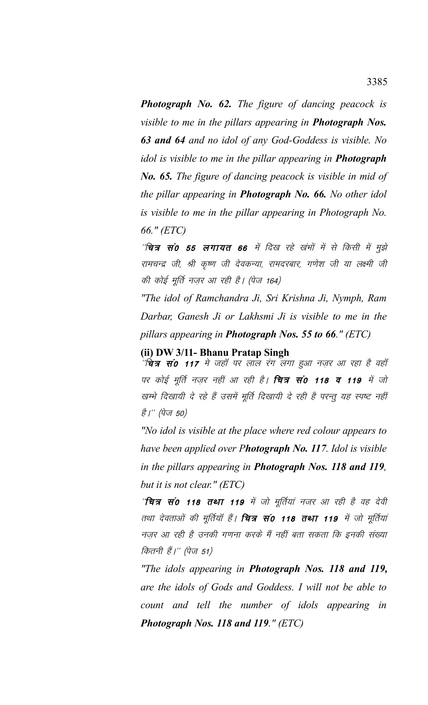*Photograph No. 62. The figure of dancing peacock is visible to me in the pillars appearing in Photograph Nos. 63 and 64 and no idol of any God-Goddess is visible. No idol is visible to me in the pillar appearing in Photograph No. 65. The figure of dancing peacock is visible in mid of the pillar appearing in Photograph No. 66. No other idol is visible to me in the pillar appearing in Photograph No. 66." (ETC)*

''चित्र सं0 55 लगायत 66 में दिख रहे खंभों में से किसी में मुझे रामचन्द्र जी, श्री कृष्ण जी देवकन्या, रामदरबार, गणेश जी या लक्ष्मी जी की कोई मूर्ति नज़र आ रही है। (पेज 164)

*"The idol of Ramchandra Ji, Sri Krishna Ji, Nymph, Ram Darbar, Ganesh Ji or Lakhsmi Ji is visible to me in the pillars appearing in Photograph Nos. 55 to 66." (ETC)*

**(ii) DW 3/11- Bhanu Pratap Singh**

''**चित्र सं0 117** मे जहाँ पर लाल रंग लगा हुआ नज़र आ रहा है वहाँ पर कोई मूर्ति नज़र नहीं आ रही है। **चित्र सं0 118 व 119** में जो खम्भे दिखायी दे रहे हैं उसमें मूर्ति दिखायी दे रही है परन्तु यह स्पष्ट नहीं *है।'' (पेज 50)* 

*"No idol is visible at the place where red colour appears to have been applied over Photograph No. 117. Idol is visible in the pillars appearing in Photograph Nos. 118 and 119, but it is not clear." (ETC)*

'**चित्र सं0 118 तथा 119** में जो मूर्तियां नजर आ रही है वह देवी तथा देवताओं की मूर्तियाँ हैं। **चित्र सं0 118 तथा 119** में जो मूर्तियां नज़र आ रही है उनकी गणना करके मैं नहीं बता सकता कि इनकी संख्या कितनी हैं।'' (पेज 51)

*"The idols appearing in Photograph Nos. 118 and 119, are the idols of Gods and Goddess. I will not be able to count and tell the number of idols appearing in Photograph Nos. 118 and 119." (ETC)*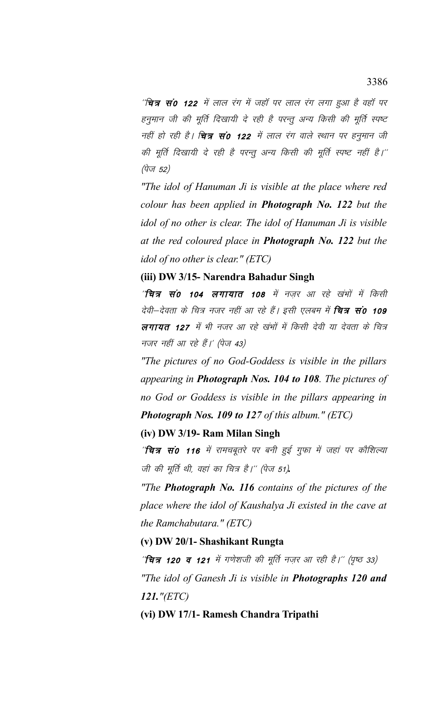''चि**त्र सं0 122** में लाल रंग में जहाँ पर लाल रंग लगा हुआ है वहाँ पर हनुमान जी की मूर्ति दिखायी दे रही है परन्तु अन्य किसी की मूर्ति स्पष्ट नहीं हो रही है। **चित्र सं0 122** में लाल रंग वाले स्थान पर हनुमान जी की मूर्ति दिखायी दे रही है परन्तु अन्य किसी की मूर्ति स्पष्ट नहीं है।'' (पेज 52)

"The idol of Hanuman Ji is visible at the place where red colour has been applied in **Photograph No. 122** but the idol of no other is clear. The idol of Hanuman Ji is visible at the red coloured place in **Photograph No. 122** but the idol of no other is clear." (ETC)

(iii) DW 3/15- Narendra Bahadur Singh

'**चित्र सं0 104 लगायात 108** में नजर आ रहे खंभों में किसी देवी—देवता के चित्र नजर नहीं आ रहे हैं। इसी एलबम में **चित्र सं0 109** लगायत 127 में भी नजर आ रहे खंभों में किसी देवी या देवता के चित्र नजर नहीं आ रहे हैं।' (पेज 43)

"The pictures of no God-Goddess is visible in the pillars" appearing in **Photograph Nos. 104 to 108**. The pictures of no God or Goddess is visible in the pillars appearing in **Photograph Nos. 109 to 127 of this album." (ETC)** 

## (iv) DW 3/19- Ram Milan Singh

''**चित्र सं0 116** में रामचबूतरे पर बनी हुई गुफा में जहां पर कौशिल्या जी की मूर्ति थी, वहां का चित्र है।" (पेज 51).

"The **Photograph No. 116** contains of the pictures of the place where the idol of Kaushalya Ji existed in the cave at the Ramchabutara."  $(ETC)$ 

# (v) DW 20/1- Shashikant Rungta

''चित्र 120 व 121 में गणेशजी की मूर्ति नज़र आ रही है।'' (पृष्ठ 33) "The idol of Ganesh Ji is visible in **Photographs 120 and**  $121.$ " $(ETC)$ 

(vi) DW 17/1- Ramesh Chandra Tripathi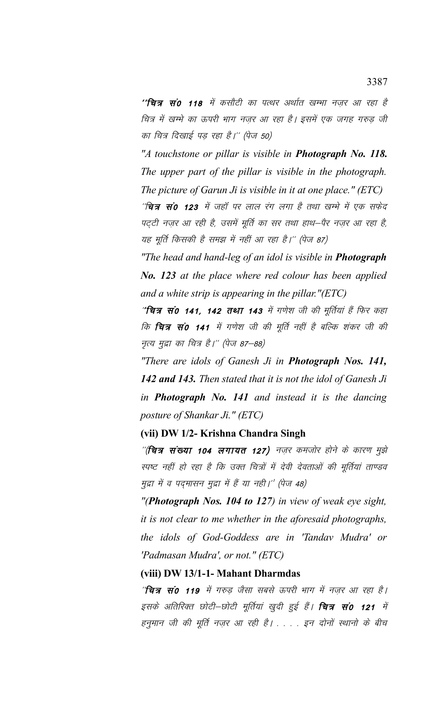''**चित्र सं0 118** में कसौटी का पत्थर अर्थात खम्भा नजर आ रहा है चित्र में खम्भे का ऊपरी भाग नज़र आ रहा है। इसमें एक जगह गरुड़ जी का चित्र दिखाई पड़ रहा है।'' (पेज 50)

*"A touchstone or pillar is visible in Photograph No. 118. The upper part of the pillar is visible in the photograph. The picture of Garun Ji is visible in it at one place." (ETC)*

''चित्र सं0 123 में जहाँ पर लाल रंग लगा है तथा खम्भे में एक सफेद पट्टी नज़र आ रही है, उसमें मूर्ति का सर तथा हाथ—पैर नज़र आ रहा है, यह मूर्ति किसकी है समझ में नहीं आ रहा है।'' (पेज 87)

*"The head and hand-leg of an idol is visible in Photograph No. 123 at the place where red colour has been applied and a white strip is appearing in the pillar."(ETC)*

"चित्र सं0 141, 142 तथा 143 में गणेश जी की मूर्तियां हैं फिर कहा कि **चित्र सं0 141** में गणेश जी की मूर्ति नहीं है बल्कि शंकर जी की नृत्य मुद्रा का चित्र है।'' (पेज 87—88)

*"There are idols of Ganesh Ji in Photograph Nos. 141, 142 and 143. Then stated that it is not the idol of Ganesh Ji in Photograph No. 141 and instead it is the dancing posture of Shankar Ji." (ETC)*

## **(vii) DW 1/2- Krishna Chandra Singh**

 $^{\prime\prime}$ (चित्र संख्या 104 लगायत 127) नज़र कमजोर होने के कारण मुझे स्पष्ट नहीं हो रहा है कि उक्त चित्रों में देवी देवताओं की मूर्तियां ताण्डव मुद्रा में व पदमासन मुद्रा में हैं या नही।'' (पेज 48)

*"(Photograph Nos. 104 to 127) in view of weak eye sight, it is not clear to me whether in the aforesaid photographs, the idols of God-Goddess are in 'Tandav Mudra' or 'Padmasan Mudra', or not." (ETC)*

**(viii) DW 13/1-1- Mahant Dharmdas**

 $^{\prime\prime}$ चित्र सं $^{\prime}$  119 में गरुड जैसा सबसे ऊपरी भाग में नजर आ रहा है। इसके अतिरिक्त छोटी–छोटी मूर्तियां खुदी हुई हैं। **चित्र सं0 121** में हनुमान जी की मूर्ति नज़र आ रही है। . . . . इन दोनों स्थानो के बीच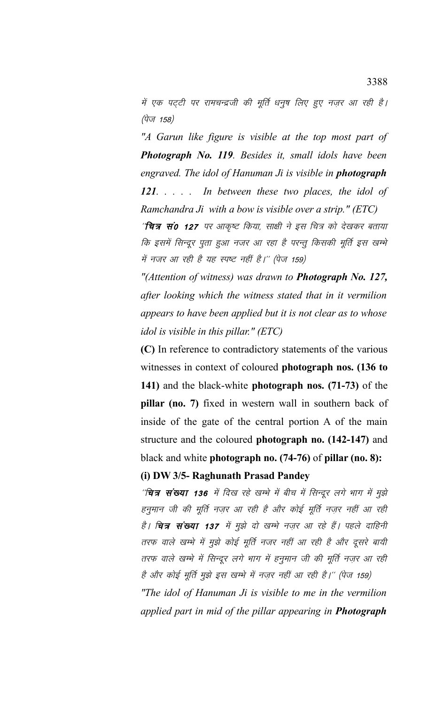में एक पट्टी पर रामचन्द्रजी की मूर्ति धनुष लिए हुए नज़र आ रही है। (पेज 158)

*"A Garun like figure is visible at the top most part of Photograph No. 119. Besides it, small idols have been engraved. The idol of Hanuman Ji is visible in photograph 121. . . . . In between these two places, the idol of Ramchandra Ji with a bow is visible over a strip." (ETC)*

''चित्र सं0 127 पर आकृष्ट किया, साक्षी ने इस चित्र को देखकर बताया कि इसमें सिन्दूर पूता हुआ नजर आ रहा है परन्तू किसकी मूर्ति इस खम्भे में नजर आ रही है यह स्पष्ट नहीं है।" (पेज 159)

*"(Attention of witness) was drawn to Photograph No. 127, after looking which the witness stated that in it vermilion appears to have been applied but it is not clear as to whose idol is visible in this pillar." (ETC)*

**(C)** In reference to contradictory statements of the various witnesses in context of coloured **photograph nos. (136 to 141)** and the black-white **photograph nos. (71-73)** of the **pillar (no. 7)** fixed in western wall in southern back of inside of the gate of the central portion A of the main structure and the coloured **photograph no. (142-147)** and black and white **photograph no. (74-76)** of **pillar (no. 8):**

## **(i) DW 3/5- Raghunath Prasad Pandey**

''चित्र संख्या 136 में दिख रहे खम्भे में बीच में सिन्दूर लगे भाग में मुझे हनुमान जी की मूर्ति नजर आ रही है और कोई मूर्ति नजर नहीं आ रही है। **चित्र संख्या 137** में मुझे दो खम्भे नज़र आ रहे हैं। पहले दाहिनी तरफ वाले खम्भे में मुझे कोई मूर्ति नजर नहीं आ रही है और दूसरे बायी तरफ वाले खम्भे में सिन्दूर लगे भाग में हनुमान जी की मूर्ति नज़र आ रही है और कोई मूर्ति मुझे इस खम्भे में नज़र नहीं आ रही है।'' (पेज 159)

*"The idol of Hanuman Ji is visible to me in the vermilion applied part in mid of the pillar appearing in Photograph*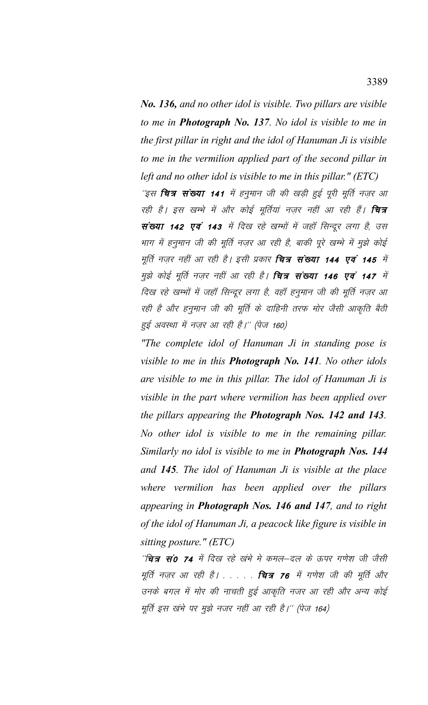*No. 136, and no other idol is visible. Two pillars are visible to me in Photograph No. 137. No idol is visible to me in the first pillar in right and the idol of Hanuman Ji is visible to me in the vermilion applied part of the second pillar in left and no other idol is visible to me in this pillar." (ETC)*

'इस **चित्र संख्या 141** में हनुमान जी की खड़ी हुई पूरी मूर्ति नज़र आ रही है। इस खम्भे में और कोई मूर्तियां नज़र नहीं आ रही हैं। **चित्र** संख्या 142 एवं 143 में दिख रहे खम्भों में जहॉ सिन्दूर लगा है, उस भाग में हनुमान जी की मूर्ति नज़र आ रही है, बाकी पूरे खम्भे में मुझे कोई मूर्ति नज़र नहीं आ रही है। इसी प्रकार **चित्र संख्या 144 एवं 145** में मुझे कोई मूर्ति नज़र नहीं आ रही है। **चित्र संख्या 146 एवं 147** में दिख रहे खम्भों में जहाँ सिन्दूर लगा है, वहाँ हनुमान जी की मूर्ति नज़र आ रही है और हनुमान जी की मूर्ति के दाहिनी तरफ मोर जैसी आकृति बैठी हुई अवस्था में नज़र आ रही है।'' (पेज 160)

*"The complete idol of Hanuman Ji in standing pose is visible to me in this Photograph No. 141. No other idols are visible to me in this pillar. The idol of Hanuman Ji is visible in the part where vermilion has been applied over the pillars appearing the Photograph Nos. 142 and 143. No other idol is visible to me in the remaining pillar. Similarly no idol is visible to me in Photograph Nos. 144 and 145. The idol of Hanuman Ji is visible at the place where vermilion has been applied over the pillars appearing in Photograph Nos. 146 and 147, and to right of the idol of Hanuman Ji, a peacock like figure is visible in sitting posture." (ETC)*

''चित्र सं0 74 में दिख रहे खंभे मे कमल—दल के ऊपर गणेश जी जैसी मूर्ति नज़र आ रही है। . . . . . **चित्र 76** में गणेश जी की मूर्ति और उनके बगल में मोर की नाचती हुई आकृति नजर आ रही और अन्य कोई मूर्ति इस खंभे पर मुझे नजर नहीं आ रही है।'' (पेज 164)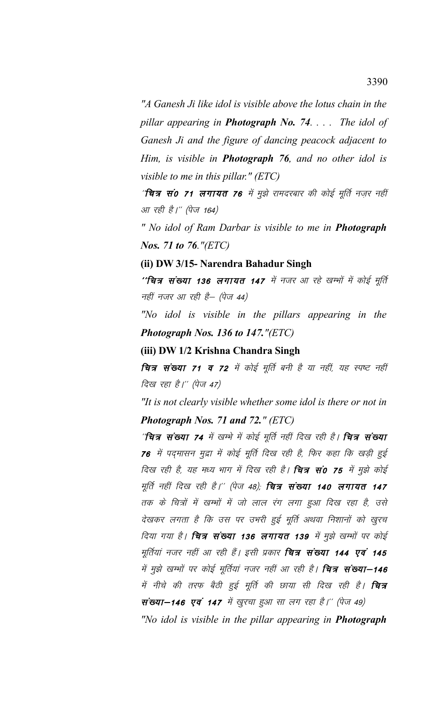*"A Ganesh Ji like idol is visible above the lotus chain in the pillar appearing in Photograph No. 74. . . . The idol of Ganesh Ji and the figure of dancing peacock adjacent to Him, is visible in Photograph 76, and no other idol is visible to me in this pillar." (ETC)*

'**चित्र सं0 71 लगायत 76** में मुझे रामदरबार की कोई मूर्ति नज़र नहीं आ रही है।" (पेज 164)

*" No idol of Ram Darbar is visible to me in Photograph Nos. 71 to 76."(ETC)*

**(ii) DW 3/15- Narendra Bahadur Singh**

''**चित्र संख्या 136 लगायत 147** में नजर आ रहे खम्भों में कोई मूर्ति नहीं नजर आ रही है– (पेज 44)

*"No idol is visible in the pillars appearing in the Photograph Nos. 136 to 147."(ETC)*

**(iii) DW 1/2 Krishna Chandra Singh**

चित्र संख्या 71 व 72 में कोई मूर्ति बनी है या नहीं, यह स्पष्ट नहीं दिख रहा है।'' (पेज 47)

*"It is not clearly visible whether some idol is there or not in Photograph Nos. 71 and 72." (ETC)*

''चित्र संख्या 74 में खम्भे में कोई मूर्ति नहीं दिख रही है। चित्र संख्या 76 में पदमासन मुद्रा में कोई मूर्ति दिख रही है, फिर कहा कि खड़ी हुई दिख रही है, यह मध्य भाग में दिख रही है। **चित्र सं0 75** में मुझे कोई मूर्ति नहीं दिख रही है।'' (पेज 48); **चित्र संख्या 140 लगायत 147** तक के चित्रों में खम्भों में जो लाल रंग लगा हुआ दिख रहा है, उसे देखकर लगता है कि उस पर उभरी हुई मूर्ति अथवा निशानों को खुरच दिया गया है। **चित्र संख्या 136 लगायत 139** में मुझे खम्भों पर कोई मूर्तियां नजर नहीं आ रही हैं। इसी प्रकार **चित्र संख्या 144 एवं 145** में मुझे खम्भों पर कोई मूर्तियां नजर नहीं आ रही है। **चित्र संख्या–146** में नीचे की तरफ बैठी हुई मूर्ति की छाया सी दिख रही है। **चित्र** संख्या–146 एवं 147 में खुख्य हुआ सा लग रहा है।'' (पेज 49) *"No idol is visible in the pillar appearing in Photograph*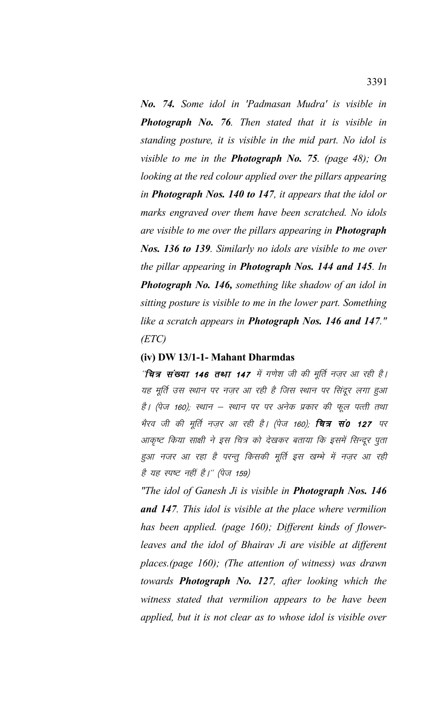*No. 74. Some idol in 'Padmasan Mudra' is visible in Photograph No. 76. Then stated that it is visible in standing posture, it is visible in the mid part. No idol is visible to me in the Photograph No. 75. (page 48); On looking at the red colour applied over the pillars appearing in Photograph Nos. 140 to 147, it appears that the idol or marks engraved over them have been scratched. No idols are visible to me over the pillars appearing in Photograph Nos. 136 to 139. Similarly no idols are visible to me over the pillar appearing in Photograph Nos. 144 and 145. In Photograph No. 146, something like shadow of an idol in sitting posture is visible to me in the lower part. Something like a scratch appears in Photograph Nos. 146 and 147." (ETC)*

### **(iv) DW 13/1-1- Mahant Dharmdas**

''चित्र संख्या 146 तथा 147 में गणेश जी की मूर्ति नज़र आ रही है। यह मूर्ति उस स्थान पर नज़र आ रही है जिस स्थान पर सिंदूर लगा हुआ है। (पेज 160); स्थान – स्थान पर पर अनेक प्रकार की फूल पत्ती तथा भैरव जी की मूर्ति नज़र आ रही है। (पेज 160); **चित्र सं0 127** पर आकृष्ट किया साक्षी ने इस चित्र को देखकर बताया कि इसमें सिन्दुर पुता हुआ नजर आ रहा है परन्तु किसकी मूर्ति इस खम्भे में नज़र आ रही है यह स्पष्ट नहीं है।" (पेज 159)

*"The idol of Ganesh Ji is visible in Photograph Nos. 146 and 147. This idol is visible at the place where vermilion has been applied. (page 160); Different kinds of flowerleaves and the idol of Bhairav Ji are visible at different places.(page 160); (The attention of witness) was drawn towards Photograph No. 127, after looking which the witness stated that vermilion appears to be have been applied, but it is not clear as to whose idol is visible over*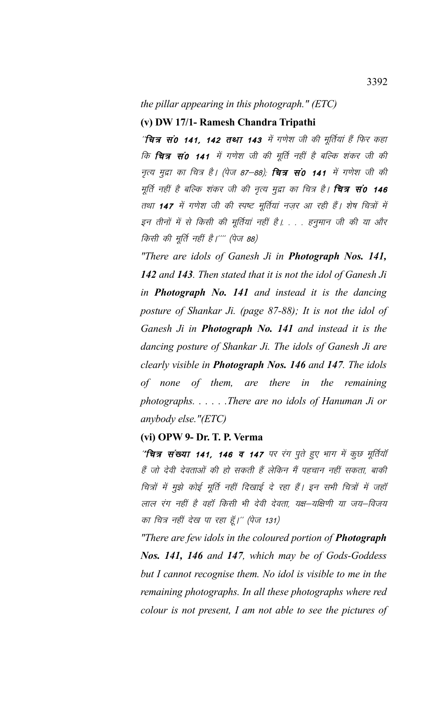# *the pillar appearing in this photograph." (ETC)*

## **(v) DW 17/1- Ramesh Chandra Tripathi**

''चित्र सं0 141, 142 तथा 143 में गणेश जी की मूर्तियां हैं फिर कहा कि **चित्र सं0 141** में गणेश जी की मूर्ति नहीं है बल्कि शंकर जी की नृत्य मुद्रा का चित्र है। (पेज 87–88); **चित्र सं0 141** में गणेश जी की मूर्ति नहीं है बल्कि शंकर जी की नृत्य मुद्रा का चित्र है। **चित्र सं0 146** तथा 147 में गणेश जी की स्पष्ट मूर्तियां नजर आ रही हैं। शेष चित्रों में इन तीनों में से किसी की मूर्तियां नहीं है। . . . हनुमान जी की या और किसी की मूर्ति नहीं है।'''' (पेज 88)

*"There are idols of Ganesh Ji in Photograph Nos. 141, 142 and 143. Then stated that it is not the idol of Ganesh Ji in Photograph No. 141 and instead it is the dancing posture of Shankar Ji. (page 87-88); It is not the idol of Ganesh Ji in Photograph No. 141 and instead it is the dancing posture of Shankar Ji. The idols of Ganesh Ji are clearly visible in Photograph Nos. 146 and 147. The idols of none of them, are there in the remaining photographs. . . . . .There are no idols of Hanuman Ji or anybody else."(ETC)*

## **(vi) OPW 9- Dr. T. P. Verma**

"चित्र संख्या 141, 146 व 147 पर रंग पुते हुए भाग में कुछ मूर्तियाँ हैं जो देवी देवताओं की हो सकती हैं लेकिन मैं पहचान नहीं सकता, बाकी चित्रों में मुझे कोई मूर्ति नहीं दिखाई दे रहा हैं। इन सभी चित्रों में जहाँ लाल रंग नहीं है वहाँ किसी भी देवी देवता, यक्ष—यक्षिणी या जय—विजय का चित्र नहीं देख पा रहा हूँ।'' (पेज 131)

*"There are few idols in the coloured portion of Photograph Nos. 141, 146 and 147, which may be of Gods-Goddess but I cannot recognise them. No idol is visible to me in the remaining photographs. In all these photographs where red colour is not present, I am not able to see the pictures of*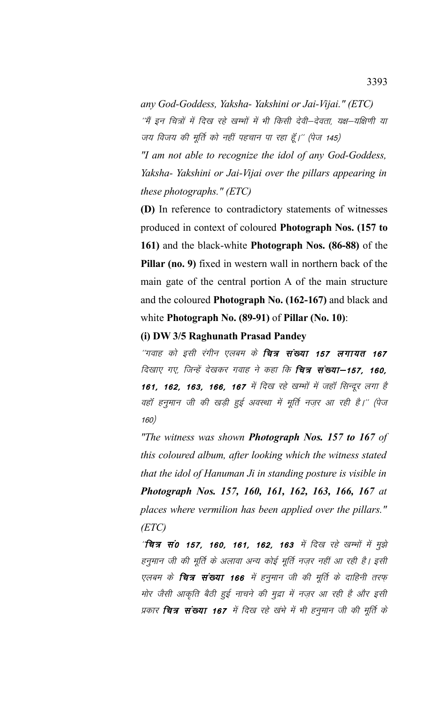*any God-Goddess, Yaksha- Yakshini or Jai-Vijai." (ETC)* ''मैं इन चित्रों में दिख रहे खम्भों में भी किसी देवी—देवता, यक्ष—यक्षिणी या जय विजय की मूर्ति को नहीं पहचान पा रहा हूँ।" (पेज 145)

*"I am not able to recognize the idol of any God-Goddess, Yaksha- Yakshini or Jai-Vijai over the pillars appearing in these photographs." (ETC)*

**(D)** In reference to contradictory statements of witnesses produced in context of coloured **Photograph Nos. (157 to 161)** and the black-white **Photograph Nos. (86-88)** of the **Pillar (no. 9)** fixed in western wall in northern back of the main gate of the central portion A of the main structure and the coloured **Photograph No. (162-167)** and black and white **Photograph No. (89-91)** of **Pillar (No. 10)**:

## **(i) DW 3/5 Raghunath Prasad Pandey**

''गवाह को इसी रंगीन एलबम के **चित्र संख्या 157 लगायत 167** दिखाए गए, जिन्हें देखकर गवाह ने कहा कि **चित्र संख्या–157, 160,** 161, 162, 163, 166, 167 में दिख रहे खम्भों में जहाँ सिन्दूर लगा है वहॉ हनुमान जी की खड़ी हुई अवस्था में मूर्ति नज़र आ रही है।'' (पेज 160½

*"The witness was shown Photograph Nos. 157 to 167 of this coloured album, after looking which the witness stated that the idol of Hanuman Ji in standing posture is visible in Photograph Nos. 157, 160, 161, 162, 163, 166, 167 at places where vermilion has been applied over the pillars." (ETC)*

 $\hat{a}^{\prime}$ चित्र सं0 157, 160, 161, 162, 163 में दिख रहे खम्मों में मुझे हनुमान जी की मूर्ति के अलावा अन्य कोई मूर्ति नज़र नहीं आ रही है। इसी एलबम के **चित्र संख्या 166** में हनुमान जी की मूर्ति के दाहिनी तरफ मोर जैसी आकृति बैठी हुई नाचने की मुद्रा में नज़र आ रही है और इसी प्रकार **चित्र संख्या 167** में दिख रहे खंभे में भी हनुमान जी की मूर्ति के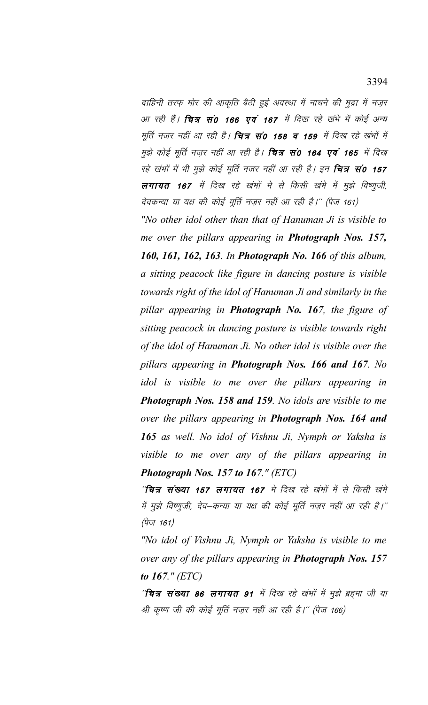दाहिनी तरफ मोर की आकृति बैठी हुई अवस्था में नाचने की मुद्रा में नजर आ रही हैं। **चित्र सं0 166 एवं 167** में दिख रहे खंभे में कोई अन्य मूर्ति नजर नहीं आ रही है। **चित्र सं0 158 व 159** में दिख रहे खंभों में मुझे कोई मूर्ति नज़र नहीं आ रही है। **चित्र सं0 164 एवं 165** में दिख रहे खंभों में भी मुझे कोई मूर्ति नजर नहीं आ रही है। इन **चित्र सं0 157** लगायत 167 में दिख रहे खंभों मे से किसी खंभे में मुझे विष्णूजी, देवकन्या या यक्ष की कोई मूर्ति नज़र नहीं आ रही है।'' (पेज 161)

"No other idol other than that of Hanuman Ji is visible to me over the pillars appearing in Photograph Nos. 157, 160, 161, 162, 163. In Photograph No. 166 of this album, a sitting peacock like figure in dancing posture is visible towards right of the idol of Hanuman Ji and similarly in the pillar appearing in Photograph No. 167, the figure of sitting peacock in dancing posture is visible towards right of the idol of Hanuman Ji. No other idol is visible over the pillars appearing in Photograph Nos. 166 and 167. No idol is visible to me over the pillars appearing in **Photograph Nos. 158 and 159.** No idols are visible to me over the pillars appearing in **Photograph Nos. 164 and** 165 as well. No idol of Vishnu Ji, Nymph or Yaksha is visible to me over any of the pillars appearing in Photograph Nos. 157 to 167." (ETC)

''चित्र संख्या 157 लगायत 167 मे दिख रहे खंभों में से किसी खंभे में मुझे विष्णूजी, देव–कन्या या यक्ष की कोई मूर्ति नज़र नहीं आ रही है।''  $(\vec{q}_{\sqrt{1}} 161)$ 

"No idol of Vishnu Ji, Nymph or Yaksha is visible to me over any of the pillars appearing in **Photograph Nos. 157** to  $167.$ " (ETC)

' चित्र संख्या 86 लगायत 91 में दिख रहे खंभों में मुझे ब्रहमा जी या श्री कृष्ण जी की कोई मूर्ति नज़र नहीं आ रही है।'' (पेज 166)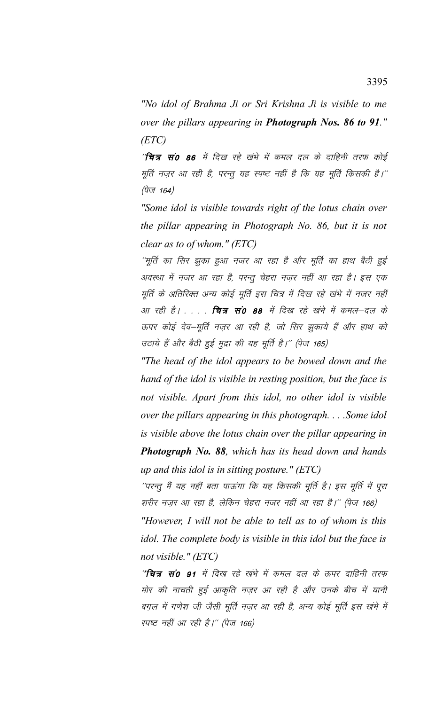*"No idol of Brahma Ji or Sri Krishna Ji is visible to me over the pillars appearing in Photograph Nos. 86 to 91." (ETC)*

'**चित्र सं0 86** में दिख रहे खंभे में कमल दल के दाहिनी तरफ कोई मूर्ति नज़र आ रही है, परन्तु यह स्पष्ट नहीं है कि यह मूर्ति किसकी है।'' (पेज 164)

*"Some idol is visible towards right of the lotus chain over the pillar appearing in Photograph No. 86, but it is not clear as to of whom." (ETC)*

''मूर्ति का सिर झुका हुआ नजर आ रहा है और मूर्ति का हाथ बैठी हुई अवस्था में नजर आ रहा है, परन्तू चेहरा नज़र नहीं आ रहा है। इस एक मूर्ति के अतिरिक्त अन्य कोई मूर्ति इस चित्र में दिख रहे खंभे में नजर नहीं आ रही है। . . . . **चित्र सं0 88** में दिख रहे खंभे में कमल—दल के ऊपर कोई देव–मूर्ति नज़र आ रही है, जो सिर झुकाये हैं और हाथ को उठाये हैं और बैठी हुई मुद्रा की यह मूर्ति है।'' (पेज 165)

*"The head of the idol appears to be bowed down and the hand of the idol is visible in resting position, but the face is not visible. Apart from this idol, no other idol is visible over the pillars appearing in this photograph. . . .Some idol is visible above the lotus chain over the pillar appearing in Photograph No. 88, which has its head down and hands up and this idol is in sitting posture." (ETC)*

''परन्तु मैं यह नहीं बता पाऊंगा कि यह किसकी मूर्ति है। इस मूर्ति में पूरा शरीर नज़र आ रहा है, लेकिन चेहरा नजर नहीं आ रहा है।'' (पेज 166)

*"However, I will not be able to tell as to of whom is this idol. The complete body is visible in this idol but the face is not visible." (ETC)*

"चित्र सं0 91 में दिख रहे खंभे में कमल दल के ऊपर दाहिनी तरफ मोर की नाचती हुई आकृति नज़र आ रही है और उनके बीच में यानी बग़ल में गणेश जी जैसी मूर्ति नज़र आ रही है, अन्य कोई मूर्ति इस खंभे में स्पष्ट नहीं आ रही है।" (पेज 166)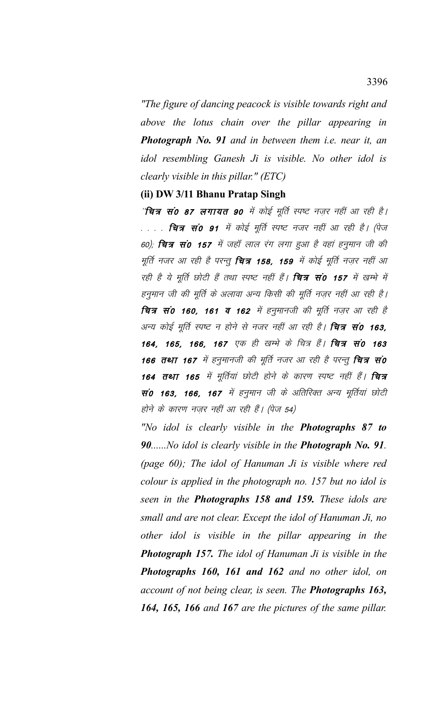"The figure of dancing peacock is visible towards right and above the lotus chain over the pillar appearing in **Photograph No. 91** and in between them *i.e.* near it, an idol resembling Ganesh Ji is visible. No other idol is clearly visible in this pillar."  $(ETC)$ 

## (ii) DW 3/11 Bhanu Pratap Singh

'**चित्र सं0 87 लगायत 90** में कोई मूर्ति स्पष्ट नज़र नहीं आ रही है। . . . . **चित्र सं० ९१** में कोई मूर्ति स्पष्ट नजर नहीं आ रही है। (पेज 60); **चित्र सं0 157** में जहाँ लाल रंग लगा हुआ है वहां हनुमान जी की मूर्ति नजर आ रही है परन्तु **चित्र 158, 159** में कोई मूर्ति नज़र नहीं आ रही है ये मूर्ति छोटी हैं तथा स्पष्ट नहीं हैं। **चित्र सं0 157** में खम्भे में हनुमान जी की मूर्ति के अलावा अन्य किसी की मूर्ति नज़र नहीं आ रही है। चित्र सं0 160, 161 व 162 में हनुमानजी की मूर्ति नज़र आ रही है अन्य कोई मूर्ति स्पष्ट न होने से नजर नहीं आ रही है। **चित्र सं0 163**, 164, 165, 166, 167 एक ही खम्भे के चित्र हैं। चित्र सं0 163 166 तथा 167 में हनुमानजी की मूर्ति नजर आ रही है परन्तु चित्र सं0 164 तथा 165 में मूर्तियां छोटी होने के कारण स्पष्ट नहीं हैं। चित्र सं0 163, 166, 167 में हनुमान जी के अतिरिक्त अन्य मूर्तियां छोटी होने के कारण नज़र नहीं आ रही हैं। (पेज 54)

"No idol is clearly visible in the **Photographs 87 to** 90.....No idol is clearly visible in the **Photograph No. 91**. (page  $60$ ); The idol of Hanuman Ji is visible where red colour is applied in the photograph no. 157 but no idol is seen in the Photographs 158 and 159. These idols are small and are not clear. Except the idol of Hanuman Ji, no other idol is visible in the pillar appearing in the **Photograph 157.** The idol of Hanuman Ji is visible in the Photographs 160, 161 and 162 and no other idol, on account of not being clear, is seen. The Photographs 163, 164, 165, 166 and 167 are the pictures of the same pillar.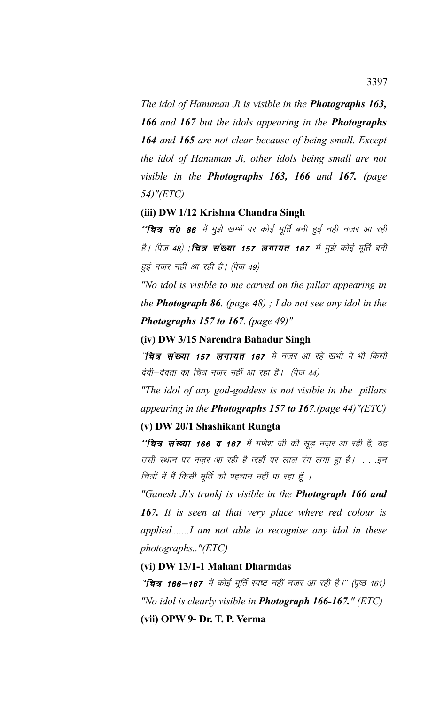*The idol of Hanuman Ji is visible in the Photographs 163, 166 and 167 but the idols appearing in the Photographs 164 and 165 are not clear because of being small. Except the idol of Hanuman Ji, other idols being small are not visible in the Photographs 163, 166 and 167. (page 54)"(ETC)*

### **(iii) DW 1/12 Krishna Chandra Singh**

''चित्र सं0 86 में मुझे खम्भें पर कोई मूर्ति बनी हुई नही नजर आ रही है। (पेज 48) ;**चित्र संख्या 157 लगायत 167** में मुझे कोई मूर्ति बनी हुई नजर नहीं आ रही है। (पेज 49)

*"No idol is visible to me carved on the pillar appearing in the Photograph 86. (page 48) ; I do not see any idol in the Photographs 157 to 167. (page 49)"* 

**(iv) DW 3/15 Narendra Bahadur Singh**

''चित्र संख्या 157 लगायत 167 में नजर आ रहे खंभों में भी किसी देवी-देवता का चित्र नजर नहीं आ रहा है। (पेज 44)

*"The idol of any god-goddess is not visible in the pillars appearing in the Photographs 157 to 167.(page 44)"(ETC)*

## **(v) DW 20/1 Shashikant Rungta**

''**चित्र संख्या 166 व 167** में गणेश जी की सूड़ नज़र आ रही है, यह उसी स्थान पर नज़र आ रही है जहाँ पर लाल रंग लगा हा है। . . .इन चित्रों में मैं किसी मूर्ति को पहचान नहीं पा रहा हूँ ।

*"Ganesh Ji's trunkj is visible in the Photograph 166 and 167. It is seen at that very place where red colour is applied.......I am not able to recognise any idol in these photographs.."(ETC)*

**(vi) DW 13/1-1 Mahant Dharmdas**

"चित्र 166-167 में कोई मूर्ति स्पष्ट नहीं नज़र आ रही है।" (पृष्ठ 161) *"No idol is clearly visible in Photograph 166-167." (ETC)* **(vii) OPW 9- Dr. T. P. Verma**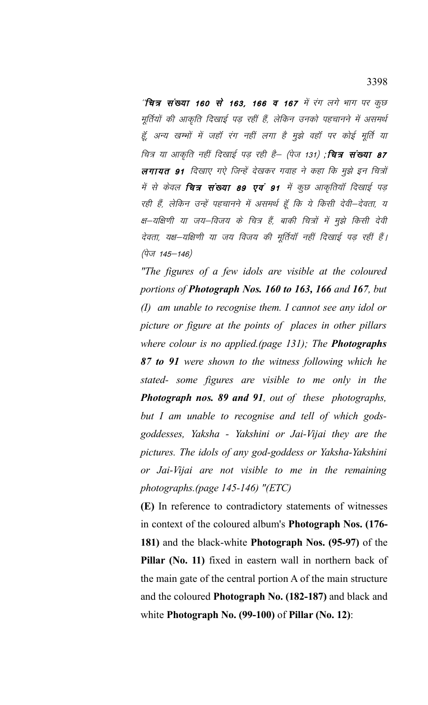''चित्र संख्या 160 से 163, 166 व 167 में रंग लगे भाग पर कुछ मूर्तियों की आकृति दिखाई पड़ रहीं हैं, लेकिन उनको पहचानने में असमर्थ हूँ, अन्य खम्भों में जहाँ रंग नहीं लगा है मुझे वहाँ पर कोई मूर्ति या चित्र या आकृति नहीं दिखाई पड़ रही है– (पेज 131) ;**चित्र संख्या 87** लगायत 91 दिखाए गऐ जिन्हें देखकर गवाह ने कहा कि मुझे इन चित्रों में से केवल **चित्र संख्या 89 एवं 91** में कुछ आकृतियाँ दिखाई पड़ रही हैं, लेकिन उन्हें पहचानने में असमर्थ हूँ कि ये किसी देवी-देवता, य क्ष–यक्षिणी या जय–विजय के चित्र हैं, बाकी चित्रों में मुझे किसी देवी देवता, यक्ष-यक्षिणी या जय विजय की मूर्तियाँ नहीं दिखाई पड़ रहीं हैं। (पेज 145–146)

"The figures of a few idols are visible at the coloured portions of **Photograph Nos. 160 to 163, 166** and 167, but  $(I)$  am unable to recognise them. I cannot see any idol or picture or figure at the points of places in other pillars where colour is no applied (page  $131$ ); The **Photographs** 87 to 91 were shown to the witness following which he stated- some figures are visible to me only in the **Photograph nos. 89 and 91**, out of these photographs, but I am unable to recognise and tell of which godsgoddesses, Yaksha - Yakshini or Jai-Vijai they are the pictures. The idols of any god-goddess or Yaksha-Yakshini or Jai-Vijai are not visible to me in the remaining photographs.(page  $145-146$ ) "(ETC)

(E) In reference to contradictory statements of witnesses in context of the coloured album's **Photograph Nos.** (176-181) and the black-white **Photograph Nos.** (95-97) of the Pillar (No. 11) fixed in eastern wall in northern back of the main gate of the central portion A of the main structure and the coloured **Photograph No. (182-187)** and black and white Photograph No.  $(99-100)$  of Pillar (No. 12):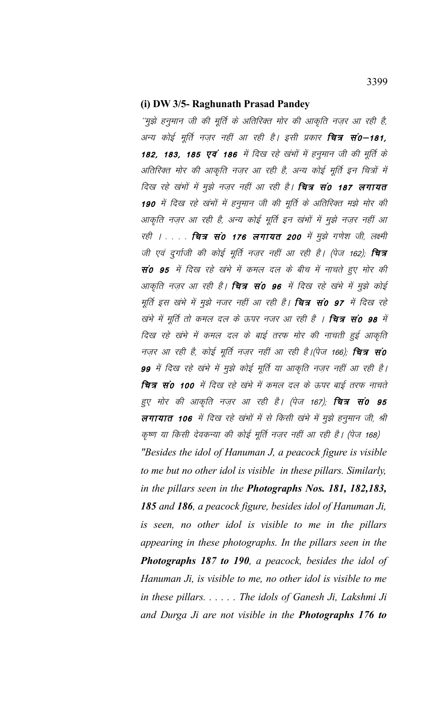#### (i) DW 3/5- Raghunath Prasad Pandey

''मुझे हनुमान जी की मूर्ति के अतिरिक्त मोर की आकृति नज़र आ रही है, अन्य कोई मूर्ति नज़र नहीं आ रही है। इसी प्रकार **चित्र सं0–181,** 182, 183, 185 एवं 186 में दिख रहे खंभों में हनुमान जी की मूर्ति के अतिरिक्त मोर की आकृति नज़र आ रही है, अन्य कोई मूर्ति इन चित्रों में दिख रहे खंभों में मुझे नज़र नहीं आ रही है। **चित्र सं0 187 लगायत** 190 में दिख रहे खंभों में हनुमान जी की मूर्ति के अतिरिक्त मझे मोर की आकृति नज़र आ रही है, अन्य कोई मूर्ति इन खंभों में मुझे नज़र नहीं आ रही । . . . . **चित्र सं0 176 लगायत 200** में मुझे गणेश जी, लक्ष्मी जी एवं दुर्गाजी की कोई मूर्ति नज़र नहीं आ रही है। (पेज 162); **चित्र** सं0 95 में दिख रहे खंभे में कमल दल के बीच में नाचते हुए मोर की आकृति नज़र आ रही है। **चित्र सं0 96** में दिख रहे खंभे में मुझे कोई मूर्ति इस खंभे में मुझे नजर नहीं आ रही है। **चित्र सं0 97** में दिख रहे खंभे में मूर्ति तो कमल दल के ऊपर नजर आ रही है । **चित्र सं0 98** में दिख रहे खंभे में कमल दल के बाई तरफ मोर की नाचती हुई आकृति नज़र आ रही है, कोई मूर्ति नज़र नहीं आ रही है।(पेज 166); **चित्र सं0** 99 में दिख रहे खंभे में मुझे कोई मूर्ति या आकृति नज़र नहीं आ रही है। चित्र सं0 100 में दिख रहे खंभे में कमल दल के ऊपर बाई तरफ नाचते हुए मोर की आकृति नज़र आ रही है। (पेज 167); **चित्र सं0 95** लगायात 106 में दिख रहे खंभों में से किसी खंभे में मुझे हनुमान जी, श्री कृष्ण या किसी देवकन्या की कोई मूर्ति नज़र नहीं आ रही है। (पेज 168) "Besides the idol of Hanuman J, a peacock figure is visible to me but no other idol is visible in these pillars. Similarly, in the pillars seen in the **Photographs Nos. 181, 182,183,** 185 and 186, a peacock figure, besides idol of Hanuman Ji, is seen, no other idol is visible to me in the pillars appearing in these photographs. In the pillars seen in the **Photographs 187 to 190**, a peacock, besides the idol of Hanuman Ji, is visible to me, no other idol is visible to me in these pillars.  $\dots$ . The idols of Ganesh Ji, Lakshmi Ji and Durga Ji are not visible in the **Photographs 176 to**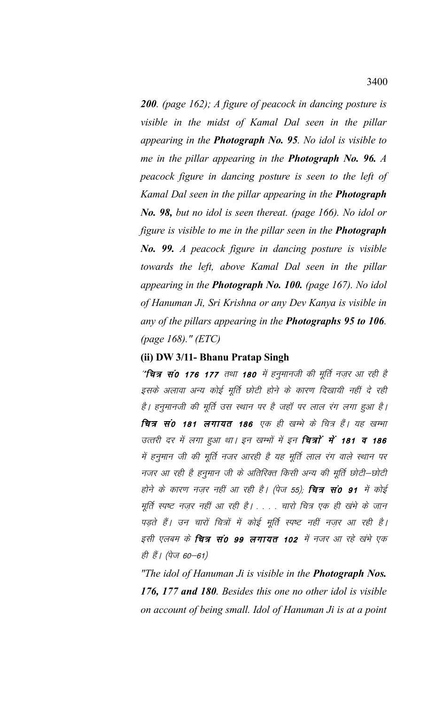**200.** (page 162); A figure of peacock in dancing posture is visible in the midst of Kamal Dal seen in the pillar appearing in the Photograph No. 95. No idol is visible to me in the pillar appearing in the **Photograph No. 96.**  $\Lambda$ peacock figure in dancing posture is seen to the left of Kamal Dal seen in the pillar appearing in the Photograph No. 98, but no idol is seen thereat. (page 166). No idol or figure is visible to me in the pillar seen in the **Photograph No. 99.** A peacock figure in dancing posture is visible towards the left, above Kamal Dal seen in the pillar appearing in the **Photograph No. 100.** (page 167). No idol of Hanuman Ji, Sri Krishna or any Dev Kanya is visible in any of the pillars appearing in the **Photographs 95 to 106**. (page 168)." (ETC)

# (ii) DW 3/11- Bhanu Pratap Singh

"चित्र सं0 176 177 तथा 180 में हनुमानजी की मूर्ति नज़र आ रही है इसके अलावा अन्य कोई मूर्ति छोटी होने के कारण दिखायी नहीं दे रही है। हनुमानजी की मूर्ति उस स्थान पर है जहाँ पर लाल रंग लगा हुआ है। चित्र सं0 181 लगायत 186 एक ही खम्भे के चित्र हैं। यह खम्भा उत्तरी दर में लगा हुआ था। इन खम्भों में इन **चित्रों में 181 व 186** में हनुमान जी की मूर्ति नजर आरही है यह मूर्ति लाल रंग वाले स्थान पर नजर आ रही है हनुमान जी के अतिरिक्त किसी अन्य की मूर्ति छोटी–छोटी होने के कारण नज़र नहीं आ रही है। (पेज 55); **चित्र सं0 91** में कोई मूर्ति स्पष्ट नज़र नहीं आ रही है। . . . चारो चित्र एक ही खंभे के जान पड़ते हैं। उन चारों चित्रों में कोई मूर्ति स्पष्ट नहीं नज़र आ रही है। इसी एलबम के **चित्र सं0 99 लगायत 102** में नजर आ रहे खंभे एक ही हैं। (पेज 60–61)

"The idol of Hanuman Ji is visible in the **Photograph Nos.** 176, 177 and 180. Besides this one no other idol is visible on account of being small. Idol of Hanuman Ji is at a point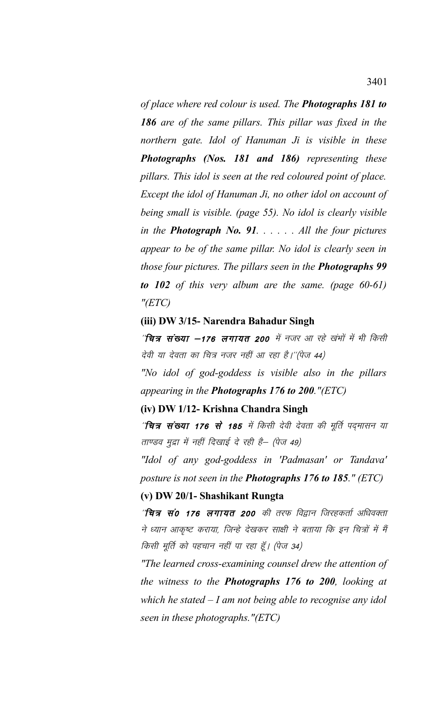*of place where red colour is used. The Photographs 181 to 186 are of the same pillars. This pillar was fixed in the northern gate. Idol of Hanuman Ji is visible in these Photographs (Nos. 181 and 186) representing these pillars. This idol is seen at the red coloured point of place. Except the idol of Hanuman Ji, no other idol on account of being small is visible. (page 55). No idol is clearly visible in the Photograph No. 91. . . . . . All the four pictures appear to be of the same pillar. No idol is clearly seen in those four pictures. The pillars seen in the Photographs 99 to 102 of this very album are the same. (page 60-61) "(ETC)*

## **(iii) DW 3/15- Narendra Bahadur Singh**

 $^{\prime\prime}$ चित्र संख्या  $-$ 176 लगायत 200 में नजर आ रहे खंभों में भी किसी देवी या देवता का चित्र नजर नहीं आ रहा है।''(पेज 44)

*"No idol of god-goddess is visible also in the pillars appearing in the Photographs 176 to 200."(ETC)*

## **(iv) DW 1/12- Krishna Chandra Singh**

^**'चित्र संख्या 176 से 185** में किसी देवी देवता की मूर्ति पद्मासन या ताण्डव मुद्रा में नहीं दिखाई दे रही है– (पेज 49)

*"Idol of any god-goddess in 'Padmasan' or Tandava' posture is not seen in the Photographs 176 to 185." (ETC)*

## **(v) DW 20/1- Shashikant Rungta**

 $^{\prime\prime}$ चित्र सं0 176 लगायत 200 की तरफ विद्वान जिरहकर्ता अधिवक्ता ने ध्यान आकृष्ट कराया, जिन्हे देखकर साक्षी ने बताया कि इन चित्रों में मैं किसी मूर्ति को पहचान नहीं पा रहा हूँ। (पेज 34)

*"The learned cross-examining counsel drew the attention of the witness to the Photographs 176 to 200, looking at which he stated – I am not being able to recognise any idol seen in these photographs."(ETC)*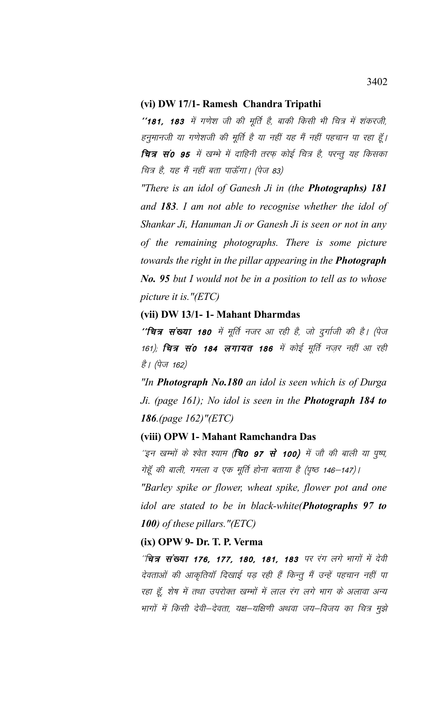### (vi) DW 17/1- Ramesh Chandra Tripathi

''181, 183 में गणेश जी की मूर्ति है, बाकी किसी भी चित्र में शंकरजी, हनुमानजी या गणेशजी की मूर्ति है या नहीं यह मैं नहीं पहचान पा रहा हूँ। चित्र सं0 95 में खम्भे में दाहिनी तरफ़ कोई चित्र है, परन्तु यह किसका चित्र है, यह मैं नहीं बता पाऊँगा। (पेज 83)

"There is an idol of Ganesh Ji in (the **Photographs) 181** and 183. I am not able to recognise whether the idol of Shankar Ji, Hanuman Ji or Ganesh Ji is seen or not in any of the remaining photographs. There is some picture towards the right in the pillar appearing in the Photograph **No. 95** but I would not be in a position to tell as to whose picture it is."(ETC)

## (vii) DW 13/1-1- Mahant Dharmdas

''चित्र संख्या 180 में मूर्ति नजर आ रही है, जो दुर्गाजी की है। (पेज 161); **चित्र सं0 184 लगायत 186** में कोई मूर्ति नज़र नहीं आ रही है। (पेज 162)

"In **Photograph No.180** an idol is seen which is of Durga Ji. (page 161); No idol is seen in the **Photograph 184 to** 186.(page 162)"(ETC)

## (viii) OPW 1- Mahant Ramchandra Das

''इन खम्भों के श्वेत श्याम (**चि0 97 से 100)** में जौ की बाली या पुष्प, गेहूँ की बाली, गमला व एक मूर्ति होना बताया है (पृष्ठ 146–147)।

"Barley spike or flower, wheat spike, flower pot and one idol are stated to be in black-white(Photographs 97 to 100) of these pillars.  $"(ETC)$ 

# (ix) OPW 9- Dr. T. P. Verma

"चित्र संख्या 176, 177, 180, 181, 183 पर रंग लगे भागों में देवी देवताओं की आकृतियाँ दिखाई पड़ रही हैं किन्तू मैं उन्हें पहचान नहीं पा रहा हूँ, शेष में तथा उपरोक्त खम्भों में लाल रंग लगे भाग के अलावा अन्य भागों में किसी देवी–देवता, यक्ष–यक्षिणी अथवा जय–विजय का चित्र मुझे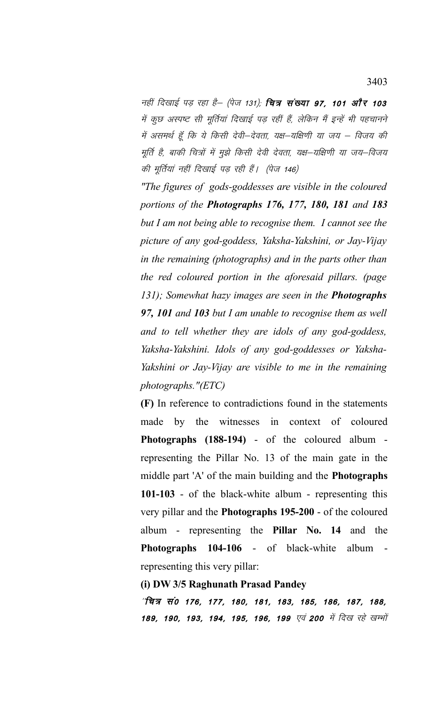नहीं दिखाई पड़ रहा है– (पेज 131); **चित्र संख्या 97, 101 और 103** में कुछ अस्पष्ट सी मूर्तियां दिखाई पड़ रहीं हैं, लेकिन मैं इन्हें भी पहचानने में असमर्थ हूँ कि ये किसी देवी–देवता, यक्ष–यक्षिणी या जय – विजय की मूर्ति है, बाकी चित्रों में मुझे किसी देवी देवता, यक्ष—यक्षिणी या जय—विजय की मूर्तियां नहीं दिखाई पड़ रही हैं। (पेज 146)

*"The figures of gods-goddesses are visible in the coloured portions of the Photographs 176, 177, 180, 181 and 183 but I am not being able to recognise them. I cannot see the picture of any god-goddess, Yaksha-Yakshini, or Jay-Vijay in the remaining (photographs) and in the parts other than the red coloured portion in the aforesaid pillars. (page 131); Somewhat hazy images are seen in the Photographs 97, 101 and 103 but I am unable to recognise them as well and to tell whether they are idols of any god-goddess, Yaksha-Yakshini. Idols of any god-goddesses or Yaksha-Yakshini or Jay-Vijay are visible to me in the remaining photographs."(ETC)*

**(F)** In reference to contradictions found in the statements made by the witnesses in context of coloured **Photographs (188-194)** - of the coloured album representing the Pillar No. 13 of the main gate in the middle part 'A' of the main building and the **Photographs 101-103** - of the black-white album - representing this very pillar and the **Photographs 195-200** - of the coloured album - representing the **Pillar No. 14** and the **Photographs 104-106** - of black-white album representing this very pillar:

### **(i) DW 3/5 Raghunath Prasad Pandey**

'यित्र सं0 176, 177, 180, 181, 183, 185, 186, 187, 188, 189, 190, 193, 194, 195, 196, 199 एवं 200 में दिख रहे खम्भों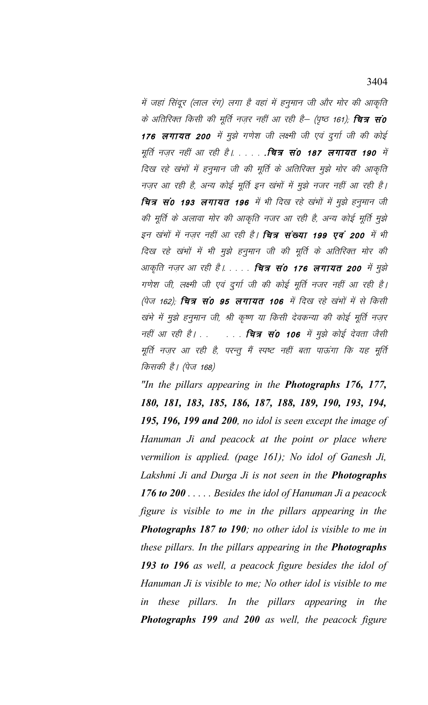में जहां सिंदूर (लाल रंग) लगा है वहां में हनुमान जी और मोर की आकृति के अतिरिक्त किसी की मूर्ति नज़र नहीं आ रही है– (पृष्ठ 161); **चित्र सं0** 176 लगायत 200 में मुझे गणेश जी लक्ष्मी जी एवं दुर्गा जी की कोई मूर्ति नज़र नहीं आ रही है। . . . . . . चित्र सं0 187 लगायत 190 में दिख रहे खंभों में हनुमान जी की मूर्ति के अतिरिक्त मुझे मोर की आकृति नज़र आ रही है, अन्य कोई मूर्ति इन खंभों में मुझे नजर नहीं आ रही है। चित्र सं0 193 लगायत 196 में भी दिख रहे खंभों में मुझे हनुमान जी की मूर्ति के अलावा मोर की आकृति नजर आ रही है, अन्य कोई मूर्ति मुझे इन खंभों में नजर नहीं आ रही है। **चित्र संख्या 199 एवं 200** में भी दिख रहे खंभों में भी मुझे हनुमान जी की मूर्ति के अतिरिक्त मोर की आकृति नज़र आ रही है। . . . . **चित्र सं0 176 लगायत 200** में मुझे गणेश जी, लक्ष्मी जी एवं दुर्गा जी की कोई मूर्ति नजर नहीं आ रही है। (पेज 162); **चित्र सं0 95 लगायत 106** में दिख रहे खंभों में से किसी खंभे में मुझे हनुमान जी, श्री कृष्ण या किसी देवकन्या की कोई मूर्ति नज़र नहीं आ रही है। . . . . . . वित्र सं0 106 में मुझे कोई देवता जैसी मूर्ति नज़र आ रही है, परन्तू मैं स्पष्ट नहीं बता पाऊंगा कि यह मूर्ति किसकी है। (पेज 168)

"In the pillars appearing in the **Photographs 176, 177,** 180, 181, 183, 185, 186, 187, 188, 189, 190, 193, 194, 195, 196, 199 and 200, no idol is seen except the image of Hanuman Ji and peacock at the point or place where vermilion is applied. (page 161); No idol of Ganesh Ji, Lakshmi Ji and Durga Ji is not seen in the **Photographs** 176 to 200  $\ldots$ . Besides the idol of Hanuman Ji a peacock figure is visible to me in the pillars appearing in the **Photographs 187 to 190**; no other idol is visible to me in these pillars. In the pillars appearing in the **Photographs** 193 to 196 as well, a peacock figure besides the idol of Hanuman Ji is visible to me; No other idol is visible to me in these pillars. In the pillars appearing in the **Photographs 199** and 200 as well, the peacock figure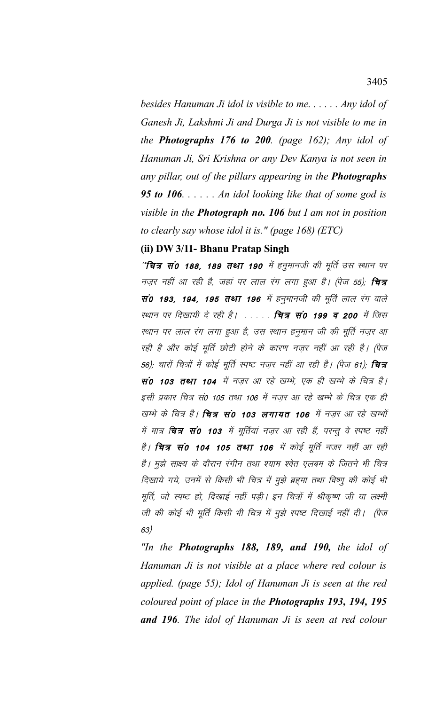besides Hanuman Ji idol is visible to me.  $\ldots$  . Any idol of Ganesh Ji, Lakshmi Ji and Durga Ji is not visible to me in the **Photographs 176 to 200**. (page 162); Any idol of Hanuman Ji, Sri Krishna or any Dev Kanya is not seen in any pillar, out of the pillars appearing in the **Photographs** 95 to 106.  $\ldots$  . An idol looking like that of some god is visible in the **Photograph no. 106** but I am not in position to clearly say whose idol it is." (page 168) (ETC)

## (ii) DW 3/11- Bhanu Pratap Singh

"चित्र सं0 188, 189 तथा 190 में हनुमानजी की मूर्ति उस स्थान पर नज़र नहीं आ रही है, जहां पर लाल रंग लगा हुआ है। (पेज 55), **चित्र** सं0 193, 194, 195 तथा 196 में हनुमानजी की मूर्ति लाल रंग वाले स्थान पर दिखायी दे रही है। . . . . . चित्र सं0 199 व 200 में जिस स्थान पर लाल रंग लगा हुआ है, उस स्थान हनुमान जी की मूर्ति नज़र आ रही है और कोई मूर्ति छोटी होने के कारण नज़र नहीं आ रही है। (पेज 56); चारों चित्रों में कोई मूर्ति स्पष्ट नज़र नहीं आ रही है। (पेज 61); **चित्र** सं0 103 तथा 104 में नज़र आ रहे खम्भे, एक ही खम्भे के चित्र है। इसी प्रकार चित्र सं0 105 तथा 106 में नज़र आ रहे खम्भे के चित्र एक ही खम्भे के चित्र है। **चित्र सं0 103 लगायत 106** में नजर आ रहे खम्भों में मात्र **चित्र सं0 103** में मूर्तियां नज़र आ रही हैं, परन्तु वे स्पष्ट नहीं है। **चित्र सं0 104 105 तथा 106** में कोई मूर्ति नजर नहीं आ रही है। मुझे साक्ष्य के दौरान रंगीन तथा श्याम श्वेत एलबम के जितने भी चित्र दिखाये गये, उनमें से किसी भी चित्र में मुझे ब्रहमा तथा विष्णु की कोई भी मूर्ति, जो स्पष्ट हो, दिखाई नहीं पड़ी। इन चित्रों में श्रीकृष्ण जी या लक्ष्मी जी की कोई भी मूर्ति किसी भी चित्र में मुझे स्पष्ट दिखाई नहीं दी। (पेज  $63)$ 

"In the **Photographs 188, 189, and 190,** the idol of Hanuman Ji is not visible at a place where red colour is applied. (page 55); Idol of Hanuman Ji is seen at the red coloured point of place in the **Photographs 193, 194, 195** and 196. The idol of Hanuman Ji is seen at red colour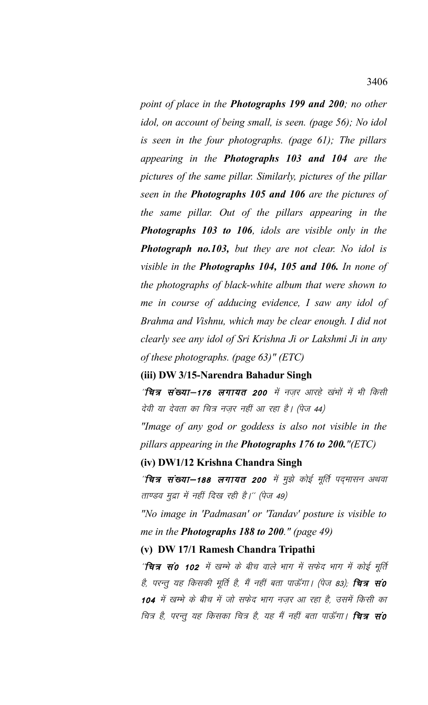*point of place in the Photographs 199 and 200; no other idol, on account of being small, is seen. (page 56); No idol is seen in the four photographs. (page 61); The pillars appearing in the Photographs 103 and 104 are the pictures of the same pillar. Similarly, pictures of the pillar seen in the Photographs 105 and 106 are the pictures of the same pillar. Out of the pillars appearing in the Photographs 103 to 106, idols are visible only in the Photograph no.103, but they are not clear. No idol is visible in the Photographs 104, 105 and 106. In none of the photographs of black-white album that were shown to me in course of adducing evidence, I saw any idol of Brahma and Vishnu, which may be clear enough. I did not clearly see any idol of Sri Krishna Ji or Lakshmi Ji in any of these photographs. (page 63)" (ETC)*

## **(iii) DW 3/15-Narendra Bahadur Singh**

 $^{\prime\prime}$ चित्र संख्या—176 लगायत 200 में नज़र आरहे खंभों में भी किसी देवी या देवता का चित्र नज़र नहीं आ रहा है। (पेज 44)

*"Image of any god or goddess is also not visible in the pillars appearing in the Photographs 176 to 200."(ETC)*

### **(iv) DW1/12 Krishna Chandra Singh**

^**चित्र संख्या–188 लगायत 200** में मुझे कोई मूर्ति पद्मासन अथवा ताण्डव मुद्रा में नहीं दिख रही है।'' (पेज 49)

*"No image in 'Padmasan' or 'Tandav' posture is visible to me in the Photographs 188 to 200." (page 49)*

### **(v) DW 17/1 Ramesh Chandra Tripathi**

'चित्र सं0 102 में खम्भे के बीच वाले भाग में सफेद भाग में कोई मूर्ति है, परन्तु यह किसकी मूर्ति है, मैं नहीं बता पाऊँगा। (पेज 83); **चित्र सं0** 104 में खम्भे के बीच में जो सफेद भाग नजर आ रहा है, उसमें किसी का चित्र है, परन्तु यह किसका चित्र है, यह मैं नहीं बता पाऊँगा। **चित्र सं0**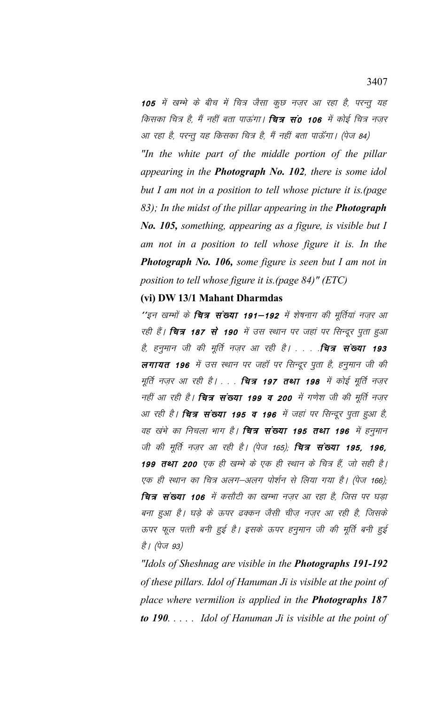105 में खम्भे के बीच में चित्र जैसा कुछ नजर आ रहा है, परन्तु यह किसका चित्र है, मैं नहीं बता पाऊंगा। **चित्र सं0 106** में कोई चित्र नज़र आ रहा है, परन्तु यह किसका चित्र है, मैं नहीं बता पाऊँगा। (पेज 84)

"In the white part of the middle portion of the pillar appearing in the **Photograph No. 102**, there is some idol but I am not in a position to tell whose picture it is (page 83); In the midst of the pillar appearing in the **Photograph** No. 105, something, appearing as a figure, is visible but I am not in a position to tell whose figure it is. In the **Photograph No. 106, some figure is seen but I am not in** position to tell whose figure it is (page  $84)$ " (ETC)

### (vi) DW 13/1 Mahant Dharmdas

''इन खम्भों के **चित्र संख्या 191–192** में शेषनाग की मूर्तियां नज़र आ रही हैं। **चित्र 187 से 190** में उस स्थान पर जहां पर सिन्दूर पूता हुआ है, हनुमान जी की मूर्ति नज़र आ रही है। . . . .**चित्र संख्या 193** लगायत 196 में उस स्थान पर जहाँ पर सिन्दूर पुता है, हनुमान जी की मूर्ति नज़र आ रही है। . . . **चित्र 197 तथा 198** में कोई मूर्ति नज़र नहीं आ रही है। **चित्र संख्या 199 व 200** में गणेश जी की मूर्ति नज़र आ रही है। **चित्र संख्या 195 व 196** में जहां पर सिन्दूर पुता हुआ है, वह खंभे का निचला भाग है। **चित्र संख्या 195 तथा 196** में हनुमान जी की मूर्ति नज़र आ रही है। (पेज 165); चित्र संख्या 195, 196, 199 तथा 200 एक ही खम्भे के एक ही स्थान के चित्र हैं, जो सही है। एक ही स्थान का चित्र अलग–अलग पोर्शन से लिया गया है। (पेज 166): चित्र संख्या 106 में कसौटी का खम्भा नज़र आ रहा है, जिस पर घड़ा बना हुआ है। घड़े के ऊपर ढक्कन जैसी चीज़ नज़र आ रही है, जिसके ऊपर फूल पत्ती बनी हुई है। इसके ऊपर हनुमान जी की मूर्ति बनी हुई है। (पेज 93)

"Idols of Sheshnag are visible in the **Photographs 191-192** of these pillars. Idol of Hanuman Ji is visible at the point of place where vermilion is applied in the **Photographs 187 to 190.**  $\ldots$  Idol of Hanuman Ji is visible at the point of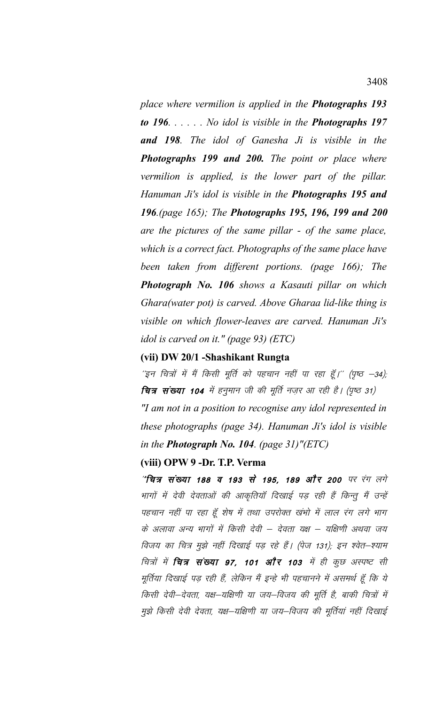*place where vermilion is applied in the Photographs 193 to 196. . . . . . No idol is visible in the Photographs 197 and 198. The idol of Ganesha Ji is visible in the Photographs 199 and 200. The point or place where vermilion is applied, is the lower part of the pillar. Hanuman Ji's idol is visible in the Photographs 195 and 196.(page 165); The Photographs 195, 196, 199 and 200 are the pictures of the same pillar - of the same place, which is a correct fact. Photographs of the same place have been taken from different portions. (page 166); The Photograph No. 106 shows a Kasauti pillar on which Ghara(water pot) is carved. Above Gharaa lid-like thing is visible on which flower-leaves are carved. Hanuman Ji's idol is carved on it." (page 93) (ETC)*

### **(vii) DW 20/1 -Shashikant Rungta**

 $^{\prime}$ इन चित्रों में मैं किसी मूर्ति को पहचान नहीं पा रहा हूँ।'' (पृष्ठ –34); चित्र संख्या 104 में हनुमान जी की मूर्ति नज़र आ रही है। (पृष्ठ 31) *"I am not in a position to recognise any idol represented in these photographs (page 34). Hanuman Ji's idol is visible in the Photograph No. 104. (page 31)"(ETC)*

## **(viii) OPW 9 -Dr. T.P. Verma**

 $^{\prime\prime}$ चित्र संख्या 188 व 193 से 195, 189 और 200 पर रंग लगे भागों में देवी देवताओं की आकृतियाँ दिखाई पड़ रही हैं किन्तु मैं उन्हें पहचान नहीं पा रहा हूँ शेष में तथा उपरोक्त खंभो में लाल रंग लगे भाग के अलावा अन्य भागों में किसी देवी – देवता यक्ष – यक्षिणी अथवा जय विजय का चित्र मुझे नहीं दिखाई पड़ रहे हैं। (पेज 131); इन श्वेत–श्याम चित्रों में **चित्र संख्या 97, 101 और 103** में ही कुछ अस्पष्ट सी मूर्तिया दिखाई पड़ रही हैं, लेकिन मैं इन्हे भी पहचानने में असमर्थ हूँ कि ये किसी देवी–देवता, यक्ष–यक्षिणी या जय–विजय की मूर्ति है, बाकी चित्रों में मुझे किसी देवी देवता, यक्ष—यक्षिणी या जय—विजय की मूर्तियां नहीं दिखाई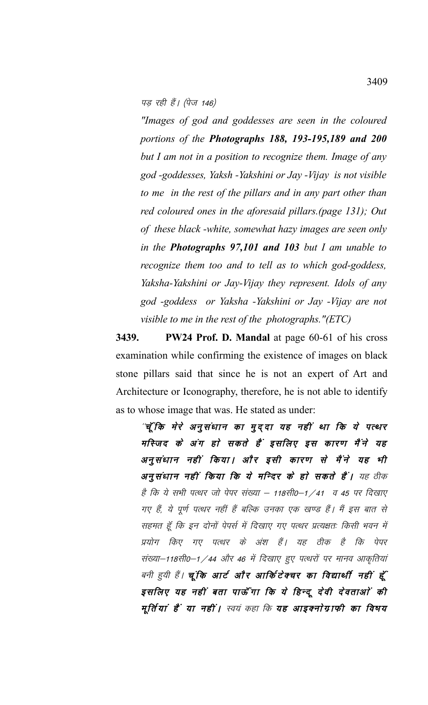$\vec{q}$  पड़ रही हैं। (पेज 146)

*"Images of god and goddesses are seen in the coloured portions of the Photographs 188, 193-195,189 and 200 but I am not in a position to recognize them. Image of any god -goddesses, Yaksh -Yakshini or Jay -Vijay is not visible to me in the rest of the pillars and in any part other than red coloured ones in the aforesaid pillars.(page 131); Out of these black -white, somewhat hazy images are seen only in the Photographs 97,101 and 103 but I am unable to recognize them too and to tell as to which god-goddess, Yaksha-Yakshini or Jay-Vijay they represent. Idols of any god -goddess or Yaksha -Yakshini or Jay -Vijay are not visible to me in the rest of the photographs."(ETC)* 

**3439. PW24 Prof. D. Mandal** at page 60-61 of his cross examination while confirming the existence of images on black stone pillars said that since he is not an expert of Art and Architecture or Iconography, therefore, he is not able to identify as to whose image that was. He stated as under:

"चूँ कि मेरे अनुसंधान का मुद्दा यह नहीं था कि ये पत्थर मस्जिद के अंग हो सकते हैं इसलिए इस कारण मैंने यह अनूसंधान नहीं किया। और इसी कारण से मैंने यह भी अनुसंधान नहीं किया कि ये मन्दिर के हो सकते हैं। यह ठीक है कि ये सभी पत्थर जो पेपर संख्या – 118सी0–1 /41 व 45 पर दिखाए गए हैं, ये पूर्ण पत्थर नहीं हैं बल्कि उनका एक खण्ड हैं। मैं इस बात से सहमत हूँ कि इन दोनों पेपर्स में दिखाए गए पत्थर प्रत्यक्षतः किसी भवन में प्रयोग किए गए पत्थर के अंश हैं। यह ठीक है कि पेपर संख्या–118सी0–1 / 44 और 46 में दिखाए हुए पत्थरों पर मानव आकृतियां बनी हुयी हैं। **चूंकि आर्ट और आर्किटेक्चर का विद्यार्थी नहीं हूँ** इसलिए यह नहीं बता पाऊँ गा कि ये हिन्दू देवी देवताओं की मूर्तियां हैं या नहीं। स्वयं कहा कि यह आइक्नोग्राफी का विषय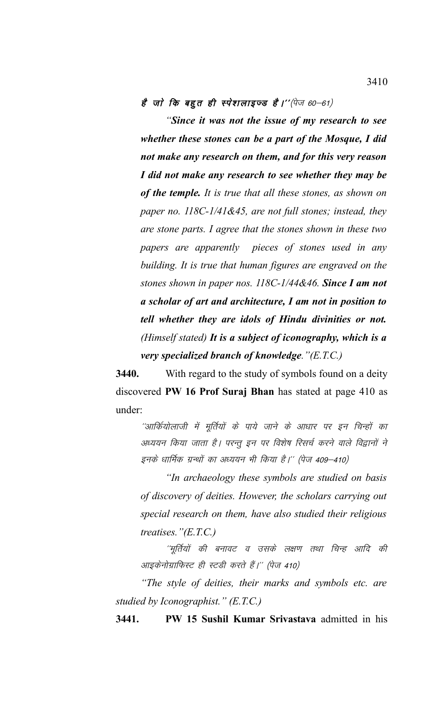है जो कि बहुत ही स्पेशलाइ़ज्ड है।''(पेज 60–61)

*"Since it was not the issue of my research to see whether these stones can be a part of the Mosque, I did not make any research on them, and for this very reason I did not make any research to see whether they may be of the temple. It is true that all these stones, as shown on paper no. 118C-1/41&45, are not full stones; instead, they are stone parts. I agree that the stones shown in these two papers are apparently pieces of stones used in any building. It is true that human figures are engraved on the stones shown in paper nos. 118C-1/44&46. Since I am not a scholar of art and architecture, I am not in position to tell whether they are idols of Hindu divinities or not. (Himself stated) It is a subject of iconography, which is a very specialized branch of knowledge."(E.T.C.)*

**3440.** With regard to the study of symbols found on a deity discovered **PW 16 Prof Suraj Bhan** has stated at page 410 as under:

''आर्कियोलाजी में मूर्तियों के पाये जाने के आधार पर इन चिन्हों का अध्ययन किया जाता है। परन्तु इन पर विशेष रिसर्च करने वाले विद्वानों ने इनके धार्मिक ग्रन्थों का अध्ययन भी किया है।'' (पेज 409–410)

*"In archaeology these symbols are studied on basis of discovery of deities. However, the scholars carrying out special research on them, have also studied their religious treatises."(E.T.C.)* 

''मूर्तियों की बनावट व उसके लक्षण तथा चिन्ह आदि की आइकेनोग्राफिस्ट ही स्टडी करते हैं।'' (पेज 410)

*"The style of deities, their marks and symbols etc. are studied by Iconographist." (E.T.C.)* 

**3441. PW 15 Sushil Kumar Srivastava** admitted in his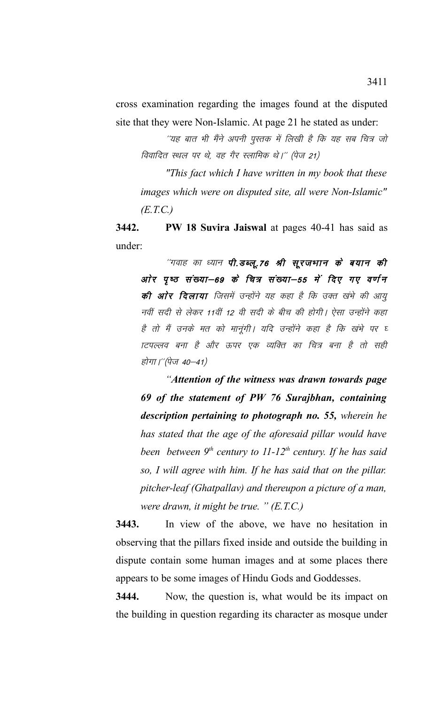cross examination regarding the images found at the disputed site that they were Non-Islamic. At page 21 he stated as under:

''यह बात भी मैंने अपनी पुस्तक में लिखी है कि यह सब चित्र जो विवादित स्थल पर थे, वह गैर स्लामिक थे।'' (पेज 21)

*"This fact which I have written in my book that these images which were on disputed site, all were Non-Islamic" (E.T.C.)*

**3442. PW 18 Suvira Jaiswal** at pages 40-41 has said as under:

''गवाह का ध्यान **पी.डब्लू.76 श्री सूरजभान के बयान की** ओर पृष्ठ संख्या–69 के चित्र संख्या–55 में दिए गए वर्णन की ओर दिलाया जिसमें उन्होंने यह कहा है कि उक्त खंभे की आयु नवीं सदी से लेकर 11वीं 12 वी सदी के बीच की होगी। ऐसा उन्होंने कहा है तो मैं उनके मत को मानूंगी। यदि उन्होंने कहा है कि खंभे पर घ ाटपल्लव बना है और ऊपर एक व्यक्ति का चित्र बना है तो सही होगा।''(पेज 40–41)

*"Attention of the witness was drawn towards page 69 of the statement of PW 76 Surajbhan, containing description pertaining to photograph no. 55, wherein he has stated that the age of the aforesaid pillar would have been between 9th century to 11-12th century. If he has said so, I will agree with him. If he has said that on the pillar. pitcher-leaf (Ghatpallav) and thereupon a picture of a man, were drawn, it might be true. " (E.T.C.)*

**3443.** In view of the above, we have no hesitation in observing that the pillars fixed inside and outside the building in dispute contain some human images and at some places there appears to be some images of Hindu Gods and Goddesses.

**3444.** Now, the question is, what would be its impact on the building in question regarding its character as mosque under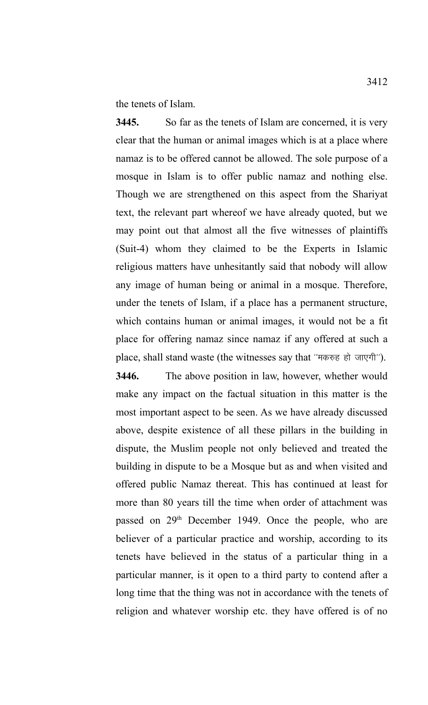the tenets of Islam.

**3445.** So far as the tenets of Islam are concerned, it is very clear that the human or animal images which is at a place where namaz is to be offered cannot be allowed. The sole purpose of a mosque in Islam is to offer public namaz and nothing else. Though we are strengthened on this aspect from the Shariyat text, the relevant part whereof we have already quoted, but we may point out that almost all the five witnesses of plaintiffs (Suit-4) whom they claimed to be the Experts in Islamic religious matters have unhesitantly said that nobody will allow any image of human being or animal in a mosque. Therefore, under the tenets of Islam, if a place has a permanent structure, which contains human or animal images, it would not be a fit place for offering namaz since namaz if any offered at such a place, shall stand waste (the witnesses say that "मकरुह हो जाएगी").

**3446.** The above position in law, however, whether would make any impact on the factual situation in this matter is the most important aspect to be seen. As we have already discussed above, despite existence of all these pillars in the building in dispute, the Muslim people not only believed and treated the building in dispute to be a Mosque but as and when visited and offered public Namaz thereat. This has continued at least for more than 80 years till the time when order of attachment was passed on 29<sup>th</sup> December 1949. Once the people, who are believer of a particular practice and worship, according to its tenets have believed in the status of a particular thing in a particular manner, is it open to a third party to contend after a long time that the thing was not in accordance with the tenets of religion and whatever worship etc. they have offered is of no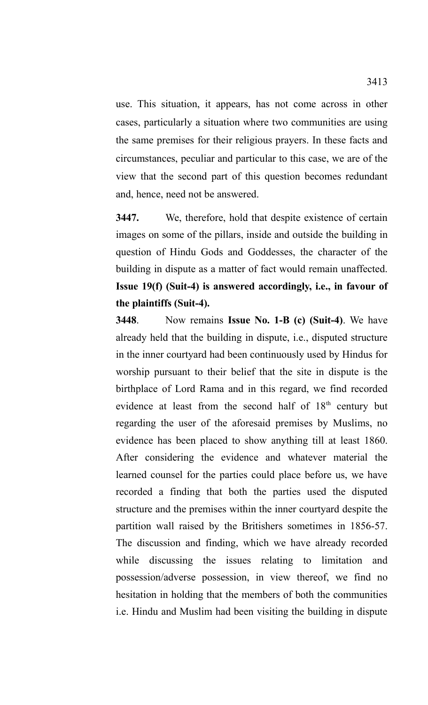use. This situation, it appears, has not come across in other cases, particularly a situation where two communities are using the same premises for their religious prayers. In these facts and circumstances, peculiar and particular to this case, we are of the view that the second part of this question becomes redundant and, hence, need not be answered.

**3447.** We, therefore, hold that despite existence of certain images on some of the pillars, inside and outside the building in question of Hindu Gods and Goddesses, the character of the building in dispute as a matter of fact would remain unaffected. **Issue 19(f) (Suit-4) is answered accordingly, i.e., in favour of the plaintiffs (Suit-4).**

**3448**. Now remains **Issue No. 1-B (c) (Suit-4)**. We have already held that the building in dispute, i.e., disputed structure in the inner courtyard had been continuously used by Hindus for worship pursuant to their belief that the site in dispute is the birthplace of Lord Rama and in this regard, we find recorded evidence at least from the second half of  $18<sup>th</sup>$  century but regarding the user of the aforesaid premises by Muslims, no evidence has been placed to show anything till at least 1860. After considering the evidence and whatever material the learned counsel for the parties could place before us, we have recorded a finding that both the parties used the disputed structure and the premises within the inner courtyard despite the partition wall raised by the Britishers sometimes in 1856-57. The discussion and finding, which we have already recorded while discussing the issues relating to limitation and possession/adverse possession, in view thereof, we find no hesitation in holding that the members of both the communities i.e. Hindu and Muslim had been visiting the building in dispute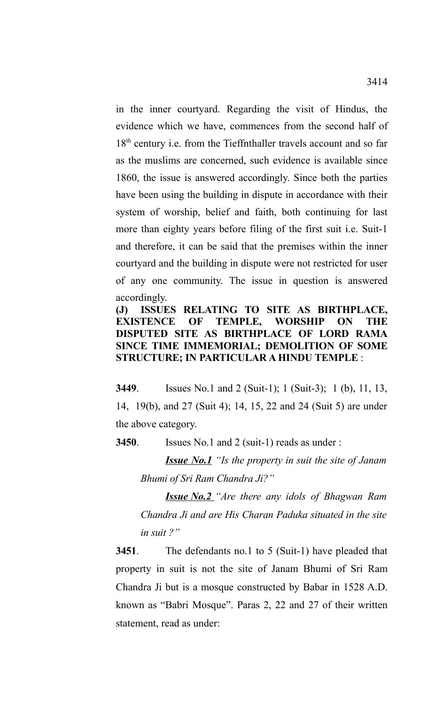in the inner courtyard. Regarding the visit of Hindus, the evidence which we have, commences from the second half of 18<sup>th</sup> century i.e. from the Tieffnthaller travels account and so far as the muslims are concerned, such evidence is available since 1860, the issue is answered accordingly. Since both the parties have been using the building in dispute in accordance with their system of worship, belief and faith, both continuing for last more than eighty years before filing of the first suit i.e. Suit-1 and therefore, it can be said that the premises within the inner courtyard and the building in dispute were not restricted for user of any one community. The issue in question is answered accordingly.

# **(J) ISSUES RELATING TO SITE AS BIRTHPLACE, EXISTENCE OF TEMPLE, WORSHIP ON THE DISPUTED SITE AS BIRTHPLACE OF LORD RAMA SINCE TIME IMMEMORIAL; DEMOLITION OF SOME STRUCTURE; IN PARTICULAR A HINDU TEMPLE** :

**3449**. Issues No.1 and 2 (Suit-1); 1 (Suit-3); 1 (b), 11, 13, 14, 19(b), and 27 (Suit 4); 14, 15, 22 and 24 (Suit 5) are under the above category.

**3450**. Issues No.1 and 2 (suit-1) reads as under :

*Issue No.1 "Is the property in suit the site of Janam Bhumi of Sri Ram Chandra Ji?"*

*Issue No.2 "Are there any idols of Bhagwan Ram Chandra Ji and are His Charan Paduka situated in the site in suit ?"*

**3451**. The defendants no.1 to 5 (Suit-1) have pleaded that property in suit is not the site of Janam Bhumi of Sri Ram Chandra Ji but is a mosque constructed by Babar in 1528 A.D. known as "Babri Mosque". Paras 2, 22 and 27 of their written statement, read as under: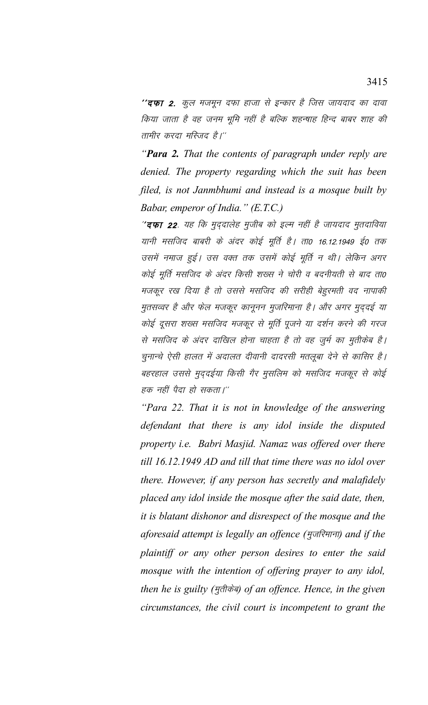''**दफा 2.** कूल मजमून दफा हाजा से इन्कार है जिस जायदाद का दावा किया जाता है वह जनम भूमि नहीं है बल्कि शहन्याह हिन्द बाबर शाह की तामीर करदा मस्जिद है।''

"Para 2. That the contents of paragraph under reply are denied. The property regarding which the suit has been filed, is not Janmbhumi and instead is a mosque built by Babar, emperor of India." (E.T.C.)

"दफा 22. यह कि मुद्दालेह मुजीब को इल्म नहीं है जायदाद मुतदाविया यानी मसजिद बाबरी के अंदर कोई मूर्ति है। ता0 16.12.1949 ई0 तक उसमें नमाज हुई। उस वक्त तक उसमें कोई मूर्ति न थी। लेकिन अगर कोई मूर्ति मसजिद के अंदर किसी शख्स ने चोरी व बदनीयती से बाद ता0 मजकूर रख दिया है तो उससे मसजिद की सरीही बेहुरमती वद नापाकी मुतसव्वर है और फेल मजकूर कानूनन मुजरिमाना है। और अगर मुददई या कोई दूसरा शख्स मसजिद मजकूर से मूर्ति पूजने या दर्शन करने की गरज से मसजिद के अंदर दाखिल होना चाहता है तो वह जुर्म का मुतीकेब है। चुनान्चे ऐसी हालत में अदालत दीवानी दादरसी मतलूबा देने से कासिर है। बहरहाल उससे मुदुदईया किसी गैर मुसलिम को मसजिद मजकूर से कोई हक नहीं पैदा हो सकता।''

"Para 22. That it is not in knowledge of the answering defendant that there is any idol inside the disputed property *i.e.* Babri Masjid. Namaz was offered over there till 16.12.1949 AD and till that time there was no idol over there. However, if any person has secretly and malafidely placed any idol inside the mosque after the said date, then, it is blatant dishonor and disrespect of the mosque and the aforesaid attempt is legally an offence (मुजरिमाना) and if the plaintiff or any other person desires to enter the said mosque with the intention of offering prayer to any idol, then he is guilty (मुत्तीकेब) of an offence. Hence, in the given circumstances, the civil court is incompetent to grant the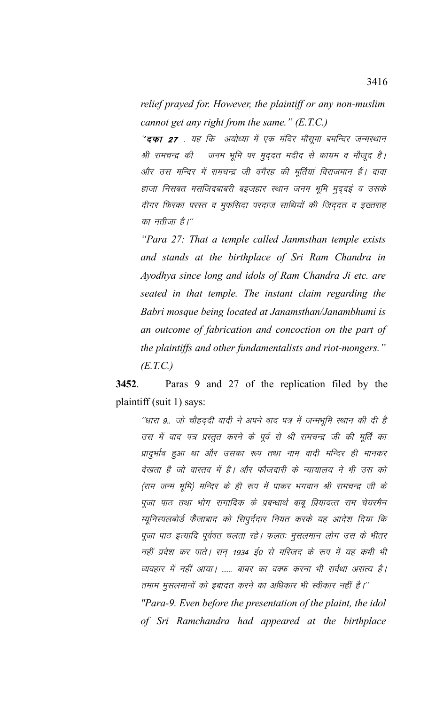*relief prayed for. However, the plaintiff or any non-muslim cannot get any right from the same." (E.T.C.)*

"**दफा 27** . यह कि अयोध्या में एक मंदिर मौसूमा बमन्दिर जन्मस्थान श्री रामचन्द्र की जनम भूमि पर मुद्दत मदीद से कायम व मौजूद है। ओर उस मन्दिर में रामचन्द्र जी वगैरह की मूर्तियां विराजमान हैं। दावा हाजा निसबत मसजिदबाबरी बइजहार स्थान जनम भूमि मुद्दई व उसके दीगर फिरका परस्त व मुफसिदा परदाज साथियों की जिद्दत व इख्तराह का नतीजा है।''

*"Para 27: That a temple called Janmsthan temple exists and stands at the birthplace of Sri Ram Chandra in Ayodhya since long and idols of Ram Chandra Ji etc. are seated in that temple. The instant claim regarding the Babri mosque being located at Janamsthan/Janambhumi is an outcome of fabrication and concoction on the part of the plaintiffs and other fundamentalists and riot-mongers." (E.T.C.)*

**3452**. Paras 9 and 27 of the replication filed by the plaintiff (suit 1) says:

<sup>.</sup>'धारा 9.. जो चौहददी वादी ने अपने वाद पत्र में जन्मभूमि स्थान की दी है उस में वाद पत्र प्रस्तुत करने के पूर्व से श्री रामचन्द्र जी की मूर्ति का प्रादुर्भाव हुआ था और उसका रूप तथा नाम वादी मन्दिर ही मानकर देखता है जो वास्तव में है। और फौजदारी के न्यायालय ने भी उस को (राम जन्म भूमि) मन्दिर के ही रूप में पाकर भगवान श्री रामचन्द्र जी के पूजा पाठ तथा भोग रागादिक के प्रबन्धार्थ बाबू प्रियादत्त राम चेयरमैन म्युनिस्पलबोर्ड फैजाबाद को सिपुर्ददार नियत करके यह आदेश दिया कि पूजा पाठ इत्यादि पूर्ववत चलता रहे। फलतः मुसलमान लोग उस के भीतर नहीं प्रवेश कर पाते। सन 1934 ई0 से मस्जिद के रूप में यह कभी भी व्यवहार में नहीं आया। ...... बाबर का वक्फ करना भी सर्वथा असत्य है। तमाम मुसलमानों को इबादत करने का अधिकार भी स्वीकार नहीं है।'' *"Para-9. Even before the presentation of the plaint, the idol of Sri Ramchandra had appeared at the birthplace*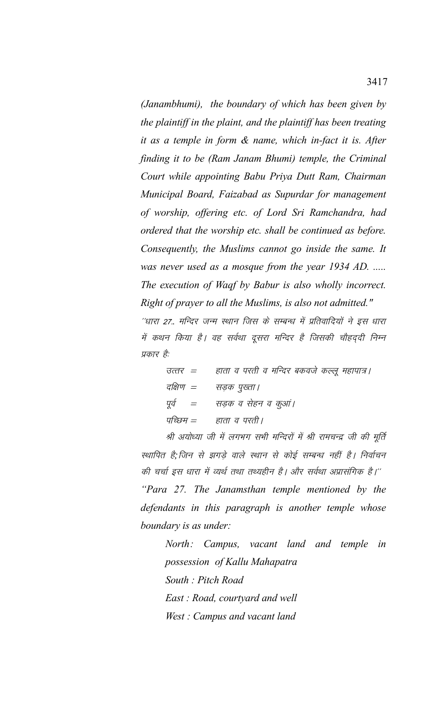*(Janambhumi), the boundary of which has been given by the plaintiff in the plaint, and the plaintiff has been treating it as a temple in form & name, which in-fact it is. After finding it to be (Ram Janam Bhumi) temple, the Criminal Court while appointing Babu Priya Dutt Ram, Chairman Municipal Board, Faizabad as Supurdar for management of worship, offering etc. of Lord Sri Ramchandra, had ordered that the worship etc. shall be continued as before. Consequently, the Muslims cannot go inside the same. It was never used as a mosque from the year 1934 AD. ..... The execution of Waqf by Babur is also wholly incorrect. Right of prayer to all the Muslims, is also not admitted."* <sup>.</sup>'धारा 27.. मन्दिर जन्म स्थान जिस के सम्बन्ध में प्रतिवादियों ने इस धारा में कथन किया है। वह सर्वथा दूसरा मन्दिर है जिसकी चौहदुदी निम्न

प्रकार है: उत्तर = हाता व परती व मन्दिर बकवजे कल्लू महापात्र। दक्षिण  $=$  सडक पख्ता । पूर्व  $=$  सडक व सेहन व कुआं। पच्छिम $\epsilon = \frac{1}{\sqrt{2}}$ 

श्री अयोध्या जी में लगभग सभी मन्दिरों में श्री रामचन्द्र जी की मूर्ति स्थापित है;जिन से झगडे वाले स्थान से कोई सम्बन्ध नहीं है। निर्वाचन की चर्चा इस धारा में व्यर्थ तथा तथ्यहीन है। और सर्वथा अप्रासंगिक है।'' *"Para 27. The Janamsthan temple mentioned by the defendants in this paragraph is another temple whose boundary is as under:*

*North: Campus, vacant land and temple in possession of Kallu Mahapatra South : Pitch Road East : Road, courtyard and well West : Campus and vacant land*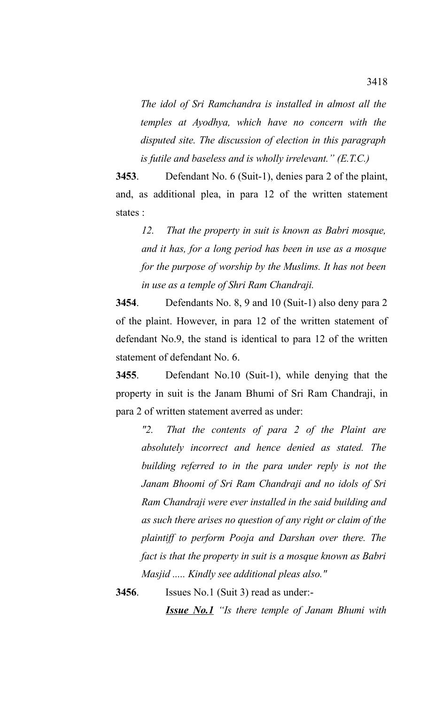*The idol of Sri Ramchandra is installed in almost all the temples at Ayodhya, which have no concern with the disputed site. The discussion of election in this paragraph is futile and baseless and is wholly irrelevant." (E.T.C.)*

**3453**. Defendant No. 6 (Suit-1), denies para 2 of the plaint, and, as additional plea, in para 12 of the written statement states :

*12. That the property in suit is known as Babri mosque, and it has, for a long period has been in use as a mosque for the purpose of worship by the Muslims. It has not been in use as a temple of Shri Ram Chandraji.*

**3454**. Defendants No. 8, 9 and 10 (Suit-1) also deny para 2 of the plaint. However, in para 12 of the written statement of defendant No.9, the stand is identical to para 12 of the written statement of defendant No. 6.

**3455**. Defendant No.10 (Suit-1), while denying that the property in suit is the Janam Bhumi of Sri Ram Chandraji, in para 2 of written statement averred as under:

*"2. That the contents of para 2 of the Plaint are absolutely incorrect and hence denied as stated. The building referred to in the para under reply is not the Janam Bhoomi of Sri Ram Chandraji and no idols of Sri Ram Chandraji were ever installed in the said building and as such there arises no question of any right or claim of the plaintiff to perform Pooja and Darshan over there. The fact is that the property in suit is a mosque known as Babri Masjid ..... Kindly see additional pleas also."*

**3456**. Issues No.1 (Suit 3) read as under:-

*Issue No.1 "Is there temple of Janam Bhumi with*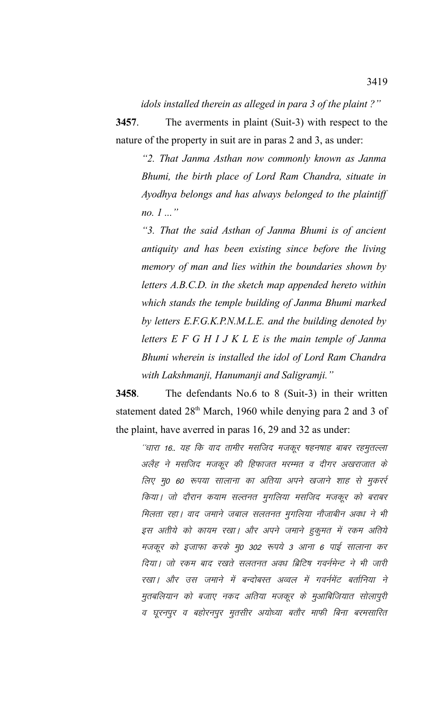idols installed therein as alleged in para 3 of the plaint?"

3457. The averments in plaint (Suit-3) with respect to the nature of the property in suit are in paras 2 and 3, as under:

"2. That Janma Asthan now commonly known as Janma Bhumi, the birth place of Lord Ram Chandra, situate in Ayodhya belongs and has always belonged to the plaintiff *no.*  $1...$ "

"3. That the said Asthan of Janma Bhumi is of ancient antiquity and has been existing since before the living memory of man and lies within the boundaries shown by letters A.B.C.D. in the sketch map appended hereto within which stands the temple building of Janma Bhumi marked by letters E.F.G.K.P.N.M.L.E. and the building denoted by letters  $E F G H I J K L E$  is the main temple of Janma Bhumi wherein is installed the idol of Lord Ram Chandra with Lakshmanji, Hanumanji and Saligramji."

3458. The defendants  $No.6$  to  $8$  (Suit-3) in their written statement dated 28<sup>th</sup> March, 1960 while denying para 2 and 3 of the plaint, have averred in paras 16, 29 and 32 as under:

''धारा 16.. यह कि वाद तामीर मसजिद मजकूर षहनषाह बाबर रहमुतल्ला अलैह ने मसजिद मजकूर की हिफाजत मरम्मत व दीगर अखराजात के लिए मु0 60 रूपया सालाना का अतिया अपने खजाने शाह से मुकर्रु किया। जो दौरान कयाम सल्तनत मुगलिया मसजिद मजकूर को बराबर मिलता रहा। वाद जमाने जबाल सलतनत मुगलिया नौजाबीन अवध ने भी इस अतीये को कायम रखा। और अपने जमाने हुकुमत में रकम अतिये मजकूर को इजाफा करके मु0 302 रूपये 3 आना 6 पाई सालाना कर दिया | जो रकम बाद रखते सलतनत अवध ब्रिटिष गवर्नमेन्ट ने भी जारी रखा। और उस जमाने में बन्दोबस्त अव्वल में गवर्नमेंट बर्तानिया ने मुतबलियान को बजाए नकद अतिया मजकूर के मुआबिजियात सोलापुरी व घूरनपुर व बहोरनपुर मुतसीर अयोध्या बतौर माफी बिना बरमसारित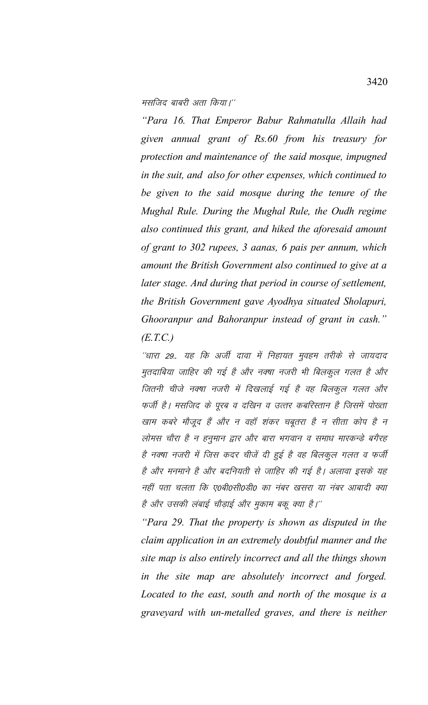मसजिद बाबरी अता किया।''

"Para 16. That Emperor Babur Rahmatulla Allaih had given annual grant of Rs.60 from his treasury for protection and maintenance of the said mosque, impugned in the suit, and also for other expenses, which continued to be given to the said mosque during the tenure of the Mughal Rule. During the Mughal Rule, the Oudh regime also continued this grant, and hiked the aforesaid amount of grant to 302 rupees, 3 aanas, 6 pais per annum, which amount the British Government also continued to give at a later stage. And during that period in course of settlement, the British Government gave Ayodhya situated Sholapuri, Ghooranpur and Bahoranpur instead of grant in cash."  $(E.T.C.)$ 

''धारा 29.. यह कि अर्जी दावा में निहायत मुवहम तरीके से जायदाद मुतदाबिया जाहिर की गई है और नक्ष्या नजरी भी बिलकुल गलत है और जितनी चीजे नक्ष्या नजरी में दिखलाई गई है वह बिलकूल गलत और फर्जी है। मसजिद के पूरब व दखिन व उत्तर कबरिस्तान है जिसमें पोख्ता खाम कबरे मौजूद हैं और न वहाँ शंकर चबूतरा है न सीता कोप है न लोमस चौरा है न हनुमान द्वार और बारा भगवान व समाध मारकन्डे बगैरह है नक्षा नजरी में जिस कदर चीजें दी हुई है वह बिलकुल गलत व फर्जी है और मनमाने है और बदनियती से जाहिर की गई है। अलावा इसके यह नहीं पता चलता कि ए0बी0सी0डी0 का नंबर खसरा या नंबर आबादी क्या है और उसकी लंबाई चौड़ाई और मुकाम बकू क्या है।''

"Para 29. That the property is shown as disputed in the claim application in an extremely doubtful manner and the site map is also entirely incorrect and all the things shown in the site map are absolutely incorrect and forged. Located to the east, south and north of the mosque is a graveyard with un-metalled graves, and there is neither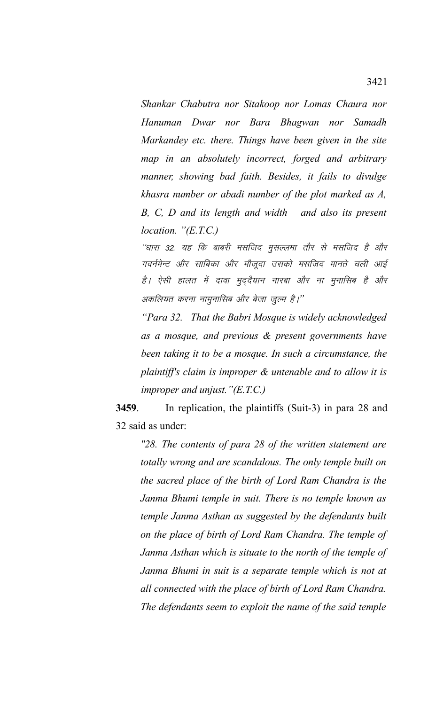*Shankar Chabutra nor Sitakoop nor Lomas Chaura nor Hanuman Dwar nor Bara Bhagwan nor Samadh Markandey etc. there. Things have been given in the site map in an absolutely incorrect, forged and arbitrary manner, showing bad faith. Besides, it fails to divulge khasra number or abadi number of the plot marked as A, B, C, D and its length and width and also its present location. "(E.T.C.)*

''धारा 32. यह कि बाबरी मसजिद मुसल्लमा तौर से मसजिद है और गवर्नमेन्ट और साबिका और मौजूदा उसको मसजिद मानते चली आई है। ऐसी हालत में दावा मुद्दैयान नारबा और ना मुनासिब है और अकलियत करना नामुनासिब और बेजा जुल्म है।''

*"Para 32. That the Babri Mosque is widely acknowledged as a mosque, and previous & present governments have been taking it to be a mosque. In such a circumstance, the plaintiff's claim is improper & untenable and to allow it is improper and unjust."(E.T.C.)*

**3459**. In replication, the plaintiffs (Suit-3) in para 28 and 32 said as under:

*"28. The contents of para 28 of the written statement are totally wrong and are scandalous. The only temple built on the sacred place of the birth of Lord Ram Chandra is the Janma Bhumi temple in suit. There is no temple known as temple Janma Asthan as suggested by the defendants built on the place of birth of Lord Ram Chandra. The temple of Janma Asthan which is situate to the north of the temple of Janma Bhumi in suit is a separate temple which is not at all connected with the place of birth of Lord Ram Chandra. The defendants seem to exploit the name of the said temple*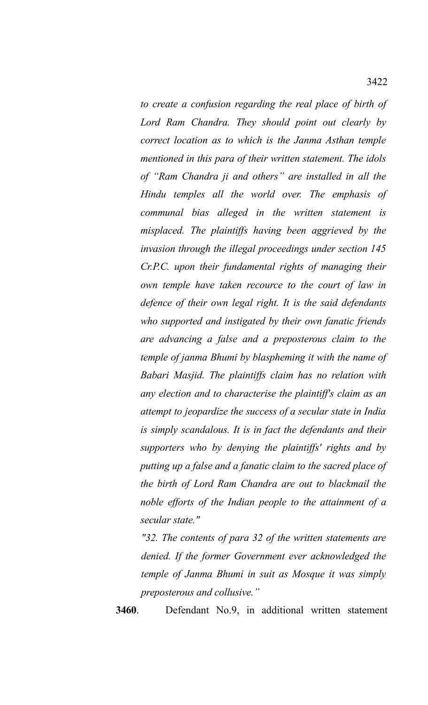*to create a confusion regarding the real place of birth of Lord Ram Chandra. They should point out clearly by correct location as to which is the Janma Asthan temple mentioned in this para of their written statement. The idols of "Ram Chandra ji and others" are installed in all the Hindu temples all the world over. The emphasis of communal bias alleged in the written statement is misplaced. The plaintiffs having been aggrieved by the invasion through the illegal proceedings under section 145 Cr.P.C. upon their fundamental rights of managing their own temple have taken recource to the court of law in defence of their own legal right. It is the said defendants who supported and instigated by their own fanatic friends are advancing a false and a preposterous claim to the temple of janma Bhumi by blaspheming it with the name of Babari Masjid. The plaintiffs claim has no relation with any election and to characterise the plaintiff's claim as an attempt to jeopardize the success of a secular state in India is simply scandalous. It is in fact the defendants and their supporters who by denying the plaintiffs' rights and by putting up a false and a fanatic claim to the sacred place of the birth of Lord Ram Chandra are out to blackmail the noble efforts of the Indian people to the attainment of a secular state."*

*"32. The contents of para 32 of the written statements are denied. If the former Government ever acknowledged the temple of Janma Bhumi in suit as Mosque it was simply preposterous and collusive."*

**3460**. Defendant No.9, in additional written statement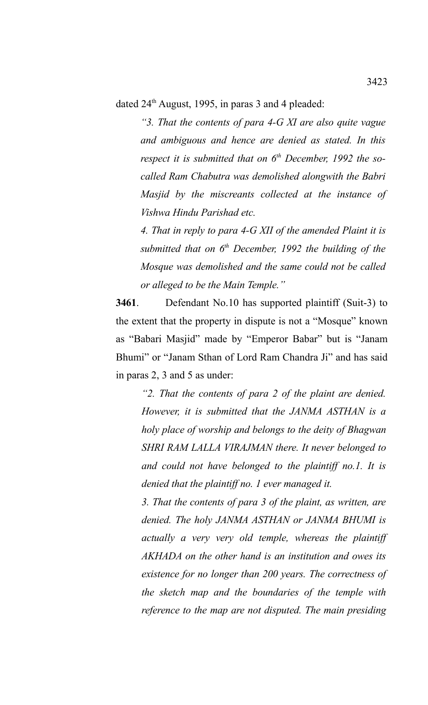dated  $24<sup>th</sup>$  August, 1995, in paras 3 and 4 pleaded:

*"3. That the contents of para 4-G XI are also quite vague and ambiguous and hence are denied as stated. In this respect it is submitted that on 6th December, 1992 the socalled Ram Chabutra was demolished alongwith the Babri Masjid by the miscreants collected at the instance of Vishwa Hindu Parishad etc.* 

*4. That in reply to para 4-G XII of the amended Plaint it is submitted that on 6th December, 1992 the building of the Mosque was demolished and the same could not be called or alleged to be the Main Temple."* 

**3461**. Defendant No.10 has supported plaintiff (Suit-3) to the extent that the property in dispute is not a "Mosque" known as "Babari Masjid" made by "Emperor Babar" but is "Janam Bhumi" or "Janam Sthan of Lord Ram Chandra Ji" and has said in paras 2, 3 and 5 as under:

*"2. That the contents of para 2 of the plaint are denied. However, it is submitted that the JANMA ASTHAN is a holy place of worship and belongs to the deity of Bhagwan SHRI RAM LALLA VIRAJMAN there. It never belonged to and could not have belonged to the plaintiff no.1. It is denied that the plaintiff no. 1 ever managed it.*

*3. That the contents of para 3 of the plaint, as written, are denied. The holy JANMA ASTHAN or JANMA BHUMI is actually a very very old temple, whereas the plaintiff AKHADA on the other hand is an institution and owes its existence for no longer than 200 years. The correctness of the sketch map and the boundaries of the temple with reference to the map are not disputed. The main presiding*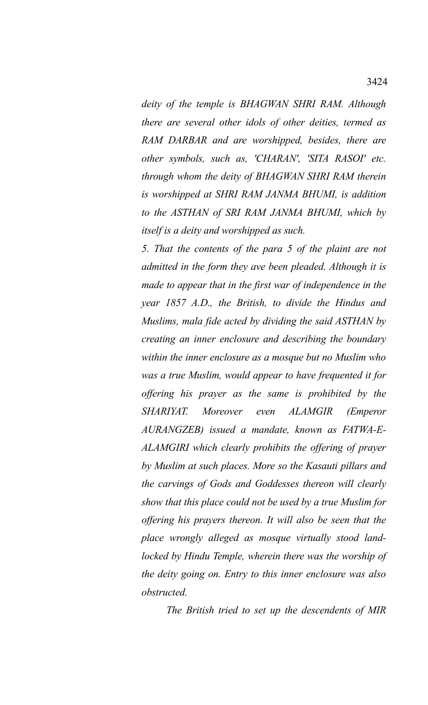*deity of the temple is BHAGWAN SHRI RAM. Although there are several other idols of other deities, termed as RAM DARBAR and are worshipped, besides, there are other symbols, such as, 'CHARAN', 'SITA RASOI' etc. through whom the deity of BHAGWAN SHRI RAM therein is worshipped at SHRI RAM JANMA BHUMI, is addition to the ASTHAN of SRI RAM JANMA BHUMI, which by itself is a deity and worshipped as such.*

*5. That the contents of the para 5 of the plaint are not admitted in the form they ave been pleaded. Although it is made to appear that in the first war of independence in the year 1857 A.D., the British, to divide the Hindus and Muslims, mala fide acted by dividing the said ASTHAN by creating an inner enclosure and describing the boundary within the inner enclosure as a mosque but no Muslim who was a true Muslim, would appear to have frequented it for offering his prayer as the same is prohibited by the SHARIYAT. Moreover even ALAMGIR (Emperor AURANGZEB) issued a mandate, known as FATWA-E-ALAMGIRI which clearly prohibits the offering of prayer by Muslim at such places. More so the Kasauti pillars and the carvings of Gods and Goddesses thereon will clearly show that this place could not be used by a true Muslim for offering his prayers thereon. It will also be seen that the place wrongly alleged as mosque virtually stood landlocked by Hindu Temple, wherein there was the worship of the deity going on. Entry to this inner enclosure was also obstructed.* 

*The British tried to set up the descendents of MIR*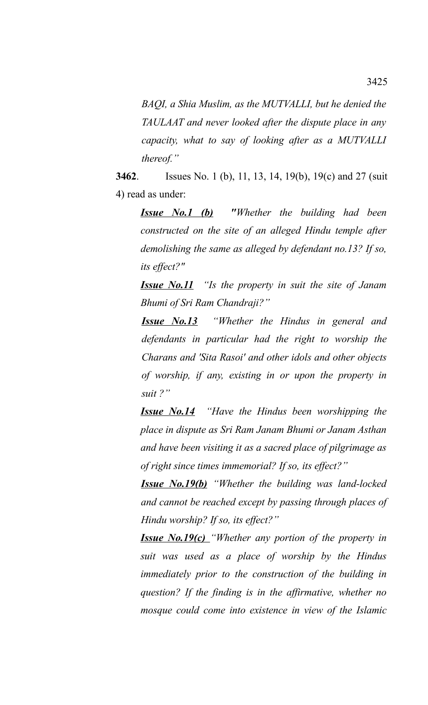*BAQI, a Shia Muslim, as the MUTVALLI, but he denied the TAULAAT and never looked after the dispute place in any capacity, what to say of looking after as a MUTVALLI thereof."*

**3462**. Issues No. 1 (b), 11, 13, 14, 19(b), 19(c) and 27 (suit 4) read as under:

*Issue No.1 (b) "Whether the building had been constructed on the site of an alleged Hindu temple after demolishing the same as alleged by defendant no.13? If so, its effect?"*

*Issue No.11 "Is the property in suit the site of Janam Bhumi of Sri Ram Chandraji?"*

*Issue No.13 "Whether the Hindus in general and defendants in particular had the right to worship the Charans and 'Sita Rasoi' and other idols and other objects of worship, if any, existing in or upon the property in suit ?"*

*Issue No.14 "Have the Hindus been worshipping the place in dispute as Sri Ram Janam Bhumi or Janam Asthan and have been visiting it as a sacred place of pilgrimage as of right since times immemorial? If so, its effect?"*

*Issue No.19(b) "Whether the building was land-locked and cannot be reached except by passing through places of Hindu worship? If so, its effect?"*

*Issue No.19(c) "Whether any portion of the property in suit was used as a place of worship by the Hindus immediately prior to the construction of the building in question? If the finding is in the affirmative, whether no mosque could come into existence in view of the Islamic*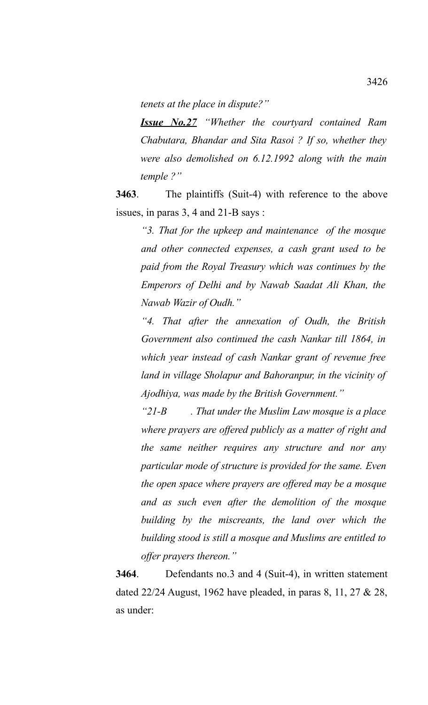*tenets at the place in dispute?"*

*Issue No.27 "Whether the courtyard contained Ram Chabutara, Bhandar and Sita Rasoi ? If so, whether they were also demolished on 6.12.1992 along with the main temple ?"*

**3463**. The plaintiffs (Suit-4) with reference to the above issues, in paras 3, 4 and 21-B says :

> *"3. That for the upkeep and maintenance of the mosque and other connected expenses, a cash grant used to be paid from the Royal Treasury which was continues by the Emperors of Delhi and by Nawab Saadat Ali Khan, the Nawab Wazir of Oudh."*

> *"4. That after the annexation of Oudh, the British Government also continued the cash Nankar till 1864, in which year instead of cash Nankar grant of revenue free land in village Sholapur and Bahoranpur, in the vicinity of Ajodhiya, was made by the British Government."*

> *"21-B . That under the Muslim Law mosque is a place where prayers are offered publicly as a matter of right and the same neither requires any structure and nor any particular mode of structure is provided for the same. Even the open space where prayers are offered may be a mosque and as such even after the demolition of the mosque building by the miscreants, the land over which the building stood is still a mosque and Muslims are entitled to offer prayers thereon."*

**3464**. Defendants no.3 and 4 (Suit-4), in written statement dated 22/24 August, 1962 have pleaded, in paras 8, 11, 27 & 28, as under: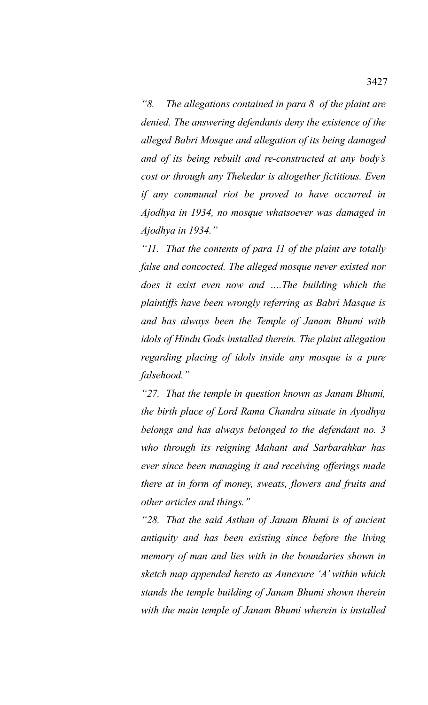*"8. The allegations contained in para 8 of the plaint are denied. The answering defendants deny the existence of the alleged Babri Mosque and allegation of its being damaged and of its being rebuilt and re-constructed at any body's cost or through any Thekedar is altogether fictitious. Even if any communal riot be proved to have occurred in Ajodhya in 1934, no mosque whatsoever was damaged in Ajodhya in 1934."*

*"11. That the contents of para 11 of the plaint are totally false and concocted. The alleged mosque never existed nor does it exist even now and ….The building which the plaintiffs have been wrongly referring as Babri Masque is and has always been the Temple of Janam Bhumi with idols of Hindu Gods installed therein. The plaint allegation regarding placing of idols inside any mosque is a pure falsehood."*

*"27. That the temple in question known as Janam Bhumi, the birth place of Lord Rama Chandra situate in Ayodhya belongs and has always belonged to the defendant no. 3 who through its reigning Mahant and Sarbarahkar has ever since been managing it and receiving offerings made there at in form of money, sweats, flowers and fruits and other articles and things."*

*"28. That the said Asthan of Janam Bhumi is of ancient antiquity and has been existing since before the living memory of man and lies with in the boundaries shown in sketch map appended hereto as Annexure 'A' within which stands the temple building of Janam Bhumi shown therein with the main temple of Janam Bhumi wherein is installed*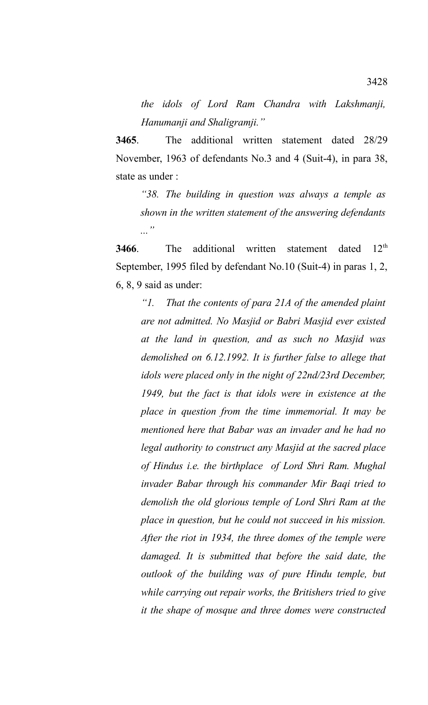*the idols of Lord Ram Chandra with Lakshmanji, Hanumanji and Shaligramji."*

**3465**. The additional written statement dated 28/29 November, 1963 of defendants No.3 and 4 (Suit-4), in para 38, state as under :

*"38. The building in question was always a temple as shown in the written statement of the answering defendants ..."*

**3466**. The additional written statement dated 12<sup>th</sup> September, 1995 filed by defendant No.10 (Suit-4) in paras 1, 2, 6, 8, 9 said as under:

*"1. That the contents of para 21A of the amended plaint are not admitted. No Masjid or Babri Masjid ever existed at the land in question, and as such no Masjid was demolished on 6.12.1992. It is further false to allege that idols were placed only in the night of 22nd/23rd December, 1949, but the fact is that idols were in existence at the place in question from the time immemorial. It may be mentioned here that Babar was an invader and he had no legal authority to construct any Masjid at the sacred place of Hindus i.e. the birthplace of Lord Shri Ram. Mughal invader Babar through his commander Mir Baqi tried to demolish the old glorious temple of Lord Shri Ram at the place in question, but he could not succeed in his mission. After the riot in 1934, the three domes of the temple were damaged. It is submitted that before the said date, the outlook of the building was of pure Hindu temple, but while carrying out repair works, the Britishers tried to give it the shape of mosque and three domes were constructed*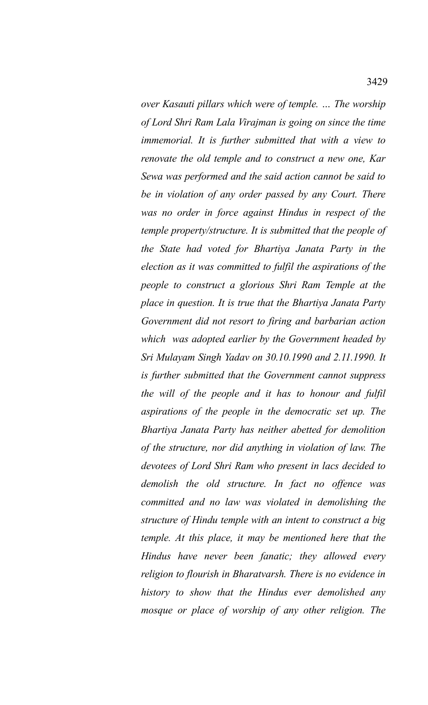*over Kasauti pillars which were of temple. … The worship of Lord Shri Ram Lala Virajman is going on since the time immemorial. It is further submitted that with a view to renovate the old temple and to construct a new one, Kar Sewa was performed and the said action cannot be said to be in violation of any order passed by any Court. There was no order in force against Hindus in respect of the temple property/structure. It is submitted that the people of the State had voted for Bhartiya Janata Party in the election as it was committed to fulfil the aspirations of the people to construct a glorious Shri Ram Temple at the place in question. It is true that the Bhartiya Janata Party Government did not resort to firing and barbarian action which was adopted earlier by the Government headed by Sri Mulayam Singh Yadav on 30.10.1990 and 2.11.1990. It is further submitted that the Government cannot suppress the will of the people and it has to honour and fulfil aspirations of the people in the democratic set up. The Bhartiya Janata Party has neither abetted for demolition of the structure, nor did anything in violation of law. The devotees of Lord Shri Ram who present in lacs decided to demolish the old structure. In fact no offence was committed and no law was violated in demolishing the structure of Hindu temple with an intent to construct a big temple. At this place, it may be mentioned here that the Hindus have never been fanatic; they allowed every religion to flourish in Bharatvarsh. There is no evidence in history to show that the Hindus ever demolished any mosque or place of worship of any other religion. The*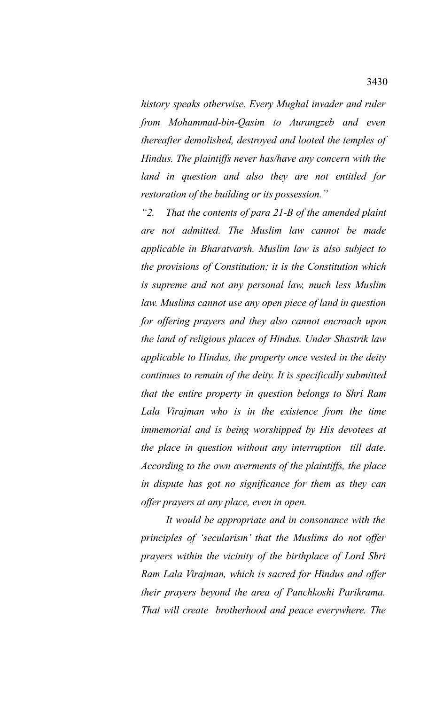*history speaks otherwise. Every Mughal invader and ruler from Mohammad-bin-Qasim to Aurangzeb and even thereafter demolished, destroyed and looted the temples of Hindus. The plaintiffs never has/have any concern with the land in question and also they are not entitled for restoration of the building or its possession."*

*"2. That the contents of para 21-B of the amended plaint are not admitted. The Muslim law cannot be made applicable in Bharatvarsh. Muslim law is also subject to the provisions of Constitution; it is the Constitution which is supreme and not any personal law, much less Muslim law. Muslims cannot use any open piece of land in question for offering prayers and they also cannot encroach upon the land of religious places of Hindus. Under Shastrik law applicable to Hindus, the property once vested in the deity continues to remain of the deity. It is specifically submitted that the entire property in question belongs to Shri Ram Lala Virajman who is in the existence from the time immemorial and is being worshipped by His devotees at the place in question without any interruption till date. According to the own averments of the plaintiffs, the place in dispute has got no significance for them as they can offer prayers at any place, even in open.*

*It would be appropriate and in consonance with the principles of 'secularism' that the Muslims do not offer prayers within the vicinity of the birthplace of Lord Shri Ram Lala Virajman, which is sacred for Hindus and offer their prayers beyond the area of Panchkoshi Parikrama. That will create brotherhood and peace everywhere. The*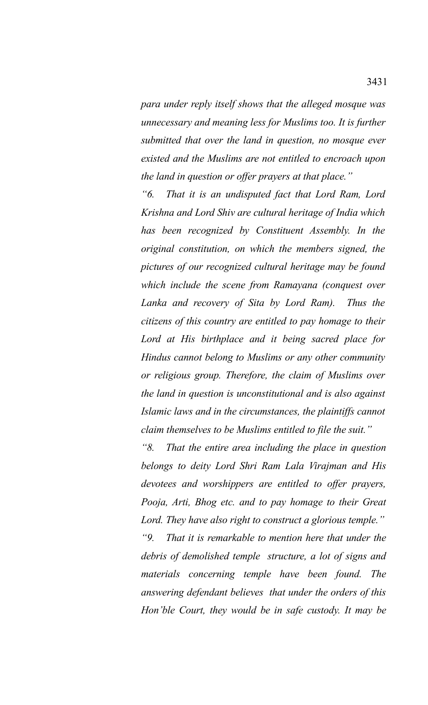*para under reply itself shows that the alleged mosque was unnecessary and meaning less for Muslims too. It is further submitted that over the land in question, no mosque ever existed and the Muslims are not entitled to encroach upon the land in question or offer prayers at that place."*

*"6. That it is an undisputed fact that Lord Ram, Lord Krishna and Lord Shiv are cultural heritage of India which has been recognized by Constituent Assembly. In the original constitution, on which the members signed, the pictures of our recognized cultural heritage may be found which include the scene from Ramayana (conquest over Lanka and recovery of Sita by Lord Ram). Thus the citizens of this country are entitled to pay homage to their Lord at His birthplace and it being sacred place for Hindus cannot belong to Muslims or any other community or religious group. Therefore, the claim of Muslims over the land in question is unconstitutional and is also against Islamic laws and in the circumstances, the plaintiffs cannot claim themselves to be Muslims entitled to file the suit."*

*"8. That the entire area including the place in question belongs to deity Lord Shri Ram Lala Virajman and His devotees and worshippers are entitled to offer prayers, Pooja, Arti, Bhog etc. and to pay homage to their Great Lord. They have also right to construct a glorious temple."*

*"9. That it is remarkable to mention here that under the debris of demolished temple structure, a lot of signs and materials concerning temple have been found. The answering defendant believes that under the orders of this Hon'ble Court, they would be in safe custody. It may be*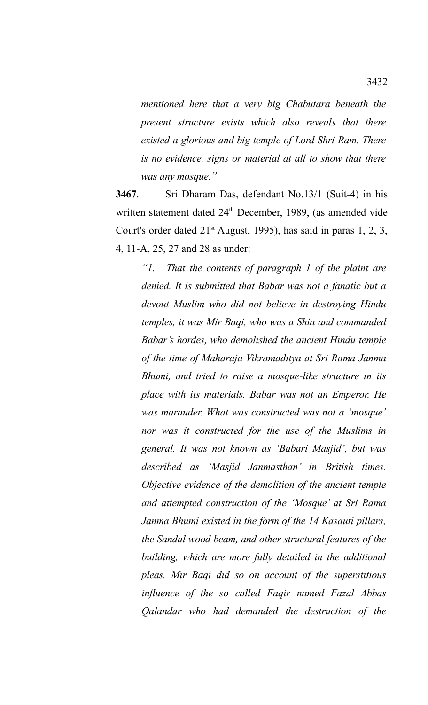*mentioned here that a very big Chabutara beneath the present structure exists which also reveals that there existed a glorious and big temple of Lord Shri Ram. There is no evidence, signs or material at all to show that there was any mosque."*

**3467**. Sri Dharam Das, defendant No.13/1 (Suit-4) in his written statement dated 24<sup>th</sup> December, 1989, (as amended vide Court's order dated  $21<sup>st</sup>$  August, 1995), has said in paras 1, 2, 3, 4, 11-A, 25, 27 and 28 as under:

*"1. That the contents of paragraph 1 of the plaint are denied. It is submitted that Babar was not a fanatic but a devout Muslim who did not believe in destroying Hindu temples, it was Mir Baqi, who was a Shia and commanded Babar's hordes, who demolished the ancient Hindu temple of the time of Maharaja Vikramaditya at Sri Rama Janma Bhumi, and tried to raise a mosque-like structure in its place with its materials. Babar was not an Emperor. He was marauder. What was constructed was not a 'mosque' nor was it constructed for the use of the Muslims in general. It was not known as 'Babari Masjid', but was described as 'Masjid Janmasthan' in British times. Objective evidence of the demolition of the ancient temple and attempted construction of the 'Mosque' at Sri Rama Janma Bhumi existed in the form of the 14 Kasauti pillars, the Sandal wood beam, and other structural features of the building, which are more fully detailed in the additional pleas. Mir Baqi did so on account of the superstitious influence of the so called Faqir named Fazal Abbas Qalandar who had demanded the destruction of the*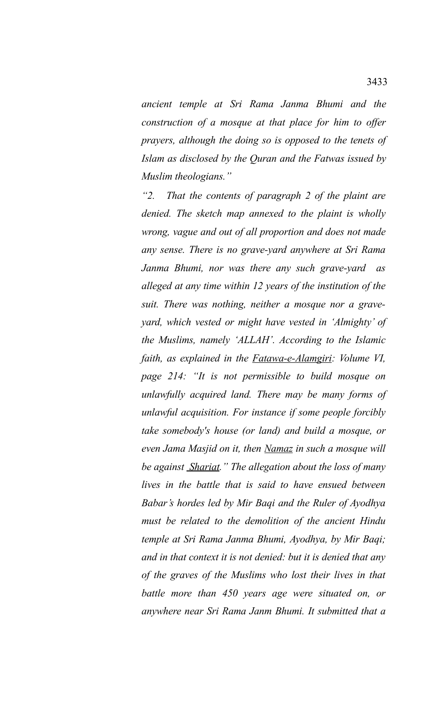*ancient temple at Sri Rama Janma Bhumi and the construction of a mosque at that place for him to offer prayers, although the doing so is opposed to the tenets of Islam as disclosed by the Quran and the Fatwas issued by Muslim theologians."*

*"2. That the contents of paragraph 2 of the plaint are denied. The sketch map annexed to the plaint is wholly wrong, vague and out of all proportion and does not made any sense. There is no grave-yard anywhere at Sri Rama Janma Bhumi, nor was there any such grave-yard as alleged at any time within 12 years of the institution of the suit. There was nothing, neither a mosque nor a graveyard, which vested or might have vested in 'Almighty' of the Muslims, namely 'ALLAH'. According to the Islamic faith, as explained in the Fatawa-e-Alamgiri: Volume VI, page 214: "It is not permissible to build mosque on unlawfully acquired land. There may be many forms of unlawful acquisition. For instance if some people forcibly take somebody's house (or land) and build a mosque, or even Jama Masjid on it, then Namaz in such a mosque will be against Shariat." The allegation about the loss of many lives in the battle that is said to have ensued between Babar's hordes led by Mir Baqi and the Ruler of Ayodhya must be related to the demolition of the ancient Hindu temple at Sri Rama Janma Bhumi, Ayodhya, by Mir Baqi; and in that context it is not denied: but it is denied that any of the graves of the Muslims who lost their lives in that battle more than 450 years age were situated on, or anywhere near Sri Rama Janm Bhumi. It submitted that a*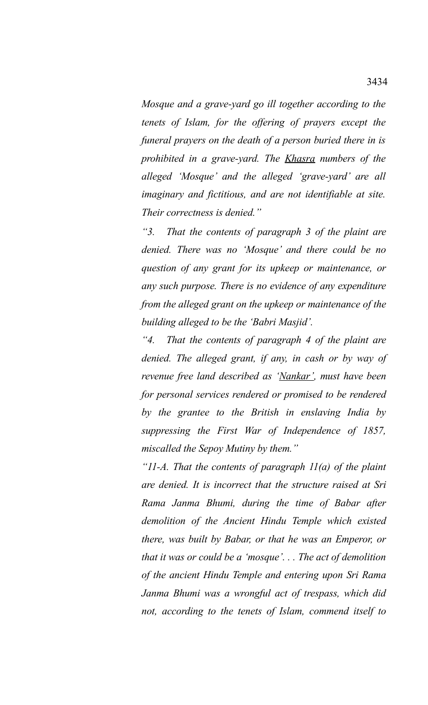*Mosque and a grave-yard go ill together according to the tenets of Islam, for the offering of prayers except the funeral prayers on the death of a person buried there in is prohibited in a grave-yard. The Khasra numbers of the alleged 'Mosque' and the alleged 'grave-yard' are all imaginary and fictitious, and are not identifiable at site. Their correctness is denied."*

*"3. That the contents of paragraph 3 of the plaint are denied. There was no 'Mosque' and there could be no question of any grant for its upkeep or maintenance, or any such purpose. There is no evidence of any expenditure from the alleged grant on the upkeep or maintenance of the building alleged to be the 'Babri Masjid'.*

*"4. That the contents of paragraph 4 of the plaint are denied. The alleged grant, if any, in cash or by way of revenue free land described as 'Nankar', must have been for personal services rendered or promised to be rendered by the grantee to the British in enslaving India by suppressing the First War of Independence of 1857, miscalled the Sepoy Mutiny by them."*

*"11-A. That the contents of paragraph 11(a) of the plaint are denied. It is incorrect that the structure raised at Sri Rama Janma Bhumi, during the time of Babar after demolition of the Ancient Hindu Temple which existed there, was built by Babar, or that he was an Emperor, or that it was or could be a 'mosque'. . . The act of demolition of the ancient Hindu Temple and entering upon Sri Rama Janma Bhumi was a wrongful act of trespass, which did not, according to the tenets of Islam, commend itself to*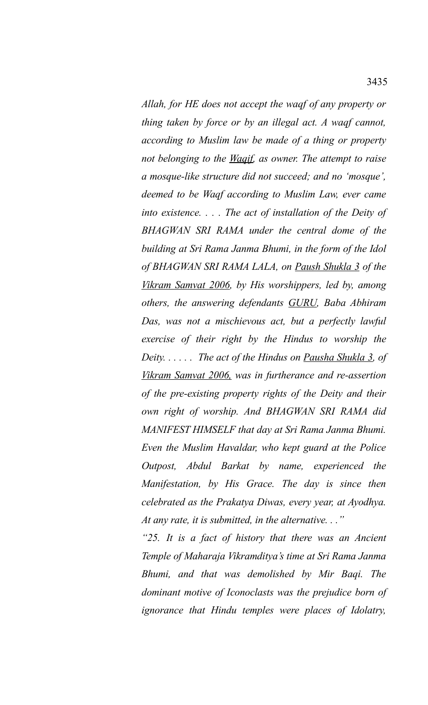*Allah, for HE does not accept the waqf of any property or thing taken by force or by an illegal act. A waqf cannot, according to Muslim law be made of a thing or property not belonging to the Waqif, as owner. The attempt to raise a mosque-like structure did not succeed; and no 'mosque', deemed to be Waqf according to Muslim Law, ever came into existence. . . . The act of installation of the Deity of BHAGWAN SRI RAMA under the central dome of the building at Sri Rama Janma Bhumi, in the form of the Idol of BHAGWAN SRI RAMA LALA, on Paush Shukla 3 of the Vikram Samvat 2006, by His worshippers, led by, among others, the answering defendants GURU, Baba Abhiram Das, was not a mischievous act, but a perfectly lawful exercise of their right by the Hindus to worship the Deity. . . . . . The act of the Hindus on Pausha Shukla 3, of Vikram Samvat 2006, was in furtherance and re-assertion of the pre-existing property rights of the Deity and their own right of worship. And BHAGWAN SRI RAMA did MANIFEST HIMSELF that day at Sri Rama Janma Bhumi. Even the Muslim Havaldar, who kept guard at the Police Outpost, Abdul Barkat by name, experienced the Manifestation, by His Grace. The day is since then celebrated as the Prakatya Diwas, every year, at Ayodhya. At any rate, it is submitted, in the alternative. . ."*

*"25. It is a fact of history that there was an Ancient Temple of Maharaja Vikramditya's time at Sri Rama Janma Bhumi, and that was demolished by Mir Baqi. The dominant motive of Iconoclasts was the prejudice born of ignorance that Hindu temples were places of Idolatry,*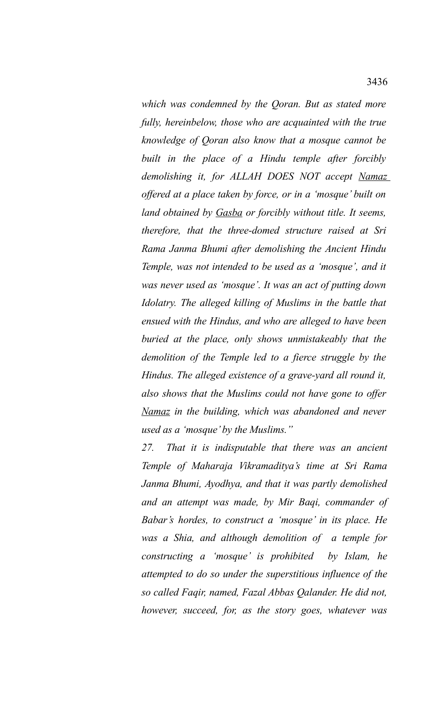*which was condemned by the Qoran. But as stated more fully, hereinbelow, those who are acquainted with the true knowledge of Qoran also know that a mosque cannot be built in the place of a Hindu temple after forcibly demolishing it, for ALLAH DOES NOT accept Namaz offered at a place taken by force, or in a 'mosque' built on land obtained by Gasba or forcibly without title. It seems, therefore, that the three-domed structure raised at Sri Rama Janma Bhumi after demolishing the Ancient Hindu Temple, was not intended to be used as a 'mosque', and it was never used as 'mosque'. It was an act of putting down Idolatry. The alleged killing of Muslims in the battle that ensued with the Hindus, and who are alleged to have been buried at the place, only shows unmistakeably that the demolition of the Temple led to a fierce struggle by the Hindus. The alleged existence of a grave-yard all round it, also shows that the Muslims could not have gone to offer Namaz in the building, which was abandoned and never used as a 'mosque' by the Muslims."*

*27. That it is indisputable that there was an ancient Temple of Maharaja Vikramaditya's time at Sri Rama Janma Bhumi, Ayodhya, and that it was partly demolished and an attempt was made, by Mir Baqi, commander of Babar's hordes, to construct a 'mosque' in its place. He was a Shia, and although demolition of a temple for constructing a 'mosque' is prohibited by Islam, he attempted to do so under the superstitious influence of the so called Faqir, named, Fazal Abbas Qalander. He did not, however, succeed, for, as the story goes, whatever was*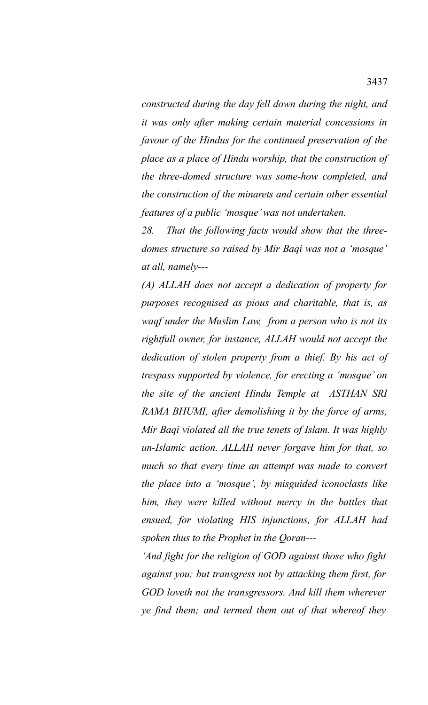*constructed during the day fell down during the night, and it was only after making certain material concessions in favour of the Hindus for the continued preservation of the place as a place of Hindu worship, that the construction of the three-domed structure was some-how completed, and the construction of the minarets and certain other essential features of a public 'mosque' was not undertaken.*

*28. That the following facts would show that the threedomes structure so raised by Mir Baqi was not a 'mosque' at all, namely---*

*(A) ALLAH does not accept a dedication of property for purposes recognised as pious and charitable, that is, as waqf under the Muslim Law, from a person who is not its rightfull owner, for instance, ALLAH would not accept the dedication of stolen property from a thief. By his act of trespass supported by violence, for erecting a 'mosque' on the site of the ancient Hindu Temple at ASTHAN SRI RAMA BHUMI, after demolishing it by the force of arms, Mir Baqi violated all the true tenets of Islam. It was highly un-Islamic action. ALLAH never forgave him for that, so much so that every time an attempt was made to convert the place into a 'mosque', by misguided iconoclasts like him, they were killed without mercy in the battles that ensued, for violating HIS injunctions, for ALLAH had spoken thus to the Prophet in the Qoran---*

*'And fight for the religion of GOD against those who fight against you; but transgress not by attacking them first, for GOD loveth not the transgressors. And kill them wherever ye find them; and termed them out of that whereof they*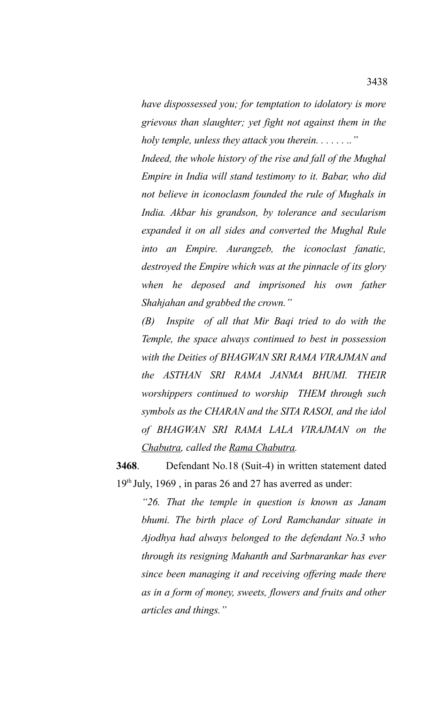*have dispossessed you; for temptation to idolatory is more grievous than slaughter; yet fight not against them in the holy temple, unless they attack you therein. . . . . . .."*

*Indeed, the whole history of the rise and fall of the Mughal Empire in India will stand testimony to it. Babar, who did not believe in iconoclasm founded the rule of Mughals in India. Akbar his grandson, by tolerance and secularism expanded it on all sides and converted the Mughal Rule into an Empire. Aurangzeb, the iconoclast fanatic, destroyed the Empire which was at the pinnacle of its glory when he deposed and imprisoned his own father Shahjahan and grabbed the crown."*

*(B) Inspite of all that Mir Baqi tried to do with the Temple, the space always continued to best in possession with the Deities of BHAGWAN SRI RAMA VIRAJMAN and the ASTHAN SRI RAMA JANMA BHUMI. THEIR worshippers continued to worship THEM through such symbols as the CHARAN and the SITA RASOI, and the idol of BHAGWAN SRI RAMA LALA VIRAJMAN on the Chabutra, called the Rama Chabutra.* 

**3468**. Defendant No.18 (Suit-4) in written statement dated 19th July, 1969 , in paras 26 and 27 has averred as under:

*"26. That the temple in question is known as Janam bhumi. The birth place of Lord Ramchandar situate in Ajodhya had always belonged to the defendant No.3 who through its resigning Mahanth and Sarbnarankar has ever since been managing it and receiving offering made there as in a form of money, sweets, flowers and fruits and other articles and things."*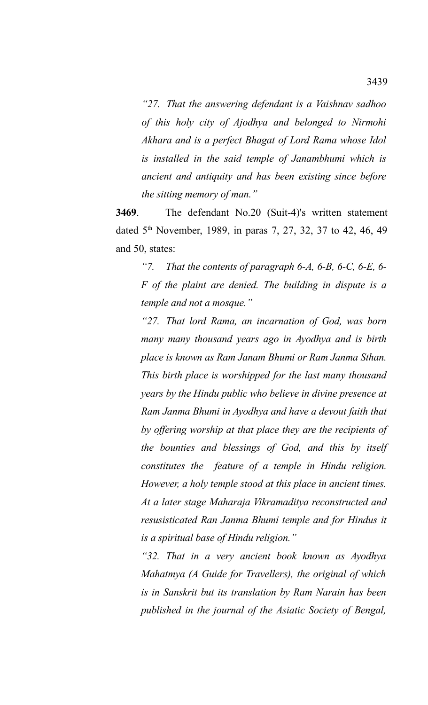*"27. That the answering defendant is a Vaishnav sadhoo of this holy city of Ajodhya and belonged to Nirmohi Akhara and is a perfect Bhagat of Lord Rama whose Idol is installed in the said temple of Janambhumi which is ancient and antiquity and has been existing since before the sitting memory of man."*

**3469**. The defendant No.20 (Suit-4)'s written statement dated 5<sup>th</sup> November, 1989, in paras 7, 27, 32, 37 to 42, 46, 49 and 50, states:

*"7. That the contents of paragraph 6-A, 6-B, 6-C, 6-E, 6- F of the plaint are denied. The building in dispute is a temple and not a mosque."*

*"27. That lord Rama, an incarnation of God, was born many many thousand years ago in Ayodhya and is birth place is known as Ram Janam Bhumi or Ram Janma Sthan. This birth place is worshipped for the last many thousand years by the Hindu public who believe in divine presence at Ram Janma Bhumi in Ayodhya and have a devout faith that by offering worship at that place they are the recipients of the bounties and blessings of God, and this by itself constitutes the feature of a temple in Hindu religion. However, a holy temple stood at this place in ancient times. At a later stage Maharaja Vikramaditya reconstructed and resusisticated Ran Janma Bhumi temple and for Hindus it is a spiritual base of Hindu religion."*

*"32. That in a very ancient book known as Ayodhya Mahatmya (A Guide for Travellers), the original of which is in Sanskrit but its translation by Ram Narain has been published in the journal of the Asiatic Society of Bengal,*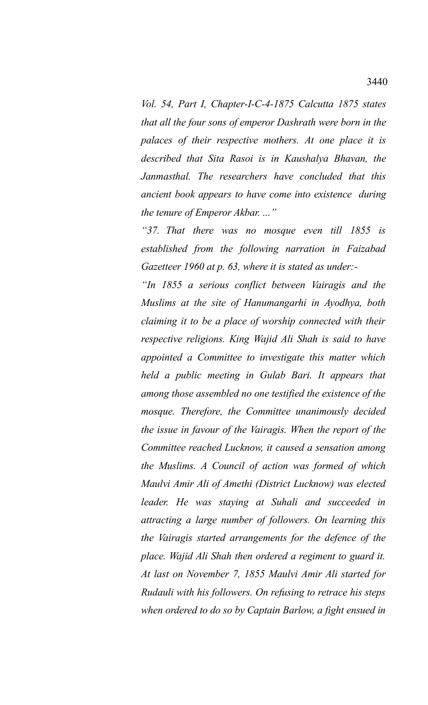*Vol. 54, Part I, Chapter-I-C-4-1875 Calcutta 1875 states that all the four sons of emperor Dashrath were born in the palaces of their respective mothers. At one place it is described that Sita Rasoi is in Kaushalya Bhavan, the Janmasthal. The researchers have concluded that this ancient book appears to have come into existence during the tenure of Emperor Akbar. ..."*

*"37. That there was no mosque even till 1855 is established from the following narration in Faizabad Gazetteer 1960 at p. 63, where it is stated as under:-*

*"In 1855 a serious conflict between Vairagis and the Muslims at the site of Hanumangarhi in Ayodhya, both claiming it to be a place of worship connected with their respective religions. King Wajid Ali Shah is said to have appointed a Committee to investigate this matter which held a public meeting in Gulab Bari. It appears that among those assembled no one testified the existence of the mosque. Therefore, the Committee unanimously decided the issue in favour of the Vairagis. When the report of the Committee reached Lucknow, it caused a sensation among the Muslims. A Council of action was formed of which Maulvi Amir Ali of Amethi (District Lucknow) was elected leader. He was staying at Suhali and succeeded in attracting a large number of followers. On learning this the Vairagis started arrangements for the defence of the place. Wajid Ali Shah then ordered a regiment to guard it. At last on November 7, 1855 Maulvi Amir Ali started for Rudauli with his followers. On refusing to retrace his steps when ordered to do so by Captain Barlow, a fight ensued in*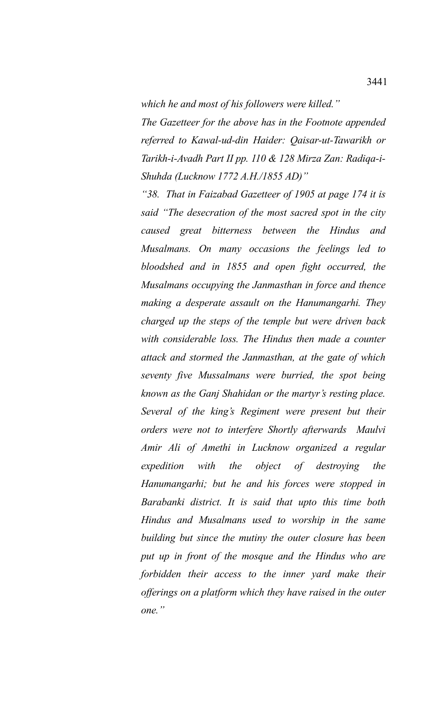*which he and most of his followers were killed."*

*The Gazetteer for the above has in the Footnote appended referred to Kawal-ud-din Haider: Qaisar-ut-Tawarikh or Tarikh-i-Avadh Part II pp. 110 & 128 Mirza Zan: Radiqa-i-Shuhda (Lucknow 1772 A.H./1855 AD)"*

*"38. That in Faizabad Gazetteer of 1905 at page 174 it is said "The desecration of the most sacred spot in the city caused great bitterness between the Hindus and Musalmans. On many occasions the feelings led to bloodshed and in 1855 and open fight occurred, the Musalmans occupying the Janmasthan in force and thence making a desperate assault on the Hanumangarhi. They charged up the steps of the temple but were driven back with considerable loss. The Hindus then made a counter attack and stormed the Janmasthan, at the gate of which seventy five Mussalmans were burried, the spot being known as the Ganj Shahidan or the martyr's resting place. Several of the king's Regiment were present but their orders were not to interfere Shortly afterwards Maulvi Amir Ali of Amethi in Lucknow organized a regular expedition with the object of destroying the Hanumangarhi; but he and his forces were stopped in Barabanki district. It is said that upto this time both Hindus and Musalmans used to worship in the same building but since the mutiny the outer closure has been put up in front of the mosque and the Hindus who are forbidden their access to the inner yard make their offerings on a platform which they have raised in the outer one."*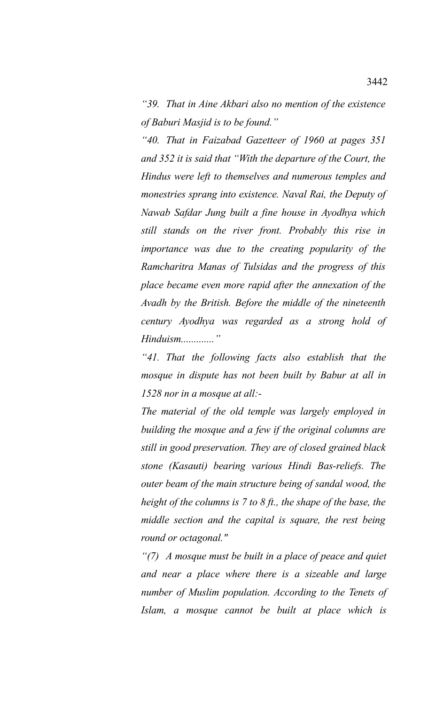*"39. That in Aine Akbari also no mention of the existence of Baburi Masjid is to be found."*

*"40. That in Faizabad Gazetteer of 1960 at pages 351 and 352 it is said that "With the departure of the Court, the Hindus were left to themselves and numerous temples and monestries sprang into existence. Naval Rai, the Deputy of Nawab Safdar Jung built a fine house in Ayodhya which still stands on the river front. Probably this rise in importance was due to the creating popularity of the Ramcharitra Manas of Tulsidas and the progress of this place became even more rapid after the annexation of the Avadh by the British. Before the middle of the nineteenth century Ayodhya was regarded as a strong hold of Hinduism............."*

*"41. That the following facts also establish that the mosque in dispute has not been built by Babur at all in 1528 nor in a mosque at all:-*

*The material of the old temple was largely employed in building the mosque and a few if the original columns are still in good preservation. They are of closed grained black stone (Kasauti) bearing various Hindi Bas-reliefs. The outer beam of the main structure being of sandal wood, the height of the columns is 7 to 8 ft., the shape of the base, the middle section and the capital is square, the rest being round or octagonal."*

*"(7) A mosque must be built in a place of peace and quiet and near a place where there is a sizeable and large number of Muslim population. According to the Tenets of Islam, a mosque cannot be built at place which is*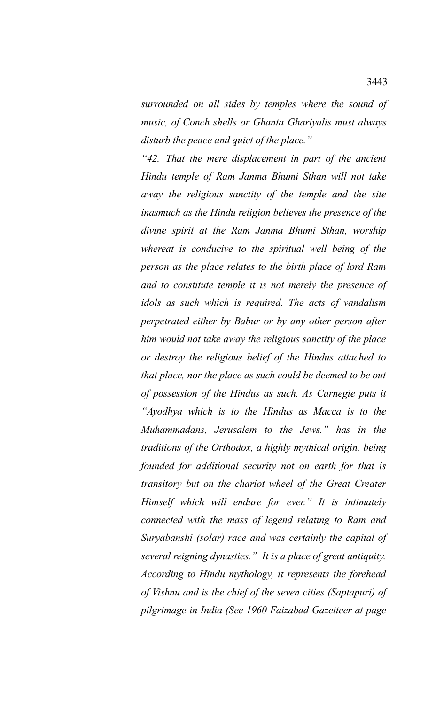*surrounded on all sides by temples where the sound of music, of Conch shells or Ghanta Ghariyalis must always disturb the peace and quiet of the place."*

*"42. That the mere displacement in part of the ancient Hindu temple of Ram Janma Bhumi Sthan will not take away the religious sanctity of the temple and the site inasmuch as the Hindu religion believes the presence of the divine spirit at the Ram Janma Bhumi Sthan, worship whereat is conducive to the spiritual well being of the person as the place relates to the birth place of lord Ram and to constitute temple it is not merely the presence of idols as such which is required. The acts of vandalism perpetrated either by Babur or by any other person after him would not take away the religious sanctity of the place or destroy the religious belief of the Hindus attached to that place, nor the place as such could be deemed to be out of possession of the Hindus as such. As Carnegie puts it "Ayodhya which is to the Hindus as Macca is to the Muhammadans, Jerusalem to the Jews." has in the traditions of the Orthodox, a highly mythical origin, being founded for additional security not on earth for that is transitory but on the chariot wheel of the Great Creater Himself which will endure for ever." It is intimately connected with the mass of legend relating to Ram and Suryabanshi (solar) race and was certainly the capital of several reigning dynasties." It is a place of great antiquity. According to Hindu mythology, it represents the forehead of Vishnu and is the chief of the seven cities (Saptapuri) of pilgrimage in India (See 1960 Faizabad Gazetteer at page*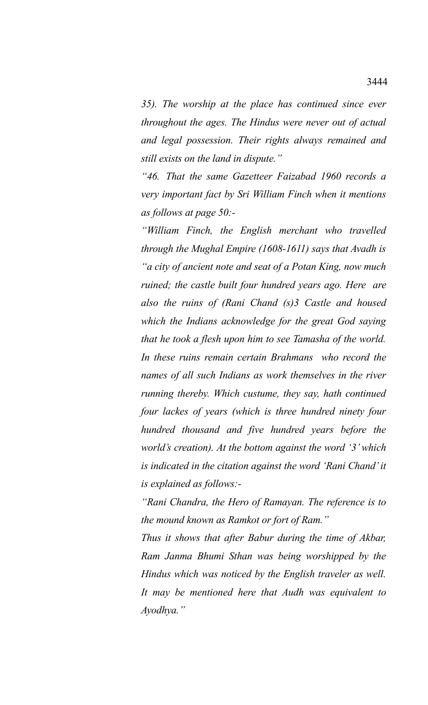*35). The worship at the place has continued since ever throughout the ages. The Hindus were never out of actual and legal possession. Their rights always remained and still exists on the land in dispute."*

*"46. That the same Gazetteer Faizabad 1960 records a very important fact by Sri William Finch when it mentions as follows at page 50:-*

*"William Finch, the English merchant who travelled through the Mughal Empire (1608-1611) says that Avadh is "a city of ancient note and seat of a Potan King, now much ruined; the castle built four hundred years ago. Here are also the ruins of (Rani Chand (s)3 Castle and housed which the Indians acknowledge for the great God saying that he took a flesh upon him to see Tamasha of the world. In these ruins remain certain Brahmans who record the names of all such Indians as work themselves in the river running thereby. Which custume, they say, hath continued four lackes of years (which is three hundred ninety four hundred thousand and five hundred years before the world's creation). At the bottom against the word '3' which is indicated in the citation against the word 'Rani Chand' it is explained as follows:-*

*"Rani Chandra, the Hero of Ramayan. The reference is to the mound known as Ramkot or fort of Ram."*

*Thus it shows that after Babur during the time of Akbar, Ram Janma Bhumi Sthan was being worshipped by the Hindus which was noticed by the English traveler as well. It may be mentioned here that Audh was equivalent to Ayodhya."*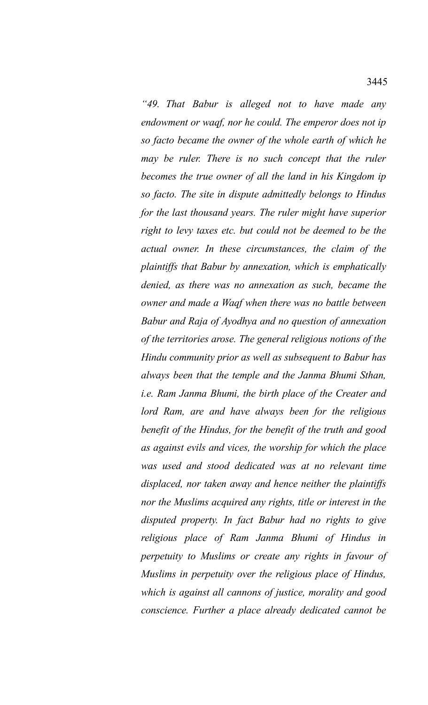*"49. That Babur is alleged not to have made any endowment or waqf, nor he could. The emperor does not ip so facto became the owner of the whole earth of which he may be ruler. There is no such concept that the ruler becomes the true owner of all the land in his Kingdom ip so facto. The site in dispute admittedly belongs to Hindus for the last thousand years. The ruler might have superior right to levy taxes etc. but could not be deemed to be the actual owner. In these circumstances, the claim of the plaintiffs that Babur by annexation, which is emphatically denied, as there was no annexation as such, became the owner and made a Waqf when there was no battle between Babur and Raja of Ayodhya and no question of annexation of the territories arose. The general religious notions of the Hindu community prior as well as subsequent to Babur has always been that the temple and the Janma Bhumi Sthan, i.e. Ram Janma Bhumi, the birth place of the Creater and lord Ram, are and have always been for the religious benefit of the Hindus, for the benefit of the truth and good as against evils and vices, the worship for which the place was used and stood dedicated was at no relevant time displaced, nor taken away and hence neither the plaintiffs nor the Muslims acquired any rights, title or interest in the disputed property. In fact Babur had no rights to give religious place of Ram Janma Bhumi of Hindus in perpetuity to Muslims or create any rights in favour of Muslims in perpetuity over the religious place of Hindus, which is against all cannons of justice, morality and good conscience. Further a place already dedicated cannot be*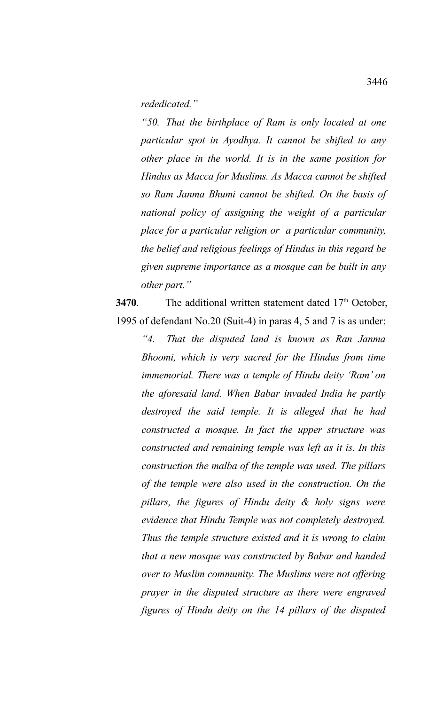## *rededicated."*

*"50. That the birthplace of Ram is only located at one particular spot in Ayodhya. It cannot be shifted to any other place in the world. It is in the same position for Hindus as Macca for Muslims. As Macca cannot be shifted so Ram Janma Bhumi cannot be shifted. On the basis of national policy of assigning the weight of a particular place for a particular religion or a particular community, the belief and religious feelings of Hindus in this regard be given supreme importance as a mosque can be built in any other part."*

**3470**. The additional written statement dated 17<sup>th</sup> October, 1995 of defendant No.20 (Suit-4) in paras 4, 5 and 7 is as under:

*"4. That the disputed land is known as Ran Janma Bhoomi, which is very sacred for the Hindus from time immemorial. There was a temple of Hindu deity 'Ram' on the aforesaid land. When Babar invaded India he partly destroyed the said temple. It is alleged that he had constructed a mosque. In fact the upper structure was constructed and remaining temple was left as it is. In this construction the malba of the temple was used. The pillars of the temple were also used in the construction. On the pillars, the figures of Hindu deity & holy signs were evidence that Hindu Temple was not completely destroyed. Thus the temple structure existed and it is wrong to claim that a new mosque was constructed by Babar and handed over to Muslim community. The Muslims were not offering prayer in the disputed structure as there were engraved figures of Hindu deity on the 14 pillars of the disputed*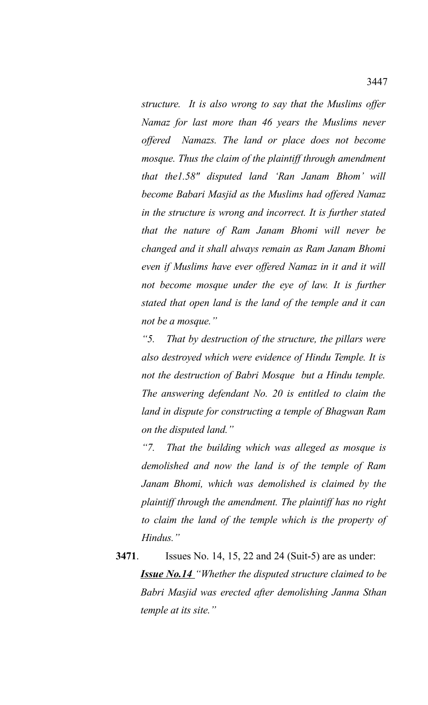*structure. It is also wrong to say that the Muslims offer Namaz for last more than 46 years the Muslims never offered Namazs. The land or place does not become mosque. Thus the claim of the plaintiff through amendment that the1.58" disputed land 'Ran Janam Bhom' will become Babari Masjid as the Muslims had offered Namaz in the structure is wrong and incorrect. It is further stated that the nature of Ram Janam Bhomi will never be changed and it shall always remain as Ram Janam Bhomi even if Muslims have ever offered Namaz in it and it will not become mosque under the eye of law. It is further stated that open land is the land of the temple and it can not be a mosque."*

*"5. That by destruction of the structure, the pillars were also destroyed which were evidence of Hindu Temple. It is not the destruction of Babri Mosque but a Hindu temple. The answering defendant No. 20 is entitled to claim the land in dispute for constructing a temple of Bhagwan Ram on the disputed land."*

*"7. That the building which was alleged as mosque is demolished and now the land is of the temple of Ram Janam Bhomi, which was demolished is claimed by the plaintiff through the amendment. The plaintiff has no right to claim the land of the temple which is the property of Hindus."*

**3471**. Issues No. 14, 15, 22 and 24 (Suit-5) are as under: *Issue No.14 "Whether the disputed structure claimed to be Babri Masjid was erected after demolishing Janma Sthan temple at its site."*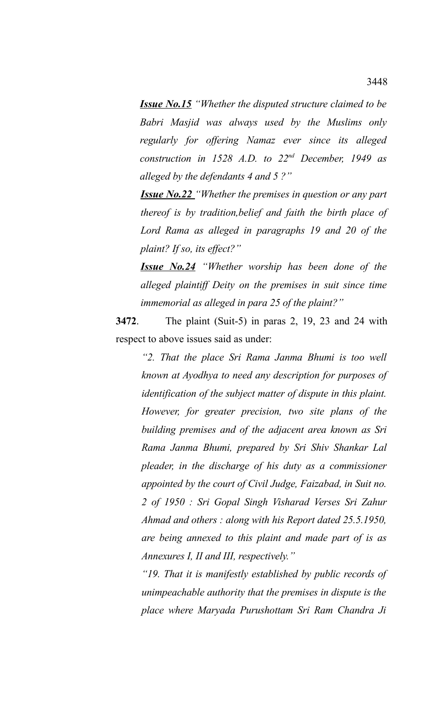*Issue No.15 "Whether the disputed structure claimed to be Babri Masjid was always used by the Muslims only regularly for offering Namaz ever since its alleged construction in 1528 A.D. to 22nd December, 1949 as alleged by the defendants 4 and 5 ?"* 

*Issue No.22 "Whether the premises in question or any part thereof is by tradition,belief and faith the birth place of Lord Rama as alleged in paragraphs 19 and 20 of the plaint? If so, its effect?"*

*Issue No.24 "Whether worship has been done of the alleged plaintiff Deity on the premises in suit since time immemorial as alleged in para 25 of the plaint?"*

**3472**. The plaint (Suit-5) in paras 2, 19, 23 and 24 with respect to above issues said as under:

*"2. That the place Sri Rama Janma Bhumi is too well known at Ayodhya to need any description for purposes of identification of the subject matter of dispute in this plaint. However, for greater precision, two site plans of the building premises and of the adjacent area known as Sri Rama Janma Bhumi, prepared by Sri Shiv Shankar Lal pleader, in the discharge of his duty as a commissioner appointed by the court of Civil Judge, Faizabad, in Suit no. 2 of 1950 : Sri Gopal Singh Visharad Verses Sri Zahur Ahmad and others : along with his Report dated 25.5.1950, are being annexed to this plaint and made part of is as Annexures I, II and III, respectively."*

*"19. That it is manifestly established by public records of unimpeachable authority that the premises in dispute is the place where Maryada Purushottam Sri Ram Chandra Ji*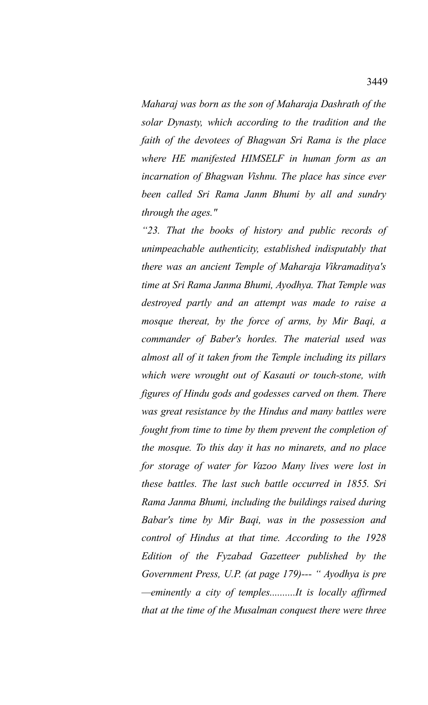*Maharaj was born as the son of Maharaja Dashrath of the solar Dynasty, which according to the tradition and the faith of the devotees of Bhagwan Sri Rama is the place where HE manifested HIMSELF in human form as an incarnation of Bhagwan Vishnu. The place has since ever been called Sri Rama Janm Bhumi by all and sundry through the ages."* 

*"23. That the books of history and public records of unimpeachable authenticity, established indisputably that there was an ancient Temple of Maharaja Vikramaditya's time at Sri Rama Janma Bhumi, Ayodhya. That Temple was destroyed partly and an attempt was made to raise a mosque thereat, by the force of arms, by Mir Baqi, a commander of Baber's hordes. The material used was almost all of it taken from the Temple including its pillars which were wrought out of Kasauti or touch-stone, with figures of Hindu gods and godesses carved on them. There was great resistance by the Hindus and many battles were fought from time to time by them prevent the completion of the mosque. To this day it has no minarets, and no place for storage of water for Vazoo Many lives were lost in these battles. The last such battle occurred in 1855. Sri Rama Janma Bhumi, including the buildings raised during Babar's time by Mir Baqi, was in the possession and control of Hindus at that time. According to the 1928 Edition of the Fyzabad Gazetteer published by the Government Press, U.P. (at page 179)--- " Ayodhya is pre —eminently a city of temples..........It is locally affirmed that at the time of the Musalman conquest there were three*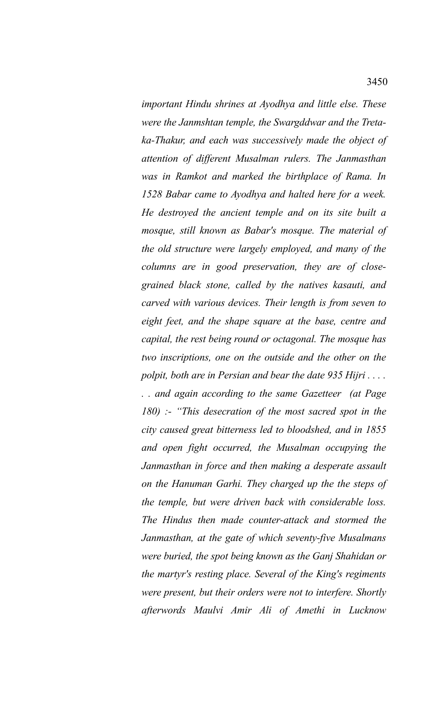*important Hindu shrines at Ayodhya and little else. These were the Janmshtan temple, the Swargddwar and the Tretaka-Thakur, and each was successively made the object of attention of different Musalman rulers. The Janmasthan was in Ramkot and marked the birthplace of Rama. In 1528 Babar came to Ayodhya and halted here for a week. He destroyed the ancient temple and on its site built a mosque, still known as Babar's mosque. The material of the old structure were largely employed, and many of the columns are in good preservation, they are of closegrained black stone, called by the natives kasauti, and carved with various devices. Their length is from seven to eight feet, and the shape square at the base, centre and capital, the rest being round or octagonal. The mosque has two inscriptions, one on the outside and the other on the polpit, both are in Persian and bear the date 935 Hijri . . . . . . and again according to the same Gazetteer (at Page 180) :- "This desecration of the most sacred spot in the city caused great bitterness led to bloodshed, and in 1855 and open fight occurred, the Musalman occupying the Janmasthan in force and then making a desperate assault on the Hanuman Garhi. They charged up the the steps of the temple, but were driven back with considerable loss. The Hindus then made counter-attack and stormed the Janmasthan, at the gate of which seventy-five Musalmans were buried, the spot being known as the Ganj Shahidan or the martyr's resting place. Several of the King's regiments were present, but their orders were not to interfere. Shortly afterwords Maulvi Amir Ali of Amethi in Lucknow*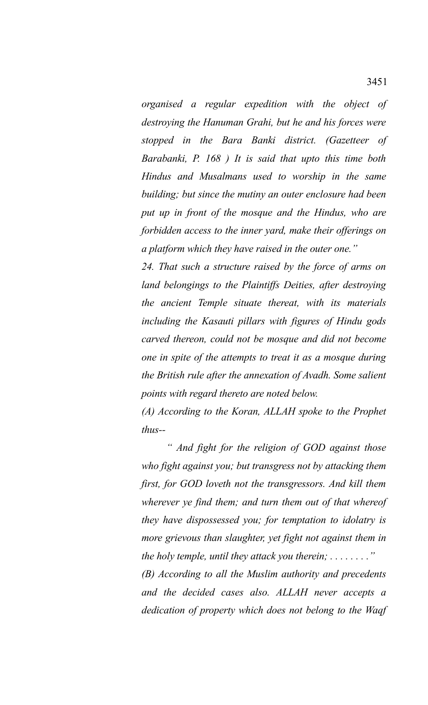*organised a regular expedition with the object of destroying the Hanuman Grahi, but he and his forces were stopped in the Bara Banki district. (Gazetteer of Barabanki, P. 168 ) It is said that upto this time both Hindus and Musalmans used to worship in the same building; but since the mutiny an outer enclosure had been put up in front of the mosque and the Hindus, who are forbidden access to the inner yard, make their offerings on a platform which they have raised in the outer one."*

*24. That such a structure raised by the force of arms on land belongings to the Plaintiffs Deities, after destroying the ancient Temple situate thereat, with its materials including the Kasauti pillars with figures of Hindu gods carved thereon, could not be mosque and did not become one in spite of the attempts to treat it as a mosque during the British rule after the annexation of Avadh. Some salient points with regard thereto are noted below.*

*(A) According to the Koran, ALLAH spoke to the Prophet thus--*

*" And fight for the religion of GOD against those who fight against you; but transgress not by attacking them first, for GOD loveth not the transgressors. And kill them wherever ye find them; and turn them out of that whereof they have dispossessed you; for temptation to idolatry is more grievous than slaughter, yet fight not against them in the holy temple, until they attack you therein; . . . . . . . ."*

*(B) According to all the Muslim authority and precedents and the decided cases also. ALLAH never accepts a dedication of property which does not belong to the Waqf*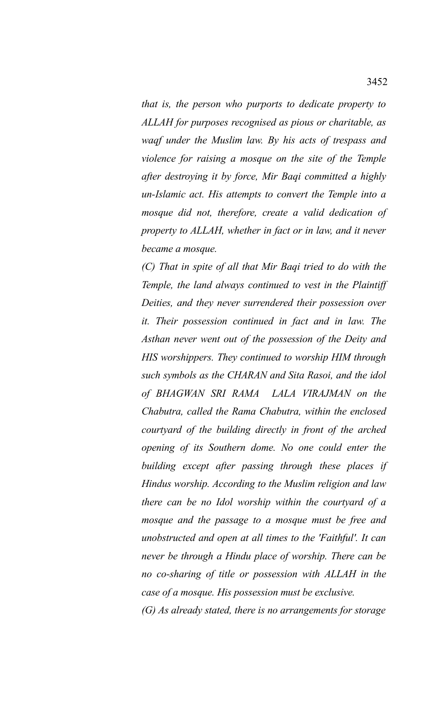*that is, the person who purports to dedicate property to ALLAH for purposes recognised as pious or charitable, as waqf under the Muslim law. By his acts of trespass and violence for raising a mosque on the site of the Temple after destroying it by force, Mir Baqi committed a highly un-Islamic act. His attempts to convert the Temple into a mosque did not, therefore, create a valid dedication of property to ALLAH, whether in fact or in law, and it never became a mosque.*

*(C) That in spite of all that Mir Baqi tried to do with the Temple, the land always continued to vest in the Plaintiff Deities, and they never surrendered their possession over it. Their possession continued in fact and in law. The Asthan never went out of the possession of the Deity and HIS worshippers. They continued to worship HIM through such symbols as the CHARAN and Sita Rasoi, and the idol of BHAGWAN SRI RAMA LALA VIRAJMAN on the Chabutra, called the Rama Chabutra, within the enclosed courtyard of the building directly in front of the arched opening of its Southern dome. No one could enter the building except after passing through these places if Hindus worship. According to the Muslim religion and law there can be no Idol worship within the courtyard of a mosque and the passage to a mosque must be free and unobstructed and open at all times to the 'Faithful'. It can never be through a Hindu place of worship. There can be no co-sharing of title or possession with ALLAH in the case of a mosque. His possession must be exclusive.*

*(G) As already stated, there is no arrangements for storage*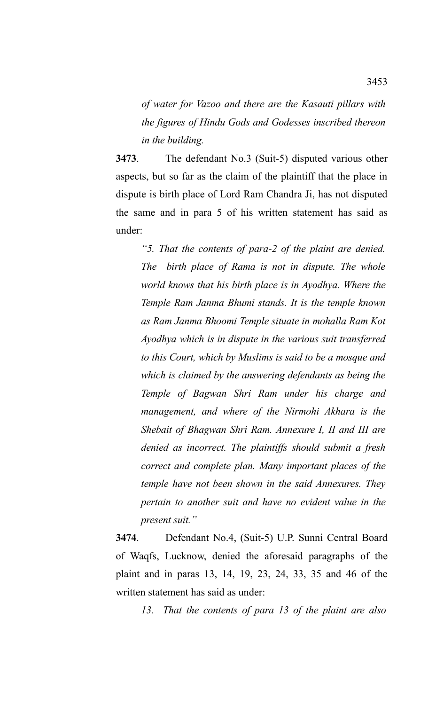*of water for Vazoo and there are the Kasauti pillars with the figures of Hindu Gods and Godesses inscribed thereon in the building.* 

**3473**. The defendant No.3 (Suit-5) disputed various other aspects, but so far as the claim of the plaintiff that the place in dispute is birth place of Lord Ram Chandra Ji, has not disputed the same and in para 5 of his written statement has said as under:

*"5. That the contents of para-2 of the plaint are denied. The birth place of Rama is not in dispute. The whole world knows that his birth place is in Ayodhya. Where the Temple Ram Janma Bhumi stands. It is the temple known as Ram Janma Bhoomi Temple situate in mohalla Ram Kot Ayodhya which is in dispute in the various suit transferred to this Court, which by Muslims is said to be a mosque and which is claimed by the answering defendants as being the Temple of Bagwan Shri Ram under his charge and management, and where of the Nirmohi Akhara is the Shebait of Bhagwan Shri Ram. Annexure I, II and III are denied as incorrect. The plaintiffs should submit a fresh correct and complete plan. Many important places of the temple have not been shown in the said Annexures. They pertain to another suit and have no evident value in the present suit."*

**3474**. Defendant No.4, (Suit-5) U.P. Sunni Central Board of Waqfs, Lucknow, denied the aforesaid paragraphs of the plaint and in paras 13, 14, 19, 23, 24, 33, 35 and 46 of the written statement has said as under:

*13. That the contents of para 13 of the plaint are also*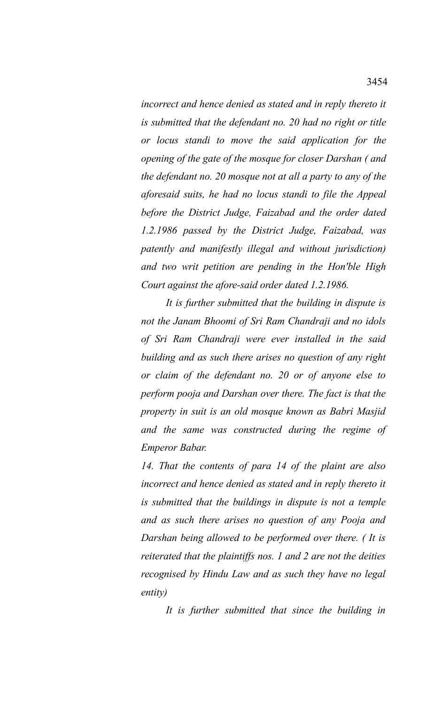*incorrect and hence denied as stated and in reply thereto it is submitted that the defendant no. 20 had no right or title or locus standi to move the said application for the opening of the gate of the mosque for closer Darshan ( and the defendant no. 20 mosque not at all a party to any of the aforesaid suits, he had no locus standi to file the Appeal before the District Judge, Faizabad and the order dated 1.2.1986 passed by the District Judge, Faizabad, was patently and manifestly illegal and without jurisdiction) and two writ petition are pending in the Hon'ble High Court against the afore-said order dated 1.2.1986.*

*It is further submitted that the building in dispute is not the Janam Bhoomi of Sri Ram Chandraji and no idols of Sri Ram Chandraji were ever installed in the said building and as such there arises no question of any right or claim of the defendant no. 20 or of anyone else to perform pooja and Darshan over there. The fact is that the property in suit is an old mosque known as Babri Masjid and the same was constructed during the regime of Emperor Babar.*

*14. That the contents of para 14 of the plaint are also incorrect and hence denied as stated and in reply thereto it is submitted that the buildings in dispute is not a temple and as such there arises no question of any Pooja and Darshan being allowed to be performed over there. ( It is reiterated that the plaintiffs nos. 1 and 2 are not the deities recognised by Hindu Law and as such they have no legal entity)*

*It is further submitted that since the building in*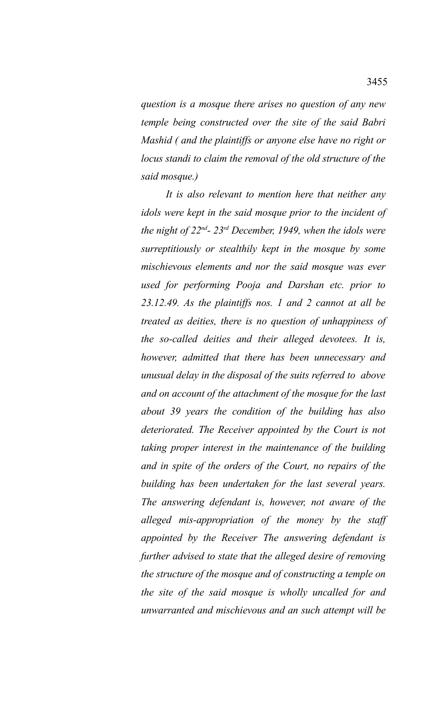*question is a mosque there arises no question of any new temple being constructed over the site of the said Babri Mashid ( and the plaintiffs or anyone else have no right or locus standi to claim the removal of the old structure of the said mosque.)*

*It is also relevant to mention here that neither any idols were kept in the said mosque prior to the incident of the night of 22nd- 23rd December, 1949, when the idols were surreptitiously or stealthily kept in the mosque by some mischievous elements and nor the said mosque was ever used for performing Pooja and Darshan etc. prior to 23.12.49. As the plaintiffs nos. 1 and 2 cannot at all be treated as deities, there is no question of unhappiness of the so-called deities and their alleged devotees. It is, however, admitted that there has been unnecessary and unusual delay in the disposal of the suits referred to above and on account of the attachment of the mosque for the last about 39 years the condition of the building has also deteriorated. The Receiver appointed by the Court is not taking proper interest in the maintenance of the building and in spite of the orders of the Court, no repairs of the building has been undertaken for the last several years. The answering defendant is, however, not aware of the alleged mis-appropriation of the money by the staff appointed by the Receiver The answering defendant is further advised to state that the alleged desire of removing the structure of the mosque and of constructing a temple on the site of the said mosque is wholly uncalled for and unwarranted and mischievous and an such attempt will be*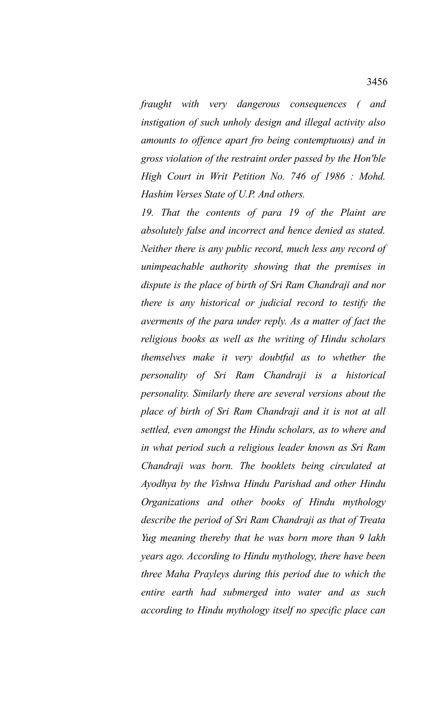*fraught with very dangerous consequences ( and instigation of such unholy design and illegal activity also amounts to offence apart fro being contemptuous) and in gross violation of the restraint order passed by the Hon'ble High Court in Writ Petition No. 746 of 1986 : Mohd. Hashim Verses State of U.P. And others.*

*19. That the contents of para 19 of the Plaint are absolutely false and incorrect and hence denied as stated. Neither there is any public record, much less any record of unimpeachable authority showing that the premises in dispute is the place of birth of Sri Ram Chandraji and nor there is any historical or judicial record to testify the averments of the para under reply. As a matter of fact the religious books as well as the writing of Hindu scholars themselves make it very doubtful as to whether the personality of Sri Ram Chandraji is a historical personality. Similarly there are several versions about the place of birth of Sri Ram Chandraji and it is not at all settled, even amongst the Hindu scholars, as to where and in what period such a religious leader known as Sri Ram Chandraji was born. The booklets being circulated at Ayodhya by the Vishwa Hindu Parishad and other Hindu Organizations and other books of Hindu mythology describe the period of Sri Ram Chandraji as that of Treata Yug meaning thereby that he was born more than 9 lakh years ago. According to Hindu mythology, there have been three Maha Prayleys during this period due to which the entire earth had submerged into water and as such according to Hindu mythology itself no specific place can*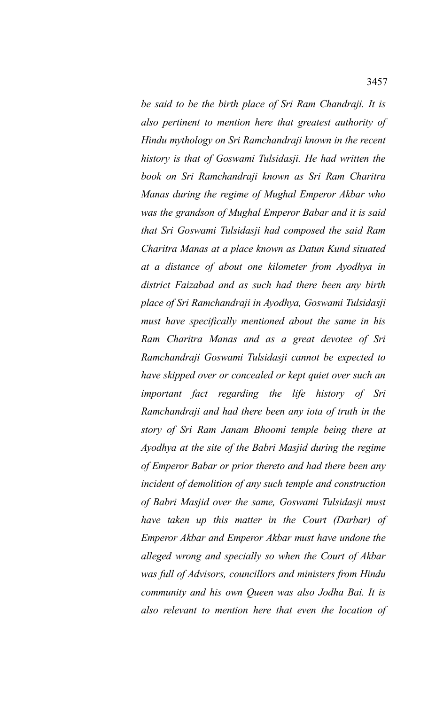*be said to be the birth place of Sri Ram Chandraji. It is also pertinent to mention here that greatest authority of Hindu mythology on Sri Ramchandraji known in the recent history is that of Goswami Tulsidasji. He had written the book on Sri Ramchandraji known as Sri Ram Charitra Manas during the regime of Mughal Emperor Akbar who was the grandson of Mughal Emperor Babar and it is said that Sri Goswami Tulsidasji had composed the said Ram Charitra Manas at a place known as Datun Kund situated at a distance of about one kilometer from Ayodhya in district Faizabad and as such had there been any birth place of Sri Ramchandraji in Ayodhya, Goswami Tulsidasji must have specifically mentioned about the same in his Ram Charitra Manas and as a great devotee of Sri Ramchandraji Goswami Tulsidasji cannot be expected to have skipped over or concealed or kept quiet over such an important fact regarding the life history of Sri Ramchandraji and had there been any iota of truth in the story of Sri Ram Janam Bhoomi temple being there at Ayodhya at the site of the Babri Masjid during the regime of Emperor Babar or prior thereto and had there been any incident of demolition of any such temple and construction of Babri Masjid over the same, Goswami Tulsidasji must have taken up this matter in the Court (Darbar) of Emperor Akbar and Emperor Akbar must have undone the alleged wrong and specially so when the Court of Akbar was full of Advisors, councillors and ministers from Hindu community and his own Queen was also Jodha Bai. It is also relevant to mention here that even the location of*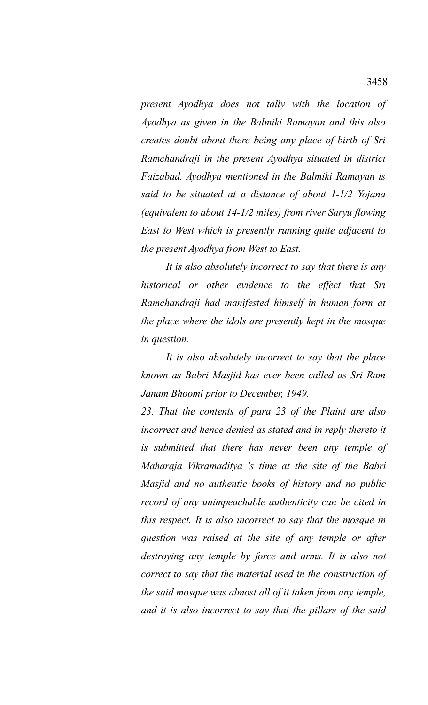*present Ayodhya does not tally with the location of Ayodhya as given in the Balmiki Ramayan and this also creates doubt about there being any place of birth of Sri Ramchandraji in the present Ayodhya situated in district Faizabad. Ayodhya mentioned in the Balmiki Ramayan is said to be situated at a distance of about 1-1/2 Yojana (equivalent to about 14-1/2 miles) from river Saryu flowing East to West which is presently running quite adjacent to the present Ayodhya from West to East.*

*It is also absolutely incorrect to say that there is any historical or other evidence to the effect that Sri Ramchandraji had manifested himself in human form at the place where the idols are presently kept in the mosque in question.*

*It is also absolutely incorrect to say that the place known as Babri Masjid has ever been called as Sri Ram Janam Bhoomi prior to December, 1949.*

*23. That the contents of para 23 of the Plaint are also incorrect and hence denied as stated and in reply thereto it is submitted that there has never been any temple of Maharaja Vikramaditya 's time at the site of the Babri Masjid and no authentic books of history and no public record of any unimpeachable authenticity can be cited in this respect. It is also incorrect to say that the mosque in question was raised at the site of any temple or after destroying any temple by force and arms. It is also not correct to say that the material used in the construction of the said mosque was almost all of it taken from any temple, and it is also incorrect to say that the pillars of the said*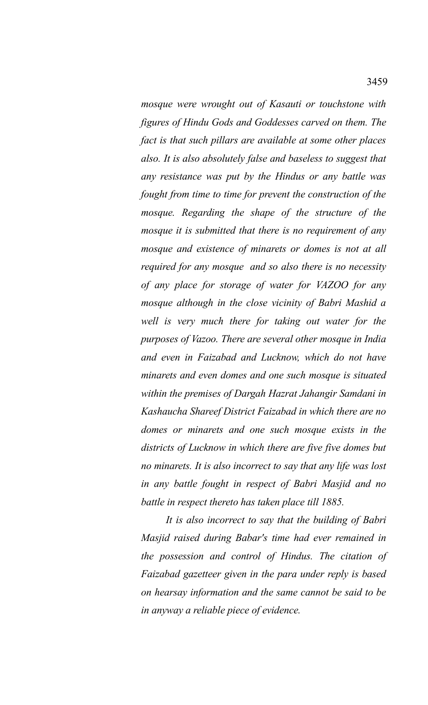*mosque were wrought out of Kasauti or touchstone with figures of Hindu Gods and Goddesses carved on them. The fact is that such pillars are available at some other places also. It is also absolutely false and baseless to suggest that any resistance was put by the Hindus or any battle was fought from time to time for prevent the construction of the mosque. Regarding the shape of the structure of the mosque it is submitted that there is no requirement of any mosque and existence of minarets or domes is not at all required for any mosque and so also there is no necessity of any place for storage of water for VAZOO for any mosque although in the close vicinity of Babri Mashid a well is very much there for taking out water for the purposes of Vazoo. There are several other mosque in India and even in Faizabad and Lucknow, which do not have minarets and even domes and one such mosque is situated within the premises of Dargah Hazrat Jahangir Samdani in Kashaucha Shareef District Faizabad in which there are no domes or minarets and one such mosque exists in the districts of Lucknow in which there are five five domes but no minarets. It is also incorrect to say that any life was lost in any battle fought in respect of Babri Masjid and no battle in respect thereto has taken place till 1885.*

*It is also incorrect to say that the building of Babri Masjid raised during Babar's time had ever remained in the possession and control of Hindus. The citation of Faizabad gazetteer given in the para under reply is based on hearsay information and the same cannot be said to be in anyway a reliable piece of evidence.*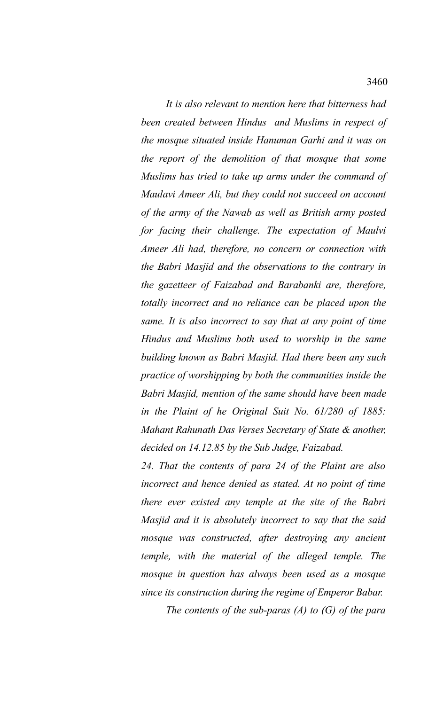*It is also relevant to mention here that bitterness had been created between Hindus and Muslims in respect of the mosque situated inside Hanuman Garhi and it was on the report of the demolition of that mosque that some Muslims has tried to take up arms under the command of Maulavi Ameer Ali, but they could not succeed on account of the army of the Nawab as well as British army posted for facing their challenge. The expectation of Maulvi Ameer Ali had, therefore, no concern or connection with the Babri Masjid and the observations to the contrary in the gazetteer of Faizabad and Barabanki are, therefore, totally incorrect and no reliance can be placed upon the same. It is also incorrect to say that at any point of time Hindus and Muslims both used to worship in the same building known as Babri Masjid. Had there been any such practice of worshipping by both the communities inside the Babri Masjid, mention of the same should have been made in the Plaint of he Original Suit No. 61/280 of 1885: Mahant Rahunath Das Verses Secretary of State & another, decided on 14.12.85 by the Sub Judge, Faizabad.*

*24. That the contents of para 24 of the Plaint are also incorrect and hence denied as stated. At no point of time there ever existed any temple at the site of the Babri Masjid and it is absolutely incorrect to say that the said mosque was constructed, after destroying any ancient temple, with the material of the alleged temple. The mosque in question has always been used as a mosque since its construction during the regime of Emperor Babar.*

*The contents of the sub-paras (A) to (G) of the para*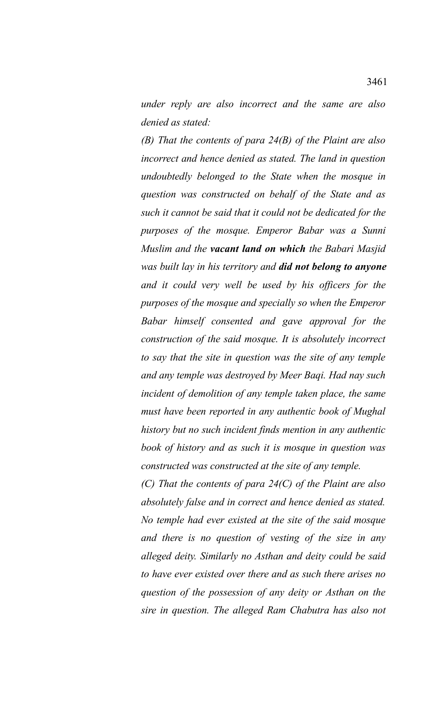*under reply are also incorrect and the same are also denied as stated:*

*(B) That the contents of para 24(B) of the Plaint are also incorrect and hence denied as stated. The land in question undoubtedly belonged to the State when the mosque in question was constructed on behalf of the State and as such it cannot be said that it could not be dedicated for the purposes of the mosque. Emperor Babar was a Sunni Muslim and the vacant land on which the Babari Masjid was built lay in his territory and did not belong to anyone and it could very well be used by his officers for the purposes of the mosque and specially so when the Emperor Babar himself consented and gave approval for the construction of the said mosque. It is absolutely incorrect to say that the site in question was the site of any temple and any temple was destroyed by Meer Baqi. Had nay such incident of demolition of any temple taken place, the same must have been reported in any authentic book of Mughal history but no such incident finds mention in any authentic book of history and as such it is mosque in question was constructed was constructed at the site of any temple.*

*(C) That the contents of para 24(C) of the Plaint are also absolutely false and in correct and hence denied as stated. No temple had ever existed at the site of the said mosque and there is no question of vesting of the size in any alleged deity. Similarly no Asthan and deity could be said to have ever existed over there and as such there arises no question of the possession of any deity or Asthan on the sire in question. The alleged Ram Chabutra has also not*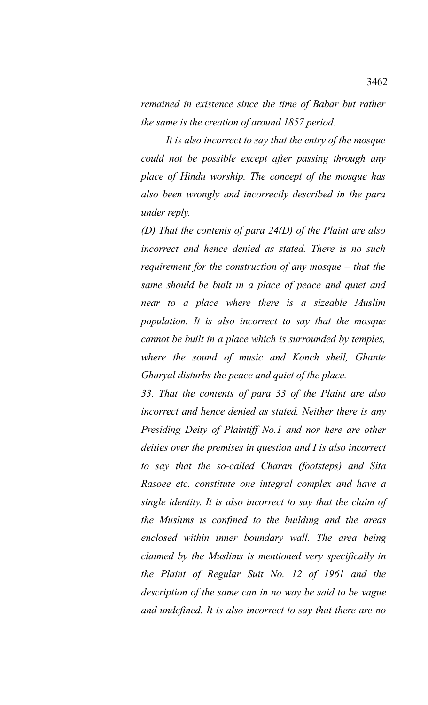*remained in existence since the time of Babar but rather the same is the creation of around 1857 period.*

*It is also incorrect to say that the entry of the mosque could not be possible except after passing through any place of Hindu worship. The concept of the mosque has also been wrongly and incorrectly described in the para under reply.*

*(D) That the contents of para 24(D) of the Plaint are also incorrect and hence denied as stated. There is no such requirement for the construction of any mosque – that the same should be built in a place of peace and quiet and near to a place where there is a sizeable Muslim population. It is also incorrect to say that the mosque cannot be built in a place which is surrounded by temples, where the sound of music and Konch shell, Ghante Gharyal disturbs the peace and quiet of the place.*

*33. That the contents of para 33 of the Plaint are also incorrect and hence denied as stated. Neither there is any Presiding Deity of Plaintiff No.1 and nor here are other deities over the premises in question and I is also incorrect to say that the so-called Charan (footsteps) and Sita Rasoee etc. constitute one integral complex and have a single identity. It is also incorrect to say that the claim of the Muslims is confined to the building and the areas enclosed within inner boundary wall. The area being claimed by the Muslims is mentioned very specifically in the Plaint of Regular Suit No. 12 of 1961 and the description of the same can in no way be said to be vague and undefined. It is also incorrect to say that there are no*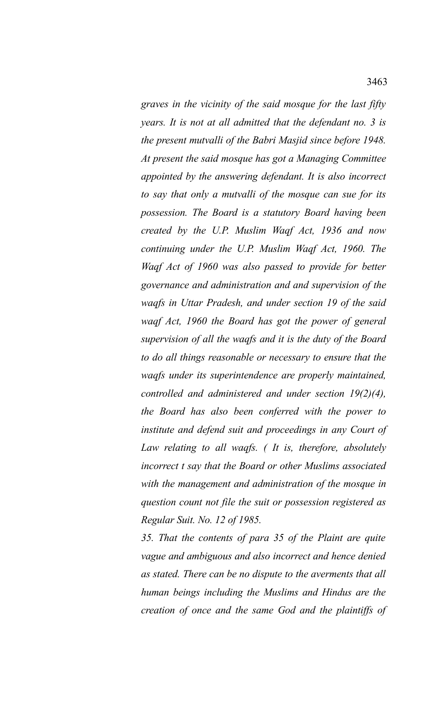*graves in the vicinity of the said mosque for the last fifty years. It is not at all admitted that the defendant no. 3 is the present mutvalli of the Babri Masjid since before 1948. At present the said mosque has got a Managing Committee appointed by the answering defendant. It is also incorrect to say that only a mutvalli of the mosque can sue for its possession. The Board is a statutory Board having been created by the U.P. Muslim Waqf Act, 1936 and now continuing under the U.P. Muslim Waqf Act, 1960. The Waqf Act of 1960 was also passed to provide for better governance and administration and and supervision of the waqfs in Uttar Pradesh, and under section 19 of the said waqf Act, 1960 the Board has got the power of general supervision of all the waqfs and it is the duty of the Board to do all things reasonable or necessary to ensure that the waqfs under its superintendence are properly maintained, controlled and administered and under section 19(2)(4), the Board has also been conferred with the power to institute and defend suit and proceedings in any Court of Law relating to all waqfs. ( It is, therefore, absolutely incorrect t say that the Board or other Muslims associated with the management and administration of the mosque in question count not file the suit or possession registered as Regular Suit. No. 12 of 1985.*

*35. That the contents of para 35 of the Plaint are quite vague and ambiguous and also incorrect and hence denied as stated. There can be no dispute to the averments that all human beings including the Muslims and Hindus are the creation of once and the same God and the plaintiffs of*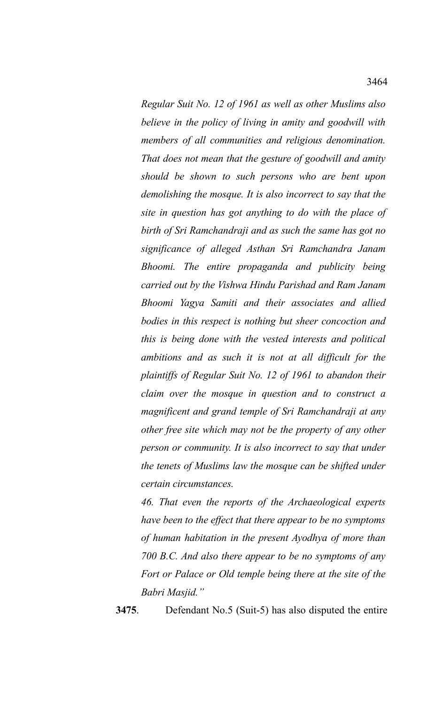*Regular Suit No. 12 of 1961 as well as other Muslims also believe in the policy of living in amity and goodwill with members of all communities and religious denomination. That does not mean that the gesture of goodwill and amity should be shown to such persons who are bent upon demolishing the mosque. It is also incorrect to say that the site in question has got anything to do with the place of birth of Sri Ramchandraji and as such the same has got no significance of alleged Asthan Sri Ramchandra Janam Bhoomi. The entire propaganda and publicity being carried out by the Vishwa Hindu Parishad and Ram Janam Bhoomi Yagya Samiti and their associates and allied bodies in this respect is nothing but sheer concoction and this is being done with the vested interests and political ambitions and as such it is not at all difficult for the*

*plaintiffs of Regular Suit No. 12 of 1961 to abandon their claim over the mosque in question and to construct a magnificent and grand temple of Sri Ramchandraji at any other free site which may not be the property of any other person or community. It is also incorrect to say that under the tenets of Muslims law the mosque can be shifted under certain circumstances.*

*46. That even the reports of the Archaeological experts have been to the effect that there appear to be no symptoms of human habitation in the present Ayodhya of more than 700 B.C. And also there appear to be no symptoms of any Fort or Palace or Old temple being there at the site of the Babri Masjid."*

**3475**. Defendant No.5 (Suit-5) has also disputed the entire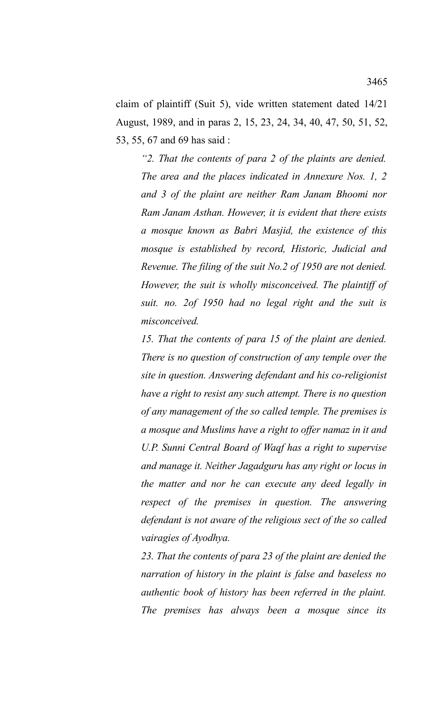claim of plaintiff (Suit 5), vide written statement dated 14/21 August, 1989, and in paras 2, 15, 23, 24, 34, 40, 47, 50, 51, 52, 53, 55, 67 and 69 has said :

*"2. That the contents of para 2 of the plaints are denied. The area and the places indicated in Annexure Nos. 1, 2 and 3 of the plaint are neither Ram Janam Bhoomi nor Ram Janam Asthan. However, it is evident that there exists a mosque known as Babri Masjid, the existence of this mosque is established by record, Historic, Judicial and Revenue. The filing of the suit No.2 of 1950 are not denied. However, the suit is wholly misconceived. The plaintiff of suit. no. 2of 1950 had no legal right and the suit is misconceived.*

*15. That the contents of para 15 of the plaint are denied. There is no question of construction of any temple over the site in question. Answering defendant and his co-religionist have a right to resist any such attempt. There is no question of any management of the so called temple. The premises is a mosque and Muslims have a right to offer namaz in it and U.P. Sunni Central Board of Waqf has a right to supervise and manage it. Neither Jagadguru has any right or locus in the matter and nor he can execute any deed legally in respect of the premises in question. The answering defendant is not aware of the religious sect of the so called vairagies of Ayodhya.*

*23. That the contents of para 23 of the plaint are denied the narration of history in the plaint is false and baseless no authentic book of history has been referred in the plaint. The premises has always been a mosque since its*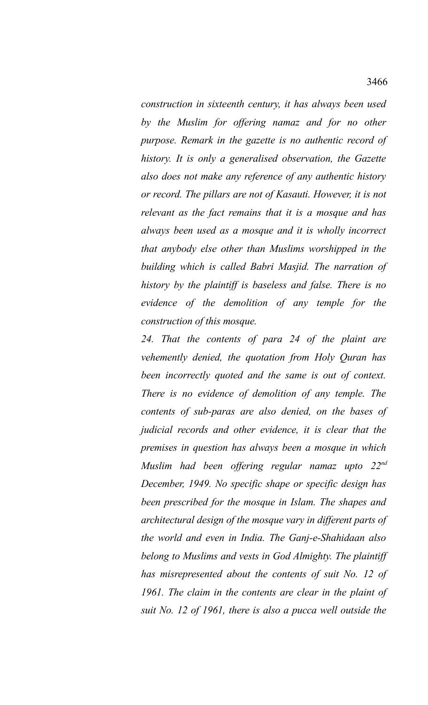*construction in sixteenth century, it has always been used by the Muslim for offering namaz and for no other purpose. Remark in the gazette is no authentic record of history. It is only a generalised observation, the Gazette also does not make any reference of any authentic history or record. The pillars are not of Kasauti. However, it is not relevant as the fact remains that it is a mosque and has always been used as a mosque and it is wholly incorrect that anybody else other than Muslims worshipped in the building which is called Babri Masjid. The narration of history by the plaintiff is baseless and false. There is no evidence of the demolition of any temple for the construction of this mosque.*

*24. That the contents of para 24 of the plaint are vehemently denied, the quotation from Holy Quran has been incorrectly quoted and the same is out of context. There is no evidence of demolition of any temple. The contents of sub-paras are also denied, on the bases of judicial records and other evidence, it is clear that the premises in question has always been a mosque in which Muslim had been offering regular namaz upto 22nd December, 1949. No specific shape or specific design has been prescribed for the mosque in Islam. The shapes and architectural design of the mosque vary in different parts of the world and even in India. The Ganj-e-Shahidaan also belong to Muslims and vests in God Almighty. The plaintiff has misrepresented about the contents of suit No. 12 of 1961. The claim in the contents are clear in the plaint of suit No. 12 of 1961, there is also a pucca well outside the*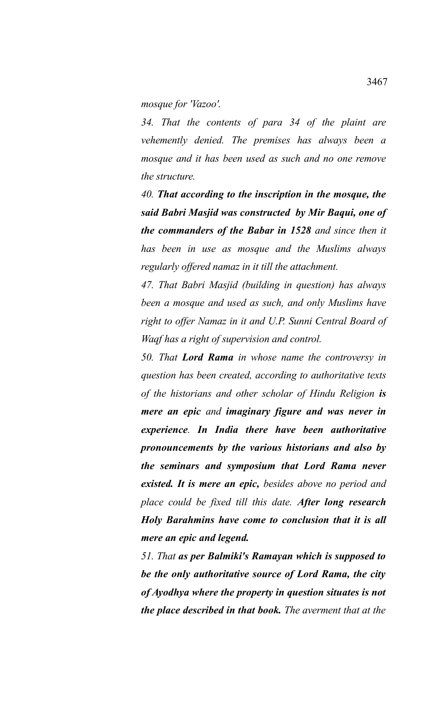*mosque for 'Vazoo'.*

*34. That the contents of para 34 of the plaint are vehemently denied. The premises has always been a mosque and it has been used as such and no one remove the structure.*

*40. That according to the inscription in the mosque, the said Babri Masjid was constructed by Mir Baqui, one of the commanders of the Babar in 1528 and since then it has been in use as mosque and the Muslims always regularly offered namaz in it till the attachment.*

*47. That Babri Masjid (building in question) has always been a mosque and used as such, and only Muslims have right to offer Namaz in it and U.P. Sunni Central Board of Waqf has a right of supervision and control.*

*50. That Lord Rama in whose name the controversy in question has been created, according to authoritative texts of the historians and other scholar of Hindu Religion is mere an epic and imaginary figure and was never in experience. In India there have been authoritative pronouncements by the various historians and also by the seminars and symposium that Lord Rama never existed. It is mere an epic, besides above no period and place could be fixed till this date. After long research Holy Barahmins have come to conclusion that it is all mere an epic and legend.* 

*51. That as per Balmiki's Ramayan which is supposed to be the only authoritative source of Lord Rama, the city of Ayodhya where the property in question situates is not the place described in that book. The averment that at the*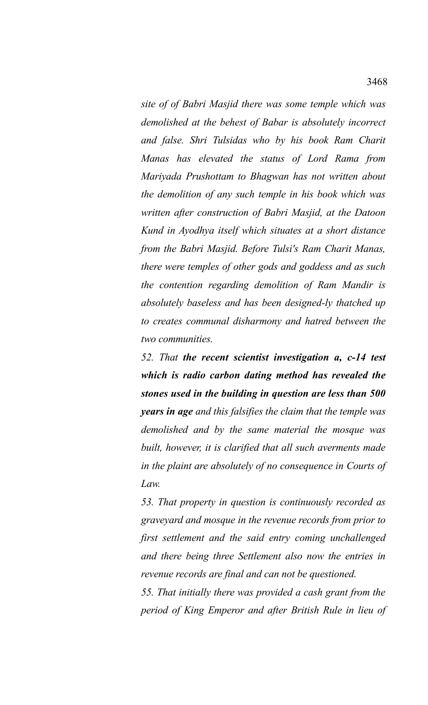*site of of Babri Masjid there was some temple which was demolished at the behest of Babar is absolutely incorrect and false. Shri Tulsidas who by his book Ram Charit Manas has elevated the status of Lord Rama from Mariyada Prushottam to Bhagwan has not written about the demolition of any such temple in his book which was written after construction of Babri Masjid, at the Datoon Kund in Ayodhya itself which situates at a short distance from the Babri Masjid. Before Tulsi's Ram Charit Manas, there were temples of other gods and goddess and as such the contention regarding demolition of Ram Mandir is absolutely baseless and has been designed-ly thatched up to creates communal disharmony and hatred between the two communities.*

*52. That the recent scientist investigation a, c-14 test which is radio carbon dating method has revealed the stones used in the building in question are less than 500 years in age and this falsifies the claim that the temple was demolished and by the same material the mosque was built, however, it is clarified that all such averments made in the plaint are absolutely of no consequence in Courts of Law.*

*53. That property in question is continuously recorded as graveyard and mosque in the revenue records from prior to first settlement and the said entry coming unchallenged and there being three Settlement also now the entries in revenue records are final and can not be questioned.*

*55. That initially there was provided a cash grant from the period of King Emperor and after British Rule in lieu of*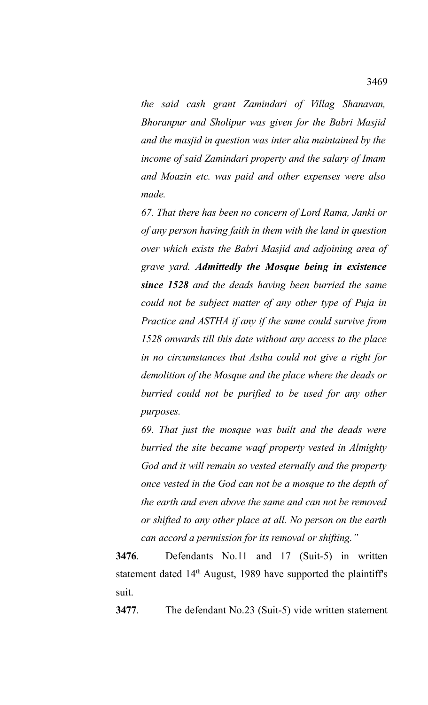*the said cash grant Zamindari of Villag Shanavan, Bhoranpur and Sholipur was given for the Babri Masjid and the masjid in question was inter alia maintained by the income of said Zamindari property and the salary of Imam and Moazin etc. was paid and other expenses were also made.*

*67. That there has been no concern of Lord Rama, Janki or of any person having faith in them with the land in question over which exists the Babri Masjid and adjoining area of grave yard. Admittedly the Mosque being in existence since 1528 and the deads having been burried the same could not be subject matter of any other type of Puja in Practice and ASTHA if any if the same could survive from 1528 onwards till this date without any access to the place in no circumstances that Astha could not give a right for demolition of the Mosque and the place where the deads or burried could not be purified to be used for any other purposes.*

*69. That just the mosque was built and the deads were burried the site became waqf property vested in Almighty God and it will remain so vested eternally and the property once vested in the God can not be a mosque to the depth of the earth and even above the same and can not be removed or shifted to any other place at all. No person on the earth can accord a permission for its removal or shifting."*

**3476**. Defendants No.11 and 17 (Suit-5) in written statement dated  $14<sup>th</sup>$  August, 1989 have supported the plaintiff's suit.

**3477**. The defendant No.23 (Suit-5) vide written statement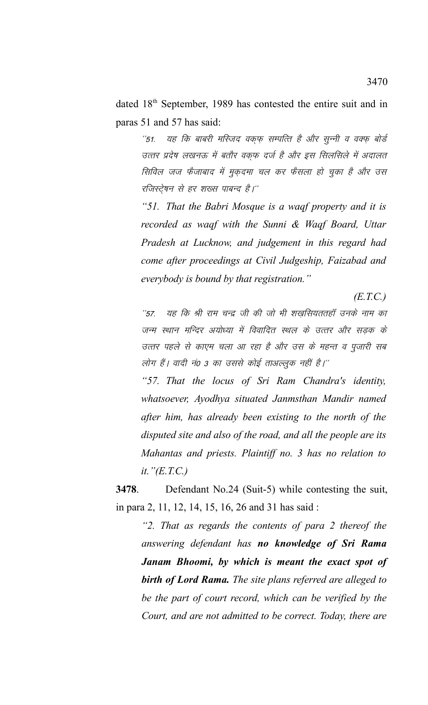dated 18<sup>th</sup> September, 1989 has contested the entire suit and in paras 51 and 57 has said:

''51. यह कि बाबरी मस्जिद वकफ सम्पत्ति है और सून्नी व वक्फ बोर्ड उत्तर प्रदेष लखनऊ में बतौर वक़्फ़ दर्ज है और इस सिलसिले में अदालत सिविल जज फैजाबाद में मुक़दमा चल कर फैसला हो चुका है और उस रजिस्ट्रेषन से हर शख्स पाबन्द है।''

*"51. That the Babri Mosque is a waqf property and it is recorded as waqf with the Sunni & Waqf Board, Uttar Pradesh at Lucknow, and judgement in this regard had come after proceedings at Civil Judgeship, Faizabad and everybody is bound by that registration."*

 *(E.T.C.)*

''57. यह कि श्री राम चन्द्र जी की जो भी शखसियततहॉ उनके नाम का जन्म स्थान मन्दिर अयोध्या में विवादित स्थल के उत्तर और सडक के उत्तर पहले से काएम चला आ रहा है और उस के महन्त व पूजारी सब लोग हैं। वादी नं0 3 का उससे कोई ताअल्लुक नहीं है।''

*"57. That the locus of Sri Ram Chandra's identity, whatsoever, Ayodhya situated Janmsthan Mandir named after him, has already been existing to the north of the disputed site and also of the road, and all the people are its Mahantas and priests. Plaintiff no. 3 has no relation to it."(E.T.C.)* 

**3478**. Defendant No.24 (Suit-5) while contesting the suit, in para 2, 11, 12, 14, 15, 16, 26 and 31 has said :

*"2. That as regards the contents of para 2 thereof the answering defendant has no knowledge of Sri Rama Janam Bhoomi, by which is meant the exact spot of birth of Lord Rama. The site plans referred are alleged to be the part of court record, which can be verified by the Court, and are not admitted to be correct. Today, there are*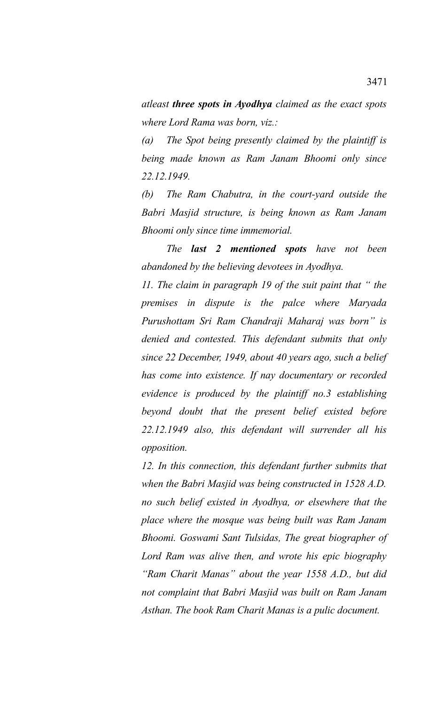*atleast three spots in Ayodhya claimed as the exact spots where Lord Rama was born, viz.:*

*(a) The Spot being presently claimed by the plaintiff is being made known as Ram Janam Bhoomi only since 22.12.1949.*

*(b) The Ram Chabutra, in the court-yard outside the Babri Masjid structure, is being known as Ram Janam Bhoomi only since time immemorial.*

*The last 2 mentioned spots have not been abandoned by the believing devotees in Ayodhya.*

*11. The claim in paragraph 19 of the suit paint that " the premises in dispute is the palce where Maryada Purushottam Sri Ram Chandraji Maharaj was born" is denied and contested. This defendant submits that only since 22 December, 1949, about 40 years ago, such a belief has come into existence. If nay documentary or recorded evidence is produced by the plaintiff no.3 establishing beyond doubt that the present belief existed before 22.12.1949 also, this defendant will surrender all his opposition.*

*12. In this connection, this defendant further submits that when the Babri Masjid was being constructed in 1528 A.D. no such belief existed in Ayodhya, or elsewhere that the place where the mosque was being built was Ram Janam Bhoomi. Goswami Sant Tulsidas, The great biographer of Lord Ram was alive then, and wrote his epic biography "Ram Charit Manas" about the year 1558 A.D., but did not complaint that Babri Masjid was built on Ram Janam Asthan. The book Ram Charit Manas is a pulic document.*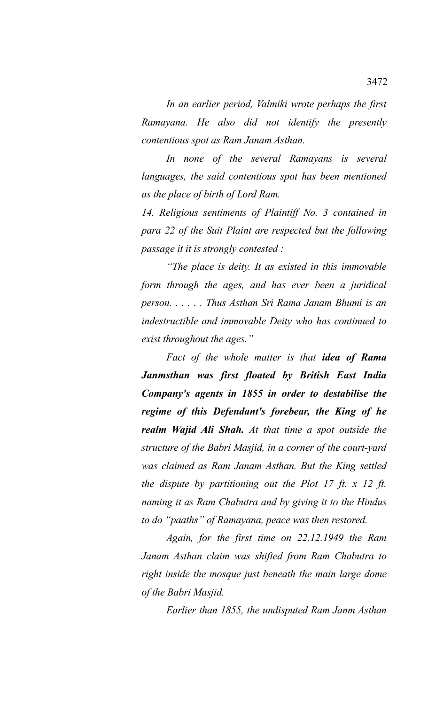*In an earlier period, Valmiki wrote perhaps the first Ramayana. He also did not identify the presently contentious spot as Ram Janam Asthan.*

*In none of the several Ramayans is several languages, the said contentious spot has been mentioned as the place of birth of Lord Ram.* 

*14. Religious sentiments of Plaintiff No. 3 contained in para 22 of the Suit Plaint are respected but the following passage it it is strongly contested :*

*"The place is deity. It as existed in this immovable form through the ages, and has ever been a juridical person. . . . . . Thus Asthan Sri Rama Janam Bhumi is an indestructible and immovable Deity who has continued to exist throughout the ages."*

*Fact of the whole matter is that idea of Rama Janmsthan was first floated by British East India Company's agents in 1855 in order to destabilise the regime of this Defendant's forebear, the King of he realm Wajid Ali Shah. At that time a spot outside the structure of the Babri Masjid, in a corner of the court-yard was claimed as Ram Janam Asthan. But the King settled the dispute by partitioning out the Plot 17 ft. x 12 ft. naming it as Ram Chabutra and by giving it to the Hindus to do "paaths" of Ramayana, peace was then restored.* 

*Again, for the first time on 22.12.1949 the Ram Janam Asthan claim was shifted from Ram Chabutra to right inside the mosque just beneath the main large dome of the Babri Masjid.*

*Earlier than 1855, the undisputed Ram Janm Asthan*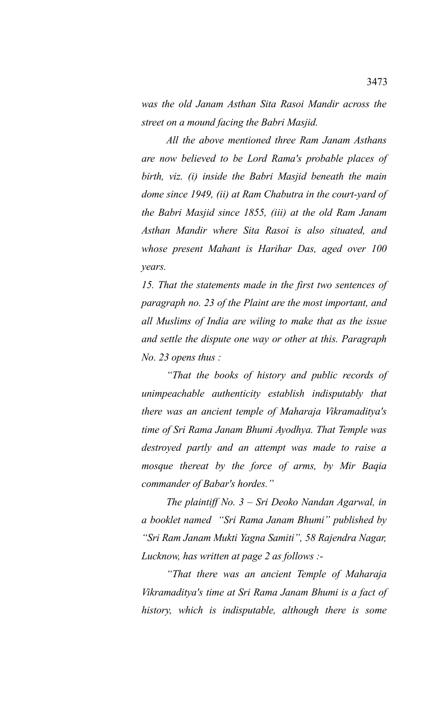*was the old Janam Asthan Sita Rasoi Mandir across the street on a mound facing the Babri Masjid.*

*All the above mentioned three Ram Janam Asthans are now believed to be Lord Rama's probable places of birth, viz. (i) inside the Babri Masjid beneath the main dome since 1949, (ii) at Ram Chabutra in the court-yard of the Babri Masjid since 1855, (iii) at the old Ram Janam Asthan Mandir where Sita Rasoi is also situated, and whose present Mahant is Harihar Das, aged over 100 years.*

*15. That the statements made in the first two sentences of paragraph no. 23 of the Plaint are the most important, and all Muslims of India are wiling to make that as the issue and settle the dispute one way or other at this. Paragraph No. 23 opens thus :*

*"That the books of history and public records of unimpeachable authenticity establish indisputably that there was an ancient temple of Maharaja Vikramaditya's time of Sri Rama Janam Bhumi Ayodhya. That Temple was destroyed partly and an attempt was made to raise a mosque thereat by the force of arms, by Mir Baqia commander of Babar's hordes."*

*The plaintiff No. 3 – Sri Deoko Nandan Agarwal, in a booklet named "Sri Rama Janam Bhumi" published by "Sri Ram Janam Mukti Yagna Samiti", 58 Rajendra Nagar, Lucknow, has written at page 2 as follows :-*

*"That there was an ancient Temple of Maharaja Vikramaditya's time at Sri Rama Janam Bhumi is a fact of history, which is indisputable, although there is some*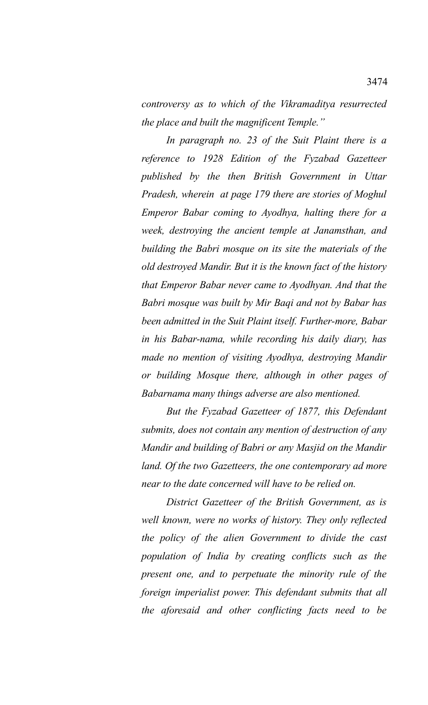*controversy as to which of the Vikramaditya resurrected the place and built the magnificent Temple."* 

*In paragraph no. 23 of the Suit Plaint there is a reference to 1928 Edition of the Fyzabad Gazetteer published by the then British Government in Uttar Pradesh, wherein at page 179 there are stories of Moghul Emperor Babar coming to Ayodhya, halting there for a week, destroying the ancient temple at Janamsthan, and building the Babri mosque on its site the materials of the old destroyed Mandir. But it is the known fact of the history that Emperor Babar never came to Ayodhyan. And that the Babri mosque was built by Mir Baqi and not by Babar has been admitted in the Suit Plaint itself. Further-more, Babar in his Babar-nama, while recording his daily diary, has made no mention of visiting Ayodhya, destroying Mandir or building Mosque there, although in other pages of Babarnama many things adverse are also mentioned.*

*But the Fyzabad Gazetteer of 1877, this Defendant submits, does not contain any mention of destruction of any Mandir and building of Babri or any Masjid on the Mandir land. Of the two Gazetteers, the one contemporary ad more near to the date concerned will have to be relied on.*

*District Gazetteer of the British Government, as is well known, were no works of history. They only reflected the policy of the alien Government to divide the cast population of India by creating conflicts such as the present one, and to perpetuate the minority rule of the foreign imperialist power. This defendant submits that all the aforesaid and other conflicting facts need to be*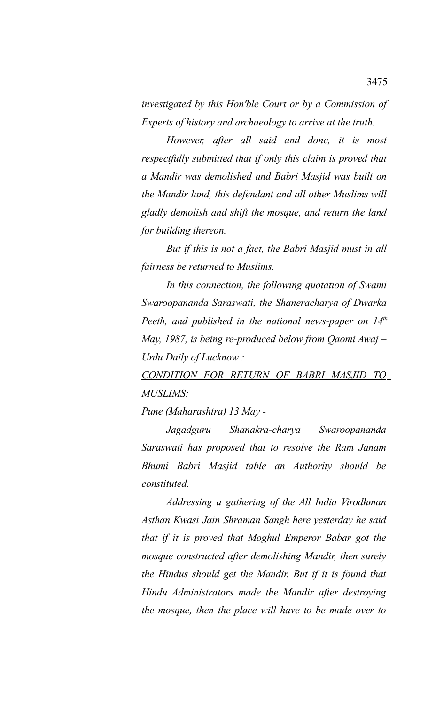*investigated by this Hon'ble Court or by a Commission of Experts of history and archaeology to arrive at the truth.*

*However, after all said and done, it is most respectfully submitted that if only this claim is proved that a Mandir was demolished and Babri Masjid was built on the Mandir land, this defendant and all other Muslims will gladly demolish and shift the mosque, and return the land for building thereon.*

*But if this is not a fact, the Babri Masjid must in all fairness be returned to Muslims.*

*In this connection, the following quotation of Swami Swaroopananda Saraswati, the Shaneracharya of Dwarka Peeth, and published in the national news-paper on 14th May, 1987, is being re-produced below from Qaomi Awaj – Urdu Daily of Lucknow :*

*CONDITION FOR RETURN OF BABRI MASJID TO MUSLIMS:*

*Pune (Maharashtra) 13 May -* 

*Jagadguru Shanakra-charya Swaroopananda Saraswati has proposed that to resolve the Ram Janam Bhumi Babri Masjid table an Authority should be constituted.* 

*Addressing a gathering of the All India Virodhman Asthan Kwasi Jain Shraman Sangh here yesterday he said that if it is proved that Moghul Emperor Babar got the mosque constructed after demolishing Mandir, then surely the Hindus should get the Mandir. But if it is found that Hindu Administrators made the Mandir after destroying the mosque, then the place will have to be made over to*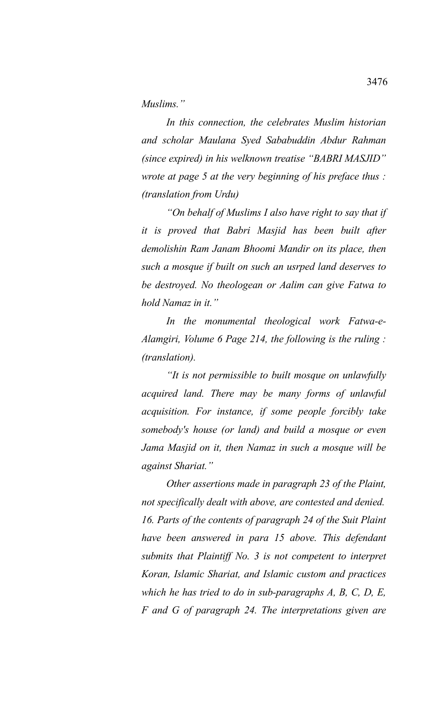*Muslims."*

*In this connection, the celebrates Muslim historian and scholar Maulana Syed Sababuddin Abdur Rahman (since expired) in his welknown treatise "BABRI MASJID" wrote at page 5 at the very beginning of his preface thus : (translation from Urdu)*

*"On behalf of Muslims I also have right to say that if it is proved that Babri Masjid has been built after demolishin Ram Janam Bhoomi Mandir on its place, then such a mosque if built on such an usrped land deserves to be destroyed. No theologean or Aalim can give Fatwa to hold Namaz in it."*

*In the monumental theological work Fatwa-e-Alamgiri, Volume 6 Page 214, the following is the ruling : (translation).* 

*"It is not permissible to built mosque on unlawfully acquired land. There may be many forms of unlawful acquisition. For instance, if some people forcibly take somebody's house (or land) and build a mosque or even Jama Masjid on it, then Namaz in such a mosque will be against Shariat."*

*Other assertions made in paragraph 23 of the Plaint, not specifically dealt with above, are contested and denied. 16. Parts of the contents of paragraph 24 of the Suit Plaint have been answered in para 15 above. This defendant submits that Plaintiff No. 3 is not competent to interpret Koran, Islamic Shariat, and Islamic custom and practices which he has tried to do in sub-paragraphs A, B, C, D, E, F and G of paragraph 24. The interpretations given are*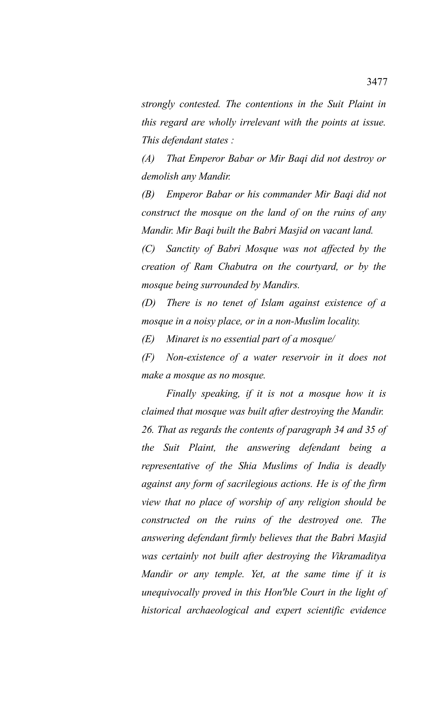*strongly contested. The contentions in the Suit Plaint in this regard are wholly irrelevant with the points at issue. This defendant states :*

*(A) That Emperor Babar or Mir Baqi did not destroy or demolish any Mandir.*

*(B) Emperor Babar or his commander Mir Baqi did not construct the mosque on the land of on the ruins of any Mandir. Mir Baqi built the Babri Masjid on vacant land.*

*(C) Sanctity of Babri Mosque was not affected by the creation of Ram Chabutra on the courtyard, or by the mosque being surrounded by Mandirs.*

*(D) There is no tenet of Islam against existence of a mosque in a noisy place, or in a non-Muslim locality.*

*(E) Minaret is no essential part of a mosque/*

*(F) Non-existence of a water reservoir in it does not make a mosque as no mosque.*

*Finally speaking, if it is not a mosque how it is claimed that mosque was built after destroying the Mandir. 26. That as regards the contents of paragraph 34 and 35 of the Suit Plaint, the answering defendant being a representative of the Shia Muslims of India is deadly against any form of sacrilegious actions. He is of the firm view that no place of worship of any religion should be constructed on the ruins of the destroyed one. The answering defendant firmly believes that the Babri Masjid was certainly not built after destroying the Vikramaditya Mandir or any temple. Yet, at the same time if it is unequivocally proved in this Hon'ble Court in the light of historical archaeological and expert scientific evidence*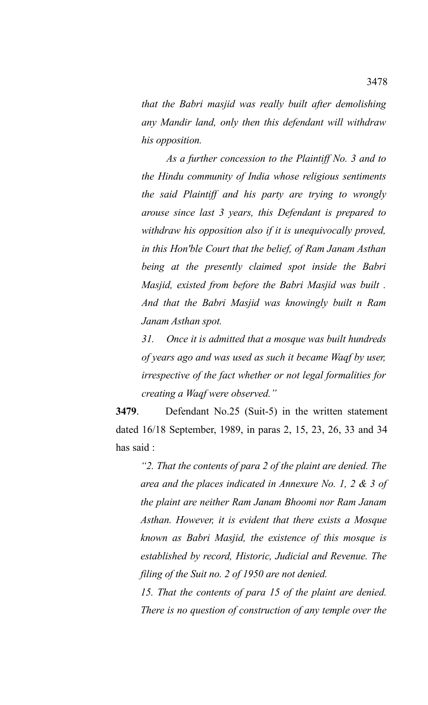*that the Babri masjid was really built after demolishing any Mandir land, only then this defendant will withdraw his opposition.*

*As a further concession to the Plaintiff No. 3 and to the Hindu community of India whose religious sentiments the said Plaintiff and his party are trying to wrongly arouse since last 3 years, this Defendant is prepared to withdraw his opposition also if it is unequivocally proved, in this Hon'ble Court that the belief, of Ram Janam Asthan being at the presently claimed spot inside the Babri Masjid, existed from before the Babri Masjid was built . And that the Babri Masjid was knowingly built n Ram Janam Asthan spot.*

*31. Once it is admitted that a mosque was built hundreds of years ago and was used as such it became Waqf by user, irrespective of the fact whether or not legal formalities for creating a Waqf were observed."*

**3479**. Defendant No.25 (Suit-5) in the written statement dated 16/18 September, 1989, in paras 2, 15, 23, 26, 33 and 34 has said :

*"2. That the contents of para 2 of the plaint are denied. The area and the places indicated in Annexure No. 1, 2 & 3 of the plaint are neither Ram Janam Bhoomi nor Ram Janam Asthan. However, it is evident that there exists a Mosque known as Babri Masjid, the existence of this mosque is established by record, Historic, Judicial and Revenue. The filing of the Suit no. 2 of 1950 are not denied.* 

*15. That the contents of para 15 of the plaint are denied. There is no question of construction of any temple over the*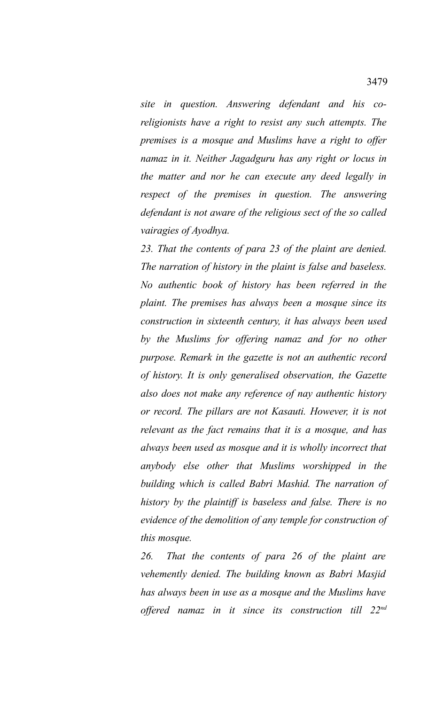*site in question. Answering defendant and his coreligionists have a right to resist any such attempts. The premises is a mosque and Muslims have a right to offer namaz in it. Neither Jagadguru has any right or locus in the matter and nor he can execute any deed legally in respect of the premises in question. The answering defendant is not aware of the religious sect of the so called vairagies of Ayodhya.*

*23. That the contents of para 23 of the plaint are denied. The narration of history in the plaint is false and baseless. No authentic book of history has been referred in the plaint. The premises has always been a mosque since its construction in sixteenth century, it has always been used by the Muslims for offering namaz and for no other purpose. Remark in the gazette is not an authentic record of history. It is only generalised observation, the Gazette also does not make any reference of nay authentic history or record. The pillars are not Kasauti. However, it is not relevant as the fact remains that it is a mosque, and has always been used as mosque and it is wholly incorrect that anybody else other that Muslims worshipped in the building which is called Babri Mashid. The narration of history by the plaintiff is baseless and false. There is no evidence of the demolition of any temple for construction of this mosque.*

*26. That the contents of para 26 of the plaint are vehemently denied. The building known as Babri Masjid has always been in use as a mosque and the Muslims have offered namaz in it since its construction till 22nd*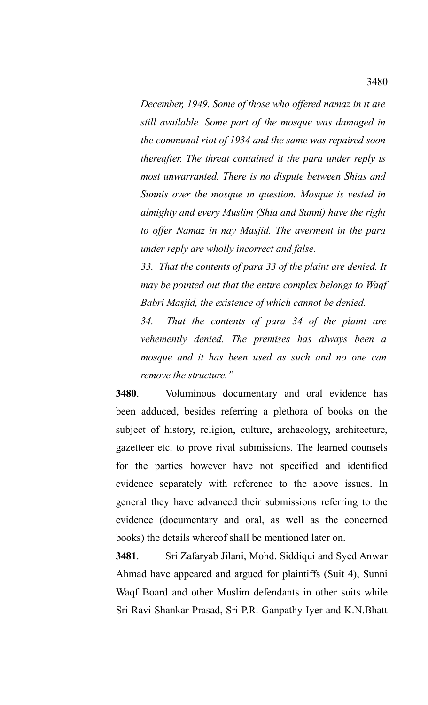*December, 1949. Some of those who offered namaz in it are still available. Some part of the mosque was damaged in the communal riot of 1934 and the same was repaired soon thereafter. The threat contained it the para under reply is most unwarranted. There is no dispute between Shias and Sunnis over the mosque in question. Mosque is vested in almighty and every Muslim (Shia and Sunni) have the right to offer Namaz in nay Masjid. The averment in the para under reply are wholly incorrect and false.*

*33. That the contents of para 33 of the plaint are denied. It may be pointed out that the entire complex belongs to Waqf Babri Masjid, the existence of which cannot be denied.*

*34. That the contents of para 34 of the plaint are vehemently denied. The premises has always been a mosque and it has been used as such and no one can remove the structure."*

**3480**. Voluminous documentary and oral evidence has been adduced, besides referring a plethora of books on the subject of history, religion, culture, archaeology, architecture, gazetteer etc. to prove rival submissions. The learned counsels for the parties however have not specified and identified evidence separately with reference to the above issues. In general they have advanced their submissions referring to the evidence (documentary and oral, as well as the concerned books) the details whereof shall be mentioned later on.

**3481**. Sri Zafaryab Jilani, Mohd. Siddiqui and Syed Anwar Ahmad have appeared and argued for plaintiffs (Suit 4), Sunni Waqf Board and other Muslim defendants in other suits while Sri Ravi Shankar Prasad, Sri P.R. Ganpathy Iyer and K.N.Bhatt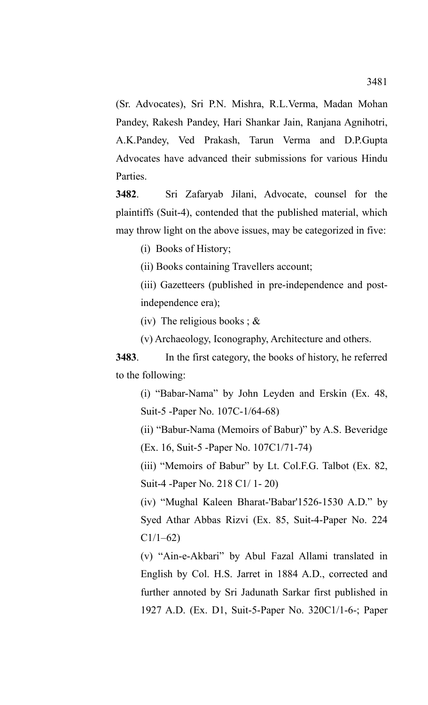(Sr. Advocates), Sri P.N. Mishra, R.L.Verma, Madan Mohan Pandey, Rakesh Pandey, Hari Shankar Jain, Ranjana Agnihotri, A.K.Pandey, Ved Prakash, Tarun Verma and D.P.Gupta Advocates have advanced their submissions for various Hindu Parties.

**3482**. Sri Zafaryab Jilani, Advocate, counsel for the plaintiffs (Suit-4), contended that the published material, which may throw light on the above issues, may be categorized in five:

(i) Books of History;

(ii) Books containing Travellers account;

(iii) Gazetteers (published in pre-independence and postindependence era);

(iv) The religious books;  $\&$ 

(v) Archaeology, Iconography, Architecture and others.

**3483**. In the first category, the books of history, he referred to the following:

(i) "Babar-Nama" by John Leyden and Erskin (Ex. 48, Suit-5 -Paper No. 107C-1/64-68)

(ii) "Babur-Nama (Memoirs of Babur)" by A.S. Beveridge (Ex. 16, Suit-5 -Paper No. 107C1/71-74)

(iii) "Memoirs of Babur" by Lt. Col.F.G. Talbot (Ex. 82, Suit-4 -Paper No. 218 C1/ 1- 20)

(iv) "Mughal Kaleen Bharat-'Babar'1526-1530 A.D." by Syed Athar Abbas Rizvi (Ex. 85, Suit-4-Paper No. 224  $C1/1-62$ 

(v) "Ain-e-Akbari" by Abul Fazal Allami translated in English by Col. H.S. Jarret in 1884 A.D., corrected and further annoted by Sri Jadunath Sarkar first published in 1927 A.D. (Ex. D1, Suit-5-Paper No. 320C1/1-6-; Paper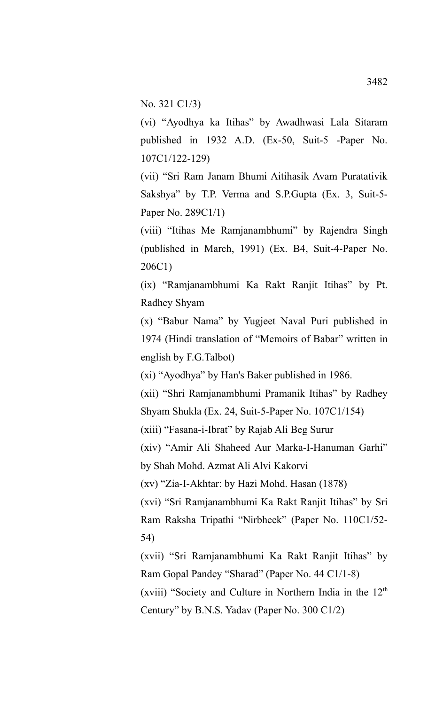No. 321 C1/3)

(vi) "Ayodhya ka Itihas" by Awadhwasi Lala Sitaram published in 1932 A.D. (Ex-50, Suit-5 -Paper No. 107C1/122-129)

(vii) "Sri Ram Janam Bhumi Aitihasik Avam Puratativik Sakshya" by T.P. Verma and S.P.Gupta (Ex. 3, Suit-5- Paper No. 289C1/1)

(viii) "Itihas Me Ramjanambhumi" by Rajendra Singh (published in March, 1991) (Ex. B4, Suit-4-Paper No. 206C1)

(ix) "Ramjanambhumi Ka Rakt Ranjit Itihas" by Pt. Radhey Shyam

(x) "Babur Nama" by Yugjeet Naval Puri published in 1974 (Hindi translation of "Memoirs of Babar" written in english by F.G.Talbot)

(xi) "Ayodhya" by Han's Baker published in 1986.

(xii) "Shri Ramjanambhumi Pramanik Itihas" by Radhey Shyam Shukla (Ex. 24, Suit-5-Paper No. 107C1/154)

(xiii) "Fasana-i-Ibrat" by Rajab Ali Beg Surur

(xiv) "Amir Ali Shaheed Aur Marka-I-Hanuman Garhi" by Shah Mohd. Azmat Ali Alvi Kakorvi

(xv) "Zia-I-Akhtar: by Hazi Mohd. Hasan (1878)

(xvi) "Sri Ramjanambhumi Ka Rakt Ranjit Itihas" by Sri Ram Raksha Tripathi "Nirbheek" (Paper No. 110C1/52- 54)

(xvii) "Sri Ramjanambhumi Ka Rakt Ranjit Itihas" by Ram Gopal Pandey "Sharad" (Paper No. 44 C1/1-8) (xviii) "Society and Culture in Northern India in the  $12<sup>th</sup>$ Century" by B.N.S. Yadav (Paper No. 300 C1/2)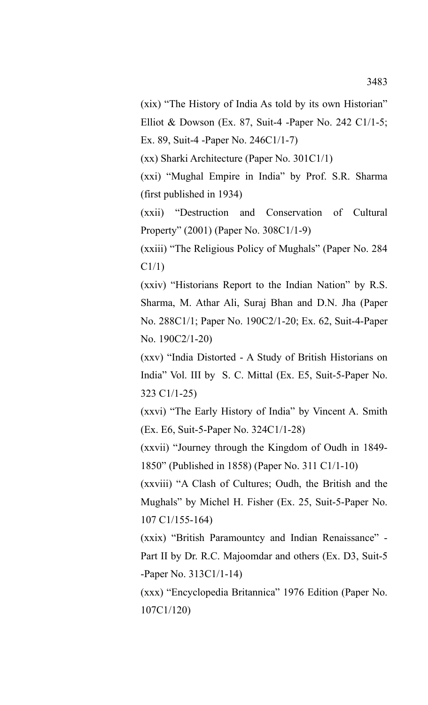(xix) "The History of India As told by its own Historian" Elliot & Dowson (Ex. 87, Suit-4 -Paper No. 242 C1/1-5;

Ex. 89, Suit-4 -Paper No. 246C1/1-7)

(xx) Sharki Architecture (Paper No. 301C1/1)

(xxi) "Mughal Empire in India" by Prof. S.R. Sharma (first published in 1934)

(xxii) "Destruction and Conservation of Cultural Property" (2001) (Paper No. 308C1/1-9)

(xxiii) "The Religious Policy of Mughals" (Paper No. 284 C1/1)

(xxiv) "Historians Report to the Indian Nation" by R.S. Sharma, M. Athar Ali, Suraj Bhan and D.N. Jha (Paper No. 288C1/1; Paper No. 190C2/1-20; Ex. 62, Suit-4-Paper No. 190C2/1-20)

(xxv) "India Distorted - A Study of British Historians on India" Vol. III by S. C. Mittal (Ex. E5, Suit-5-Paper No. 323 C1/1-25)

(xxvi) "The Early History of India" by Vincent A. Smith (Ex. E6, Suit-5-Paper No. 324C1/1-28)

(xxvii) "Journey through the Kingdom of Oudh in 1849- 1850" (Published in 1858) (Paper No. 311 C1/1-10)

(xxviii) "A Clash of Cultures; Oudh, the British and the Mughals" by Michel H. Fisher (Ex. 25, Suit-5-Paper No. 107 C1/155-164)

(xxix) "British Paramountcy and Indian Renaissance" - Part II by Dr. R.C. Majoomdar and others (Ex. D3, Suit-5 -Paper No. 313C1/1-14)

(xxx) "Encyclopedia Britannica" 1976 Edition (Paper No. 107C1/120)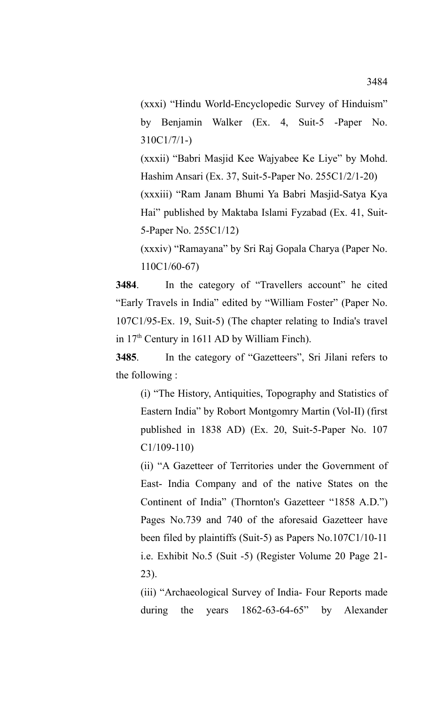(xxxi) "Hindu World-Encyclopedic Survey of Hinduism" by Benjamin Walker (Ex. 4, Suit-5 -Paper No. 310C1/7/1-)

(xxxii) "Babri Masjid Kee Wajyabee Ke Liye" by Mohd. Hashim Ansari (Ex. 37, Suit-5-Paper No. 255C1/2/1-20)

(xxxiii) "Ram Janam Bhumi Ya Babri Masjid-Satya Kya Hai" published by Maktaba Islami Fyzabad (Ex. 41, Suit-5-Paper No. 255C1/12)

(xxxiv) "Ramayana" by Sri Raj Gopala Charya (Paper No. 110C1/60-67)

**3484**. In the category of "Travellers account" he cited "Early Travels in India" edited by "William Foster" (Paper No. 107C1/95-Ex. 19, Suit-5) (The chapter relating to India's travel in 17th Century in 1611 AD by William Finch).

**3485**. In the category of "Gazetteers", Sri Jilani refers to the following :

(i) "The History, Antiquities, Topography and Statistics of Eastern India" by Robort Montgomry Martin (Vol-II) (first published in 1838 AD) (Ex. 20, Suit-5-Paper No. 107 C1/109-110)

(ii) "A Gazetteer of Territories under the Government of East- India Company and of the native States on the Continent of India" (Thornton's Gazetteer "1858 A.D.") Pages No.739 and 740 of the aforesaid Gazetteer have been filed by plaintiffs (Suit-5) as Papers No.107C1/10-11 i.e. Exhibit No.5 (Suit -5) (Register Volume 20 Page 21- 23).

(iii) "Archaeological Survey of India- Four Reports made during the years 1862-63-64-65" by Alexander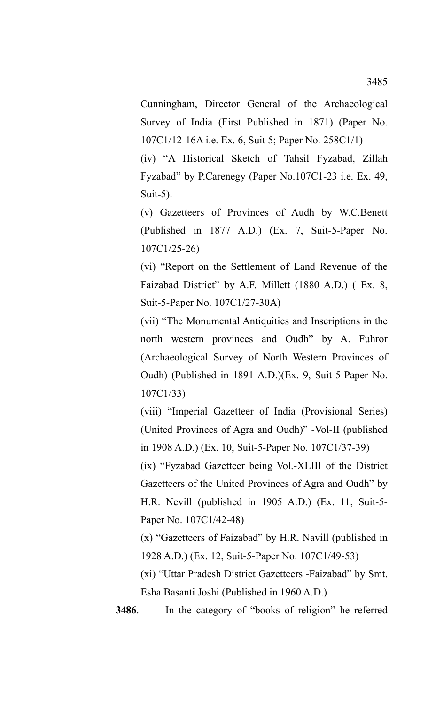Cunningham, Director General of the Archaeological Survey of India (First Published in 1871) (Paper No. 107C1/12-16A i.e. Ex. 6, Suit 5; Paper No. 258C1/1)

(iv) "A Historical Sketch of Tahsil Fyzabad, Zillah Fyzabad" by P.Carenegy (Paper No.107C1-23 i.e. Ex. 49, Suit-5).

(v) Gazetteers of Provinces of Audh by W.C.Benett (Published in 1877 A.D.) (Ex. 7, Suit-5-Paper No. 107C1/25-26)

(vi) "Report on the Settlement of Land Revenue of the Faizabad District" by A.F. Millett (1880 A.D.) ( Ex. 8, Suit-5-Paper No. 107C1/27-30A)

(vii) "The Monumental Antiquities and Inscriptions in the north western provinces and Oudh" by A. Fuhror (Archaeological Survey of North Western Provinces of Oudh) (Published in 1891 A.D.)(Ex. 9, Suit-5-Paper No. 107C1/33)

(viii) "Imperial Gazetteer of India (Provisional Series) (United Provinces of Agra and Oudh)" -Vol-II (published in 1908 A.D.) (Ex. 10, Suit-5-Paper No. 107C1/37-39)

(ix) "Fyzabad Gazetteer being Vol.-XLIII of the District Gazetteers of the United Provinces of Agra and Oudh" by H.R. Nevill (published in 1905 A.D.) (Ex. 11, Suit-5- Paper No. 107C1/42-48)

(x) "Gazetteers of Faizabad" by H.R. Navill (published in 1928 A.D.) (Ex. 12, Suit-5-Paper No. 107C1/49-53)

(xi) "Uttar Pradesh District Gazetteers -Faizabad" by Smt. Esha Basanti Joshi (Published in 1960 A.D.)

**3486**. In the category of "books of religion" he referred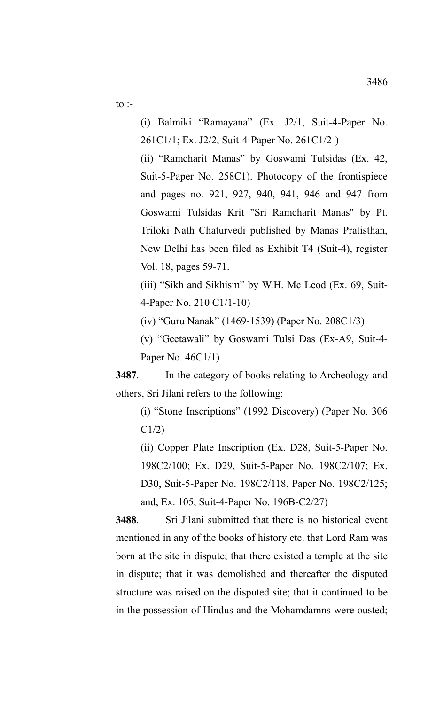to :-

(i) Balmiki "Ramayana" (Ex. J2/1, Suit-4-Paper No. 261C1/1; Ex. J2/2, Suit-4-Paper No. 261C1/2-)

(ii) "Ramcharit Manas" by Goswami Tulsidas (Ex. 42, Suit-5-Paper No. 258C1). Photocopy of the frontispiece and pages no. 921, 927, 940, 941, 946 and 947 from Goswami Tulsidas Krit "Sri Ramcharit Manas" by Pt. Triloki Nath Chaturvedi published by Manas Pratisthan, New Delhi has been filed as Exhibit T4 (Suit-4), register Vol. 18, pages 59-71.

(iii) "Sikh and Sikhism" by W.H. Mc Leod (Ex. 69, Suit-4-Paper No. 210 C1/1-10)

(iv) "Guru Nanak" (1469-1539) (Paper No. 208C1/3)

(v) "Geetawali" by Goswami Tulsi Das (Ex-A9, Suit-4- Paper No. 46C1/1)

**3487**. In the category of books relating to Archeology and others, Sri Jilani refers to the following:

(i) "Stone Inscriptions" (1992 Discovery) (Paper No. 306 C1/2)

(ii) Copper Plate Inscription (Ex. D28, Suit-5-Paper No. 198C2/100; Ex. D29, Suit-5-Paper No. 198C2/107; Ex. D30, Suit-5-Paper No. 198C2/118, Paper No. 198C2/125; and, Ex. 105, Suit-4-Paper No. 196B-C2/27)

**3488**. Sri Jilani submitted that there is no historical event mentioned in any of the books of history etc. that Lord Ram was born at the site in dispute; that there existed a temple at the site in dispute; that it was demolished and thereafter the disputed structure was raised on the disputed site; that it continued to be in the possession of Hindus and the Mohamdamns were ousted;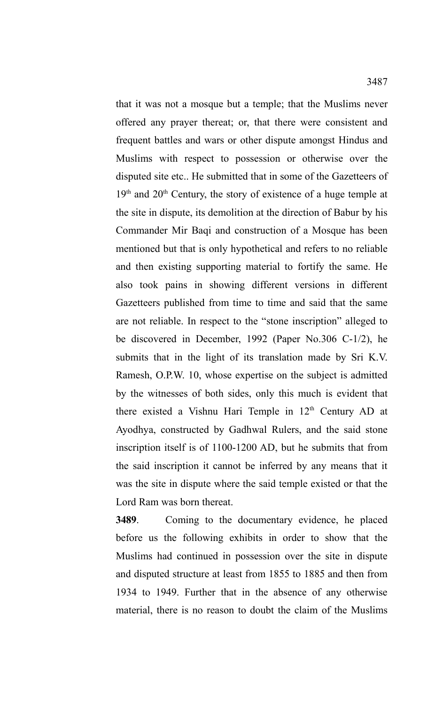that it was not a mosque but a temple; that the Muslims never offered any prayer thereat; or, that there were consistent and frequent battles and wars or other dispute amongst Hindus and Muslims with respect to possession or otherwise over the disputed site etc.. He submitted that in some of the Gazetteers of  $19<sup>th</sup>$  and  $20<sup>th</sup>$  Century, the story of existence of a huge temple at the site in dispute, its demolition at the direction of Babur by his Commander Mir Baqi and construction of a Mosque has been mentioned but that is only hypothetical and refers to no reliable and then existing supporting material to fortify the same. He also took pains in showing different versions in different Gazetteers published from time to time and said that the same are not reliable. In respect to the "stone inscription" alleged to be discovered in December, 1992 (Paper No.306 C-1/2), he submits that in the light of its translation made by Sri K.V. Ramesh, O.P.W. 10, whose expertise on the subject is admitted by the witnesses of both sides, only this much is evident that there existed a Vishnu Hari Temple in  $12<sup>th</sup>$  Century AD at Ayodhya, constructed by Gadhwal Rulers, and the said stone inscription itself is of 1100-1200 AD, but he submits that from the said inscription it cannot be inferred by any means that it was the site in dispute where the said temple existed or that the Lord Ram was born thereat.

**3489**. Coming to the documentary evidence, he placed before us the following exhibits in order to show that the Muslims had continued in possession over the site in dispute and disputed structure at least from 1855 to 1885 and then from 1934 to 1949. Further that in the absence of any otherwise material, there is no reason to doubt the claim of the Muslims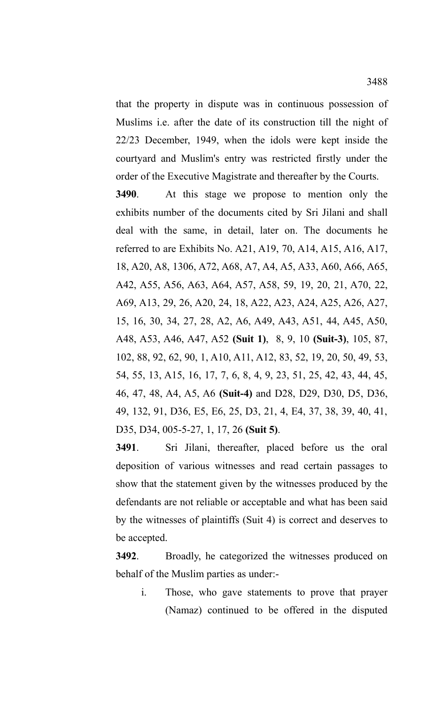that the property in dispute was in continuous possession of Muslims i.e. after the date of its construction till the night of 22/23 December, 1949, when the idols were kept inside the courtyard and Muslim's entry was restricted firstly under the order of the Executive Magistrate and thereafter by the Courts.

**3490**. At this stage we propose to mention only the exhibits number of the documents cited by Sri Jilani and shall deal with the same, in detail, later on. The documents he referred to are Exhibits No. A21, A19, 70, A14, A15, A16, A17, 18, A20, A8, 1306, A72, A68, A7, A4, A5, A33, A60, A66, A65, A42, A55, A56, A63, A64, A57, A58, 59, 19, 20, 21, A70, 22, A69, A13, 29, 26, A20, 24, 18, A22, A23, A24, A25, A26, A27, 15, 16, 30, 34, 27, 28, A2, A6, A49, A43, A51, 44, A45, A50, A48, A53, A46, A47, A52 **(Suit 1)**, 8, 9, 10 **(Suit-3)**, 105, 87, 102, 88, 92, 62, 90, 1, A10, A11, A12, 83, 52, 19, 20, 50, 49, 53, 54, 55, 13, A15, 16, 17, 7, 6, 8, 4, 9, 23, 51, 25, 42, 43, 44, 45, 46, 47, 48, A4, A5, A6 **(Suit-4)** and D28, D29, D30, D5, D36, 49, 132, 91, D36, E5, E6, 25, D3, 21, 4, E4, 37, 38, 39, 40, 41, D35, D34, 005-5-27, 1, 17, 26 **(Suit 5)**.

**3491**. Sri Jilani, thereafter, placed before us the oral deposition of various witnesses and read certain passages to show that the statement given by the witnesses produced by the defendants are not reliable or acceptable and what has been said by the witnesses of plaintiffs (Suit 4) is correct and deserves to be accepted.

**3492**. Broadly, he categorized the witnesses produced on behalf of the Muslim parties as under:-

i. Those, who gave statements to prove that prayer (Namaz) continued to be offered in the disputed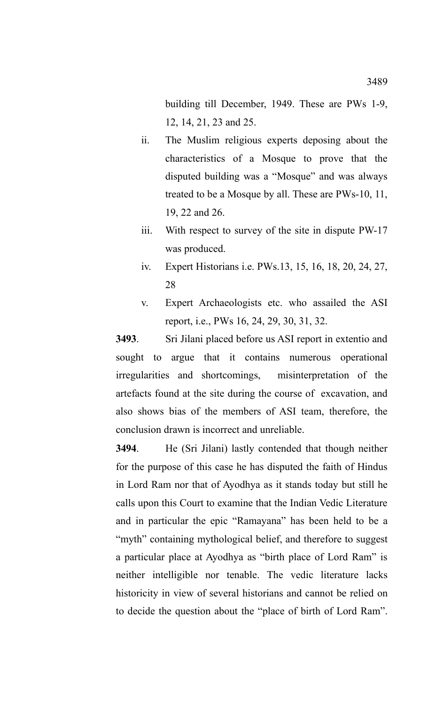building till December, 1949. These are PWs 1-9, 12, 14, 21, 23 and 25.

- ii. The Muslim religious experts deposing about the characteristics of a Mosque to prove that the disputed building was a "Mosque" and was always treated to be a Mosque by all. These are PWs-10, 11, 19, 22 and 26.
- iii. With respect to survey of the site in dispute PW-17 was produced.
- iv. Expert Historians i.e. PWs.13, 15, 16, 18, 20, 24, 27, 28
- v. Expert Archaeologists etc. who assailed the ASI report, i.e., PWs 16, 24, 29, 30, 31, 32.

**3493**. Sri Jilani placed before us ASI report in extentio and sought to argue that it contains numerous operational irregularities and shortcomings, misinterpretation of the artefacts found at the site during the course of excavation, and also shows bias of the members of ASI team, therefore, the conclusion drawn is incorrect and unreliable.

**3494**. He (Sri Jilani) lastly contended that though neither for the purpose of this case he has disputed the faith of Hindus in Lord Ram nor that of Ayodhya as it stands today but still he calls upon this Court to examine that the Indian Vedic Literature and in particular the epic "Ramayana" has been held to be a "myth" containing mythological belief, and therefore to suggest a particular place at Ayodhya as "birth place of Lord Ram" is neither intelligible nor tenable. The vedic literature lacks historicity in view of several historians and cannot be relied on to decide the question about the "place of birth of Lord Ram".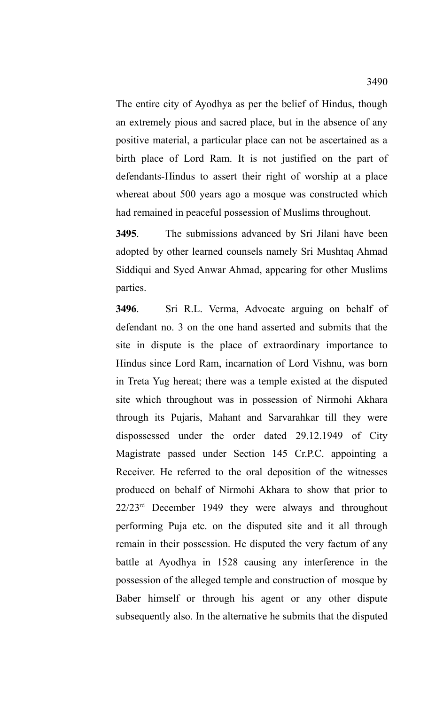The entire city of Ayodhya as per the belief of Hindus, though an extremely pious and sacred place, but in the absence of any positive material, a particular place can not be ascertained as a birth place of Lord Ram. It is not justified on the part of defendants-Hindus to assert their right of worship at a place whereat about 500 years ago a mosque was constructed which had remained in peaceful possession of Muslims throughout.

**3495**. The submissions advanced by Sri Jilani have been adopted by other learned counsels namely Sri Mushtaq Ahmad Siddiqui and Syed Anwar Ahmad, appearing for other Muslims parties.

**3496**. Sri R.L. Verma, Advocate arguing on behalf of defendant no. 3 on the one hand asserted and submits that the site in dispute is the place of extraordinary importance to Hindus since Lord Ram, incarnation of Lord Vishnu, was born in Treta Yug hereat; there was a temple existed at the disputed site which throughout was in possession of Nirmohi Akhara through its Pujaris, Mahant and Sarvarahkar till they were dispossessed under the order dated 29.12.1949 of City Magistrate passed under Section 145 Cr.P.C. appointing a Receiver. He referred to the oral deposition of the witnesses produced on behalf of Nirmohi Akhara to show that prior to  $22/23^{rd}$  December 1949 they were always and throughout performing Puja etc. on the disputed site and it all through remain in their possession. He disputed the very factum of any battle at Ayodhya in 1528 causing any interference in the possession of the alleged temple and construction of mosque by Baber himself or through his agent or any other dispute subsequently also. In the alternative he submits that the disputed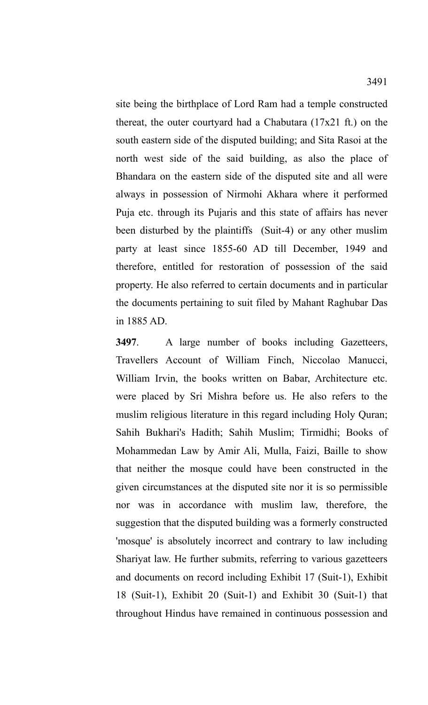site being the birthplace of Lord Ram had a temple constructed thereat, the outer courtyard had a Chabutara (17x21 ft.) on the south eastern side of the disputed building; and Sita Rasoi at the north west side of the said building, as also the place of Bhandara on the eastern side of the disputed site and all were always in possession of Nirmohi Akhara where it performed Puja etc. through its Pujaris and this state of affairs has never been disturbed by the plaintiffs (Suit-4) or any other muslim party at least since 1855-60 AD till December, 1949 and therefore, entitled for restoration of possession of the said property. He also referred to certain documents and in particular the documents pertaining to suit filed by Mahant Raghubar Das in 1885 AD.

**3497**. A large number of books including Gazetteers, Travellers Account of William Finch, Niccolao Manucci, William Irvin, the books written on Babar, Architecture etc. were placed by Sri Mishra before us. He also refers to the muslim religious literature in this regard including Holy Quran; Sahih Bukhari's Hadith; Sahih Muslim; Tirmidhi; Books of Mohammedan Law by Amir Ali, Mulla, Faizi, Baille to show that neither the mosque could have been constructed in the given circumstances at the disputed site nor it is so permissible nor was in accordance with muslim law, therefore, the suggestion that the disputed building was a formerly constructed 'mosque' is absolutely incorrect and contrary to law including Shariyat law. He further submits, referring to various gazetteers and documents on record including Exhibit 17 (Suit-1), Exhibit 18 (Suit-1), Exhibit 20 (Suit-1) and Exhibit 30 (Suit-1) that throughout Hindus have remained in continuous possession and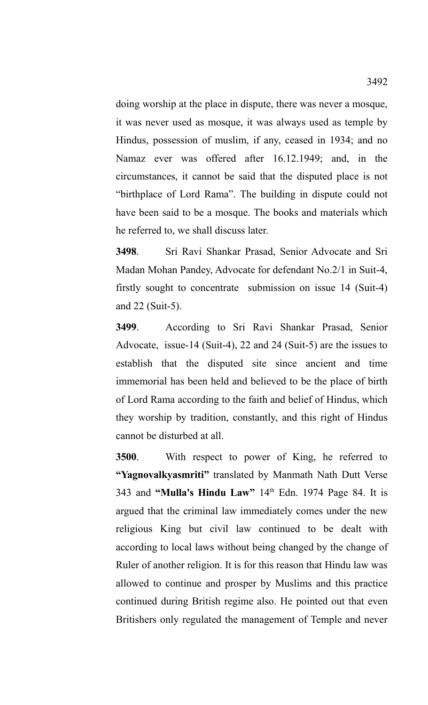doing worship at the place in dispute, there was never a mosque, it was never used as mosque, it was always used as temple by Hindus, possession of muslim, if any, ceased in 1934; and no Namaz ever was offered after 16.12.1949; and, in the circumstances, it cannot be said that the disputed place is not "birthplace of Lord Rama". The building in dispute could not have been said to be a mosque. The books and materials which he referred to, we shall discuss later.

**3498**. Sri Ravi Shankar Prasad, Senior Advocate and Sri Madan Mohan Pandey, Advocate for defendant No.2/1 in Suit-4, firstly sought to concentrate submission on issue 14 (Suit-4) and 22 (Suit-5).

**3499**. According to Sri Ravi Shankar Prasad, Senior Advocate, issue-14 (Suit-4), 22 and 24 (Suit-5) are the issues to establish that the disputed site since ancient and time immemorial has been held and believed to be the place of birth of Lord Rama according to the faith and belief of Hindus, which they worship by tradition, constantly, and this right of Hindus cannot be disturbed at all.

**3500**. With respect to power of King, he referred to **"Yagnovalkyasmriti"** translated by Manmath Nath Dutt Verse 343 and **"Mulla's Hindu Law"** 14th Edn. 1974 Page 84. It is argued that the criminal law immediately comes under the new religious King but civil law continued to be dealt with according to local laws without being changed by the change of Ruler of another religion. It is for this reason that Hindu law was allowed to continue and prosper by Muslims and this practice continued during British regime also. He pointed out that even Britishers only regulated the management of Temple and never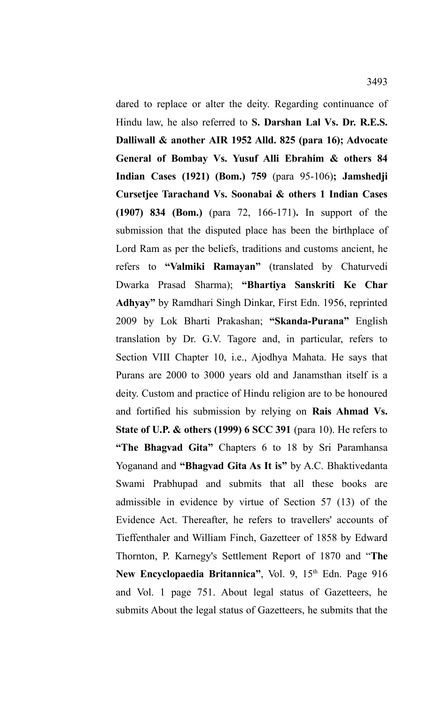dared to replace or alter the deity. Regarding continuance of Hindu law, he also referred to **S. Darshan Lal Vs. Dr. R.E.S. Dalliwall & another AIR 1952 Alld. 825 (para 16); Advocate General of Bombay Vs. Yusuf Alli Ebrahim & others 84 Indian Cases (1921) (Bom.) 759** (para 95-106)**; Jamshedji Cursetjee Tarachand Vs. Soonabai & others 1 Indian Cases (1907) 834 (Bom.)** (para 72, 166-171)**.** In support of the submission that the disputed place has been the birthplace of Lord Ram as per the beliefs, traditions and customs ancient, he refers to **"Valmiki Ramayan"** (translated by Chaturvedi Dwarka Prasad Sharma); **"Bhartiya Sanskriti Ke Char Adhyay"** by Ramdhari Singh Dinkar, First Edn. 1956, reprinted 2009 by Lok Bharti Prakashan; **"Skanda-Purana"** English translation by Dr. G.V. Tagore and, in particular, refers to Section VIII Chapter 10, i.e., Ajodhya Mahata. He says that Purans are 2000 to 3000 years old and Janamsthan itself is a deity. Custom and practice of Hindu religion are to be honoured and fortified his submission by relying on **Rais Ahmad Vs. State of U.P. & others (1999) 6 SCC 391** (para 10). He refers to **"The Bhagvad Gita"** Chapters 6 to 18 by Sri Paramhansa Yoganand and **"Bhagvad Gita As It is"** by A.C. Bhaktivedanta Swami Prabhupad and submits that all these books are admissible in evidence by virtue of Section 57 (13) of the Evidence Act. Thereafter, he refers to travellers' accounts of Tieffenthaler and William Finch, Gazetteer of 1858 by Edward Thornton, P. Karnegy's Settlement Report of 1870 and "**The** New Encyclopaedia Britannica", Vol. 9, 15<sup>th</sup> Edn. Page 916 and Vol. 1 page 751. About legal status of Gazetteers, he submits About the legal status of Gazetteers, he submits that the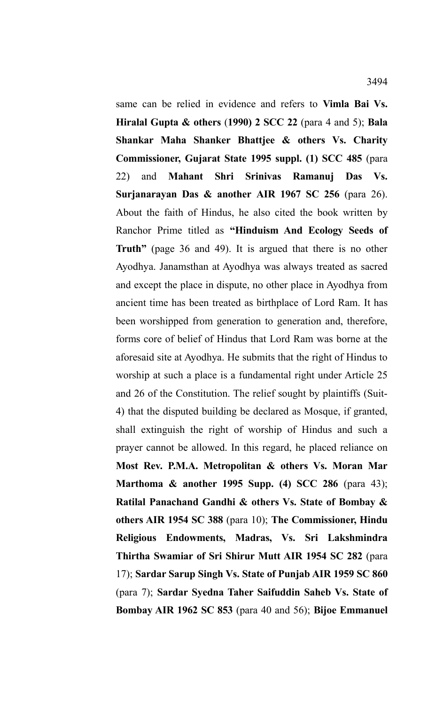same can be relied in evidence and refers to **Vimla Bai Vs. Hiralal Gupta & others** (**1990) 2 SCC 22** (para 4 and 5); **Bala Shankar Maha Shanker Bhattjee & others Vs. Charity Commissioner, Gujarat State 1995 suppl. (1) SCC 485** (para 22) and **Mahant Shri Srinivas Ramanuj Das Vs. Surjanarayan Das & another AIR 1967 SC 256** (para 26). About the faith of Hindus, he also cited the book written by Ranchor Prime titled as **"Hinduism And Ecology Seeds of Truth**" (page 36 and 49). It is argued that there is no other Ayodhya. Janamsthan at Ayodhya was always treated as sacred and except the place in dispute, no other place in Ayodhya from ancient time has been treated as birthplace of Lord Ram. It has been worshipped from generation to generation and, therefore, forms core of belief of Hindus that Lord Ram was borne at the aforesaid site at Ayodhya. He submits that the right of Hindus to worship at such a place is a fundamental right under Article 25 and 26 of the Constitution. The relief sought by plaintiffs (Suit-4) that the disputed building be declared as Mosque, if granted, shall extinguish the right of worship of Hindus and such a prayer cannot be allowed. In this regard, he placed reliance on **Most Rev. P.M.A. Metropolitan & others Vs. Moran Mar Marthoma & another 1995 Supp. (4) SCC 286** (para 43); **Ratilal Panachand Gandhi & others Vs. State of Bombay & others AIR 1954 SC 388** (para 10); **The Commissioner, Hindu Religious Endowments, Madras, Vs. Sri Lakshmindra Thirtha Swamiar of Sri Shirur Mutt AIR 1954 SC 282** (para 17); **Sardar Sarup Singh Vs. State of Punjab AIR 1959 SC 860** (para 7); **Sardar Syedna Taher Saifuddin Saheb Vs. State of**

**Bombay AIR 1962 SC 853** (para 40 and 56); **Bijoe Emmanuel**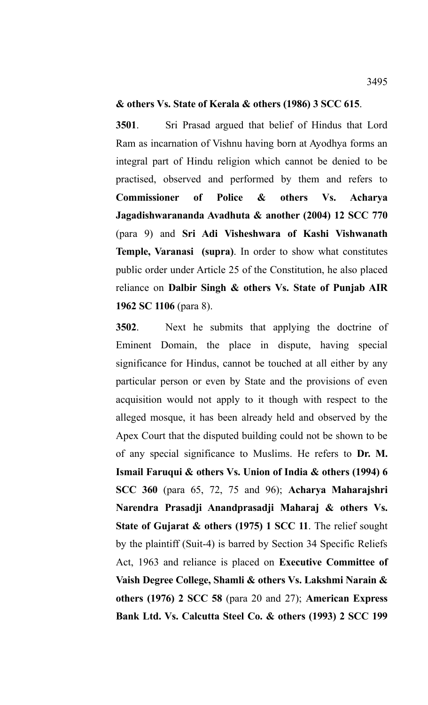## **& others Vs. State of Kerala & others (1986) 3 SCC 615**.

**3501**. Sri Prasad argued that belief of Hindus that Lord Ram as incarnation of Vishnu having born at Ayodhya forms an integral part of Hindu religion which cannot be denied to be practised, observed and performed by them and refers to **Commissioner of Police & others Vs. Acharya Jagadishwarananda Avadhuta & another (2004) 12 SCC 770** (para 9) and **Sri Adi Visheshwara of Kashi Vishwanath Temple, Varanasi (supra)**. In order to show what constitutes public order under Article 25 of the Constitution, he also placed reliance on **Dalbir Singh & others Vs. State of Punjab AIR 1962 SC 1106** (para 8).

**3502**. Next he submits that applying the doctrine of Eminent Domain, the place in dispute, having special significance for Hindus, cannot be touched at all either by any particular person or even by State and the provisions of even acquisition would not apply to it though with respect to the alleged mosque, it has been already held and observed by the Apex Court that the disputed building could not be shown to be of any special significance to Muslims. He refers to **Dr. M. Ismail Faruqui & others Vs. Union of India & others (1994) 6 SCC 360** (para 65, 72, 75 and 96); **Acharya Maharajshri Narendra Prasadji Anandprasadji Maharaj & others Vs. State of Gujarat & others (1975) 1 SCC 11**. The relief sought by the plaintiff (Suit-4) is barred by Section 34 Specific Reliefs Act, 1963 and reliance is placed on **Executive Committee of Vaish Degree College, Shamli & others Vs. Lakshmi Narain & others (1976) 2 SCC 58** (para 20 and 27); **American Express Bank Ltd. Vs. Calcutta Steel Co. & others (1993) 2 SCC 199**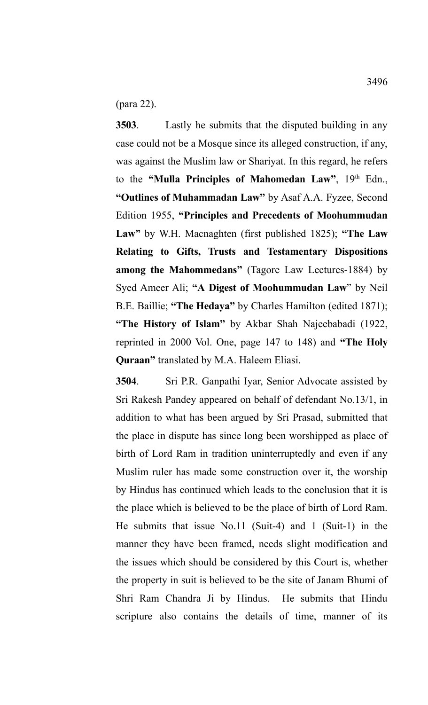(para 22).

**3503**. Lastly he submits that the disputed building in any case could not be a Mosque since its alleged construction, if any, was against the Muslim law or Shariyat. In this regard, he refers to the "Mulla Principles of Mahomedan Law", 19<sup>th</sup> Edn., **"Outlines of Muhammadan Law"** by Asaf A.A. Fyzee, Second Edition 1955, **"Principles and Precedents of Moohummudan Law"** by W.H. Macnaghten (first published 1825); **"The Law Relating to Gifts, Trusts and Testamentary Dispositions among the Mahommedans"** (Tagore Law Lectures-1884) by Syed Ameer Ali; **"A Digest of Moohummudan Law**" by Neil B.E. Baillie; **"The Hedaya"** by Charles Hamilton (edited 1871); **"The History of Islam"** by Akbar Shah Najeebabadi (1922, reprinted in 2000 Vol. One, page 147 to 148) and **"The Holy Quraan"** translated by M.A. Haleem Eliasi.

**3504**. Sri P.R. Ganpathi Iyar, Senior Advocate assisted by Sri Rakesh Pandey appeared on behalf of defendant No.13/1, in addition to what has been argued by Sri Prasad, submitted that the place in dispute has since long been worshipped as place of birth of Lord Ram in tradition uninterruptedly and even if any Muslim ruler has made some construction over it, the worship by Hindus has continued which leads to the conclusion that it is the place which is believed to be the place of birth of Lord Ram. He submits that issue No.11 (Suit-4) and 1 (Suit-1) in the manner they have been framed, needs slight modification and the issues which should be considered by this Court is, whether the property in suit is believed to be the site of Janam Bhumi of Shri Ram Chandra Ji by Hindus. He submits that Hindu scripture also contains the details of time, manner of its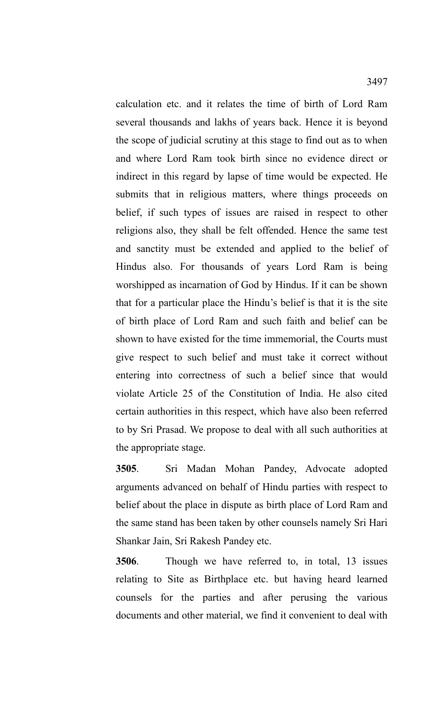calculation etc. and it relates the time of birth of Lord Ram several thousands and lakhs of years back. Hence it is beyond the scope of judicial scrutiny at this stage to find out as to when and where Lord Ram took birth since no evidence direct or indirect in this regard by lapse of time would be expected. He submits that in religious matters, where things proceeds on belief, if such types of issues are raised in respect to other religions also, they shall be felt offended. Hence the same test and sanctity must be extended and applied to the belief of Hindus also. For thousands of years Lord Ram is being worshipped as incarnation of God by Hindus. If it can be shown that for a particular place the Hindu's belief is that it is the site of birth place of Lord Ram and such faith and belief can be shown to have existed for the time immemorial, the Courts must give respect to such belief and must take it correct without entering into correctness of such a belief since that would violate Article 25 of the Constitution of India. He also cited certain authorities in this respect, which have also been referred to by Sri Prasad. We propose to deal with all such authorities at the appropriate stage.

**3505**. Sri Madan Mohan Pandey, Advocate adopted arguments advanced on behalf of Hindu parties with respect to belief about the place in dispute as birth place of Lord Ram and the same stand has been taken by other counsels namely Sri Hari Shankar Jain, Sri Rakesh Pandey etc.

**3506**. Though we have referred to, in total, 13 issues relating to Site as Birthplace etc. but having heard learned counsels for the parties and after perusing the various documents and other material, we find it convenient to deal with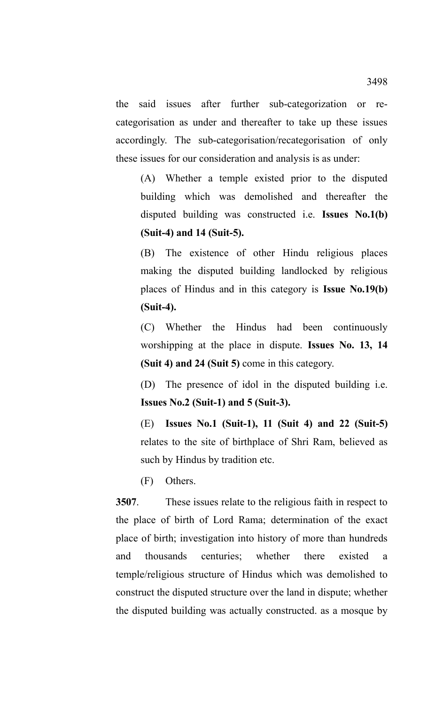the said issues after further sub-categorization or recategorisation as under and thereafter to take up these issues accordingly. The sub-categorisation/recategorisation of only these issues for our consideration and analysis is as under:

(A) Whether a temple existed prior to the disputed building which was demolished and thereafter the disputed building was constructed i.e. **Issues No.1(b) (Suit-4) and 14 (Suit-5).**

(B) The existence of other Hindu religious places making the disputed building landlocked by religious places of Hindus and in this category is **Issue No.19(b) (Suit-4).**

(C) Whether the Hindus had been continuously worshipping at the place in dispute. **Issues No. 13, 14 (Suit 4) and 24 (Suit 5)** come in this category.

(D) The presence of idol in the disputed building i.e. **Issues No.2 (Suit-1) and 5 (Suit-3).**

(E) **Issues No.1 (Suit-1), 11 (Suit 4) and 22 (Suit-5)** relates to the site of birthplace of Shri Ram, believed as such by Hindus by tradition etc.

(F) Others.

**3507**. These issues relate to the religious faith in respect to the place of birth of Lord Rama; determination of the exact place of birth; investigation into history of more than hundreds and thousands centuries; whether there existed a temple/religious structure of Hindus which was demolished to construct the disputed structure over the land in dispute; whether the disputed building was actually constructed. as a mosque by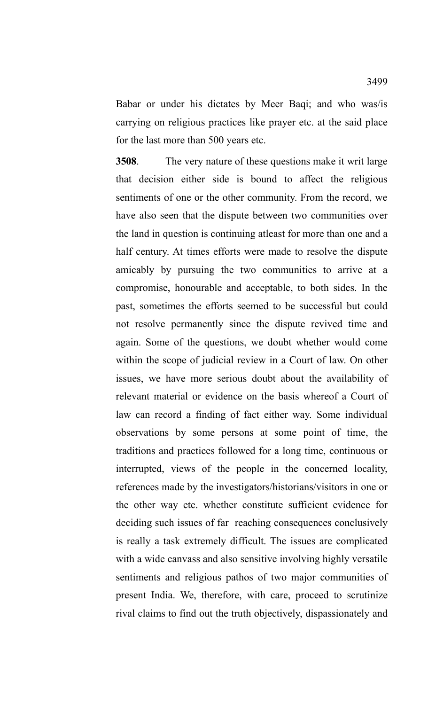Babar or under his dictates by Meer Baqi; and who was/is carrying on religious practices like prayer etc. at the said place for the last more than 500 years etc.

**3508**. The very nature of these questions make it writ large that decision either side is bound to affect the religious sentiments of one or the other community. From the record, we have also seen that the dispute between two communities over the land in question is continuing atleast for more than one and a half century. At times efforts were made to resolve the dispute amicably by pursuing the two communities to arrive at a compromise, honourable and acceptable, to both sides. In the past, sometimes the efforts seemed to be successful but could not resolve permanently since the dispute revived time and again. Some of the questions, we doubt whether would come within the scope of judicial review in a Court of law. On other issues, we have more serious doubt about the availability of relevant material or evidence on the basis whereof a Court of law can record a finding of fact either way. Some individual observations by some persons at some point of time, the traditions and practices followed for a long time, continuous or interrupted, views of the people in the concerned locality, references made by the investigators/historians/visitors in one or the other way etc. whether constitute sufficient evidence for deciding such issues of far reaching consequences conclusively is really a task extremely difficult. The issues are complicated with a wide canvass and also sensitive involving highly versatile sentiments and religious pathos of two major communities of present India. We, therefore, with care, proceed to scrutinize rival claims to find out the truth objectively, dispassionately and